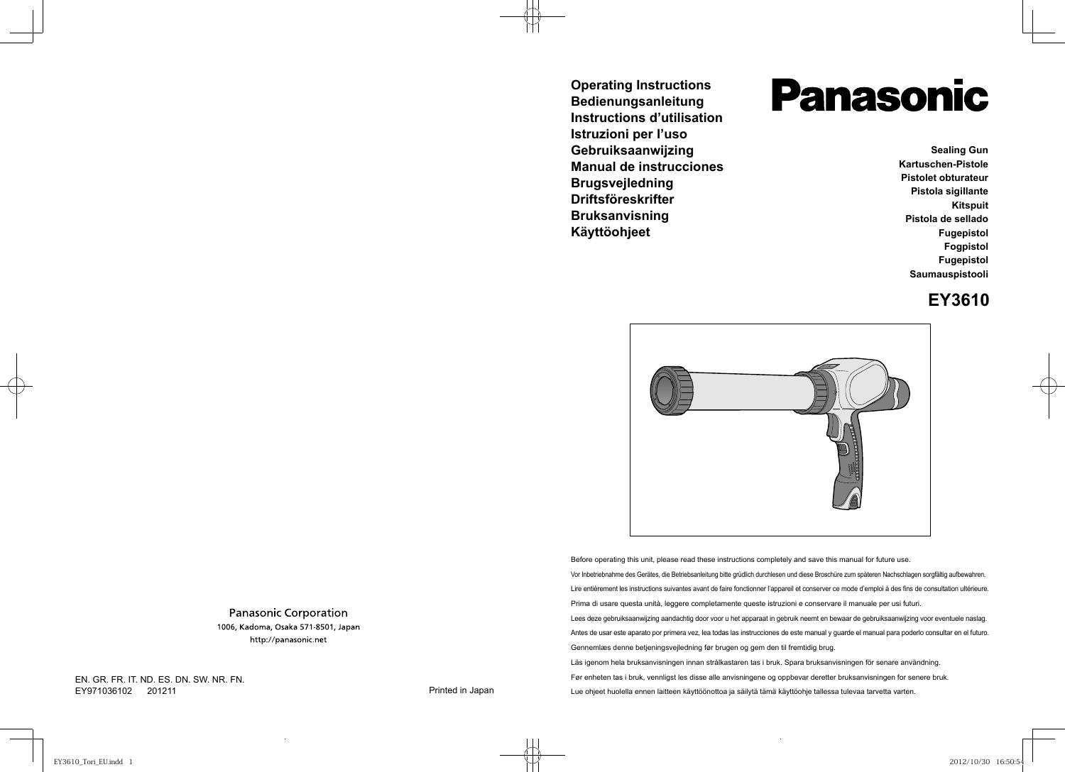**Operating Instructions Bedienungsanleitung Instructions d'utilisation Istruzioni per l'uso Gebruiksaanwijzing Manual de instrucciones Brugsvejledning Driftsföreskrifter Bruksanvisning Käyttöohjeet**

# **Panasonic**

**Sealing Gun Kartuschen-Pistole Pistolet obturateur Pistola sigillante Kitspuit Pistola de sellado Fugepistol Fogpistol Fugepistol Saumauspistooli**

## **EY3610**



Before operating this unit, please read these instructions completely and save this manual for future use. Vor Inbetriebnahme des Gerätes, die Betriebsanleitung bitte grüdlich durchlesen und diese Broschüre zum späteren Nachschlagen sorgfältig aufbewahren. Lire entièrement les instructions suivantes avant de faire fonctionner l'appareil et conserver ce mode d'emploi à des fins de consultation ultérieure. Prima di usare questa unità, leggere completamente queste istruzioni e conservare il manuale per usi futuri. Lees deze gebruiksaanwijzing aandachtig door voor u het apparaat in gebruik neemt en bewaar de gebruiksaanwijzing voor eventuele naslag. Antes de usar este aparato por primera vez, lea todas las instrucciones de este manual y guarde el manual para poderlo consultar en el futuro. Gennemlæs denne betjeningsvejledning før brugen og gem den til fremtidig brug. Läs igenom hela bruksanvisningen innan strålkastaren tas i bruk. Spara bruksanvisningen för senare användning. Før enheten tas i bruk, vennligst les disse alle anvisningene og oppbevar deretter bruksanvisningen for senere bruk. Lue ohjeet huolella ennen laitteen käyttöönottoa ja säilytä tämä käyttöohje tallessa tulevaa tarvetta varten.

**Panasonic Corporation** 1006, Kadoma, Osaka 571-8501, Japan http://panasonic.net

EN. GR. FR. IT. ND. ES. DN. SW. NR. FN. EY971036102 201211 2012 2012 2012 12:30 2012 2012 12:30 2012 12:30 2012 12:30 2012 2013 2014 2012 2013 2014 20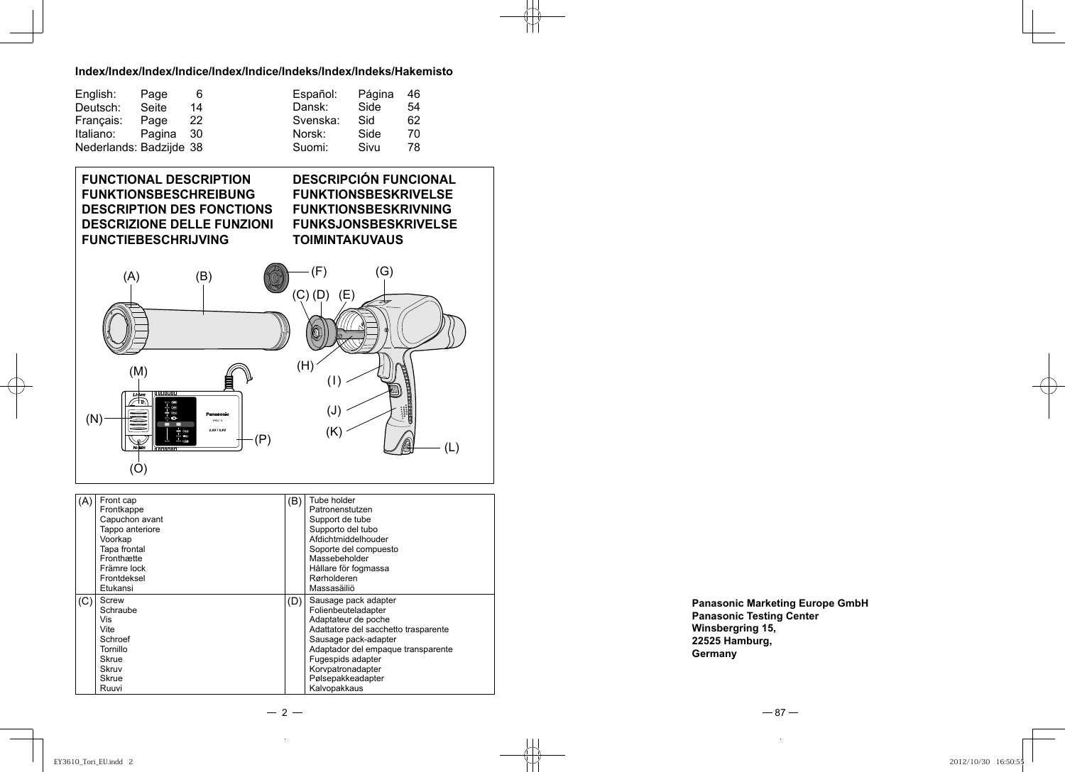#### **Index/Index/Index/Indice/Index/Indice/Indeks/Index/Indeks/Hakemisto**

| English:                | Page   | 6    | Español: | Página | -46 |
|-------------------------|--------|------|----------|--------|-----|
| Deutsch:                | Seite  | 14   | Dansk:   | Side   | 54  |
| Français:               | Page   | 22   | Svenska: | Sid    | 62  |
| Italiano:               | Pagina | - 30 | Norsk:   | Side   | 70  |
| Nederlands: Badzijde 38 |        |      | Suomi:   | Sivu   | 78  |

#### **FUNCTIONAL DESCRIPTION FUNKTIONSBESCHREIBUNG DESCRIPTION DES FONCTIONS DESCRIZIONE DELLE FUNZIONI FUNCTIEBESCHRIJVING** (C) (D) (E)  $(F)$  (G) (A) (B) **DESCRIPCIÓN FUNCIONAL FUNKTIONSBESKRIVELSE FUNKTIONSBESKRIVNING FUNKSJONSBESKRIVELSE TOIMINTAKUVAUS**

(H)

(J)

(I)

| \' * / | 2.4V/3.6V<br>is<br>(P)<br>NiHMH<br>`nnnnnn<br>(O)                                                                                               |     | (L)                                                                                                                                                                                           |
|--------|-------------------------------------------------------------------------------------------------------------------------------------------------|-----|-----------------------------------------------------------------------------------------------------------------------------------------------------------------------------------------------|
| (A)    | Front cap<br>Frontkappe<br>Capuchon avant<br>Tappo anteriore<br>Voorkap<br>Tapa frontal<br>Fronthætte<br>Främre lock<br>Frontdeksel<br>Etukansi | (B) | Tube holder<br>Patronenstutzen<br>Support de tube<br>Supporto del tubo<br>Afdichtmiddelhouder<br>Soporte del compuesto<br>Massebeholder<br>Hållare för fogmassa<br>Rørholderen<br>Massasäiliö |
| (C)    | Screw<br>Schraube<br>Vis<br>Vite<br>Schroef<br>Tornillo<br>Skrue                                                                                | (D) | Sausage pack adapter<br>Folienbeuteladapter<br>Adaptateur de poche<br>Adattatore del sacchetto trasparente<br>Sausage pack-adapter<br>Adaptador del empaque transparente<br>Fugespids adapter |

**Panasonic Marketing Europe GmbH Winsbergring 15,** 22525 Hamburg, **225**<br>Germany **Germany**

 $-2-$ 

Korvpatronadapter Pølsepakkeadapter Kalvopakkaus

 $-87-$ 

Skruv Skrue Ruuvi (M)

 $(N)$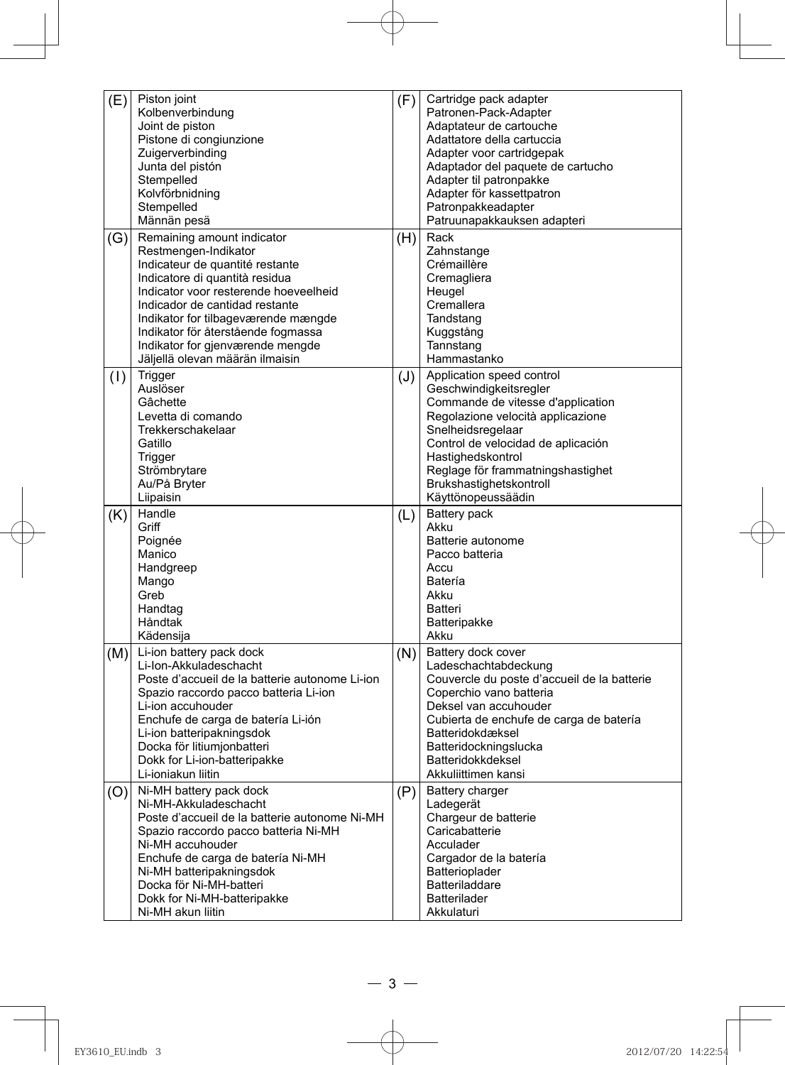| Cartridge pack adapter<br>Piston joint<br>(E)<br>(F)<br>Kolbenverbindung<br>Patronen-Pack-Adapter<br>Joint de piston<br>Adaptateur de cartouche<br>Pistone di congiunzione<br>Adattatore della cartuccia<br>Zuigerverbinding<br>Adapter voor cartridgepak<br>Junta del pistón<br>Adaptador del paquete de cartucho<br>Stempelled<br>Adapter til patronpakke<br>Kolvförbnidning<br>Adapter för kassettpatron<br>Stempelled<br>Patronpakkeadapter<br>Patruunapakkauksen adapteri<br>Männän pesä<br>Remaining amount indicator<br>Rack<br>(H)<br>(G)<br>Restmengen-Indikator<br>Zahnstange<br>Crémaillère<br>Indicateur de quantité restante<br>Indicatore di quantità residua<br>Cremagliera<br>Indicator voor resterende hoeveelheid<br>Heugel<br>Indicador de cantidad restante<br>Cremallera<br>Indikator for tilbageværende mængde<br>Tandstang<br>Indikator för återstående fogmassa<br>Kuggstång<br>Indikator for gjenværende mengde<br>Tannstang<br>Jäljellä olevan määrän ilmaisin<br>Hammastanko<br>Trigger<br>Application speed control<br>(1)<br>(J)<br>Auslöser<br>Geschwindigkeitsregler<br>Commande de vitesse d'application<br>Gâchette<br>Regolazione velocità applicazione<br>Levetta di comando<br>Snelheidsregelaar<br>Trekkerschakelaar<br>Control de velocidad de aplicación<br>Gatillo<br>Hastighedskontrol<br>Trigger<br>Strömbrytare<br>Reglage för frammatningshastighet<br>Au/På Bryter<br>Brukshastighetskontroll<br>Liipaisin<br>Käyttönopeussäädin<br>Handle<br>Battery pack<br>(K)<br>(L)<br>Akku<br>Griff<br>Poignée<br>Batterie autonome<br>Manico<br>Pacco batteria<br>Handgreep<br>Accu<br>Mango<br>Batería<br>Greb<br>Akku<br>Handtag<br>Batteri<br>Håndtak<br>Batteripakke<br>Akku<br>Kädensija<br>Li-ion battery pack dock<br>Battery dock cover<br>(M)<br>(N)<br>Li-Ion-Akkuladeschacht<br>Ladeschachtabdeckung<br>Poste d'accueil de la batterie autonome Li-ion<br>Couvercle du poste d'accueil de la batterie<br>Spazio raccordo pacco batteria Li-ion<br>Coperchio vano batteria<br>Li-ion accuhouder<br>Deksel van accuhouder<br>Enchufe de carga de batería Li-ión<br>Cubierta de enchufe de carga de batería<br>Li-ion batteripakningsdok<br>Batteridokdæksel<br>Docka för litiumjonbatteri<br>Batteridockningslucka<br>Dokk for Li-ion-batteripakke<br>Batteridokkdeksel<br>Li-ioniakun liitin<br>Akkuliittimen kansi<br>Ni-MH battery pack dock<br><b>Battery charger</b><br>(P)<br>(O)<br>Ni-MH-Akkuladeschacht<br>Ladegerät<br>Poste d'accueil de la batterie autonome Ni-MH<br>Chargeur de batterie<br>Caricabatterie<br>Spazio raccordo pacco batteria Ni-MH<br>Ni-MH accuhouder<br>Acculader<br>Enchufe de carga de batería Ni-MH<br>Cargador de la batería<br>Ni-MH batteripakningsdok<br>Batterioplader<br>Batteriladdare<br>Docka för Ni-MH-batteri<br><b>Batterilader</b><br>Dokk for Ni-MH-batteripakke<br>Ni-MH akun liitin<br>Akkulaturi |  |  |
|---------------------------------------------------------------------------------------------------------------------------------------------------------------------------------------------------------------------------------------------------------------------------------------------------------------------------------------------------------------------------------------------------------------------------------------------------------------------------------------------------------------------------------------------------------------------------------------------------------------------------------------------------------------------------------------------------------------------------------------------------------------------------------------------------------------------------------------------------------------------------------------------------------------------------------------------------------------------------------------------------------------------------------------------------------------------------------------------------------------------------------------------------------------------------------------------------------------------------------------------------------------------------------------------------------------------------------------------------------------------------------------------------------------------------------------------------------------------------------------------------------------------------------------------------------------------------------------------------------------------------------------------------------------------------------------------------------------------------------------------------------------------------------------------------------------------------------------------------------------------------------------------------------------------------------------------------------------------------------------------------------------------------------------------------------------------------------------------------------------------------------------------------------------------------------------------------------------------------------------------------------------------------------------------------------------------------------------------------------------------------------------------------------------------------------------------------------------------------------------------------------------------------------------------------------------------------------------------------------------------------------------------------------------------------------------------------------------------------------------------------------------------------------------------------------------------------------------------------------------------------------------------------|--|--|
|                                                                                                                                                                                                                                                                                                                                                                                                                                                                                                                                                                                                                                                                                                                                                                                                                                                                                                                                                                                                                                                                                                                                                                                                                                                                                                                                                                                                                                                                                                                                                                                                                                                                                                                                                                                                                                                                                                                                                                                                                                                                                                                                                                                                                                                                                                                                                                                                                                                                                                                                                                                                                                                                                                                                                                                                                                                                                                   |  |  |
|                                                                                                                                                                                                                                                                                                                                                                                                                                                                                                                                                                                                                                                                                                                                                                                                                                                                                                                                                                                                                                                                                                                                                                                                                                                                                                                                                                                                                                                                                                                                                                                                                                                                                                                                                                                                                                                                                                                                                                                                                                                                                                                                                                                                                                                                                                                                                                                                                                                                                                                                                                                                                                                                                                                                                                                                                                                                                                   |  |  |
|                                                                                                                                                                                                                                                                                                                                                                                                                                                                                                                                                                                                                                                                                                                                                                                                                                                                                                                                                                                                                                                                                                                                                                                                                                                                                                                                                                                                                                                                                                                                                                                                                                                                                                                                                                                                                                                                                                                                                                                                                                                                                                                                                                                                                                                                                                                                                                                                                                                                                                                                                                                                                                                                                                                                                                                                                                                                                                   |  |  |
|                                                                                                                                                                                                                                                                                                                                                                                                                                                                                                                                                                                                                                                                                                                                                                                                                                                                                                                                                                                                                                                                                                                                                                                                                                                                                                                                                                                                                                                                                                                                                                                                                                                                                                                                                                                                                                                                                                                                                                                                                                                                                                                                                                                                                                                                                                                                                                                                                                                                                                                                                                                                                                                                                                                                                                                                                                                                                                   |  |  |
|                                                                                                                                                                                                                                                                                                                                                                                                                                                                                                                                                                                                                                                                                                                                                                                                                                                                                                                                                                                                                                                                                                                                                                                                                                                                                                                                                                                                                                                                                                                                                                                                                                                                                                                                                                                                                                                                                                                                                                                                                                                                                                                                                                                                                                                                                                                                                                                                                                                                                                                                                                                                                                                                                                                                                                                                                                                                                                   |  |  |
|                                                                                                                                                                                                                                                                                                                                                                                                                                                                                                                                                                                                                                                                                                                                                                                                                                                                                                                                                                                                                                                                                                                                                                                                                                                                                                                                                                                                                                                                                                                                                                                                                                                                                                                                                                                                                                                                                                                                                                                                                                                                                                                                                                                                                                                                                                                                                                                                                                                                                                                                                                                                                                                                                                                                                                                                                                                                                                   |  |  |
|                                                                                                                                                                                                                                                                                                                                                                                                                                                                                                                                                                                                                                                                                                                                                                                                                                                                                                                                                                                                                                                                                                                                                                                                                                                                                                                                                                                                                                                                                                                                                                                                                                                                                                                                                                                                                                                                                                                                                                                                                                                                                                                                                                                                                                                                                                                                                                                                                                                                                                                                                                                                                                                                                                                                                                                                                                                                                                   |  |  |
|                                                                                                                                                                                                                                                                                                                                                                                                                                                                                                                                                                                                                                                                                                                                                                                                                                                                                                                                                                                                                                                                                                                                                                                                                                                                                                                                                                                                                                                                                                                                                                                                                                                                                                                                                                                                                                                                                                                                                                                                                                                                                                                                                                                                                                                                                                                                                                                                                                                                                                                                                                                                                                                                                                                                                                                                                                                                                                   |  |  |
|                                                                                                                                                                                                                                                                                                                                                                                                                                                                                                                                                                                                                                                                                                                                                                                                                                                                                                                                                                                                                                                                                                                                                                                                                                                                                                                                                                                                                                                                                                                                                                                                                                                                                                                                                                                                                                                                                                                                                                                                                                                                                                                                                                                                                                                                                                                                                                                                                                                                                                                                                                                                                                                                                                                                                                                                                                                                                                   |  |  |
|                                                                                                                                                                                                                                                                                                                                                                                                                                                                                                                                                                                                                                                                                                                                                                                                                                                                                                                                                                                                                                                                                                                                                                                                                                                                                                                                                                                                                                                                                                                                                                                                                                                                                                                                                                                                                                                                                                                                                                                                                                                                                                                                                                                                                                                                                                                                                                                                                                                                                                                                                                                                                                                                                                                                                                                                                                                                                                   |  |  |
|                                                                                                                                                                                                                                                                                                                                                                                                                                                                                                                                                                                                                                                                                                                                                                                                                                                                                                                                                                                                                                                                                                                                                                                                                                                                                                                                                                                                                                                                                                                                                                                                                                                                                                                                                                                                                                                                                                                                                                                                                                                                                                                                                                                                                                                                                                                                                                                                                                                                                                                                                                                                                                                                                                                                                                                                                                                                                                   |  |  |
|                                                                                                                                                                                                                                                                                                                                                                                                                                                                                                                                                                                                                                                                                                                                                                                                                                                                                                                                                                                                                                                                                                                                                                                                                                                                                                                                                                                                                                                                                                                                                                                                                                                                                                                                                                                                                                                                                                                                                                                                                                                                                                                                                                                                                                                                                                                                                                                                                                                                                                                                                                                                                                                                                                                                                                                                                                                                                                   |  |  |
|                                                                                                                                                                                                                                                                                                                                                                                                                                                                                                                                                                                                                                                                                                                                                                                                                                                                                                                                                                                                                                                                                                                                                                                                                                                                                                                                                                                                                                                                                                                                                                                                                                                                                                                                                                                                                                                                                                                                                                                                                                                                                                                                                                                                                                                                                                                                                                                                                                                                                                                                                                                                                                                                                                                                                                                                                                                                                                   |  |  |
|                                                                                                                                                                                                                                                                                                                                                                                                                                                                                                                                                                                                                                                                                                                                                                                                                                                                                                                                                                                                                                                                                                                                                                                                                                                                                                                                                                                                                                                                                                                                                                                                                                                                                                                                                                                                                                                                                                                                                                                                                                                                                                                                                                                                                                                                                                                                                                                                                                                                                                                                                                                                                                                                                                                                                                                                                                                                                                   |  |  |
|                                                                                                                                                                                                                                                                                                                                                                                                                                                                                                                                                                                                                                                                                                                                                                                                                                                                                                                                                                                                                                                                                                                                                                                                                                                                                                                                                                                                                                                                                                                                                                                                                                                                                                                                                                                                                                                                                                                                                                                                                                                                                                                                                                                                                                                                                                                                                                                                                                                                                                                                                                                                                                                                                                                                                                                                                                                                                                   |  |  |
|                                                                                                                                                                                                                                                                                                                                                                                                                                                                                                                                                                                                                                                                                                                                                                                                                                                                                                                                                                                                                                                                                                                                                                                                                                                                                                                                                                                                                                                                                                                                                                                                                                                                                                                                                                                                                                                                                                                                                                                                                                                                                                                                                                                                                                                                                                                                                                                                                                                                                                                                                                                                                                                                                                                                                                                                                                                                                                   |  |  |
|                                                                                                                                                                                                                                                                                                                                                                                                                                                                                                                                                                                                                                                                                                                                                                                                                                                                                                                                                                                                                                                                                                                                                                                                                                                                                                                                                                                                                                                                                                                                                                                                                                                                                                                                                                                                                                                                                                                                                                                                                                                                                                                                                                                                                                                                                                                                                                                                                                                                                                                                                                                                                                                                                                                                                                                                                                                                                                   |  |  |
|                                                                                                                                                                                                                                                                                                                                                                                                                                                                                                                                                                                                                                                                                                                                                                                                                                                                                                                                                                                                                                                                                                                                                                                                                                                                                                                                                                                                                                                                                                                                                                                                                                                                                                                                                                                                                                                                                                                                                                                                                                                                                                                                                                                                                                                                                                                                                                                                                                                                                                                                                                                                                                                                                                                                                                                                                                                                                                   |  |  |
|                                                                                                                                                                                                                                                                                                                                                                                                                                                                                                                                                                                                                                                                                                                                                                                                                                                                                                                                                                                                                                                                                                                                                                                                                                                                                                                                                                                                                                                                                                                                                                                                                                                                                                                                                                                                                                                                                                                                                                                                                                                                                                                                                                                                                                                                                                                                                                                                                                                                                                                                                                                                                                                                                                                                                                                                                                                                                                   |  |  |
|                                                                                                                                                                                                                                                                                                                                                                                                                                                                                                                                                                                                                                                                                                                                                                                                                                                                                                                                                                                                                                                                                                                                                                                                                                                                                                                                                                                                                                                                                                                                                                                                                                                                                                                                                                                                                                                                                                                                                                                                                                                                                                                                                                                                                                                                                                                                                                                                                                                                                                                                                                                                                                                                                                                                                                                                                                                                                                   |  |  |
|                                                                                                                                                                                                                                                                                                                                                                                                                                                                                                                                                                                                                                                                                                                                                                                                                                                                                                                                                                                                                                                                                                                                                                                                                                                                                                                                                                                                                                                                                                                                                                                                                                                                                                                                                                                                                                                                                                                                                                                                                                                                                                                                                                                                                                                                                                                                                                                                                                                                                                                                                                                                                                                                                                                                                                                                                                                                                                   |  |  |
|                                                                                                                                                                                                                                                                                                                                                                                                                                                                                                                                                                                                                                                                                                                                                                                                                                                                                                                                                                                                                                                                                                                                                                                                                                                                                                                                                                                                                                                                                                                                                                                                                                                                                                                                                                                                                                                                                                                                                                                                                                                                                                                                                                                                                                                                                                                                                                                                                                                                                                                                                                                                                                                                                                                                                                                                                                                                                                   |  |  |
|                                                                                                                                                                                                                                                                                                                                                                                                                                                                                                                                                                                                                                                                                                                                                                                                                                                                                                                                                                                                                                                                                                                                                                                                                                                                                                                                                                                                                                                                                                                                                                                                                                                                                                                                                                                                                                                                                                                                                                                                                                                                                                                                                                                                                                                                                                                                                                                                                                                                                                                                                                                                                                                                                                                                                                                                                                                                                                   |  |  |
|                                                                                                                                                                                                                                                                                                                                                                                                                                                                                                                                                                                                                                                                                                                                                                                                                                                                                                                                                                                                                                                                                                                                                                                                                                                                                                                                                                                                                                                                                                                                                                                                                                                                                                                                                                                                                                                                                                                                                                                                                                                                                                                                                                                                                                                                                                                                                                                                                                                                                                                                                                                                                                                                                                                                                                                                                                                                                                   |  |  |
|                                                                                                                                                                                                                                                                                                                                                                                                                                                                                                                                                                                                                                                                                                                                                                                                                                                                                                                                                                                                                                                                                                                                                                                                                                                                                                                                                                                                                                                                                                                                                                                                                                                                                                                                                                                                                                                                                                                                                                                                                                                                                                                                                                                                                                                                                                                                                                                                                                                                                                                                                                                                                                                                                                                                                                                                                                                                                                   |  |  |
|                                                                                                                                                                                                                                                                                                                                                                                                                                                                                                                                                                                                                                                                                                                                                                                                                                                                                                                                                                                                                                                                                                                                                                                                                                                                                                                                                                                                                                                                                                                                                                                                                                                                                                                                                                                                                                                                                                                                                                                                                                                                                                                                                                                                                                                                                                                                                                                                                                                                                                                                                                                                                                                                                                                                                                                                                                                                                                   |  |  |
|                                                                                                                                                                                                                                                                                                                                                                                                                                                                                                                                                                                                                                                                                                                                                                                                                                                                                                                                                                                                                                                                                                                                                                                                                                                                                                                                                                                                                                                                                                                                                                                                                                                                                                                                                                                                                                                                                                                                                                                                                                                                                                                                                                                                                                                                                                                                                                                                                                                                                                                                                                                                                                                                                                                                                                                                                                                                                                   |  |  |
|                                                                                                                                                                                                                                                                                                                                                                                                                                                                                                                                                                                                                                                                                                                                                                                                                                                                                                                                                                                                                                                                                                                                                                                                                                                                                                                                                                                                                                                                                                                                                                                                                                                                                                                                                                                                                                                                                                                                                                                                                                                                                                                                                                                                                                                                                                                                                                                                                                                                                                                                                                                                                                                                                                                                                                                                                                                                                                   |  |  |
|                                                                                                                                                                                                                                                                                                                                                                                                                                                                                                                                                                                                                                                                                                                                                                                                                                                                                                                                                                                                                                                                                                                                                                                                                                                                                                                                                                                                                                                                                                                                                                                                                                                                                                                                                                                                                                                                                                                                                                                                                                                                                                                                                                                                                                                                                                                                                                                                                                                                                                                                                                                                                                                                                                                                                                                                                                                                                                   |  |  |
|                                                                                                                                                                                                                                                                                                                                                                                                                                                                                                                                                                                                                                                                                                                                                                                                                                                                                                                                                                                                                                                                                                                                                                                                                                                                                                                                                                                                                                                                                                                                                                                                                                                                                                                                                                                                                                                                                                                                                                                                                                                                                                                                                                                                                                                                                                                                                                                                                                                                                                                                                                                                                                                                                                                                                                                                                                                                                                   |  |  |
|                                                                                                                                                                                                                                                                                                                                                                                                                                                                                                                                                                                                                                                                                                                                                                                                                                                                                                                                                                                                                                                                                                                                                                                                                                                                                                                                                                                                                                                                                                                                                                                                                                                                                                                                                                                                                                                                                                                                                                                                                                                                                                                                                                                                                                                                                                                                                                                                                                                                                                                                                                                                                                                                                                                                                                                                                                                                                                   |  |  |
|                                                                                                                                                                                                                                                                                                                                                                                                                                                                                                                                                                                                                                                                                                                                                                                                                                                                                                                                                                                                                                                                                                                                                                                                                                                                                                                                                                                                                                                                                                                                                                                                                                                                                                                                                                                                                                                                                                                                                                                                                                                                                                                                                                                                                                                                                                                                                                                                                                                                                                                                                                                                                                                                                                                                                                                                                                                                                                   |  |  |
|                                                                                                                                                                                                                                                                                                                                                                                                                                                                                                                                                                                                                                                                                                                                                                                                                                                                                                                                                                                                                                                                                                                                                                                                                                                                                                                                                                                                                                                                                                                                                                                                                                                                                                                                                                                                                                                                                                                                                                                                                                                                                                                                                                                                                                                                                                                                                                                                                                                                                                                                                                                                                                                                                                                                                                                                                                                                                                   |  |  |
|                                                                                                                                                                                                                                                                                                                                                                                                                                                                                                                                                                                                                                                                                                                                                                                                                                                                                                                                                                                                                                                                                                                                                                                                                                                                                                                                                                                                                                                                                                                                                                                                                                                                                                                                                                                                                                                                                                                                                                                                                                                                                                                                                                                                                                                                                                                                                                                                                                                                                                                                                                                                                                                                                                                                                                                                                                                                                                   |  |  |
|                                                                                                                                                                                                                                                                                                                                                                                                                                                                                                                                                                                                                                                                                                                                                                                                                                                                                                                                                                                                                                                                                                                                                                                                                                                                                                                                                                                                                                                                                                                                                                                                                                                                                                                                                                                                                                                                                                                                                                                                                                                                                                                                                                                                                                                                                                                                                                                                                                                                                                                                                                                                                                                                                                                                                                                                                                                                                                   |  |  |
|                                                                                                                                                                                                                                                                                                                                                                                                                                                                                                                                                                                                                                                                                                                                                                                                                                                                                                                                                                                                                                                                                                                                                                                                                                                                                                                                                                                                                                                                                                                                                                                                                                                                                                                                                                                                                                                                                                                                                                                                                                                                                                                                                                                                                                                                                                                                                                                                                                                                                                                                                                                                                                                                                                                                                                                                                                                                                                   |  |  |
|                                                                                                                                                                                                                                                                                                                                                                                                                                                                                                                                                                                                                                                                                                                                                                                                                                                                                                                                                                                                                                                                                                                                                                                                                                                                                                                                                                                                                                                                                                                                                                                                                                                                                                                                                                                                                                                                                                                                                                                                                                                                                                                                                                                                                                                                                                                                                                                                                                                                                                                                                                                                                                                                                                                                                                                                                                                                                                   |  |  |
|                                                                                                                                                                                                                                                                                                                                                                                                                                                                                                                                                                                                                                                                                                                                                                                                                                                                                                                                                                                                                                                                                                                                                                                                                                                                                                                                                                                                                                                                                                                                                                                                                                                                                                                                                                                                                                                                                                                                                                                                                                                                                                                                                                                                                                                                                                                                                                                                                                                                                                                                                                                                                                                                                                                                                                                                                                                                                                   |  |  |
|                                                                                                                                                                                                                                                                                                                                                                                                                                                                                                                                                                                                                                                                                                                                                                                                                                                                                                                                                                                                                                                                                                                                                                                                                                                                                                                                                                                                                                                                                                                                                                                                                                                                                                                                                                                                                                                                                                                                                                                                                                                                                                                                                                                                                                                                                                                                                                                                                                                                                                                                                                                                                                                                                                                                                                                                                                                                                                   |  |  |
|                                                                                                                                                                                                                                                                                                                                                                                                                                                                                                                                                                                                                                                                                                                                                                                                                                                                                                                                                                                                                                                                                                                                                                                                                                                                                                                                                                                                                                                                                                                                                                                                                                                                                                                                                                                                                                                                                                                                                                                                                                                                                                                                                                                                                                                                                                                                                                                                                                                                                                                                                                                                                                                                                                                                                                                                                                                                                                   |  |  |
|                                                                                                                                                                                                                                                                                                                                                                                                                                                                                                                                                                                                                                                                                                                                                                                                                                                                                                                                                                                                                                                                                                                                                                                                                                                                                                                                                                                                                                                                                                                                                                                                                                                                                                                                                                                                                                                                                                                                                                                                                                                                                                                                                                                                                                                                                                                                                                                                                                                                                                                                                                                                                                                                                                                                                                                                                                                                                                   |  |  |
|                                                                                                                                                                                                                                                                                                                                                                                                                                                                                                                                                                                                                                                                                                                                                                                                                                                                                                                                                                                                                                                                                                                                                                                                                                                                                                                                                                                                                                                                                                                                                                                                                                                                                                                                                                                                                                                                                                                                                                                                                                                                                                                                                                                                                                                                                                                                                                                                                                                                                                                                                                                                                                                                                                                                                                                                                                                                                                   |  |  |
|                                                                                                                                                                                                                                                                                                                                                                                                                                                                                                                                                                                                                                                                                                                                                                                                                                                                                                                                                                                                                                                                                                                                                                                                                                                                                                                                                                                                                                                                                                                                                                                                                                                                                                                                                                                                                                                                                                                                                                                                                                                                                                                                                                                                                                                                                                                                                                                                                                                                                                                                                                                                                                                                                                                                                                                                                                                                                                   |  |  |
|                                                                                                                                                                                                                                                                                                                                                                                                                                                                                                                                                                                                                                                                                                                                                                                                                                                                                                                                                                                                                                                                                                                                                                                                                                                                                                                                                                                                                                                                                                                                                                                                                                                                                                                                                                                                                                                                                                                                                                                                                                                                                                                                                                                                                                                                                                                                                                                                                                                                                                                                                                                                                                                                                                                                                                                                                                                                                                   |  |  |
|                                                                                                                                                                                                                                                                                                                                                                                                                                                                                                                                                                                                                                                                                                                                                                                                                                                                                                                                                                                                                                                                                                                                                                                                                                                                                                                                                                                                                                                                                                                                                                                                                                                                                                                                                                                                                                                                                                                                                                                                                                                                                                                                                                                                                                                                                                                                                                                                                                                                                                                                                                                                                                                                                                                                                                                                                                                                                                   |  |  |
|                                                                                                                                                                                                                                                                                                                                                                                                                                                                                                                                                                                                                                                                                                                                                                                                                                                                                                                                                                                                                                                                                                                                                                                                                                                                                                                                                                                                                                                                                                                                                                                                                                                                                                                                                                                                                                                                                                                                                                                                                                                                                                                                                                                                                                                                                                                                                                                                                                                                                                                                                                                                                                                                                                                                                                                                                                                                                                   |  |  |
|                                                                                                                                                                                                                                                                                                                                                                                                                                                                                                                                                                                                                                                                                                                                                                                                                                                                                                                                                                                                                                                                                                                                                                                                                                                                                                                                                                                                                                                                                                                                                                                                                                                                                                                                                                                                                                                                                                                                                                                                                                                                                                                                                                                                                                                                                                                                                                                                                                                                                                                                                                                                                                                                                                                                                                                                                                                                                                   |  |  |
|                                                                                                                                                                                                                                                                                                                                                                                                                                                                                                                                                                                                                                                                                                                                                                                                                                                                                                                                                                                                                                                                                                                                                                                                                                                                                                                                                                                                                                                                                                                                                                                                                                                                                                                                                                                                                                                                                                                                                                                                                                                                                                                                                                                                                                                                                                                                                                                                                                                                                                                                                                                                                                                                                                                                                                                                                                                                                                   |  |  |
|                                                                                                                                                                                                                                                                                                                                                                                                                                                                                                                                                                                                                                                                                                                                                                                                                                                                                                                                                                                                                                                                                                                                                                                                                                                                                                                                                                                                                                                                                                                                                                                                                                                                                                                                                                                                                                                                                                                                                                                                                                                                                                                                                                                                                                                                                                                                                                                                                                                                                                                                                                                                                                                                                                                                                                                                                                                                                                   |  |  |
|                                                                                                                                                                                                                                                                                                                                                                                                                                                                                                                                                                                                                                                                                                                                                                                                                                                                                                                                                                                                                                                                                                                                                                                                                                                                                                                                                                                                                                                                                                                                                                                                                                                                                                                                                                                                                                                                                                                                                                                                                                                                                                                                                                                                                                                                                                                                                                                                                                                                                                                                                                                                                                                                                                                                                                                                                                                                                                   |  |  |
|                                                                                                                                                                                                                                                                                                                                                                                                                                                                                                                                                                                                                                                                                                                                                                                                                                                                                                                                                                                                                                                                                                                                                                                                                                                                                                                                                                                                                                                                                                                                                                                                                                                                                                                                                                                                                                                                                                                                                                                                                                                                                                                                                                                                                                                                                                                                                                                                                                                                                                                                                                                                                                                                                                                                                                                                                                                                                                   |  |  |
|                                                                                                                                                                                                                                                                                                                                                                                                                                                                                                                                                                                                                                                                                                                                                                                                                                                                                                                                                                                                                                                                                                                                                                                                                                                                                                                                                                                                                                                                                                                                                                                                                                                                                                                                                                                                                                                                                                                                                                                                                                                                                                                                                                                                                                                                                                                                                                                                                                                                                                                                                                                                                                                                                                                                                                                                                                                                                                   |  |  |
|                                                                                                                                                                                                                                                                                                                                                                                                                                                                                                                                                                                                                                                                                                                                                                                                                                                                                                                                                                                                                                                                                                                                                                                                                                                                                                                                                                                                                                                                                                                                                                                                                                                                                                                                                                                                                                                                                                                                                                                                                                                                                                                                                                                                                                                                                                                                                                                                                                                                                                                                                                                                                                                                                                                                                                                                                                                                                                   |  |  |
|                                                                                                                                                                                                                                                                                                                                                                                                                                                                                                                                                                                                                                                                                                                                                                                                                                                                                                                                                                                                                                                                                                                                                                                                                                                                                                                                                                                                                                                                                                                                                                                                                                                                                                                                                                                                                                                                                                                                                                                                                                                                                                                                                                                                                                                                                                                                                                                                                                                                                                                                                                                                                                                                                                                                                                                                                                                                                                   |  |  |
|                                                                                                                                                                                                                                                                                                                                                                                                                                                                                                                                                                                                                                                                                                                                                                                                                                                                                                                                                                                                                                                                                                                                                                                                                                                                                                                                                                                                                                                                                                                                                                                                                                                                                                                                                                                                                                                                                                                                                                                                                                                                                                                                                                                                                                                                                                                                                                                                                                                                                                                                                                                                                                                                                                                                                                                                                                                                                                   |  |  |
|                                                                                                                                                                                                                                                                                                                                                                                                                                                                                                                                                                                                                                                                                                                                                                                                                                                                                                                                                                                                                                                                                                                                                                                                                                                                                                                                                                                                                                                                                                                                                                                                                                                                                                                                                                                                                                                                                                                                                                                                                                                                                                                                                                                                                                                                                                                                                                                                                                                                                                                                                                                                                                                                                                                                                                                                                                                                                                   |  |  |
|                                                                                                                                                                                                                                                                                                                                                                                                                                                                                                                                                                                                                                                                                                                                                                                                                                                                                                                                                                                                                                                                                                                                                                                                                                                                                                                                                                                                                                                                                                                                                                                                                                                                                                                                                                                                                                                                                                                                                                                                                                                                                                                                                                                                                                                                                                                                                                                                                                                                                                                                                                                                                                                                                                                                                                                                                                                                                                   |  |  |
|                                                                                                                                                                                                                                                                                                                                                                                                                                                                                                                                                                                                                                                                                                                                                                                                                                                                                                                                                                                                                                                                                                                                                                                                                                                                                                                                                                                                                                                                                                                                                                                                                                                                                                                                                                                                                                                                                                                                                                                                                                                                                                                                                                                                                                                                                                                                                                                                                                                                                                                                                                                                                                                                                                                                                                                                                                                                                                   |  |  |
|                                                                                                                                                                                                                                                                                                                                                                                                                                                                                                                                                                                                                                                                                                                                                                                                                                                                                                                                                                                                                                                                                                                                                                                                                                                                                                                                                                                                                                                                                                                                                                                                                                                                                                                                                                                                                                                                                                                                                                                                                                                                                                                                                                                                                                                                                                                                                                                                                                                                                                                                                                                                                                                                                                                                                                                                                                                                                                   |  |  |
|                                                                                                                                                                                                                                                                                                                                                                                                                                                                                                                                                                                                                                                                                                                                                                                                                                                                                                                                                                                                                                                                                                                                                                                                                                                                                                                                                                                                                                                                                                                                                                                                                                                                                                                                                                                                                                                                                                                                                                                                                                                                                                                                                                                                                                                                                                                                                                                                                                                                                                                                                                                                                                                                                                                                                                                                                                                                                                   |  |  |
|                                                                                                                                                                                                                                                                                                                                                                                                                                                                                                                                                                                                                                                                                                                                                                                                                                                                                                                                                                                                                                                                                                                                                                                                                                                                                                                                                                                                                                                                                                                                                                                                                                                                                                                                                                                                                                                                                                                                                                                                                                                                                                                                                                                                                                                                                                                                                                                                                                                                                                                                                                                                                                                                                                                                                                                                                                                                                                   |  |  |
|                                                                                                                                                                                                                                                                                                                                                                                                                                                                                                                                                                                                                                                                                                                                                                                                                                                                                                                                                                                                                                                                                                                                                                                                                                                                                                                                                                                                                                                                                                                                                                                                                                                                                                                                                                                                                                                                                                                                                                                                                                                                                                                                                                                                                                                                                                                                                                                                                                                                                                                                                                                                                                                                                                                                                                                                                                                                                                   |  |  |
|                                                                                                                                                                                                                                                                                                                                                                                                                                                                                                                                                                                                                                                                                                                                                                                                                                                                                                                                                                                                                                                                                                                                                                                                                                                                                                                                                                                                                                                                                                                                                                                                                                                                                                                                                                                                                                                                                                                                                                                                                                                                                                                                                                                                                                                                                                                                                                                                                                                                                                                                                                                                                                                                                                                                                                                                                                                                                                   |  |  |
|                                                                                                                                                                                                                                                                                                                                                                                                                                                                                                                                                                                                                                                                                                                                                                                                                                                                                                                                                                                                                                                                                                                                                                                                                                                                                                                                                                                                                                                                                                                                                                                                                                                                                                                                                                                                                                                                                                                                                                                                                                                                                                                                                                                                                                                                                                                                                                                                                                                                                                                                                                                                                                                                                                                                                                                                                                                                                                   |  |  |
|                                                                                                                                                                                                                                                                                                                                                                                                                                                                                                                                                                                                                                                                                                                                                                                                                                                                                                                                                                                                                                                                                                                                                                                                                                                                                                                                                                                                                                                                                                                                                                                                                                                                                                                                                                                                                                                                                                                                                                                                                                                                                                                                                                                                                                                                                                                                                                                                                                                                                                                                                                                                                                                                                                                                                                                                                                                                                                   |  |  |
|                                                                                                                                                                                                                                                                                                                                                                                                                                                                                                                                                                                                                                                                                                                                                                                                                                                                                                                                                                                                                                                                                                                                                                                                                                                                                                                                                                                                                                                                                                                                                                                                                                                                                                                                                                                                                                                                                                                                                                                                                                                                                                                                                                                                                                                                                                                                                                                                                                                                                                                                                                                                                                                                                                                                                                                                                                                                                                   |  |  |
|                                                                                                                                                                                                                                                                                                                                                                                                                                                                                                                                                                                                                                                                                                                                                                                                                                                                                                                                                                                                                                                                                                                                                                                                                                                                                                                                                                                                                                                                                                                                                                                                                                                                                                                                                                                                                                                                                                                                                                                                                                                                                                                                                                                                                                                                                                                                                                                                                                                                                                                                                                                                                                                                                                                                                                                                                                                                                                   |  |  |
|                                                                                                                                                                                                                                                                                                                                                                                                                                                                                                                                                                                                                                                                                                                                                                                                                                                                                                                                                                                                                                                                                                                                                                                                                                                                                                                                                                                                                                                                                                                                                                                                                                                                                                                                                                                                                                                                                                                                                                                                                                                                                                                                                                                                                                                                                                                                                                                                                                                                                                                                                                                                                                                                                                                                                                                                                                                                                                   |  |  |
|                                                                                                                                                                                                                                                                                                                                                                                                                                                                                                                                                                                                                                                                                                                                                                                                                                                                                                                                                                                                                                                                                                                                                                                                                                                                                                                                                                                                                                                                                                                                                                                                                                                                                                                                                                                                                                                                                                                                                                                                                                                                                                                                                                                                                                                                                                                                                                                                                                                                                                                                                                                                                                                                                                                                                                                                                                                                                                   |  |  |
|                                                                                                                                                                                                                                                                                                                                                                                                                                                                                                                                                                                                                                                                                                                                                                                                                                                                                                                                                                                                                                                                                                                                                                                                                                                                                                                                                                                                                                                                                                                                                                                                                                                                                                                                                                                                                                                                                                                                                                                                                                                                                                                                                                                                                                                                                                                                                                                                                                                                                                                                                                                                                                                                                                                                                                                                                                                                                                   |  |  |
|                                                                                                                                                                                                                                                                                                                                                                                                                                                                                                                                                                                                                                                                                                                                                                                                                                                                                                                                                                                                                                                                                                                                                                                                                                                                                                                                                                                                                                                                                                                                                                                                                                                                                                                                                                                                                                                                                                                                                                                                                                                                                                                                                                                                                                                                                                                                                                                                                                                                                                                                                                                                                                                                                                                                                                                                                                                                                                   |  |  |
|                                                                                                                                                                                                                                                                                                                                                                                                                                                                                                                                                                                                                                                                                                                                                                                                                                                                                                                                                                                                                                                                                                                                                                                                                                                                                                                                                                                                                                                                                                                                                                                                                                                                                                                                                                                                                                                                                                                                                                                                                                                                                                                                                                                                                                                                                                                                                                                                                                                                                                                                                                                                                                                                                                                                                                                                                                                                                                   |  |  |
|                                                                                                                                                                                                                                                                                                                                                                                                                                                                                                                                                                                                                                                                                                                                                                                                                                                                                                                                                                                                                                                                                                                                                                                                                                                                                                                                                                                                                                                                                                                                                                                                                                                                                                                                                                                                                                                                                                                                                                                                                                                                                                                                                                                                                                                                                                                                                                                                                                                                                                                                                                                                                                                                                                                                                                                                                                                                                                   |  |  |
|                                                                                                                                                                                                                                                                                                                                                                                                                                                                                                                                                                                                                                                                                                                                                                                                                                                                                                                                                                                                                                                                                                                                                                                                                                                                                                                                                                                                                                                                                                                                                                                                                                                                                                                                                                                                                                                                                                                                                                                                                                                                                                                                                                                                                                                                                                                                                                                                                                                                                                                                                                                                                                                                                                                                                                                                                                                                                                   |  |  |
|                                                                                                                                                                                                                                                                                                                                                                                                                                                                                                                                                                                                                                                                                                                                                                                                                                                                                                                                                                                                                                                                                                                                                                                                                                                                                                                                                                                                                                                                                                                                                                                                                                                                                                                                                                                                                                                                                                                                                                                                                                                                                                                                                                                                                                                                                                                                                                                                                                                                                                                                                                                                                                                                                                                                                                                                                                                                                                   |  |  |
|                                                                                                                                                                                                                                                                                                                                                                                                                                                                                                                                                                                                                                                                                                                                                                                                                                                                                                                                                                                                                                                                                                                                                                                                                                                                                                                                                                                                                                                                                                                                                                                                                                                                                                                                                                                                                                                                                                                                                                                                                                                                                                                                                                                                                                                                                                                                                                                                                                                                                                                                                                                                                                                                                                                                                                                                                                                                                                   |  |  |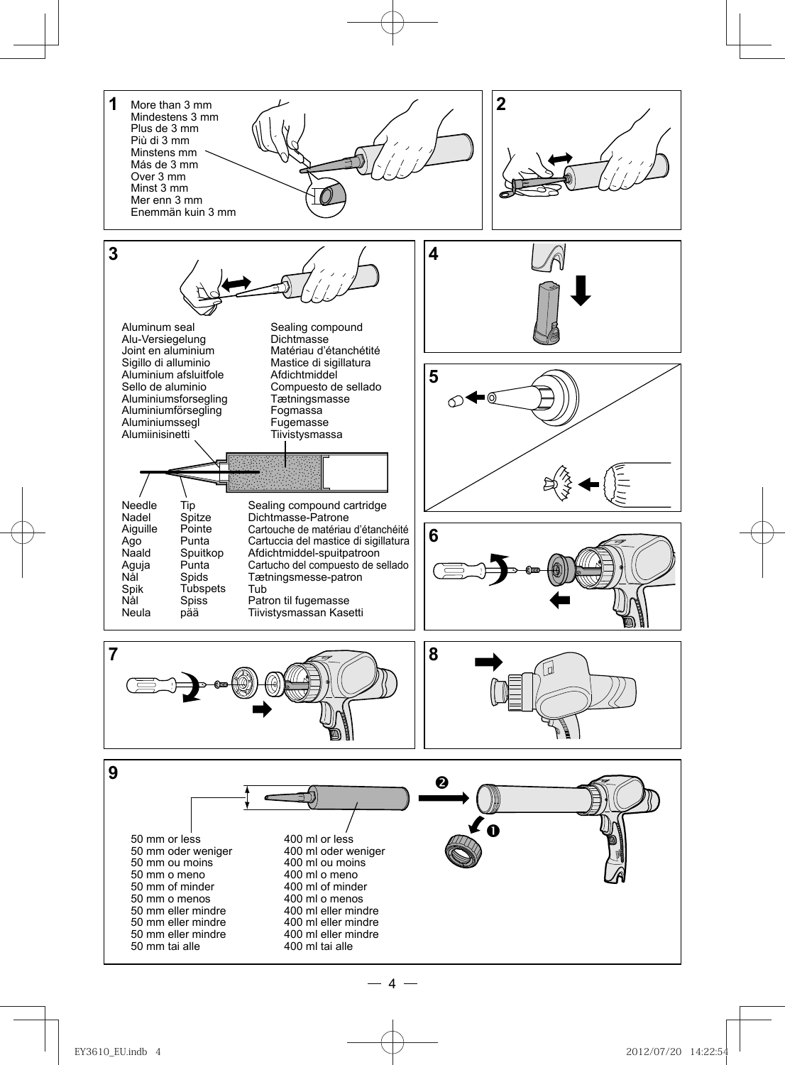

4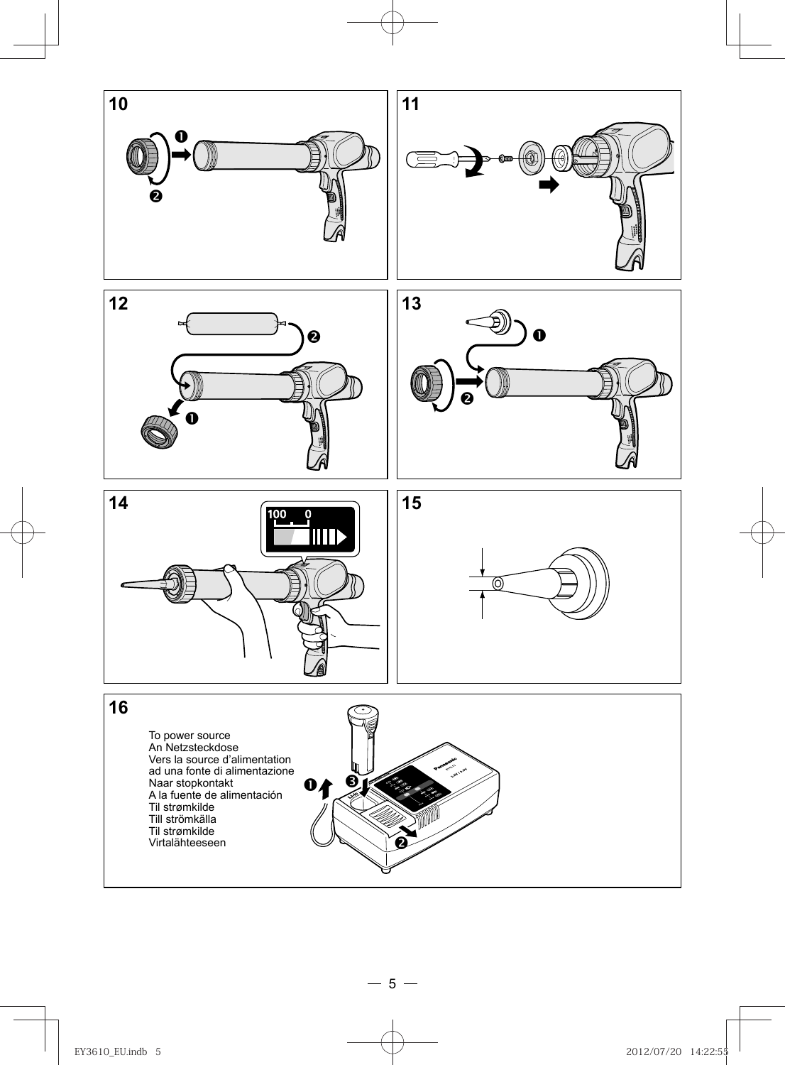

 $-5-$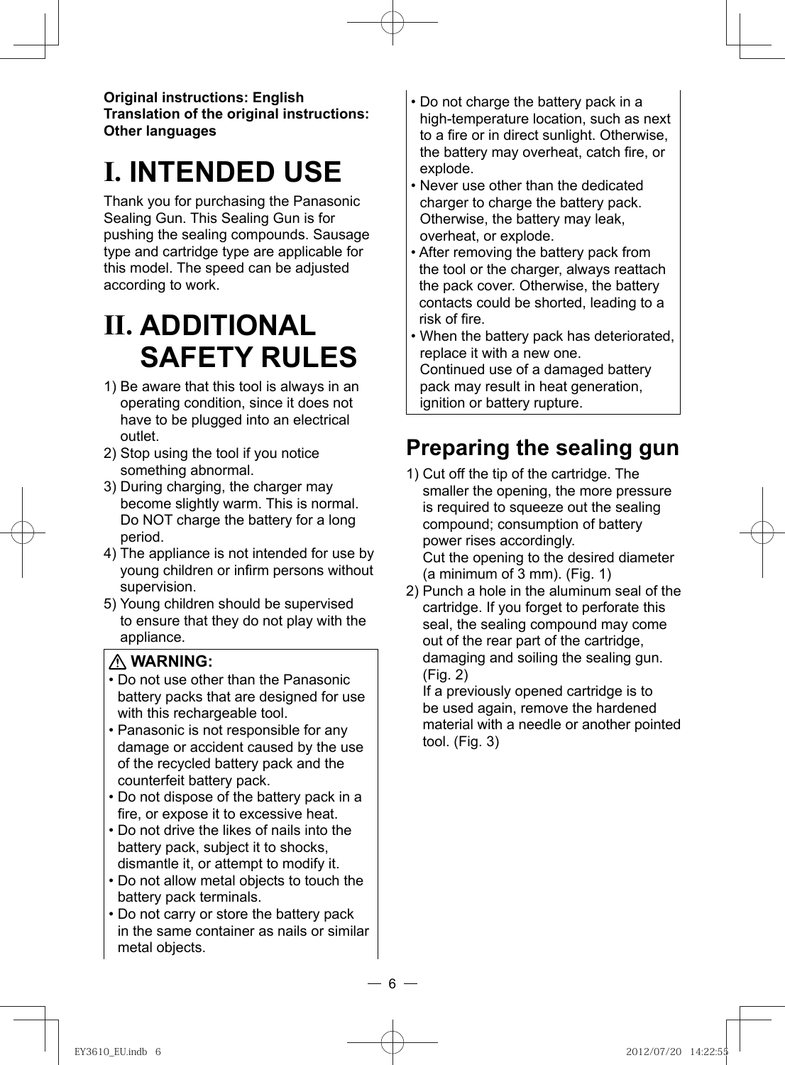**Original instructions: English Translation of the original instructions: Other languages**

# **I. INTENDED USE**

Thank you for purchasing the Panasonic Sealing Gun. This Sealing Gun is for pushing the sealing compounds. Sausage type and cartridge type are applicable for this model. The speed can be adjusted according to work.

# **II. ADDITIONAL SAFETY RULES**

- 1) Be aware that this tool is always in an operating condition, since it does not have to be plugged into an electrical outlet.
- 2) Stop using the tool if you notice something abnormal.
- 3) During charging, the charger may become slightly warm. This is normal. Do NOT charge the battery for a long period.
- 4) The appliance is not intended for use by young children or infirm persons without supervision.
- 5) Young children should be supervised to ensure that they do not play with the appliance.

### **WARNING:**

- Do not use other than the Panasonic battery packs that are designed for use with this rechargeable tool.
- Panasonic is not responsible for any damage or accident caused by the use of the recycled battery pack and the counterfeit battery pack.
- Do not dispose of the battery pack in a fire, or expose it to excessive heat.
- Do not drive the likes of nails into the battery pack, subject it to shocks, dismantle it, or attempt to modify it.
- Do not allow metal objects to touch the battery pack terminals.
- Do not carry or store the battery pack in the same container as nails or similar metal objects.
- Do not charge the battery pack in a high-temperature location, such as next to a fire or in direct sunlight. Otherwise, the battery may overheat, catch fire, or explode.
- Never use other than the dedicated charger to charge the battery pack. Otherwise, the battery may leak, overheat, or explode.
- After removing the battery pack from the tool or the charger, always reattach the pack cover. Otherwise, the battery contacts could be shorted, leading to a risk of fire.
- When the battery pack has deteriorated, replace it with a new one. Continued use of a damaged battery pack may result in heat generation, ignition or battery rupture.

## **Preparing the sealing gun**

- 1) Cut off the tip of the cartridge. The smaller the opening, the more pressure is required to squeeze out the sealing compound; consumption of battery power rises accordingly. Cut the opening to the desired diameter (a minimum of 3 mm). (Fig. 1)
- 2) Punch a hole in the aluminum seal of the cartridge. If you forget to perforate this seal, the sealing compound may come out of the rear part of the cartridge, damaging and soiling the sealing gun. (Fig. 2)

If a previously opened cartridge is to be used again, remove the hardened material with a needle or another pointed tool. (Fig. 3)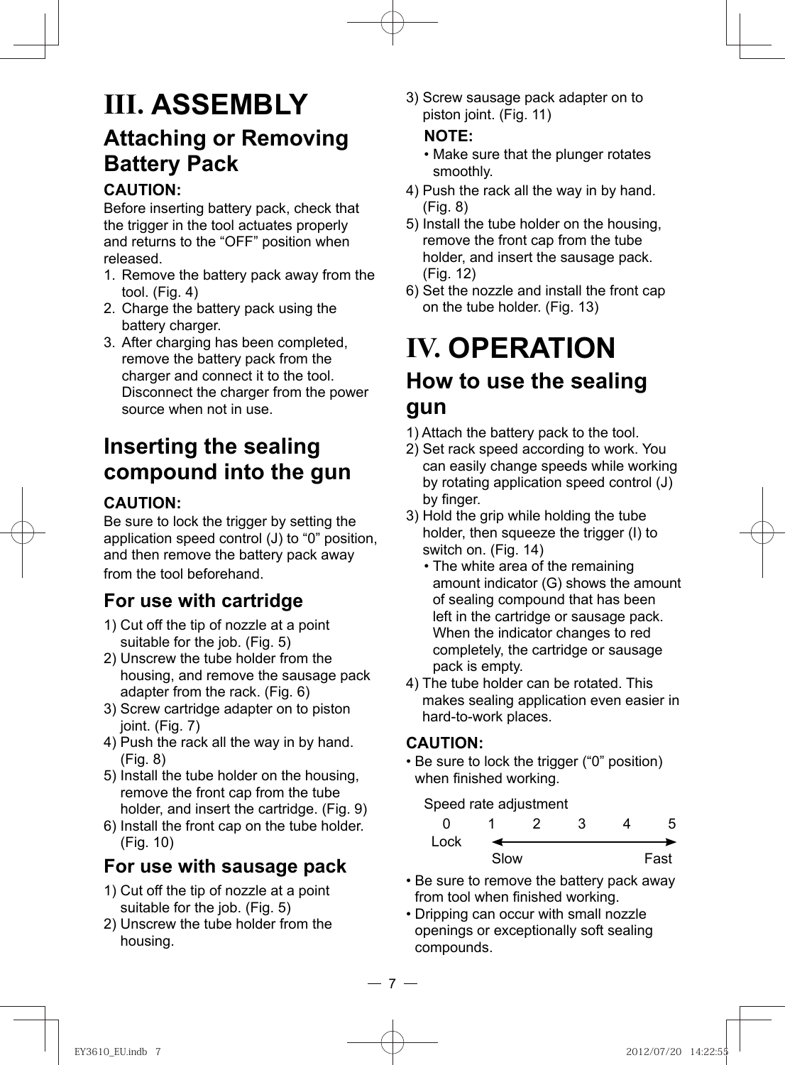## **III. ASSEMBLY Attaching or Removing Battery Pack**

### **CAUTION:**

Before inserting battery pack, check that the trigger in the tool actuates properly and returns to the "OFF" position when released.

- 1. Remove the battery pack away from the tool. (Fig. 4)
- 2. Charge the battery pack using the battery charger.
- 3. After charging has been completed, remove the battery pack from the charger and connect it to the tool. Disconnect the charger from the power source when not in use.

## **Inserting the sealing compound into the gun**

### **CAUTION:**

Be sure to lock the trigger by setting the application speed control (J) to "0" position, and then remove the battery pack away from the tool beforehand.

### **For use with cartridge**

- 1) Cut off the tip of nozzle at a point suitable for the job. (Fig. 5)
- 2) Unscrew the tube holder from the housing, and remove the sausage pack adapter from the rack. (Fig. 6)
- 3) Screw cartridge adapter on to piston joint. (Fig. 7)
- 4) Push the rack all the way in by hand. (Fig. 8)
- 5) Install the tube holder on the housing, remove the front cap from the tube holder, and insert the cartridge. (Fig. 9)
- 6) Install the front cap on the tube holder. (Fig. 10)

### **For use with sausage pack**

- 1) Cut off the tip of nozzle at a point suitable for the job. (Fig. 5)
- 2) Unscrew the tube holder from the housing.

3) Screw sausage pack adapter on to piston joint. (Fig. 11)

### **NOTE:**

- Make sure that the plunger rotates smoothly.
- 4) Push the rack all the way in by hand. (Fig. 8)
- 5) Install the tube holder on the housing, remove the front cap from the tube holder, and insert the sausage pack. (Fig. 12)
- 6) Set the nozzle and install the front cap on the tube holder. (Fig. 13)

# **IV. OPERATION**

## **How to use the sealing gun**

- 1) Attach the battery pack to the tool.
- 2) Set rack speed according to work. You can easily change speeds while working by rotating application speed control (J) by finger.
- 3) Hold the grip while holding the tube holder, then squeeze the trigger (I) to switch on. (Fig. 14)
	- The white area of the remaining amount indicator (G) shows the amount of sealing compound that has been left in the cartridge or sausage pack. When the indicator changes to red completely, the cartridge or sausage pack is empty.
- 4) The tube holder can be rotated. This makes sealing application even easier in hard-to-work places.

### **CAUTION:**

• Be sure to lock the trigger ("0" position) when finished working.

Speed rate adjustment

| Lock |      |  |      |
|------|------|--|------|
|      | Slow |  | Fast |

- Be sure to remove the battery pack away from tool when finished working.
- Dripping can occur with small nozzle openings or exceptionally soft sealing compounds.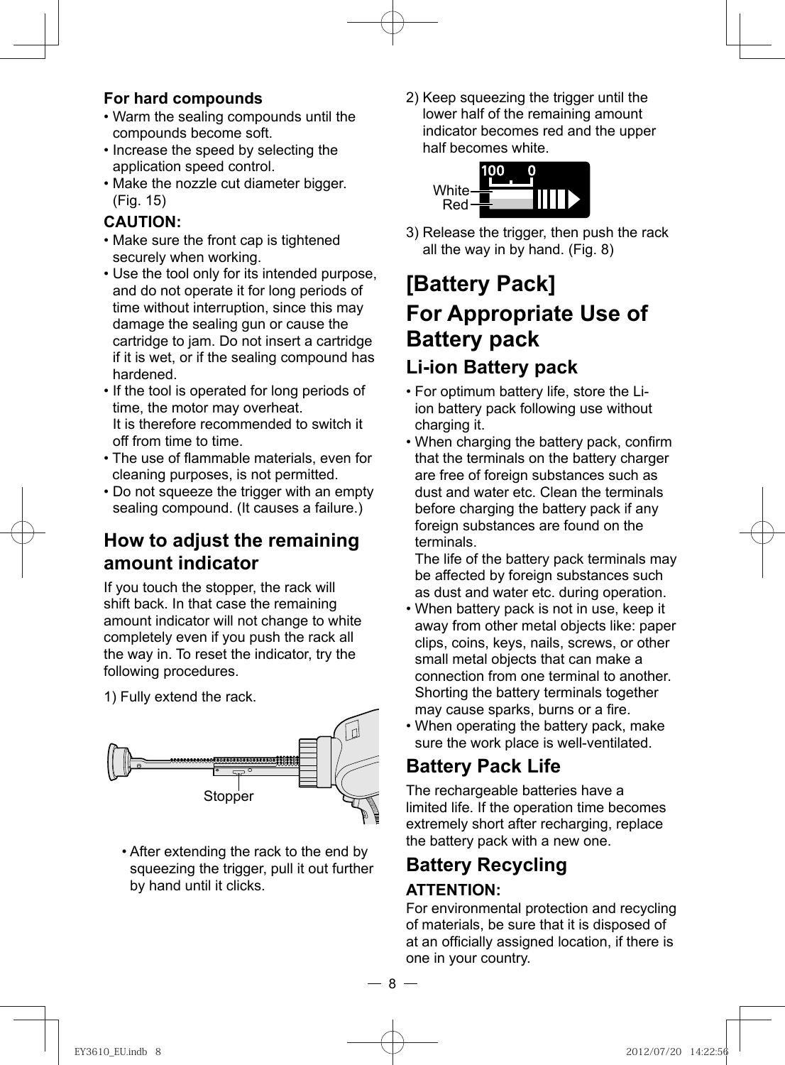### **For hard compounds**

- Warm the sealing compounds until the compounds become soft.
- Increase the speed by selecting the application speed control.
- Make the nozzle cut diameter bigger. (Fig. 15)

### **CAUTION:**

- Make sure the front cap is tightened securely when working.
- Use the tool only for its intended purpose, and do not operate it for long periods of time without interruption, since this may damage the sealing gun or cause the cartridge to jam. Do not insert a cartridge if it is wet, or if the sealing compound has hardened.
- If the tool is operated for long periods of time, the motor may overheat. It is therefore recommended to switch it off from time to time.
- The use of flammable materials, even for cleaning purposes, is not permitted.
- Do not squeeze the trigger with an empty sealing compound. (It causes a failure.)

### **How to adjust the remaining amount indicator**

 If you touch the stopper, the rack will shift back. In that case the remaining amount indicator will not change to white completely even if you push the rack all the way in. To reset the indicator, try the following procedures.

1) Fully extend the rack.



• After extending the rack to the end by squeezing the trigger, pull it out further by hand until it clicks.

2) Keep squeezing the trigger until the lower half of the remaining amount indicator becomes red and the upper half becomes white.



3) Release the trigger, then push the rack all the way in by hand. (Fig. 8)

## **[Battery Pack] For Appropriate Use of Battery pack Li-ion Battery pack**

- For optimum battery life, store the Liion battery pack following use without charging it.
- When charging the battery pack, confirm that the terminals on the battery charger are free of foreign substances such as dust and water etc. Clean the terminals before charging the battery pack if any foreign substances are found on the terminals.

The life of the battery pack terminals may be affected by foreign substances such as dust and water etc. during operation.

- When battery pack is not in use, keep it away from other metal objects like: paper clips, coins, keys, nails, screws, or other small metal objects that can make a connection from one terminal to another. Shorting the battery terminals together may cause sparks, burns or a fire.
- When operating the battery pack, make sure the work place is well-ventilated.

### **Battery Pack Life**

The rechargeable batteries have a limited life. If the operation time becomes extremely short after recharging, replace the battery pack with a new one.

## **Battery Recycling**

### **ATTENTION:**

For environmental protection and recycling of materials, be sure that it is disposed of at an officially assigned location, if there is one in your country.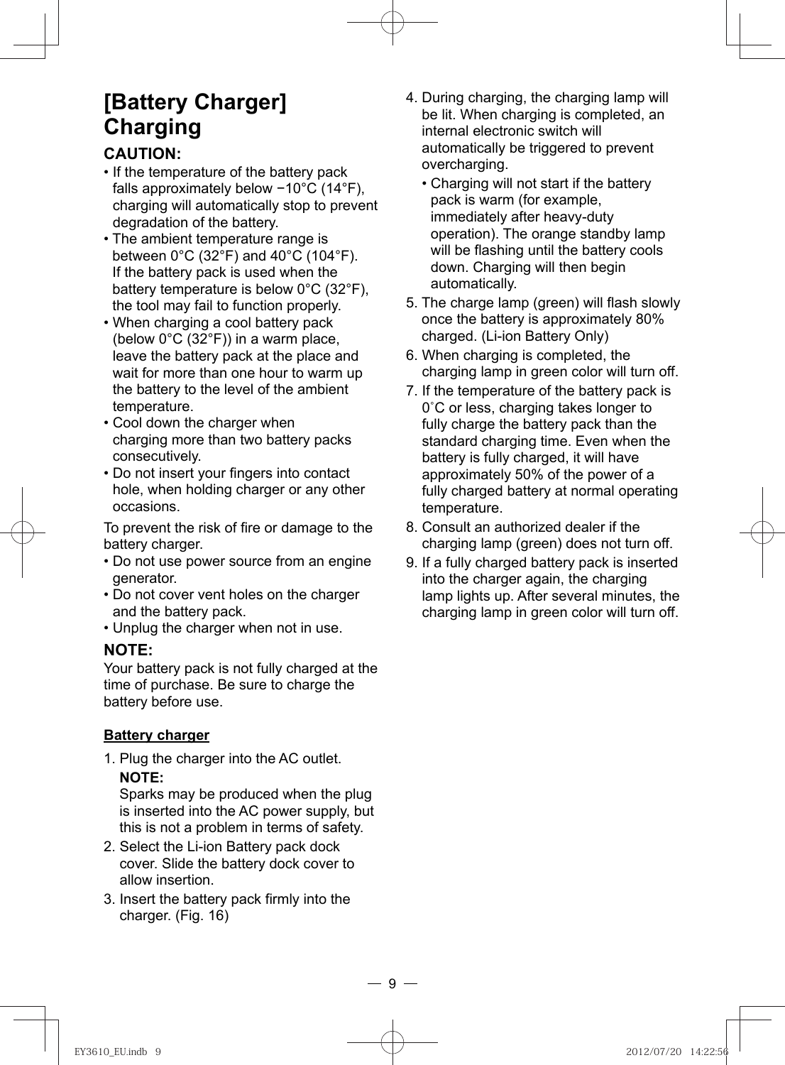## **[Battery Charger] Charging**

### **CAUTION:**

- If the temperature of the battery pack falls approximately below −10°C (14°F), charging will automatically stop to prevent degradation of the battery.
- The ambient temperature range is between  $0^{\circ}$ C (32 $^{\circ}$ F) and 40 $^{\circ}$ C (104 $^{\circ}$ F). If the battery pack is used when the battery temperature is below 0°C (32°F), the tool may fail to function properly.
- When charging a cool battery pack (below 0°C (32°F)) in a warm place, leave the battery pack at the place and wait for more than one hour to warm up the battery to the level of the ambient temperature.
- Cool down the charger when charging more than two battery packs consecutively.
- Do not insert your fingers into contact hole, when holding charger or any other occasions.

To prevent the risk of fire or damage to the battery charger.

- Do not use power source from an engine generator.
- Do not cover vent holes on the charger and the battery pack.
- Unplug the charger when not in use.

#### **NOTE:**

Your battery pack is not fully charged at the time of purchase. Be sure to charge the battery before use.

### **Battery charger**

1. Plug the charger into the AC outlet. **NOTE:** 

 Sparks may be produced when the plug is inserted into the AC power supply, but this is not a problem in terms of safety.

- 2. Select the Li-ion Battery pack dock cover. Slide the battery dock cover to allow insertion.
- 3. Insert the battery pack firmly into the charger. (Fig. 16)
- 4. During charging, the charging lamp will be lit. When charging is completed, an internal electronic switch will automatically be triggered to prevent overcharging.
	- Charging will not start if the battery pack is warm (for example, immediately after heavy-duty operation). The orange standby lamp will be flashing until the battery cools down. Charging will then begin automatically.
- 5. The charge lamp (green) will flash slowly once the battery is approximately 80% charged. (Li-ion Battery Only)
- 6. When charging is completed, the charging lamp in green color will turn off.
- 7. If the temperature of the battery pack is 0˚C or less, charging takes longer to fully charge the battery pack than the standard charging time. Even when the battery is fully charged, it will have approximately 50% of the power of a fully charged battery at normal operating temperature.
- 8. Consult an authorized dealer if the charging lamp (green) does not turn off.
- 9. If a fully charged battery pack is inserted into the charger again, the charging lamp lights up. After several minutes, the charging lamp in green color will turn off.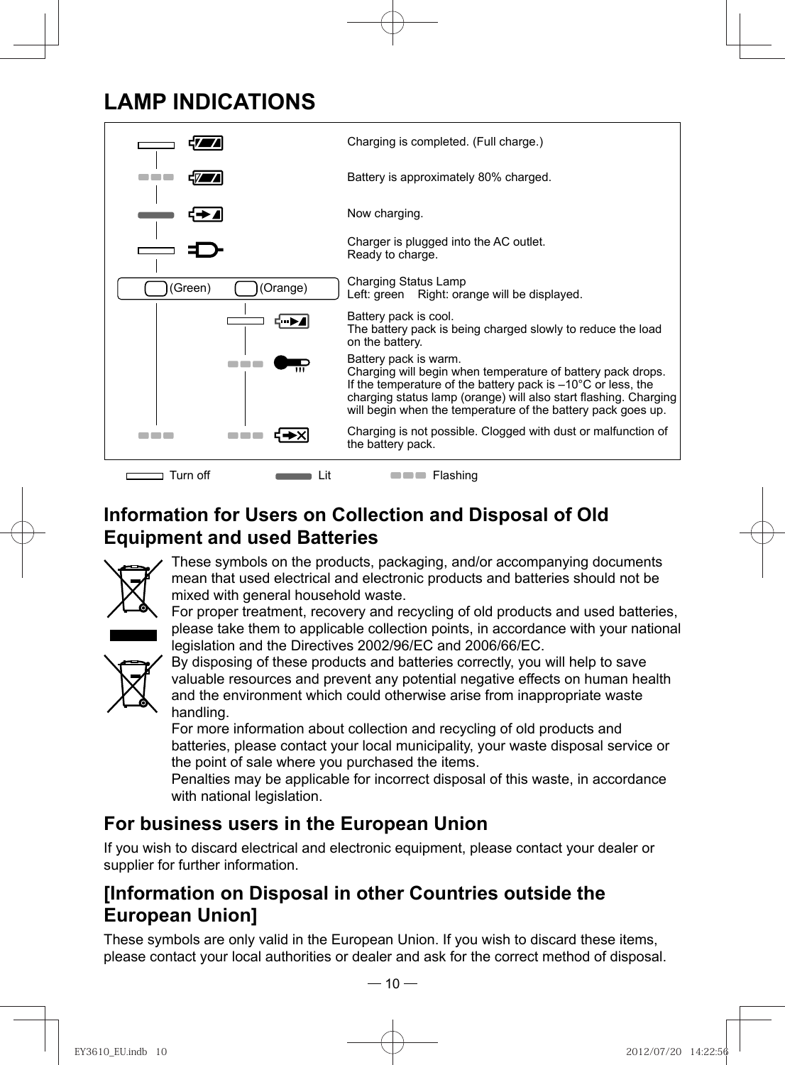## **LAMP INDICATIONS**



**Information for Users on Collection and Disposal of Old Equipment and used Batteries**



These symbols on the products, packaging, and/or accompanying documents mean that used electrical and electronic products and batteries should not be mixed with general household waste.

For proper treatment, recovery and recycling of old products and used batteries, please take them to applicable collection points, in accordance with your national legislation and the Directives 2002/96/EC and 2006/66/EC.



By disposing of these products and batteries correctly, you will help to save valuable resources and prevent any potential negative effects on human health and the environment which could otherwise arise from inappropriate waste handling.

For more information about collection and recycling of old products and batteries, please contact your local municipality, your waste disposal service or the point of sale where you purchased the items.

Penalties may be applicable for incorrect disposal of this waste, in accordance with national legislation.

### **For business users in the European Union**

If you wish to discard electrical and electronic equipment, please contact your dealer or supplier for further information.

### **[Information on Disposal in other Countries outside the European Union]**

These symbols are only valid in the European Union. If you wish to discard these items, please contact your local authorities or dealer and ask for the correct method of disposal.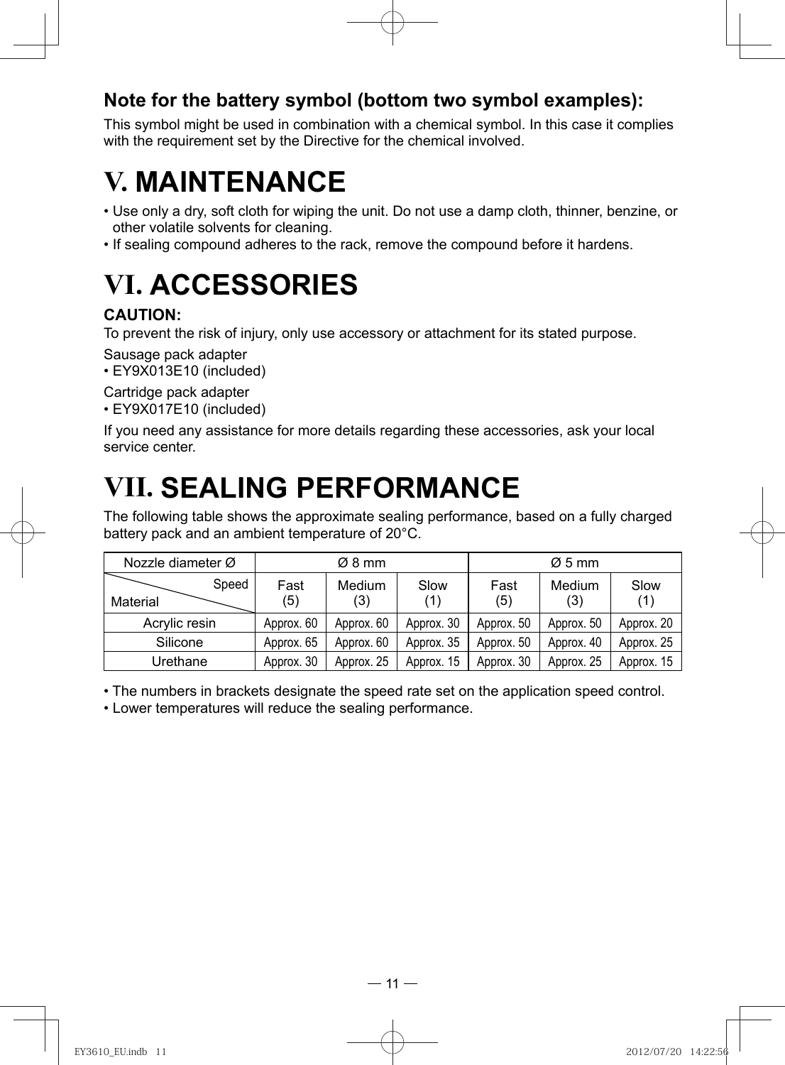### **Note for the battery symbol (bottom two symbol examples):**

This symbol might be used in combination with a chemical symbol. In this case it complies with the requirement set by the Directive for the chemical involved.

## **V. MAINTENANCE**

- Use only a dry, soft cloth for wiping the unit. Do not use a damp cloth, thinner, benzine, or other volatile solvents for cleaning.
- If sealing compound adheres to the rack, remove the compound before it hardens.

# **VI. ACCESSORIES**

### **CAUTION:**

To prevent the risk of injury, only use accessory or attachment for its stated purpose.

Sausage pack adapter

• EY9X013E10 (included)

Cartridge pack adapter

• EY9X017E10 (included)

If you need any assistance for more details regarding these accessories, ask your local service center.

## **VII. SEALING PERFORMANCE**

The following table shows the approximate sealing performance, based on a fully charged battery pack and an ambient temperature of 20°C.

| Nozzle diameter Ø |             | Ø8 mm         |             |             | $\varnothing$ 5 mm |             |
|-------------------|-------------|---------------|-------------|-------------|--------------------|-------------|
| Speed<br>Material | Fast<br>(5) | Medium<br>(3) | Slow<br>(1) | Fast<br>(5) | Medium<br>(3)      | Slow<br>(1) |
| Acrylic resin     | Approx. 60  | Approx. 60    | Approx. 30  | Approx. 50  | Approx. 50         | Approx. 20  |
| Silicone          | Approx. 65  | Approx. 60    | Approx. 35  | Approx. 50  | Approx. 40         | Approx. 25  |
| Urethane          | Approx. 30  | Approx. 25    | Approx. 15  | Approx. 30  | Approx. 25         | Approx. 15  |

• The numbers in brackets designate the speed rate set on the application speed control.

• Lower temperatures will reduce the sealing performance.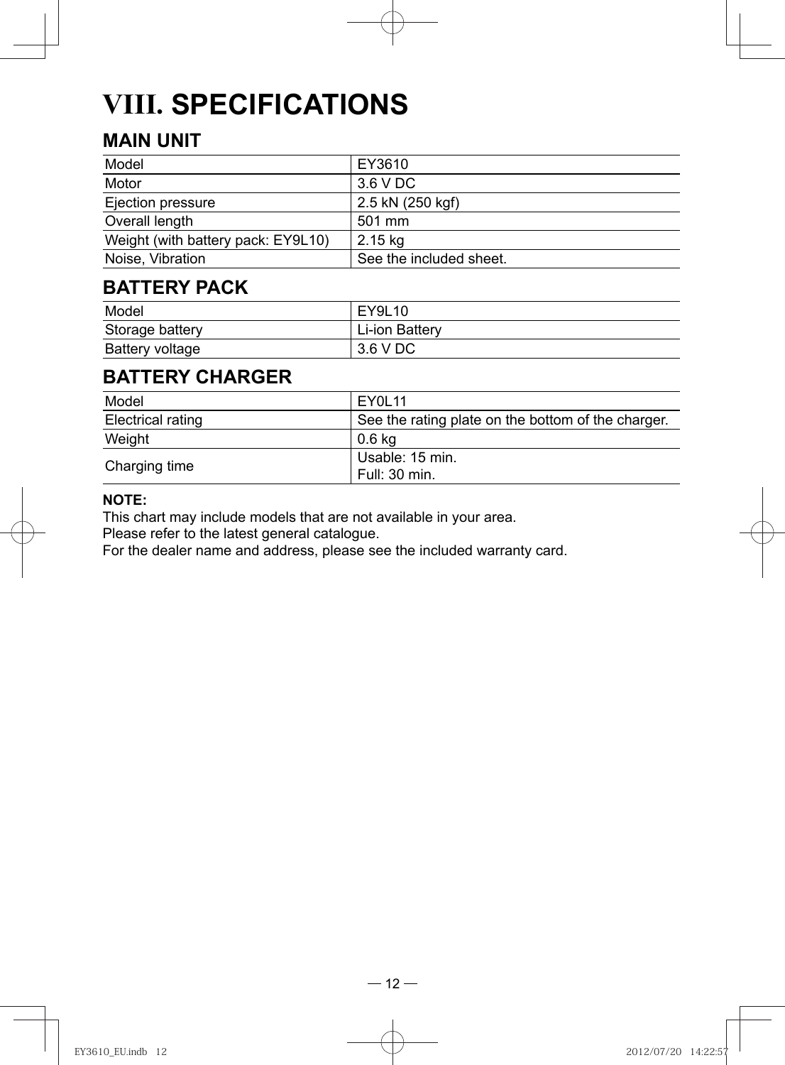# **VIII. SPECIFICATIONS**

## **MAIN UNIT**

| Model                              | EY3610                  |
|------------------------------------|-------------------------|
| Motor                              | 3.6 V DC                |
| Ejection pressure                  | 2.5 kN (250 kgf)        |
| Overall length                     | 501 mm                  |
| Weight (with battery pack: EY9L10) | 2.15 kg                 |
| Noise, Vibration                   | See the included sheet. |

### **BATTERY PACK**

| Model           | EY9L10         |
|-----------------|----------------|
| Storage battery | Li-ion Battery |
| Battery voltage | 3.6 V DC       |

### **BATTERY CHARGER**

| Model             | EY0L11                                             |
|-------------------|----------------------------------------------------|
| Electrical rating | See the rating plate on the bottom of the charger. |
| Weight            | 0.6 ka                                             |
| Charging time     | Usable: 15 min.<br>Full: 30 min.                   |

### **NOTE:**

This chart may include models that are not available in your area.

Please refer to the latest general catalogue.

For the dealer name and address, please see the included warranty card.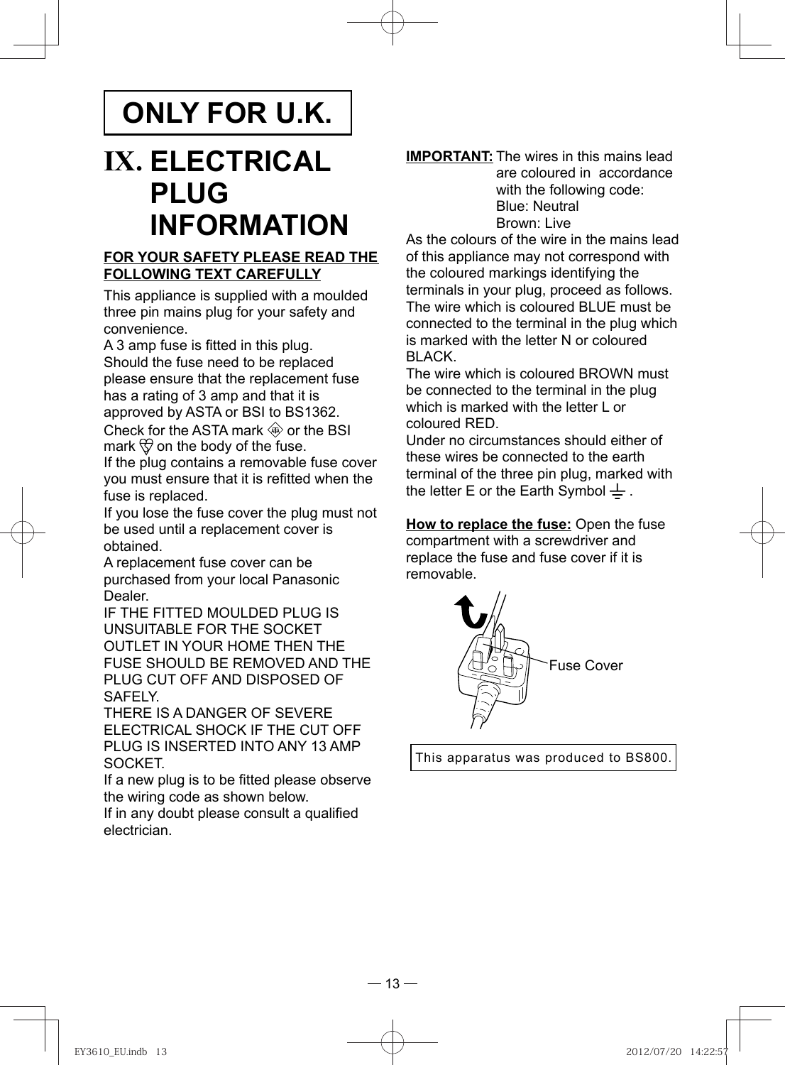## **ONLY FOR U.K.**

# **IX. ELECTRICAL PLUG INFORMATION**

#### **FOR YOUR SAFETY PLEASE READ THE FOLLOWING TEXT CAREFULLY**

This appliance is supplied with a moulded three pin mains plug for your safety and convenience.

A 3 amp fuse is fitted in this plug. Should the fuse need to be replaced please ensure that the replacement fuse has a rating of 3 amp and that it is approved by ASTA or BSI to BS1362. Check for the ASTA mark  $\circledast$  or the BSI

mark  $\bigcirc$  on the body of the fuse.

If the plug contains a removable fuse cover you must ensure that it is refitted when the fuse is replaced.

If you lose the fuse cover the plug must not be used until a replacement cover is obtained.

A replacement fuse cover can be purchased from your local Panasonic Dealer.

IF THE FITTED MOULDED PLUG IS UNSUITABLE FOR THE SOCKET OUTLET IN YOUR HOME THEN THE FUSE SHOULD BE REMOVED AND THE PLUG CUT OFF AND DISPOSED OF SAFELY.

THERE IS A DANGER OF SEVERE ELECTRICAL SHOCK IF THE CUT OFF PLUG IS INSERTED INTO ANY 13 AMP SOCKET.

If a new plug is to be fitted please observe the wiring code as shown below.

If in any doubt please consult a qualified electrician.

#### **IMPORTANT:** The wires in this mains lead are coloured in accordance with the following code: Blue: Neutral Brown: Live

As the colours of the wire in the mains lead of this appliance may not correspond with the coloured markings identifying the terminals in your plug, proceed as follows. The wire which is coloured BLUE must be connected to the terminal in the plug which is marked with the letter N or coloured BLACK.

The wire which is coloured BROWN must be connected to the terminal in the plug which is marked with the letter L or coloured RED.

Under no circumstances should either of these wires be connected to the earth terminal of the three pin plug, marked with the letter E or the Earth Symbol  $\pm$ .

**How to replace the fuse:** Open the fuse compartment with a screwdriver and replace the fuse and fuse cover if it is removable.



This apparatus was produced to BS800.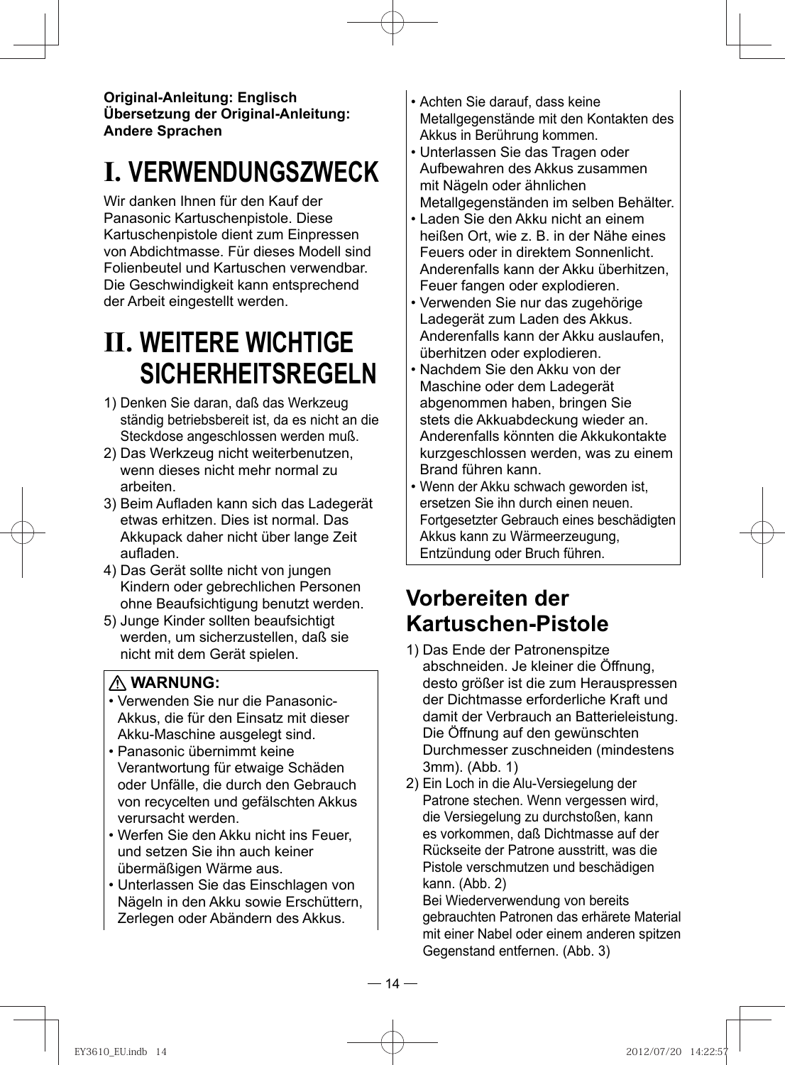**Original-Anleitung: Englisch Übersetzung der Original-Anleitung: Andere Sprachen**

# **I. VERWENDUNGSZWECK**

Wir danken Ihnen für den Kauf der Panasonic Kartuschenpistole. Diese Kartuschenpistole dient zum Einpressen von Abdichtmasse. Für dieses Modell sind Folienbeutel und Kartuschen verwendbar. Die Geschwindigkeit kann entsprechend der Arbeit eingestellt werden.

# **II. WEITERE WICHTIGE SICHERHEITSREGELN**

- 1) Denken Sie daran, daß das Werkzeug ständig betriebsbereit ist, da es nicht an die Steckdose angeschlossen werden muß.
- 2) Das Werkzeug nicht weiterbenutzen, wenn dieses nicht mehr normal zu arbeiten.
- 3) Beim Aufladen kann sich das Ladegerät etwas erhitzen. Dies ist normal. Das Akkupack daher nicht über lange Zeit aufladen.
- 4) Das Gerät sollte nicht von jungen Kindern oder gebrechlichen Personen ohne Beaufsichtigung benutzt werden.
- 5) Junge Kinder sollten beaufsichtigt werden, um sicherzustellen, daß sie nicht mit dem Gerät spielen.

### **WARNUNG:**

- Verwenden Sie nur die Panasonic-Akkus, die für den Einsatz mit dieser Akku-Maschine ausgelegt sind.
- Panasonic übernimmt keine Verantwortung für etwaige Schäden oder Unfälle, die durch den Gebrauch von recycelten und gefälschten Akkus verursacht werden.
- Werfen Sie den Akku nicht ins Feuer, und setzen Sie ihn auch keiner übermäßigen Wärme aus.
- Unterlassen Sie das Einschlagen von Nägeln in den Akku sowie Erschüttern, Zerlegen oder Abändern des Akkus.
- Achten Sie darauf, dass keine Metallgegenstände mit den Kontakten des Akkus in Berührung kommen.
- Unterlassen Sie das Tragen oder Aufbewahren des Akkus zusammen mit Nägeln oder ähnlichen Metallgegenständen im selben Behälter.
- Laden Sie den Akku nicht an einem heißen Ort, wie z. B. in der Nähe eines Feuers oder in direktem Sonnenlicht. Anderenfalls kann der Akku überhitzen, Feuer fangen oder explodieren.
- Verwenden Sie nur das zugehörige Ladegerät zum Laden des Akkus. Anderenfalls kann der Akku auslaufen, überhitzen oder explodieren.
- Nachdem Sie den Akku von der Maschine oder dem Ladegerät abgenommen haben, bringen Sie stets die Akkuabdeckung wieder an. Anderenfalls könnten die Akkukontakte kurzgeschlossen werden, was zu einem Brand führen kann.
- Wenn der Akku schwach geworden ist, ersetzen Sie ihn durch einen neuen. Fortgesetzter Gebrauch eines beschädigten Akkus kann zu Wärmeerzeugung, Entzündung oder Bruch führen.

## **Vorbereiten der Kartuschen-Pistole**

- 1) Das Ende der Patronenspitze abschneiden. Je kleiner die Öffnung, desto größer ist die zum Herauspressen der Dichtmasse erforderliche Kraft und damit der Verbrauch an Batterieleistung. Die Öffnung auf den gewünschten Durchmesser zuschneiden (mindestens 3mm). (Abb. 1)
- 2) Ein Loch in die Alu-Versiegelung der Patrone stechen. Wenn vergessen wird, die Versiegelung zu durchstoßen, kann es vorkommen, daß Dichtmasse auf der Rückseite der Patrone ausstritt, was die Pistole verschmutzen und beschädigen kann. (Abb. 2)

Bei Wiederverwendung von bereits gebrauchten Patronen das erhärete Material mit einer Nabel oder einem anderen spitzen Gegenstand entfernen. (Abb. 3)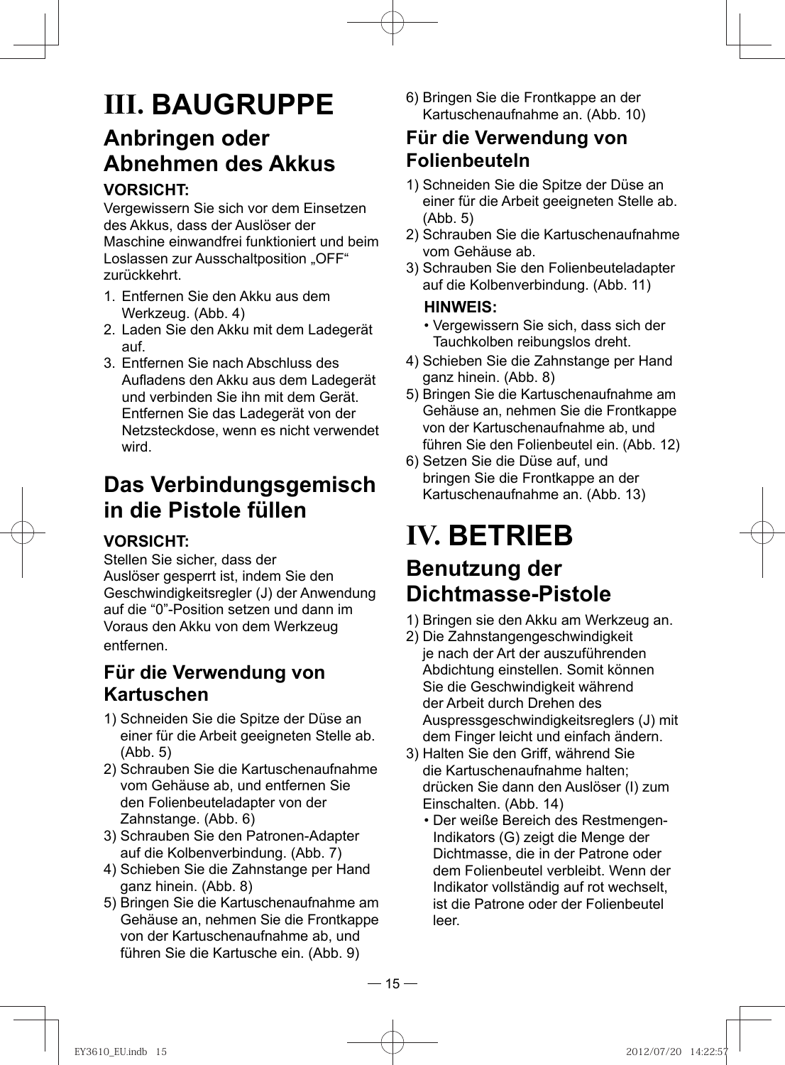# **III. BAUGRUPPE**

## **Anbringen oder Abnehmen des Akkus**

### **VORSICHT:**

Vergewissern Sie sich vor dem Einsetzen des Akkus, dass der Auslöser der Maschine einwandfrei funktioniert und beim Loslassen zur Ausschaltposition "OFF" zurückkehrt.

- 1. Entfernen Sie den Akku aus dem Werkzeug. (Abb. 4)
- 2. Laden Sie den Akku mit dem Ladegerät auf.
- 3. Entfernen Sie nach Abschluss des Aufladens den Akku aus dem Ladegerät und verbinden Sie ihn mit dem Gerät. Entfernen Sie das Ladegerät von der Netzsteckdose, wenn es nicht verwendet wird.

## **Das Verbindungsgemisch in die Pistole füllen**

### **VORSICHT:**

Stellen Sie sicher, dass der Auslöser gesperrt ist, indem Sie den Geschwindigkeitsregler (J) der Anwendung auf die "0"-Position setzen und dann im Voraus den Akku von dem Werkzeug entfernen.

### **Für die Verwendung von Kartuschen**

- 1) Schneiden Sie die Spitze der Düse an einer für die Arbeit geeigneten Stelle ab. (Abb. 5)
- 2) Schrauben Sie die Kartuschenaufnahme vom Gehäuse ab, und entfernen Sie den Folienbeuteladapter von der Zahnstange. (Abb. 6)
- 3) Schrauben Sie den Patronen-Adapter auf die Kolbenverbindung. (Abb. 7)
- 4) Schieben Sie die Zahnstange per Hand ganz hinein. (Abb. 8)
- 5) Bringen Sie die Kartuschenaufnahme am Gehäuse an, nehmen Sie die Frontkappe von der Kartuschenaufnahme ab, und führen Sie die Kartusche ein. (Abb. 9)

6) Bringen Sie die Frontkappe an der Kartuschenaufnahme an. (Abb. 10)

### **Für die Verwendung von Folienbeuteln**

- 1) Schneiden Sie die Spitze der Düse an einer für die Arbeit geeigneten Stelle ab. (Abb. 5)
- 2) Schrauben Sie die Kartuschenaufnahme vom Gehäuse ab.
- 3) Schrauben Sie den Folienbeuteladapter auf die Kolbenverbindung. (Abb. 11)

#### **HINWEIS:**

- Vergewissern Sie sich, dass sich der Tauchkolben reibungslos dreht.
- 4) Schieben Sie die Zahnstange per Hand ganz hinein. (Abb. 8)
- 5) Bringen Sie die Kartuschenaufnahme am Gehäuse an, nehmen Sie die Frontkappe von der Kartuschenaufnahme ab, und führen Sie den Folienbeutel ein. (Abb. 12)
- 6) Setzen Sie die Düse auf, und bringen Sie die Frontkappe an der Kartuschenaufnahme an. (Abb. 13)

## **IV. BETRIEB Benutzung der Dichtmasse-Pistole**

- 1) Bringen sie den Akku am Werkzeug an.
- 2) Die Zahnstangengeschwindigkeit je nach der Art der auszuführenden Abdichtung einstellen. Somit können Sie die Geschwindigkeit während der Arbeit durch Drehen des Auspressgeschwindigkeitsreglers (J) mit dem Finger leicht und einfach ändern.
- 3) Halten Sie den Griff, während Sie die Kartuschenaufnahme halten; drücken Sie dann den Auslöser (I) zum Einschalten. (Abb. 14)
	- Der weiße Bereich des Restmengen-Indikators (G) zeigt die Menge der Dichtmasse, die in der Patrone oder dem Folienbeutel verbleibt. Wenn der Indikator vollständig auf rot wechselt, ist die Patrone oder der Folienbeutel leer.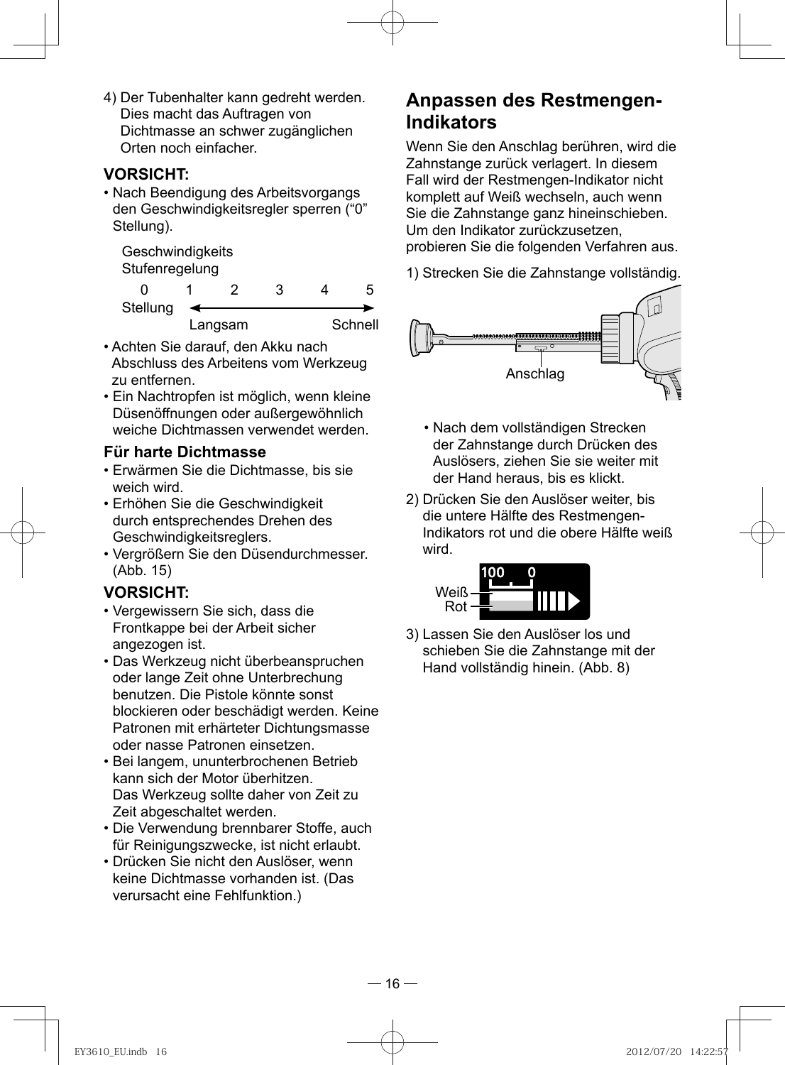4) Der Tubenhalter kann gedreht werden. Dies macht das Auftragen von Dichtmasse an schwer zugänglichen Orten noch einfacher.

#### **VORSICHT:**

• Nach Beendigung des Arbeitsvorgangs den Geschwindigkeitsregler sperren ("0" Stellung).

**Geschwindigkeits Stufenregelung** 

 0 1 2 3 4 5 **Stellung** Langsam Schnell

- Achten Sie darauf, den Akku nach Abschluss des Arbeitens vom Werkzeug zu entfernen.
- Ein Nachtropfen ist möglich, wenn kleine Düsenöffnungen oder außergewöhnlich weiche Dichtmassen verwendet werden.

#### **Für harte Dichtmasse**

- Erwärmen Sie die Dichtmasse, bis sie weich wird.
- Erhöhen Sie die Geschwindigkeit durch entsprechendes Drehen des Geschwindigkeitsreglers.
- Vergrößern Sie den Düsendurchmesser. (Abb. 15)

### **VORSICHT:**

- Vergewissern Sie sich, dass die Frontkappe bei der Arbeit sicher angezogen ist.
- Das Werkzeug nicht überbeanspruchen oder lange Zeit ohne Unterbrechung benutzen. Die Pistole könnte sonst blockieren oder beschädigt werden. Keine Patronen mit erhärteter Dichtungsmasse oder nasse Patronen einsetzen.
- Bei langem, ununterbrochenen Betrieb kann sich der Motor überhitzen. Das Werkzeug sollte daher von Zeit zu Zeit abgeschaltet werden.
- Die Verwendung brennbarer Stoffe, auch für Reinigungszwecke, ist nicht erlaubt.
- Drücken Sie nicht den Auslöser, wenn keine Dichtmasse vorhanden ist. (Das verursacht eine Fehlfunktion.)

### **Anpassen des Restmengen-Indikators**

 Wenn Sie den Anschlag berühren, wird die Zahnstange zurück verlagert. In diesem Fall wird der Restmengen-Indikator nicht komplett auf Weiß wechseln, auch wenn Sie die Zahnstange ganz hineinschieben. Um den Indikator zurückzusetzen, probieren Sie die folgenden Verfahren aus.

1) Strecken Sie die Zahnstange vollständig.



- Nach dem vollständigen Strecken der Zahnstange durch Drücken des Auslösers, ziehen Sie sie weiter mit der Hand heraus, bis es klickt.
- 2) Drücken Sie den Auslöser weiter, bis die untere Hälfte des Restmengen-Indikators rot und die obere Hälfte weiß wird.



3) Lassen Sie den Auslöser los und schieben Sie die Zahnstange mit der Hand vollständig hinein. (Abb. 8)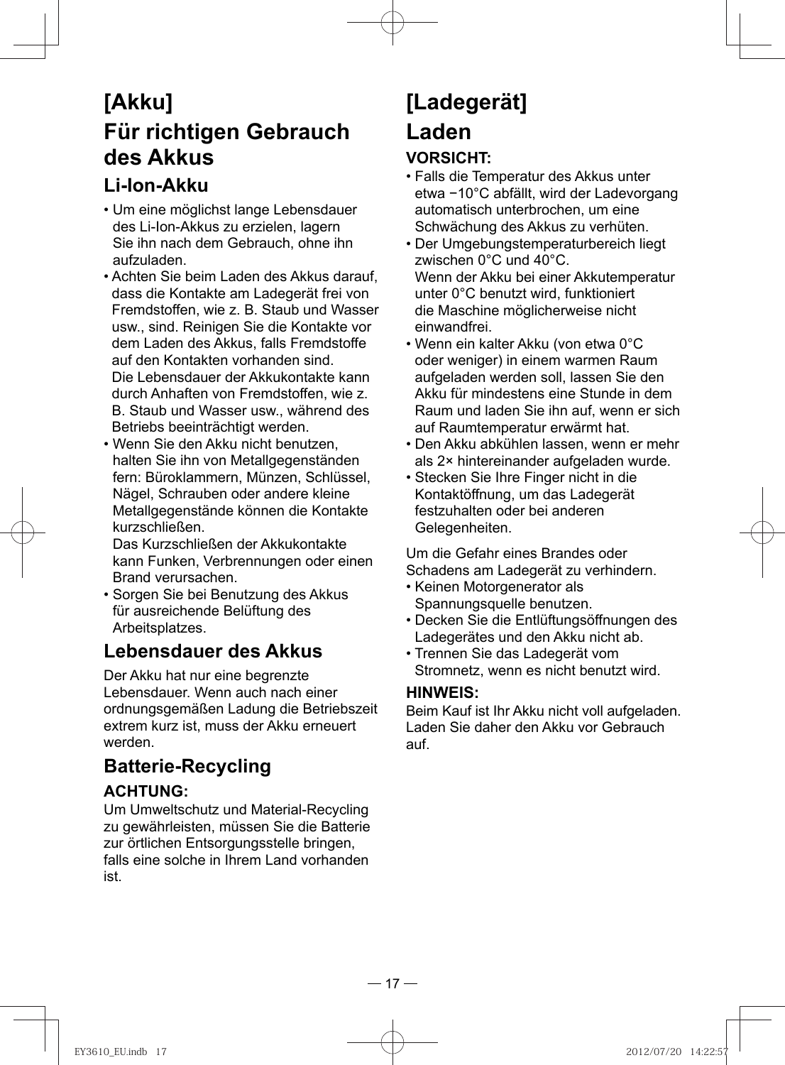## **[Akku] Für richtigen Gebrauch des Akkus**

## **Li-Ion-Akku**

- Um eine möglichst lange Lebensdauer des Li-Ion-Akkus zu erzielen, lagern Sie ihn nach dem Gebrauch, ohne ihn aufzuladen.
- Achten Sie beim Laden des Akkus darauf, dass die Kontakte am Ladegerät frei von Fremdstoffen, wie z. B. Staub und Wasser usw., sind. Reinigen Sie die Kontakte vor dem Laden des Akkus, falls Fremdstoffe auf den Kontakten vorhanden sind. Die Lebensdauer der Akkukontakte kann durch Anhaften von Fremdstoffen, wie z. B. Staub und Wasser usw., während des Betriebs beeinträchtigt werden.
- Wenn Sie den Akku nicht benutzen, halten Sie ihn von Metallgegenständen fern: Büroklammern, Münzen, Schlüssel, Nägel, Schrauben oder andere kleine Metallgegenstände können die Kontakte kurzschließen.

Das Kurzschließen der Akkukontakte kann Funken, Verbrennungen oder einen Brand verursachen.

• Sorgen Sie bei Benutzung des Akkus für ausreichende Belüftung des Arbeitsplatzes.

### **Lebensdauer des Akkus**

Der Akku hat nur eine begrenzte Lebensdauer. Wenn auch nach einer ordnungsgemäßen Ladung die Betriebszeit extrem kurz ist, muss der Akku erneuert werden.

## **Batterie-Recycling**

### **ACHTUNG:**

Um Umweltschutz und Material-Recycling zu gewährleisten, müssen Sie die Batterie zur örtlichen Entsorgungsstelle bringen, falls eine solche in Ihrem Land vorhanden ist.

# **[Ladegerät] Laden**

### **VORSICHT:**

- Falls die Temperatur des Akkus unter etwa −10°C abfällt, wird der Ladevorgang automatisch unterbrochen, um eine Schwächung des Akkus zu verhüten.
- Der Umgebungstemperaturbereich liegt zwischen 0°C und 40°C. Wenn der Akku bei einer Akkutemperatur unter 0°C benutzt wird, funktioniert die Maschine möglicherweise nicht einwandfrei.
- Wenn ein kalter Akku (von etwa 0°C oder weniger) in einem warmen Raum aufgeladen werden soll, lassen Sie den Akku für mindestens eine Stunde in dem Raum und laden Sie ihn auf, wenn er sich auf Raumtemperatur erwärmt hat.
- Den Akku abkühlen lassen, wenn er mehr als 2× hintereinander aufgeladen wurde.
- Stecken Sie Ihre Finger nicht in die Kontaktöffnung, um das Ladegerät festzuhalten oder bei anderen Gelegenheiten.

Um die Gefahr eines Brandes oder Schadens am Ladegerät zu verhindern.

- Keinen Motorgenerator als Spannungsquelle benutzen.
- Decken Sie die Entlüftungsöffnungen des Ladegerätes und den Akku nicht ab.
- Trennen Sie das Ladegerät vom Stromnetz, wenn es nicht benutzt wird.

#### **HINWEIS:**

Beim Kauf ist Ihr Akku nicht voll aufgeladen. Laden Sie daher den Akku vor Gebrauch auf.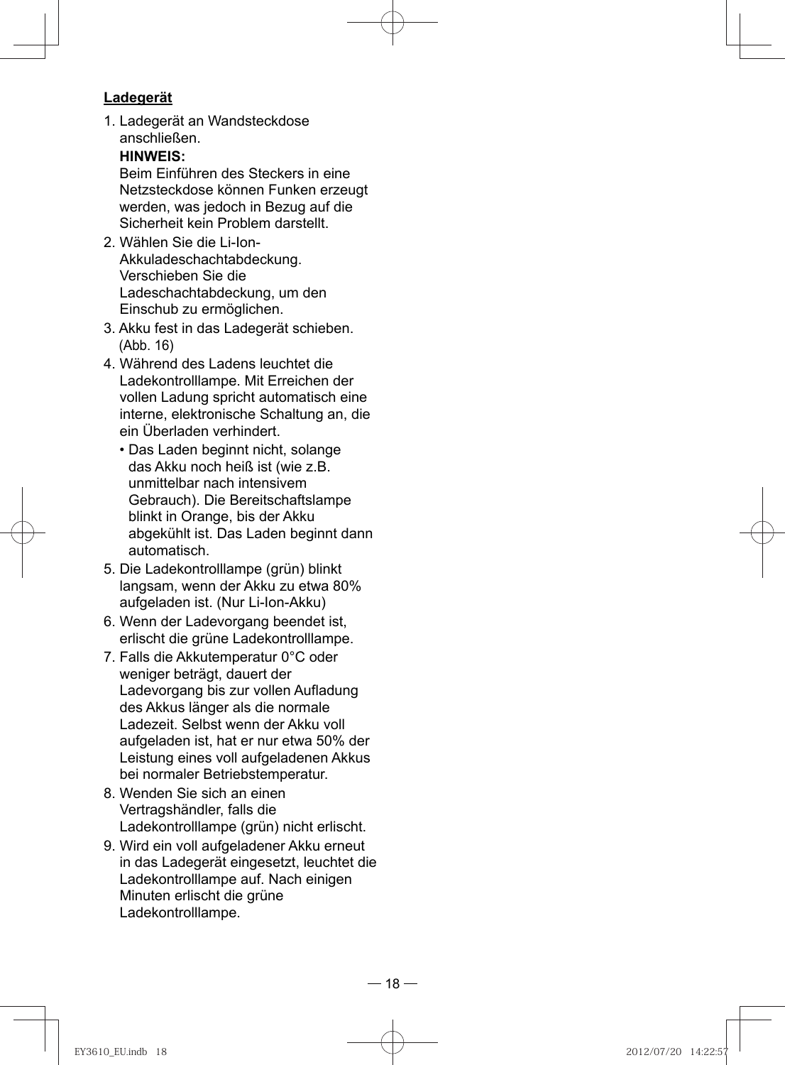#### **Ladegerät**

1. Ladegerät an Wandsteckdose anschließen.

### **HINWEIS:**

Beim Einführen des Steckers in eine Netzsteckdose können Funken erzeugt werden, was jedoch in Bezug auf die Sicherheit kein Problem darstellt.

- 2. Wählen Sie die Li-Ion-Akkuladeschachtabdeckung. Verschieben Sie die Ladeschachtabdeckung, um den Einschub zu ermöglichen.
- 3. Akku fest in das Ladegerät schieben. (Abb. 16)
- 4. Während des Ladens leuchtet die Ladekontrolllampe. Mit Erreichen der vollen Ladung spricht automatisch eine interne, elektronische Schaltung an, die ein Überladen verhindert.
	- Das Laden beginnt nicht, solange das Akku noch heiß ist (wie z.B. unmittelbar nach intensivem Gebrauch). Die Bereitschaftslampe blinkt in Orange, bis der Akku abgekühlt ist. Das Laden beginnt dann automatisch.
- 5. Die Ladekontrolllampe (grün) blinkt langsam, wenn der Akku zu etwa 80% aufgeladen ist. (Nur Li-Ion-Akku)
- 6. Wenn der Ladevorgang beendet ist, erlischt die grüne Ladekontrolllampe.
- 7. Falls die Akkutemperatur 0°C oder weniger beträgt, dauert der Ladevorgang bis zur vollen Aufladung des Akkus länger als die normale Ladezeit. Selbst wenn der Akku voll aufgeladen ist, hat er nur etwa 50% der Leistung eines voll aufgeladenen Akkus bei normaler Betriebstemperatur.
- 8. Wenden Sie sich an einen Vertragshändler, falls die Ladekontrolllampe (grün) nicht erlischt.
- 9. Wird ein voll aufgeladener Akku erneut in das Ladegerät eingesetzt, leuchtet die Ladekontrolllampe auf. Nach einigen Minuten erlischt die grüne Ladekontrolllampe.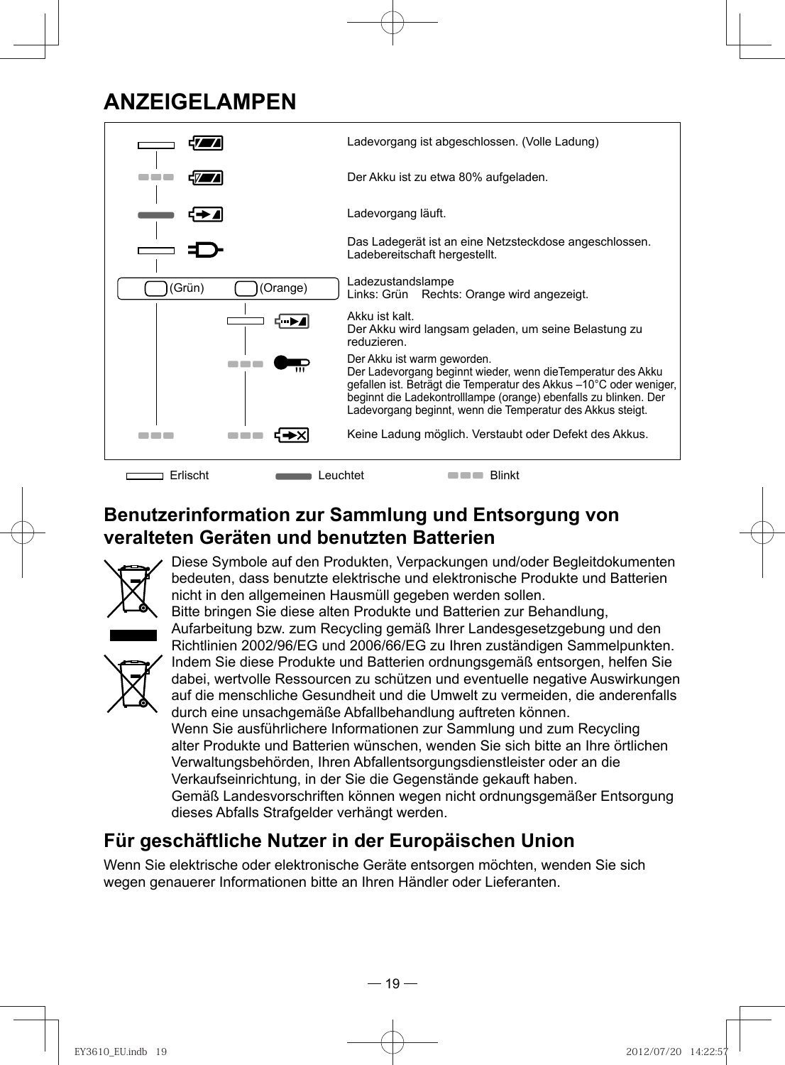## **ANZEIGELAMPEN**



## **Benutzerinformation zur Sammlung und Entsorgung von veralteten Geräten und benutzten Batterien**



Diese Symbole auf den Produkten, Verpackungen und/oder Begleitdokumenten bedeuten, dass benutzte elektrische und elektronische Produkte und Batterien nicht in den allgemeinen Hausmüll gegeben werden sollen.



Bitte bringen Sie diese alten Produkte und Batterien zur Behandlung, Aufarbeitung bzw. zum Recycling gemäß Ihrer Landesgesetzgebung und den Richtlinien 2002/96/EG und 2006/66/EG zu Ihren zuständigen Sammelpunkten. Indem Sie diese Produkte und Batterien ordnungsgemäß entsorgen, helfen Sie dabei, wertvolle Ressourcen zu schützen und eventuelle negative Auswirkungen auf die menschliche Gesundheit und die Umwelt zu vermeiden, die anderenfalls durch eine unsachgemäße Abfallbehandlung auftreten können.

Wenn Sie ausführlichere Informationen zur Sammlung und zum Recycling alter Produkte und Batterien wünschen, wenden Sie sich bitte an Ihre örtlichen Verwaltungsbehörden, Ihren Abfallentsorgungsdienstleister oder an die Verkaufseinrichtung, in der Sie die Gegenstände gekauft haben. Gemäß Landesvorschriften können wegen nicht ordnungsgemäßer Entsorgung dieses Abfalls Strafgelder verhängt werden.

### **Für geschäftliche Nutzer in der Europäischen Union**

Wenn Sie elektrische oder elektronische Geräte entsorgen möchten, wenden Sie sich wegen genauerer Informationen bitte an Ihren Händler oder Lieferanten.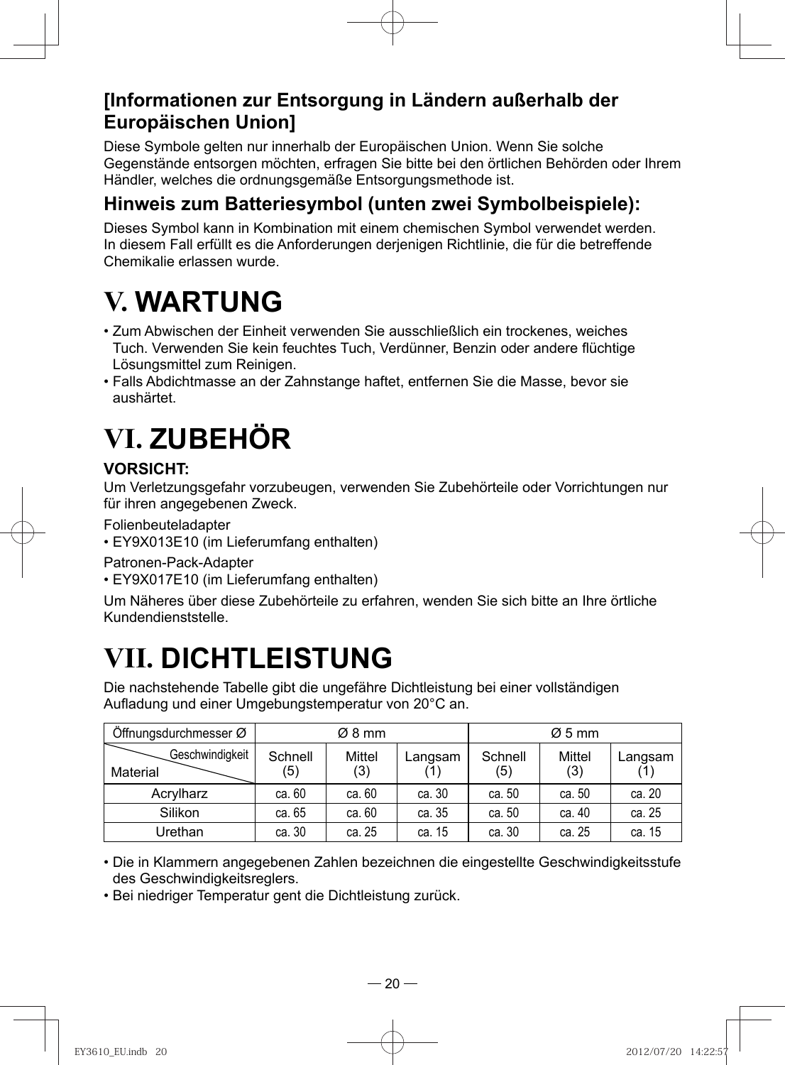### **[Informationen zur Entsorgung in Ländern außerhalb der Europäischen Union]**

Diese Symbole gelten nur innerhalb der Europäischen Union. Wenn Sie solche Gegenstände entsorgen möchten, erfragen Sie bitte bei den örtlichen Behörden oder Ihrem Händler, welches die ordnungsgemäße Entsorgungsmethode ist.

### **Hinweis zum Batteriesymbol (unten zwei Symbolbeispiele):**

Dieses Symbol kann in Kombination mit einem chemischen Symbol verwendet werden. In diesem Fall erfüllt es die Anforderungen derjenigen Richtlinie, die für die betreffende Chemikalie erlassen wurde.

# **V. WARTUNG**

- Zum Abwischen der Einheit verwenden Sie ausschließlich ein trockenes, weiches Tuch. Verwenden Sie kein feuchtes Tuch, Verdünner, Benzin oder andere flüchtige Lösungsmittel zum Reinigen.
- Falls Abdichtmasse an der Zahnstange haftet, entfernen Sie die Masse, bevor sie aushärtet.

# **VI. ZUBEHÖR**

### **VORSICHT:**

Um Verletzungsgefahr vorzubeugen, verwenden Sie Zubehörteile oder Vorrichtungen nur für ihren angegebenen Zweck.

Folienbeuteladapter

• EY9X013E10 (im Lieferumfang enthalten)

Patronen-Pack-Adapter

• EY9X017E10 (im Lieferumfang enthalten)

Um Näheres über diese Zubehörteile zu erfahren, wenden Sie sich bitte an Ihre örtliche Kundendienststelle.

# **VII. DICHTLEISTUNG**

Die nachstehende Tabelle gibt die ungefähre Dichtleistung bei einer vollständigen Aufladung und einer Umgebungstemperatur von 20°C an.

| Öffnungsdurchmesser Ø       |                | $\varnothing$ 8 mm   |         |                | $\varnothing$ 5 mm |         |
|-----------------------------|----------------|----------------------|---------|----------------|--------------------|---------|
| Geschwindigkeit<br>Material | Schnell<br>(5) | <b>Mittel</b><br>(3) | Langsam | Schnell<br>(5) | Mittel<br>(3)      | Langsam |
| Acrylharz                   | ca. 60         | ca. 60               | ca. 30  | ca. 50         | ca. 50             | ca. 20  |
| Silikon                     | ca. 65         | ca. 60               | ca. 35  | ca. 50         | ca. 40             | ca. 25  |
| Urethan                     | ca. 30         | ca. 25               | ca. 15  | ca. 30         | ca. 25             | ca. 15  |

• Die in Klammern angegebenen Zahlen bezeichnen die eingestellte Geschwindigkeitsstufe des Geschwindigkeitsreglers.

• Bei niedriger Temperatur gent die Dichtleistung zurück.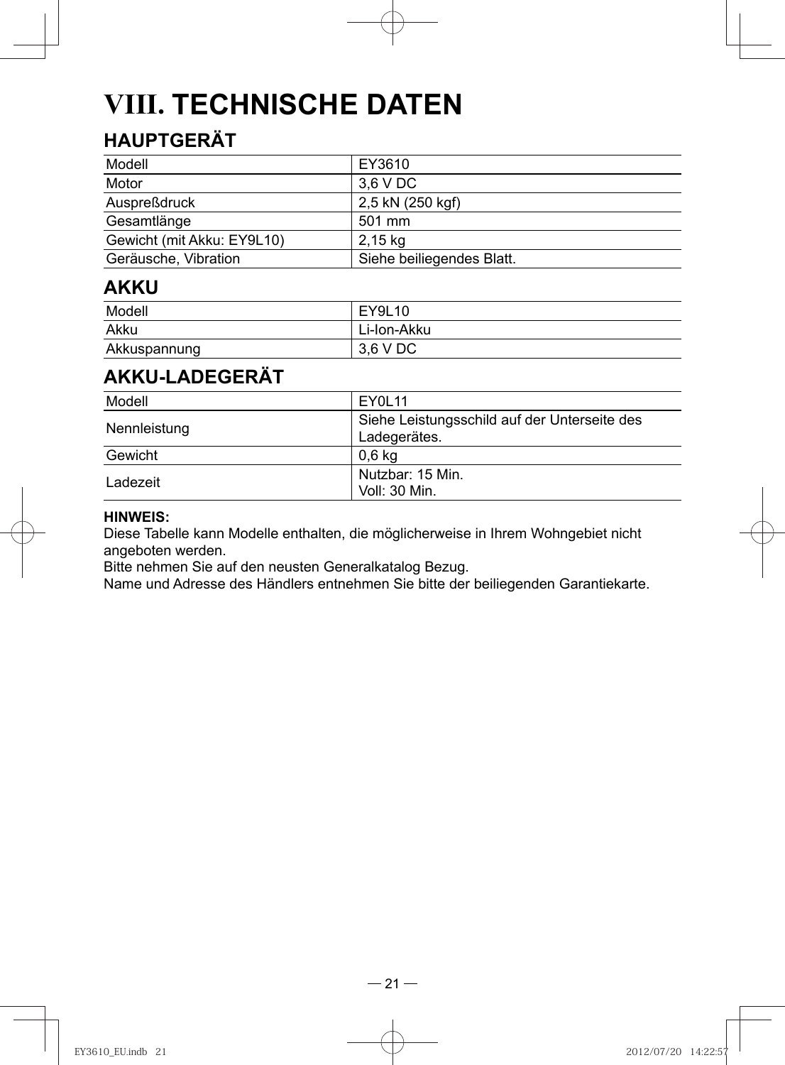# **VIII. TECHNISCHE DATEN**

## **HAUPTGERÄT**

| Modell                     | EY3610                    |
|----------------------------|---------------------------|
| Motor                      | 3.6 V DC                  |
| Auspreßdruck               | 2,5 kN (250 kgf)          |
| Gesamtlänge                | 501 mm                    |
| Gewicht (mit Akku: EY9L10) | 2,15 kg                   |
| Geräusche, Vibration       | Siehe beiliegendes Blatt. |

### **AKKU**

| Modell       | EY9L10      |
|--------------|-------------|
| Akku         | Li-Ion-Akku |
| Akkuspannung | 3.6 V DC    |

## **AKKU-LADEGERÄT**

| Modell       | EY0L11                                                       |
|--------------|--------------------------------------------------------------|
| Nennleistung | Siehe Leistungsschild auf der Unterseite des<br>Ladegerätes. |
| Gewicht      | 0.6 <sub>kq</sub>                                            |
| Ladezeit     | Nutzbar: 15 Min.<br>Voll: 30 Min.                            |

#### **HINWEIS:**

Diese Tabelle kann Modelle enthalten, die möglicherweise in Ihrem Wohngebiet nicht angeboten werden.

Bitte nehmen Sie auf den neusten Generalkatalog Bezug.

Name und Adresse des Händlers entnehmen Sie bitte der beiliegenden Garantiekarte.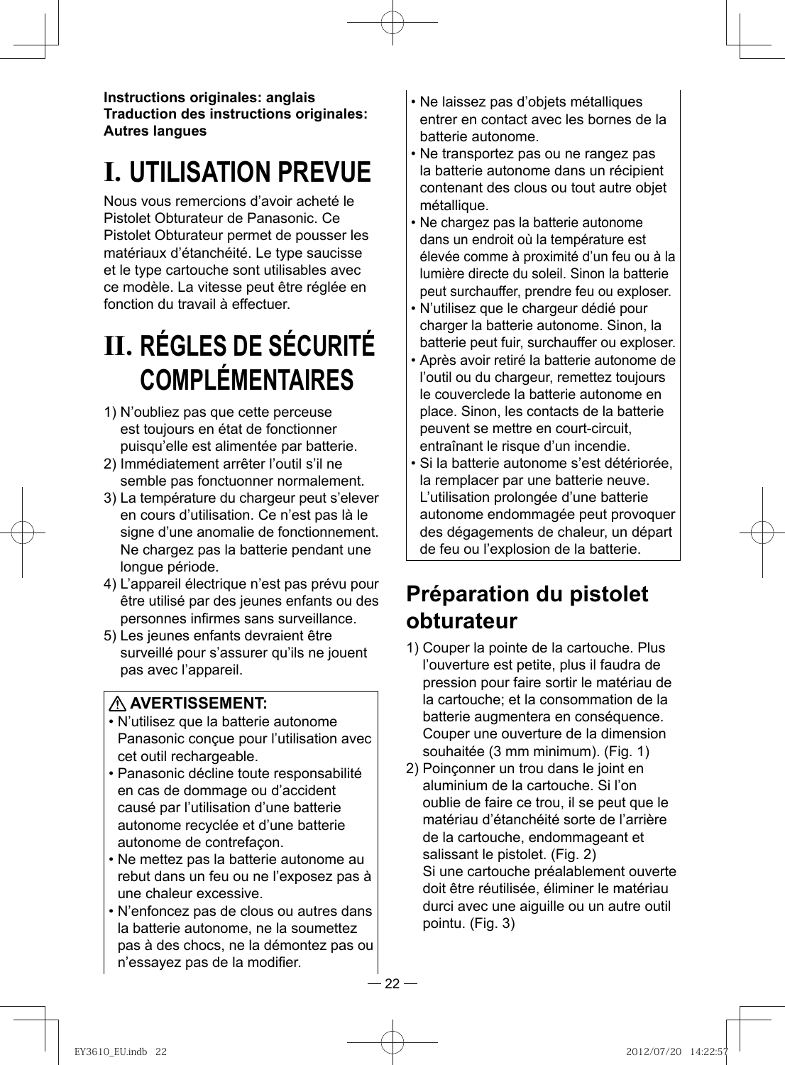**Instructions originales: anglais Traduction des instructions originales: Autres langues**

# **I. UTILISATION PREVUE**

Nous vous remercions d'avoir acheté le Pistolet Obturateur de Panasonic. Ce Pistolet Obturateur permet de pousser les matériaux d'étanchéité. Le type saucisse et le type cartouche sont utilisables avec ce modèle. La vitesse peut être réglée en fonction du travail à effectuer.

# **II. RÉGLES DE SÉCURITÉ COMPLÉMENTAIRES**

- 1) N'oubliez pas que cette perceuse est toujours en état de fonctionner puisqu'elle est alimentée par batterie.
- 2) Immédiatement arrêter l'outil s'il ne semble pas fonctuonner normalement.
- 3) La température du chargeur peut s'elever en cours d'utilisation. Ce n'est pas là le signe d'une anomalie de fonctionnement. Ne chargez pas la batterie pendant une longue période.
- 4) L'appareil électrique n'est pas prévu pour être utilisé par des jeunes enfants ou des personnes infirmes sans surveillance.
- 5) Les jeunes enfants devraient être surveillé pour s'assurer qu'ils ne jouent pas avec l'appareil.

### **AVERTISSEMENT:**

- N'utilisez que la batterie autonome Panasonic conçue pour l'utilisation avec cet outil rechargeable.
- Panasonic décline toute responsabilité en cas de dommage ou d'accident causé par l'utilisation d'une batterie autonome recyclée et d'une batterie autonome de contrefaçon.
- Ne mettez pas la batterie autonome au rebut dans un feu ou ne l'exposez pas à une chaleur excessive.
- N'enfoncez pas de clous ou autres dans la batterie autonome, ne la soumettez pas à des chocs, ne la démontez pas ou n'essayez pas de la modifier.
- Ne laissez pas d'objets métalliques entrer en contact avec les bornes de la batterie autonome.
- Ne transportez pas ou ne rangez pas la batterie autonome dans un récipient contenant des clous ou tout autre objet métallique.
- Ne chargez pas la batterie autonome dans un endroit où la température est élevée comme à proximité d'un feu ou à la lumière directe du soleil. Sinon la batterie peut surchauffer, prendre feu ou exploser.
- N'utilisez que le chargeur dédié pour charger la batterie autonome. Sinon, la batterie peut fuir, surchauffer ou exploser.
- Après avoir retiré la batterie autonome de l'outil ou du chargeur, remettez toujours le couverclede la batterie autonome en place. Sinon, les contacts de la batterie peuvent se mettre en court-circuit, entraînant le risque d'un incendie.
- Si la batterie autonome s'est détériorée, la remplacer par une batterie neuve. L'utilisation prolongée d'une batterie autonome endommagée peut provoquer des dégagements de chaleur, un départ de feu ou l'explosion de la batterie.

## **Préparation du pistolet obturateur**

- 1) Couper la pointe de la cartouche. Plus l'ouverture est petite, plus il faudra de pression pour faire sortir le matériau de la cartouche; et la consommation de la batterie augmentera en conséquence. Couper une ouverture de la dimension souhaitée (3 mm minimum). (Fig. 1)
- 2) Poinçonner un trou dans le joint en aluminium de la cartouche. Si l'on oublie de faire ce trou, il se peut que le matériau d'étanchéité sorte de l'arrière de la cartouche, endommageant et salissant le pistolet. (Fig. 2) Si une cartouche préalablement ouverte doit être réutilisée, éliminer le matériau durci avec une aiguille ou un autre outil pointu. (Fig. 3)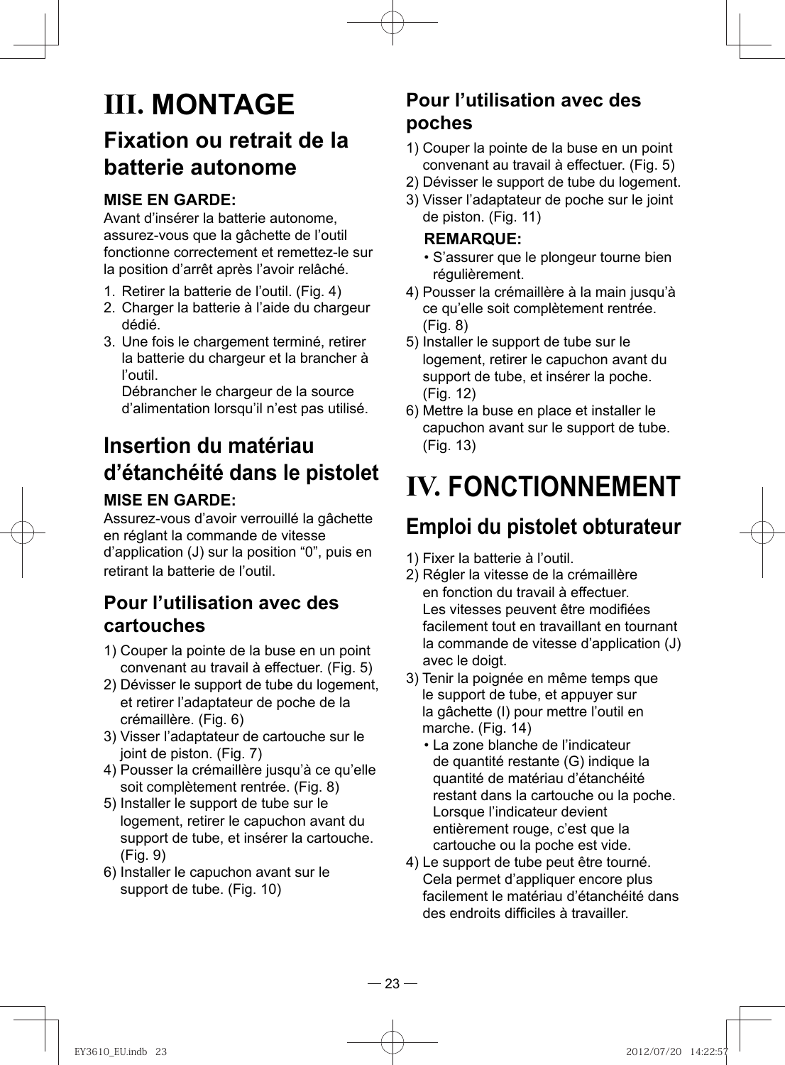## **III. MONTAGE Fixation ou retrait de la batterie autonome**

### **MISE EN GARDE:**

Avant d'insérer la batterie autonome, assurez-vous que la gâchette de l'outil fonctionne correctement et remettez-le sur la position d'arrêt après l'avoir relâché.

- 1. Retirer la batterie de l'outil. (Fig. 4)
- 2. Charger la batterie à l'aide du chargeur dédié.
- 3. Une fois le chargement terminé, retirer la batterie du chargeur et la brancher à l'outil.

Débrancher le chargeur de la source d'alimentation lorsqu'il n'est pas utilisé.

## **Insertion du matériau d'étanchéité dans le pistolet**

### **MISE EN GARDE:**

Assurez-vous d'avoir verrouillé la gâchette en réglant la commande de vitesse d'application (J) sur la position "0", puis en retirant la batterie de l'outil.

### **Pour l'utilisation avec des cartouches**

- 1) Couper la pointe de la buse en un point convenant au travail à effectuer. (Fig. 5)
- 2) Dévisser le support de tube du logement, et retirer l'adaptateur de poche de la crémaillère. (Fig. 6)
- 3) Visser l'adaptateur de cartouche sur le joint de piston. (Fig. 7)
- 4) Pousser la crémaillère jusqu'à ce qu'elle soit complètement rentrée. (Fig. 8)
- 5) Installer le support de tube sur le logement, retirer le capuchon avant du support de tube, et insérer la cartouche. (Fig. 9)
- 6) Installer le capuchon avant sur le support de tube. (Fig. 10)

## **Pour l'utilisation avec des poches**

- 1) Couper la pointe de la buse en un point convenant au travail à effectuer. (Fig. 5)
- 2) Dévisser le support de tube du logement.
- 3) Visser l'adaptateur de poche sur le joint de piston. (Fig. 11)

#### **REMARQUE:**

- S'assurer que le plongeur tourne bien régulièrement.
- 4) Pousser la crémaillère à la main jusqu'à ce qu'elle soit complètement rentrée. (Fig. 8)
- 5) Installer le support de tube sur le logement, retirer le capuchon avant du support de tube, et insérer la poche. (Fig. 12)
- 6) Mettre la buse en place et installer le capuchon avant sur le support de tube. (Fig. 13)

# **IV. FONCTIONNEMENT**

## **Emploi du pistolet obturateur**

- 1) Fixer la batterie à l'outil.
- 2) Régler la vitesse de la crémaillère en fonction du travail à effectuer. Les vitesses peuvent être modifiées facilement tout en travaillant en tournant la commande de vitesse d'application (J) avec le doigt.
- 3) Tenir la poignée en même temps que le support de tube, et appuyer sur la gâchette (I) pour mettre l'outil en marche. (Fig. 14)
	- La zone blanche de l'indicateur de quantité restante (G) indique la quantité de matériau d'étanchéité restant dans la cartouche ou la poche. Lorsque l'indicateur devient entièrement rouge, c'est que la cartouche ou la poche est vide.
- 4) Le support de tube peut être tourné. Cela permet d'appliquer encore plus facilement le matériau d'étanchéité dans des endroits difficiles à travailler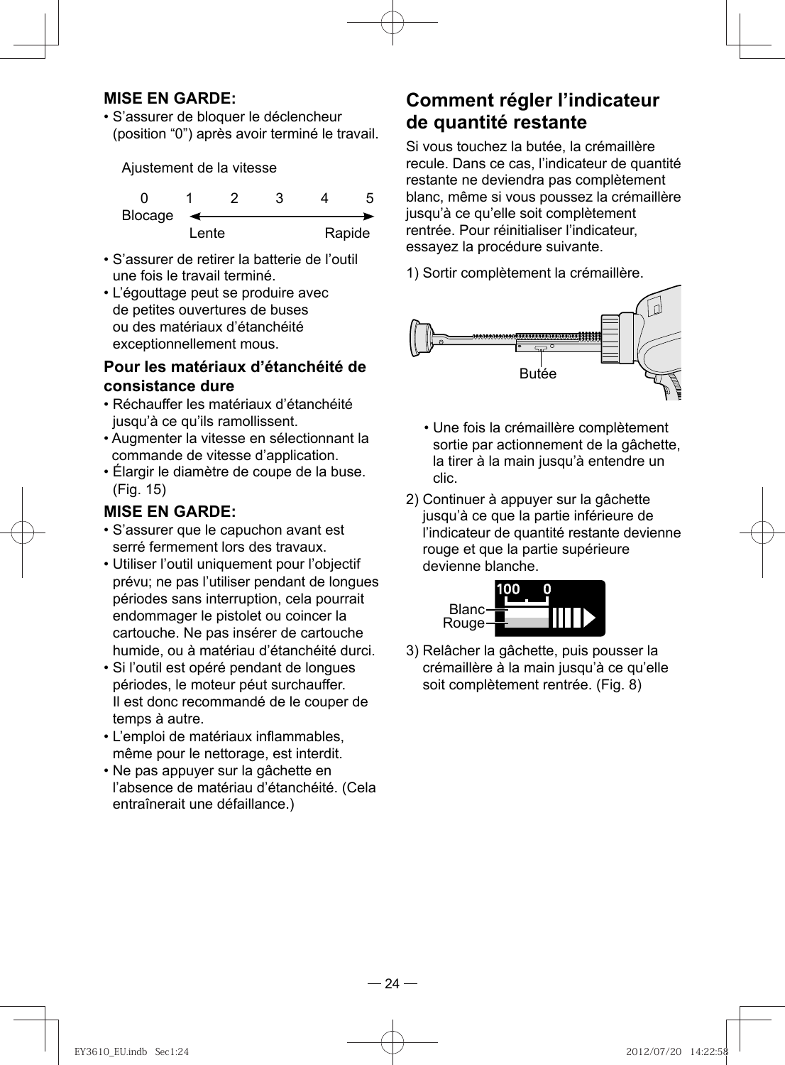#### **MISE EN GARDE:**

• S'assurer de bloquer le déclencheur (position "0") après avoir terminé le travail.

Ajustement de la vitesse

| Blocage |       |  |        |
|---------|-------|--|--------|
|         | Lente |  | Rapide |

- S'assurer de retirer la batterie de l'outil une fois le travail terminé.
- L'égouttage peut se produire avec de petites ouvertures de buses ou des matériaux d'étanchéité exceptionnellement mous.

#### **Pour les matériaux d'étanchéité de consistance dure**

- Réchauffer les matériaux d'étanchéité jusqu'à ce qu'ils ramollissent.
- Augmenter la vitesse en sélectionnant la commande de vitesse d'application.
- Élargir le diamètre de coupe de la buse. (Fig. 15)

#### **MISE EN GARDE:**

- S'assurer que le capuchon avant est serré fermement lors des travaux.
- Utiliser l'outil uniquement pour l'objectif prévu; ne pas l'utiliser pendant de longues périodes sans interruption, cela pourrait endommager le pistolet ou coincer la cartouche. Ne pas insérer de cartouche humide, ou à matériau d'étanchéité durci.
- Si l'outil est opéré pendant de longues périodes, le moteur péut surchauffer. Il est donc recommandé de le couper de temps à autre.
- L'emploi de matériaux inflammables, même pour le nettorage, est interdit.
- Ne pas appuyer sur la gâchette en l'absence de matériau d'étanchéité. (Cela entraînerait une défaillance.)

### **Comment régler l'indicateur de quantité restante**

 Si vous touchez la butée, la crémaillère recule. Dans ce cas, l'indicateur de quantité restante ne deviendra pas complètement blanc, même si vous poussez la crémaillère jusqu'à ce qu'elle soit complètement rentrée. Pour réinitialiser l'indicateur, essayez la procédure suivante.

1) Sortir complètement la crémaillère.



- Une fois la crémaillère complètement sortie par actionnement de la gâchette, la tirer à la main jusqu'à entendre un clic.
- 2) Continuer à appuyer sur la gâchette jusqu'à ce que la partie inférieure de l'indicateur de quantité restante devienne rouge et que la partie supérieure devienne blanche.



3) Relâcher la gâchette, puis pousser la crémaillère à la main jusqu'à ce qu'elle soit complètement rentrée. (Fig. 8)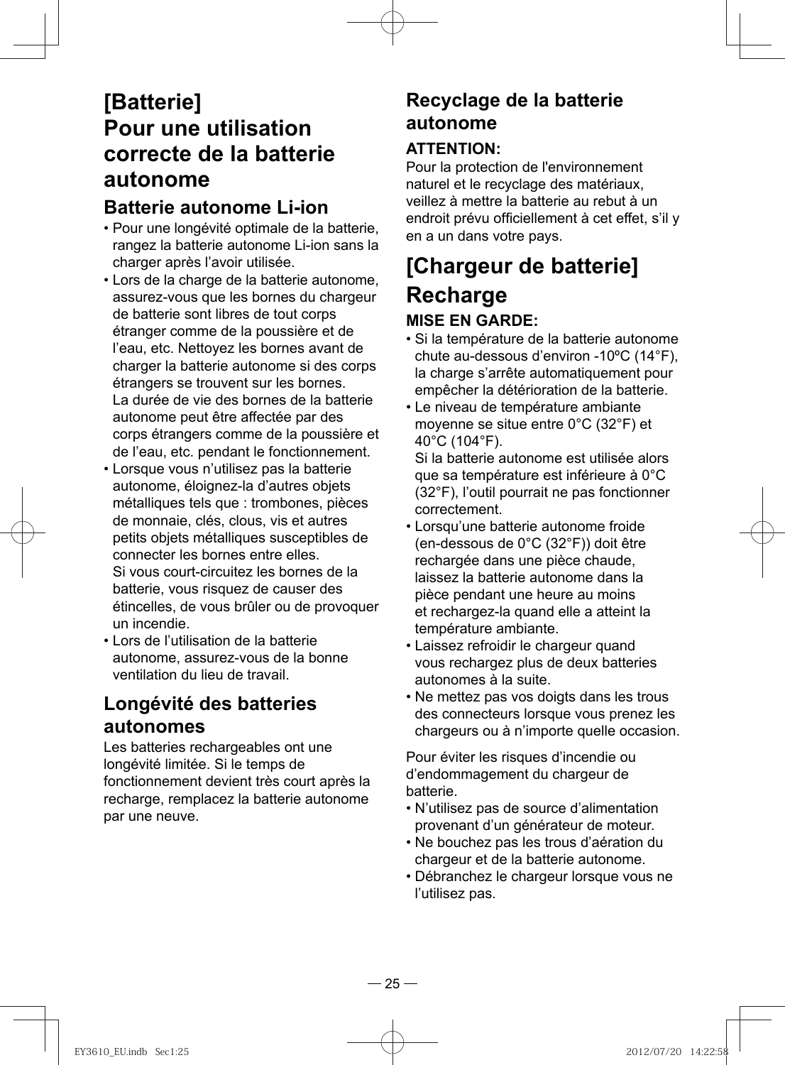## **[Batterie] Pour une utilisation correcte de la batterie autonome**

### **Batterie autonome Li-ion**

- Pour une longévité optimale de la batterie, rangez la batterie autonome Li-ion sans la charger après l'avoir utilisée.
- Lors de la charge de la batterie autonome, assurez-vous que les bornes du chargeur de batterie sont libres de tout corps étranger comme de la poussière et de l'eau, etc. Nettoyez les bornes avant de charger la batterie autonome si des corps étrangers se trouvent sur les bornes. La durée de vie des bornes de la batterie autonome peut être affectée par des corps étrangers comme de la poussière et de l'eau, etc. pendant le fonctionnement.
- Lorsque vous n'utilisez pas la batterie autonome, éloignez-la d'autres objets métalliques tels que : trombones, pièces de monnaie, clés, clous, vis et autres petits objets métalliques susceptibles de connecter les bornes entre elles. Si vous court-circuitez les bornes de la batterie, vous risquez de causer des étincelles, de vous brûler ou de provoquer un incendie.
- Lors de l'utilisation de la batterie autonome, assurez-vous de la bonne ventilation du lieu de travail.

### **Longévité des batteries autonomes**

Les batteries rechargeables ont une longévité limitée. Si le temps de fonctionnement devient très court après la recharge, remplacez la batterie autonome par une neuve.

### **Recyclage de la batterie autonome ATTENTION:**

Pour la protection de l'environnement naturel et le recyclage des matériaux, veillez à mettre la batterie au rebut à un endroit prévu officiellement à cet effet, s'il y en a un dans votre pays.

## **[Chargeur de batterie] Recharge MISE EN GARDE:**

- Si la température de la batterie autonome chute au-dessous d'environ -10ºC (14°F), la charge s'arrête automatiquement pour empêcher la détérioration de la batterie.
- Le niveau de température ambiante moyenne se situe entre 0°C (32°F) et 40°C (104°F).

Si la batterie autonome est utilisée alors que sa température est inférieure à 0°C (32°F), l'outil pourrait ne pas fonctionner correctement.

- Lorsqu'une batterie autonome froide (en-dessous de 0°C (32°F)) doit être rechargée dans une pièce chaude, laissez la batterie autonome dans la pièce pendant une heure au moins et rechargez-la quand elle a atteint la température ambiante.
- Laissez refroidir le chargeur quand vous rechargez plus de deux batteries autonomes à la suite.
- Ne mettez pas vos doigts dans les trous des connecteurs lorsque vous prenez les chargeurs ou à n'importe quelle occasion.

Pour éviter les risques d'incendie ou d'endommagement du chargeur de batterie.

- N'utilisez pas de source d'alimentation provenant d'un générateur de moteur.
- Ne bouchez pas les trous d'aération du chargeur et de la batterie autonome.
- Débranchez le chargeur lorsque vous ne l'utilisez pas.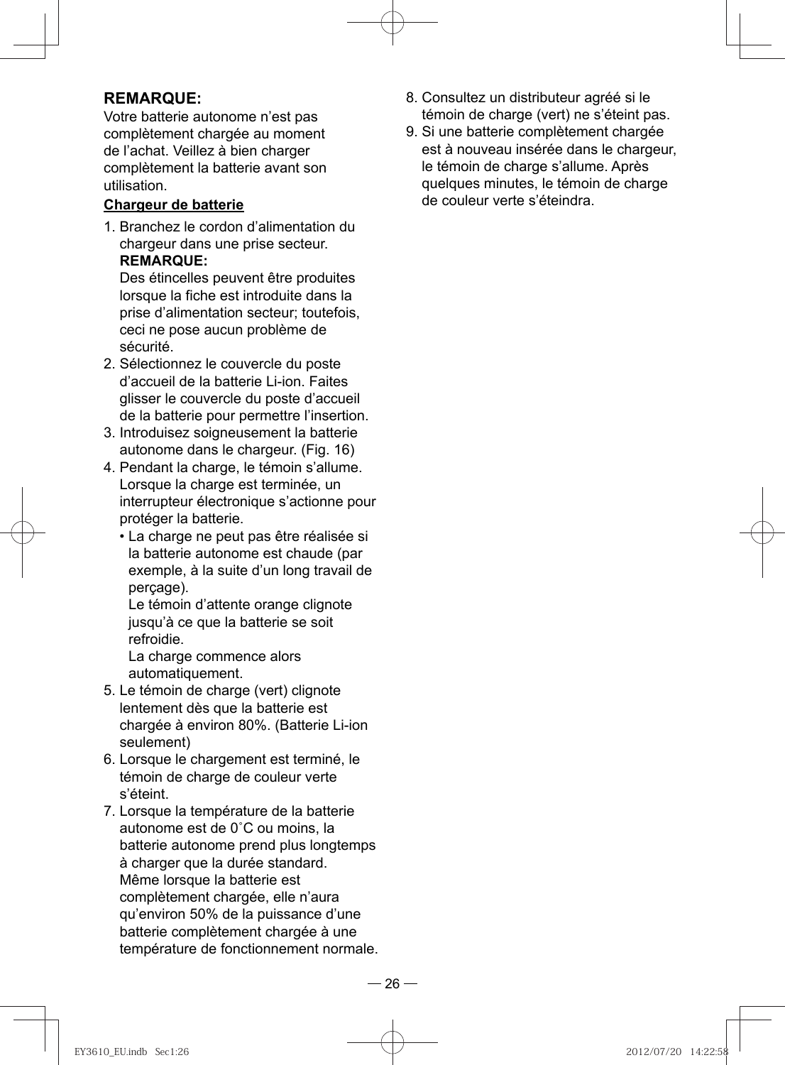#### **REMARQUE:**

Votre batterie autonome n'est pas complètement chargée au moment de l'achat. Veillez à bien charger complètement la batterie avant son utilisation.

#### **Chargeur de batterie**

1. Branchez le cordon d'alimentation du chargeur dans une prise secteur. **REMARQUE:** 

Des étincelles peuvent être produites lorsque la fiche est introduite dans la prise d'alimentation secteur; toutefois, ceci ne pose aucun problème de sécurité.

- 2. Sélectionnez le couvercle du poste d'accueil de la batterie Li-ion. Faites glisser le couvercle du poste d'accueil de la batterie pour permettre l'insertion.
- 3. Introduisez soigneusement la batterie autonome dans le chargeur. (Fig. 16)
- 4. Pendant la charge, le témoin s'allume. Lorsque la charge est terminée, un interrupteur électronique s'actionne pour protéger la batterie.
	- La charge ne peut pas être réalisée si la batterie autonome est chaude (par exemple, à la suite d'un long travail de perçage).

Le témoin d'attente orange clignote jusqu'à ce que la batterie se soit refroidie.

La charge commence alors automatiquement.

- 5. Le témoin de charge (vert) clignote lentement dès que la batterie est chargée à environ 80%. (Batterie Li-ion seulement)
- 6. Lorsque le chargement est terminé, le témoin de charge de couleur verte s'éteint.
- 7. Lorsque la température de la batterie autonome est de 0˚C ou moins, la batterie autonome prend plus longtemps à charger que la durée standard. Même lorsque la batterie est complètement chargée, elle n'aura qu'environ 50% de la puissance d'une batterie complètement chargée à une température de fonctionnement normale.
- 8. Consultez un distributeur agréé si le témoin de charge (vert) ne s'éteint pas.
- 9. Si une batterie complètement chargée est à nouveau insérée dans le chargeur, le témoin de charge s'allume. Après quelques minutes, le témoin de charge de couleur verte s'éteindra.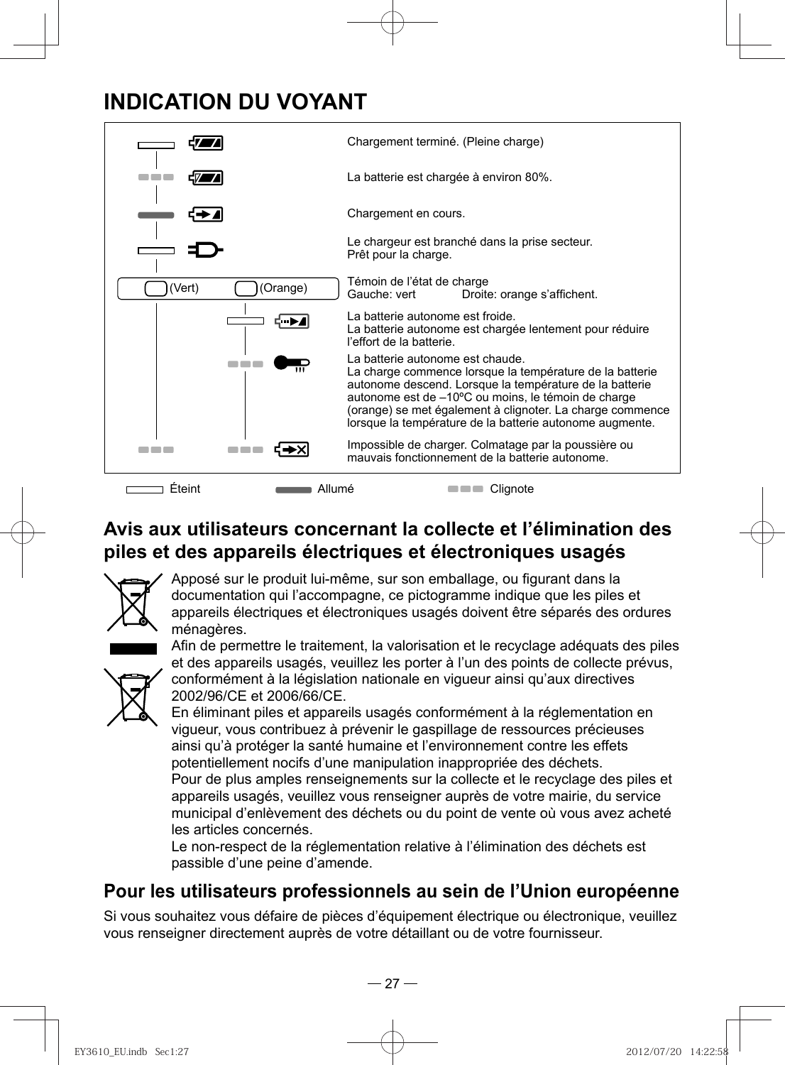## **INDICATION DU VOYANT**



## **Avis aux utilisateurs concernant la collecte et l'élimination des piles et des appareils électriques et électroniques usagés**



Apposé sur le produit lui-même, sur son emballage, ou figurant dans la documentation qui l'accompagne, ce pictogramme indique que les piles et appareils électriques et électroniques usagés doivent être séparés des ordures ménagères.

Afin de permettre le traitement, la valorisation et le recyclage adéquats des piles et des appareils usagés, veuillez les porter à l'un des points de collecte prévus, conformément à la législation nationale en vigueur ainsi qu'aux directives 2002/96/CE et 2006/66/CE.



En éliminant piles et appareils usagés conformément à la réglementation en vigueur, vous contribuez à prévenir le gaspillage de ressources précieuses ainsi qu'à protéger la santé humaine et l'environnement contre les effets potentiellement nocifs d'une manipulation inappropriée des déchets. Pour de plus amples renseignements sur la collecte et le recyclage des piles et appareils usagés, veuillez vous renseigner auprès de votre mairie, du service municipal d'enlèvement des déchets ou du point de vente où vous avez acheté les articles concernés.

Le non-respect de la réglementation relative à l'élimination des déchets est passible d'une peine d'amende.

### **Pour les utilisateurs professionnels au sein de l'Union européenne**

Si vous souhaitez vous défaire de pièces d'équipement électrique ou électronique, veuillez vous renseigner directement auprès de votre détaillant ou de votre fournisseur.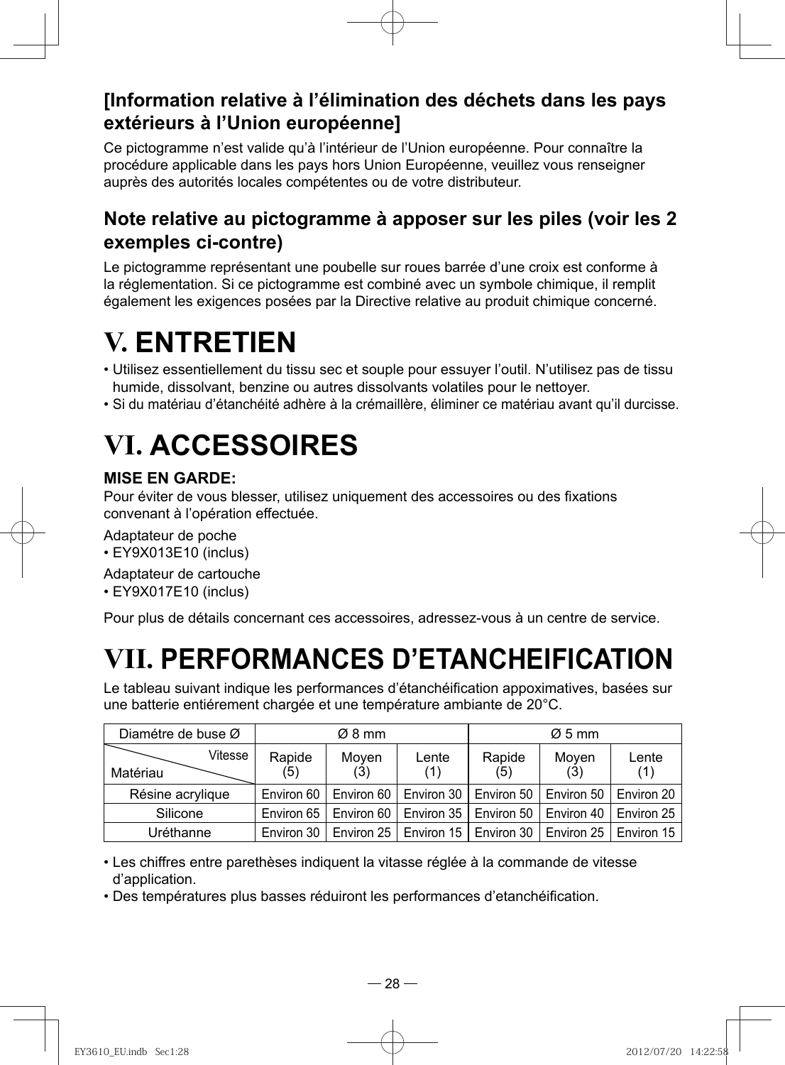## **[Information relative à l'élimination des déchets dans les pays extérieurs à l'Union européenne]**

Ce pictogramme n'est valide qu'à l'intérieur de l'Union européenne. Pour connaître la procédure applicable dans les pays hors Union Européenne, veuillez vous renseigner auprès des autorités locales compétentes ou de votre distributeur.

### **Note relative au pictogramme à apposer sur les piles (voir les 2 exemples ci-contre)**

Le pictogramme représentant une poubelle sur roues barrée d'une croix est conforme à la réglementation. Si ce pictogramme est combiné avec un symbole chimique, il remplit également les exigences posées par la Directive relative au produit chimique concerné.

# **V. ENTRETIEN**

- Utilisez essentiellement du tissu sec et souple pour essuyer l'outil. N'utilisez pas de tissu humide, dissolvant, benzine ou autres dissolvants volatiles pour le nettoyer.
- Si du matériau d'étanchéité adhère à la crémaillère, éliminer ce matériau avant qu'il durcisse.

# **VI. ACCESSOIRES**

### **MISE EN GARDE:**

Pour éviter de vous blesser, utilisez uniquement des accessoires ou des fixations convenant à l'opération effectuée.

- Adaptateur de poche
- EY9X013E10 (inclus)
- Adaptateur de cartouche
- EY9X017E10 (inclus)

Pour plus de détails concernant ces accessoires, adressez-vous à un centre de service.

# **VII. PERFORMANCES D'ETANCHEIFICATION**

Le tableau suivant indique les performances d'étanchéification appoximatives, basées sur une batterie entiérement chargée et une température ambiante de 20°C.

| Diamétre de buse Ø |         | $\varnothing$ 8 mm |              | $\varnothing$ 5 mm                                |                                      |              |                                                                |
|--------------------|---------|--------------------|--------------|---------------------------------------------------|--------------------------------------|--------------|----------------------------------------------------------------|
| Matériau           | Vitesse | Rapide<br>(5)      | Moven<br>(3) | Lente<br>(1)                                      | Rapide<br>(5)                        | Moven<br>(3) | Lente<br>(1)                                                   |
| Résine acrylique   |         | Environ 60         |              | Environ 60   Environ 30   Environ 50   Environ 50 |                                      |              | Environ 20                                                     |
| Silicone           |         | Environ 65         | Environ 60   |                                                   | Environ 35   Environ 50   Environ 40 |              | Environ 25                                                     |
| Uréthanne          |         | Environ 30         |              |                                                   |                                      |              | Environ 25   Environ 15   Environ 30   Environ 25   Environ 15 |

• Les chiffres entre parethèses indiquent la vitasse réglée à la commande de vitesse d'application.

• Des températures plus basses réduiront les performances d'etanchéification.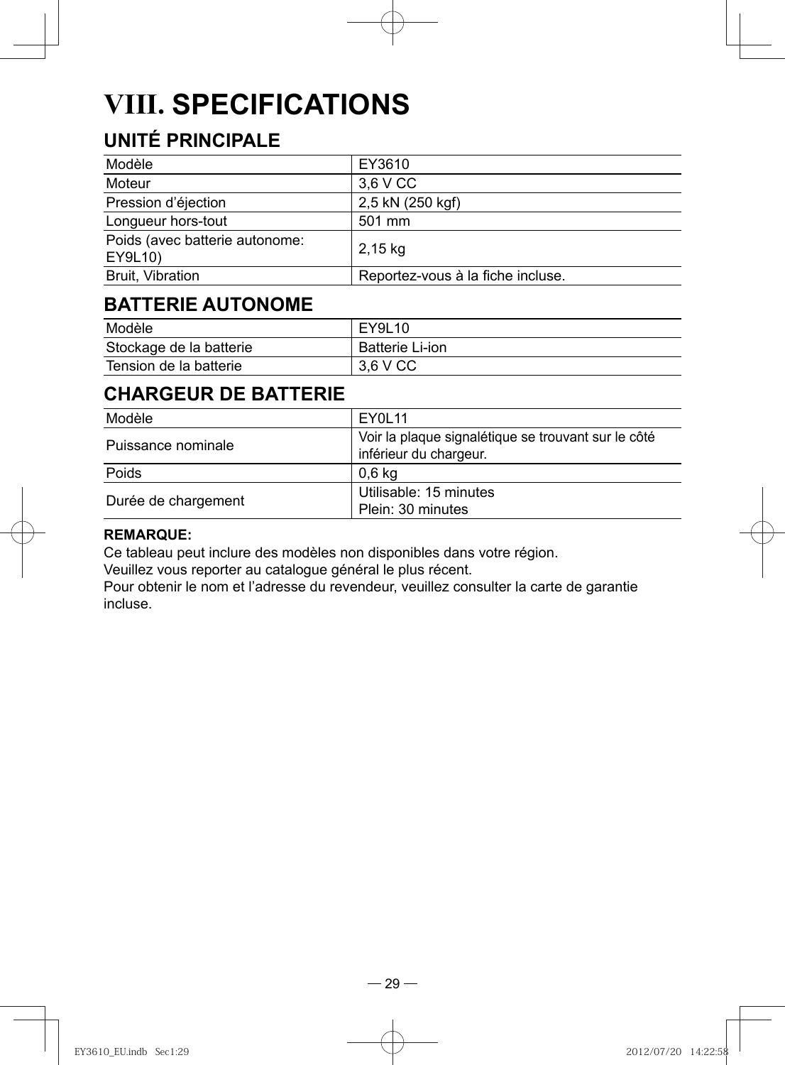# **VIII. SPECIFICATIONS**

## **UNITÉ PRINCIPALE**

| Modèle                                    | EY3610                            |
|-------------------------------------------|-----------------------------------|
| Moteur                                    | 3.6 V CC                          |
| Pression d'éjection                       | 2,5 kN (250 kgf)                  |
| Longueur hors-tout                        | 501 mm                            |
| Poids (avec batterie autonome:<br>EY9L10) | $2.15$ kg                         |
| Bruit, Vibration                          | Reportez-vous à la fiche incluse. |

## **BATTERIE AUTONOME**

| Modèle                  | EY9L10                 |
|-------------------------|------------------------|
| Stockage de la batterie | <b>Batterie Li-ion</b> |
| Tension de la batterie  | 3.6 V CC               |

## **CHARGEUR DE BATTERIE**

| Modèle              | EY0L11                                                                        |
|---------------------|-------------------------------------------------------------------------------|
| Puissance nominale  | Voir la plaque signalétique se trouvant sur le côté<br>inférieur du chargeur. |
| Poids               | 0.6 kg                                                                        |
| Durée de chargement | Utilisable: 15 minutes<br>Plein: 30 minutes                                   |

#### **REMARQUE:**

Ce tableau peut inclure des modèles non disponibles dans votre région.

Veuillez vous reporter au catalogue général le plus récent.

Pour obtenir le nom et l'adresse du revendeur, veuillez consulter la carte de garantie incluse.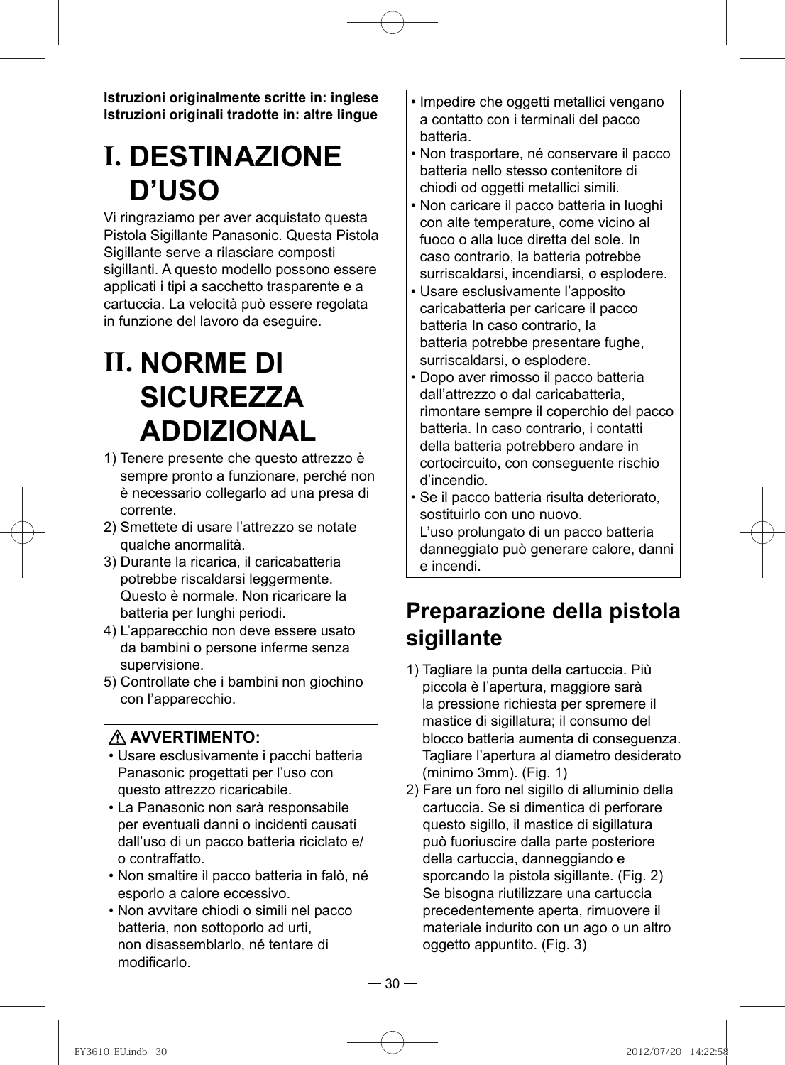**Istruzioni originalmente scritte in: inglese Istruzioni originali tradotte in: altre lingue**

# **I. DESTINAZIONE D'USO**

Vi ringraziamo per aver acquistato questa Pistola Sigillante Panasonic. Questa Pistola Sigillante serve a rilasciare composti sigillanti. A questo modello possono essere applicati i tipi a sacchetto trasparente e a cartuccia. La velocità può essere regolata in funzione del lavoro da eseguire.

# **II. NORME DI SICUREZZA ADDIZIONAL**

- 1) Tenere presente che questo attrezzo è sempre pronto a funzionare, perché non è necessario collegarlo ad una presa di corrente.
- 2) Smettete di usare l'attrezzo se notate qualche anormalità.
- 3) Durante la ricarica, il caricabatteria potrebbe riscaldarsi leggermente. Questo è normale. Non ricaricare la batteria per lunghi periodi.
- 4) L'apparecchio non deve essere usato da bambini o persone inferme senza supervisione.
- 5) Controllate che i bambini non giochino con l'apparecchio.

### **AVVERTIMENTO:**

- Usare esclusivamente i pacchi batteria Panasonic progettati per l'uso con questo attrezzo ricaricabile.
- La Panasonic non sarà responsabile per eventuali danni o incidenti causati dall'uso di un pacco batteria riciclato e/ o contraffatto.
- Non smaltire il pacco batteria in falò, né esporlo a calore eccessivo.
- Non avvitare chiodi o simili nel pacco batteria, non sottoporlo ad urti, non disassemblarlo, né tentare di modificarlo.
- Impedire che oggetti metallici vengano a contatto con i terminali del pacco batteria.
- Non trasportare, né conservare il pacco batteria nello stesso contenitore di chiodi od oggetti metallici simili.
- Non caricare il pacco batteria in luoghi con alte temperature, come vicino al fuoco o alla luce diretta del sole. In caso contrario, la batteria potrebbe surriscaldarsi, incendiarsi, o esplodere.
- Usare esclusivamente l'apposito caricabatteria per caricare il pacco batteria In caso contrario, la batteria potrebbe presentare fughe, surriscaldarsi, o esplodere.
- Dopo aver rimosso il pacco batteria dall'attrezzo o dal caricabatteria, rimontare sempre il coperchio del pacco batteria. In caso contrario, i contatti della batteria potrebbero andare in cortocircuito, con conseguente rischio d'incendio.
- Se il pacco batteria risulta deteriorato, sostituirlo con uno nuovo. L'uso prolungato di un pacco batteria danneggiato può generare calore, danni e incendi.

## **Preparazione della pistola sigillante**

- 1) Tagliare la punta della cartuccia. Più piccola è l'apertura, maggiore sarà la pressione richiesta per spremere il mastice di sigillatura; il consumo del blocco batteria aumenta di conseguenza. Tagliare l'apertura al diametro desiderato (minimo 3mm). (Fig. 1)
- 2) Fare un foro nel sigillo di alluminio della cartuccia. Se si dimentica di perforare questo sigillo, il mastice di sigillatura può fuoriuscire dalla parte posteriore della cartuccia, danneggiando e sporcando la pistola sigillante. (Fig. 2) Se bisogna riutilizzare una cartuccia precedentemente aperta, rimuovere il materiale indurito con un ago o un altro oggetto appuntito. (Fig. 3)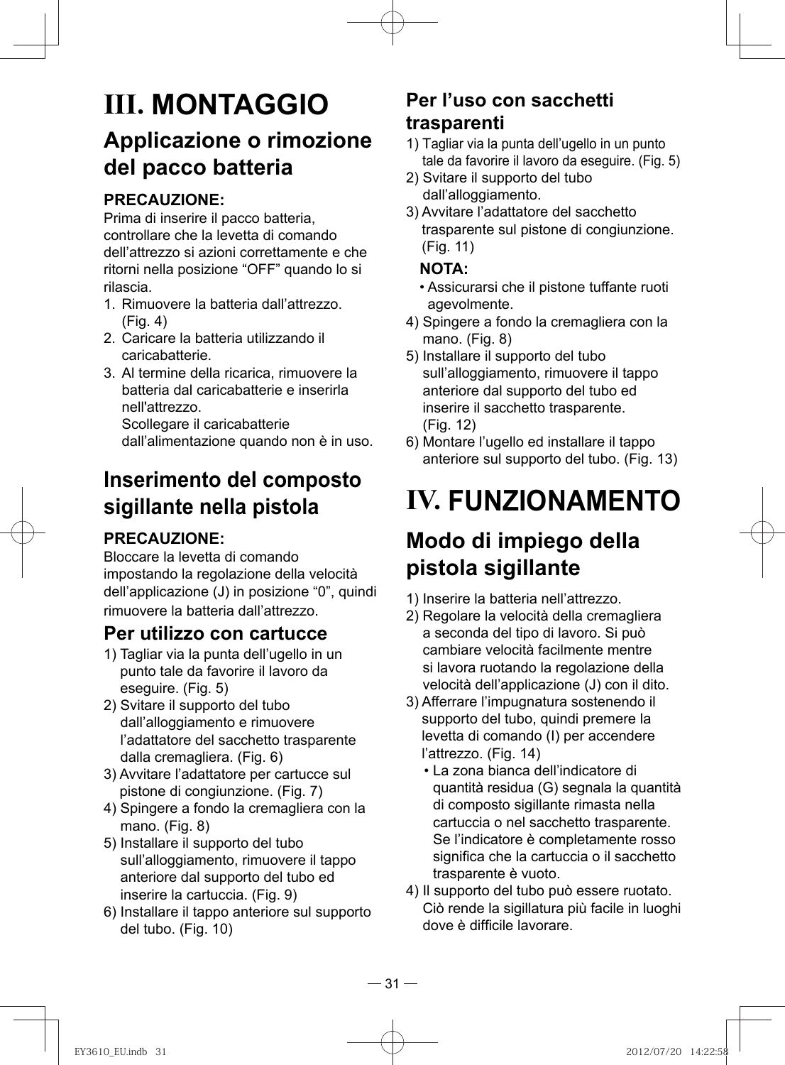## **III. MONTAGGIO Applicazione o rimozione del pacco batteria**

### **PRECAUZIONE:**

Prima di inserire il pacco batteria, controllare che la levetta di comando dell'attrezzo si azioni correttamente e che ritorni nella posizione "OFF" quando lo si rilascia.

- 1. Rimuovere la batteria dall'attrezzo. (Fig. 4)
- 2. Caricare la batteria utilizzando il caricabatterie.
- 3. Al termine della ricarica, rimuovere la batteria dal caricabatterie e inserirla nell'attrezzo.

Scollegare il caricabatterie dall'alimentazione quando non è in uso.

## **Inserimento del composto sigillante nella pistola**

### **PRECAUZIONE:**

Bloccare la levetta di comando impostando la regolazione della velocità dell'applicazione (J) in posizione "0", quindi rimuovere la batteria dall'attrezzo.

### **Per utilizzo con cartucce**

- 1) Tagliar via la punta dell'ugello in un punto tale da favorire il lavoro da eseguire. (Fig. 5)
- 2) Svitare il supporto del tubo dall'alloggiamento e rimuovere l'adattatore del sacchetto trasparente dalla cremagliera. (Fig. 6)
- 3) Avvitare l'adattatore per cartucce sul pistone di congiunzione. (Fig. 7)
- 4) Spingere a fondo la cremagliera con la mano. (Fig. 8)
- 5) Installare il supporto del tubo sull'alloggiamento, rimuovere il tappo anteriore dal supporto del tubo ed inserire la cartuccia. (Fig. 9)
- 6) Installare il tappo anteriore sul supporto del tubo. (Fig. 10)

### **Per l'uso con sacchetti trasparenti**

- 1) Tagliar via la punta dell'ugello in un punto tale da favorire il lavoro da eseguire. (Fig. 5)
- 2) Svitare il supporto del tubo dall'alloggiamento.
- 3) Avvitare l'adattatore del sacchetto trasparente sul pistone di congiunzione. (Fig. 11)

### **NOTA:**

- Assicurarsi che il pistone tuffante ruoti agevolmente.
- 4) Spingere a fondo la cremagliera con la mano. (Fig. 8)
- 5) Installare il supporto del tubo sull'alloggiamento, rimuovere il tappo anteriore dal supporto del tubo ed inserire il sacchetto trasparente. (Fig. 12)
- 6) Montare l'ugello ed installare il tappo anteriore sul supporto del tubo. (Fig. 13)

# **IV. FUNZIONAMENTO**

## **Modo di impiego della pistola sigillante**

- 1) Inserire la batteria nell'attrezzo.
- 2) Regolare la velocità della cremagliera a seconda del tipo di lavoro. Si può cambiare velocità facilmente mentre si lavora ruotando la regolazione della velocità dell'applicazione (J) con il dito.
- 3) Afferrare l'impugnatura sostenendo il supporto del tubo, quindi premere la levetta di comando (I) per accendere l'attrezzo. (Fig. 14)
	- La zona bianca dell'indicatore di quantità residua (G) segnala la quantità di composto sigillante rimasta nella cartuccia o nel sacchetto trasparente. Se l'indicatore è completamente rosso significa che la cartuccia o il sacchetto trasparente è vuoto.
- 4) Il supporto del tubo può essere ruotato. Ciò rende la sigillatura più facile in luoghi dove è difficile lavorare.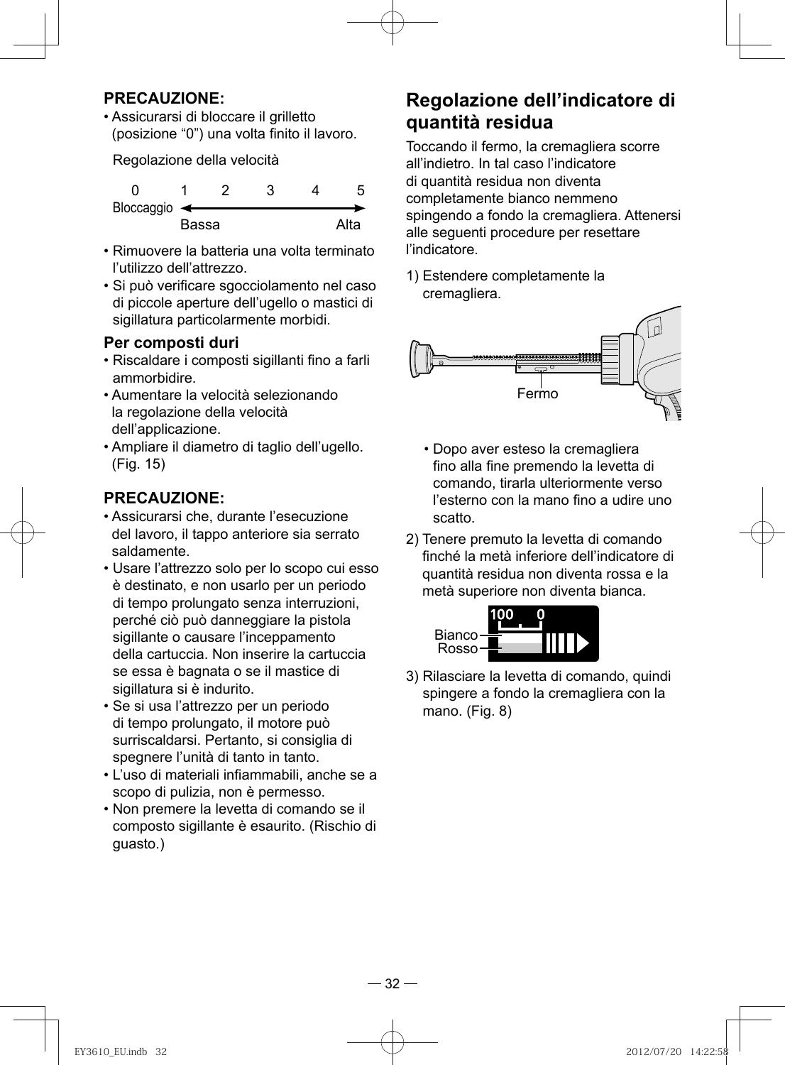#### **PRECAUZIONE:**

• Assicurarsi di bloccare il grilletto (posizione "0") una volta finito il lavoro.

Regolazione della velocità

| Bloccaggio $\leftarrow$ |       |  |      |
|-------------------------|-------|--|------|
|                         | Bassa |  | Alta |

- Rimuovere la batteria una volta terminato l'utilizzo dell'attrezzo.
- Si può verificare sgocciolamento nel caso di piccole aperture dell'ugello o mastici di sigillatura particolarmente morbidi.

#### **Per composti duri**

- Riscaldare i composti sigillanti fino a farli ammorbidire.
- Aumentare la velocità selezionando la regolazione della velocità dell'applicazione.
- Ampliare il diametro di taglio dell'ugello. (Fig. 15)

#### **PRECAUZIONE:**

- Assicurarsi che, durante l'esecuzione del lavoro, il tappo anteriore sia serrato saldamente.
- Usare l'attrezzo solo per lo scopo cui esso è destinato, e non usarlo per un periodo di tempo prolungato senza interruzioni, perché ciò può danneggiare la pistola sigillante o causare l'inceppamento della cartuccia. Non inserire la cartuccia se essa è bagnata o se il mastice di sigillatura si è indurito.
- Se si usa l'attrezzo per un periodo di tempo prolungato, il motore può surriscaldarsi. Pertanto, si consiglia di spegnere l'unità di tanto in tanto.
- L'uso di materiali infiammabili, anche se a scopo di pulizia, non è permesso.
- Non premere la levetta di comando se il composto sigillante è esaurito. (Rischio di guasto.)

### **Regolazione dell'indicatore di quantità residua**

 Toccando il fermo, la cremagliera scorre all'indietro. In tal caso l'indicatore di quantità residua non diventa completamente bianco nemmeno spingendo a fondo la cremagliera. Attenersi alle seguenti procedure per resettare l'indicatore.

1) Estendere completamente la cremagliera.



- Dopo aver esteso la cremagliera fino alla fine premendo la levetta di comando, tirarla ulteriormente verso l'esterno con la mano fino a udire uno scatto.
- 2) Tenere premuto la levetta di comando finché la metà inferiore dell'indicatore di quantità residua non diventa rossa e la metà superiore non diventa bianca.



3) Rilasciare la levetta di comando, quindi spingere a fondo la cremagliera con la mano. (Fig. 8)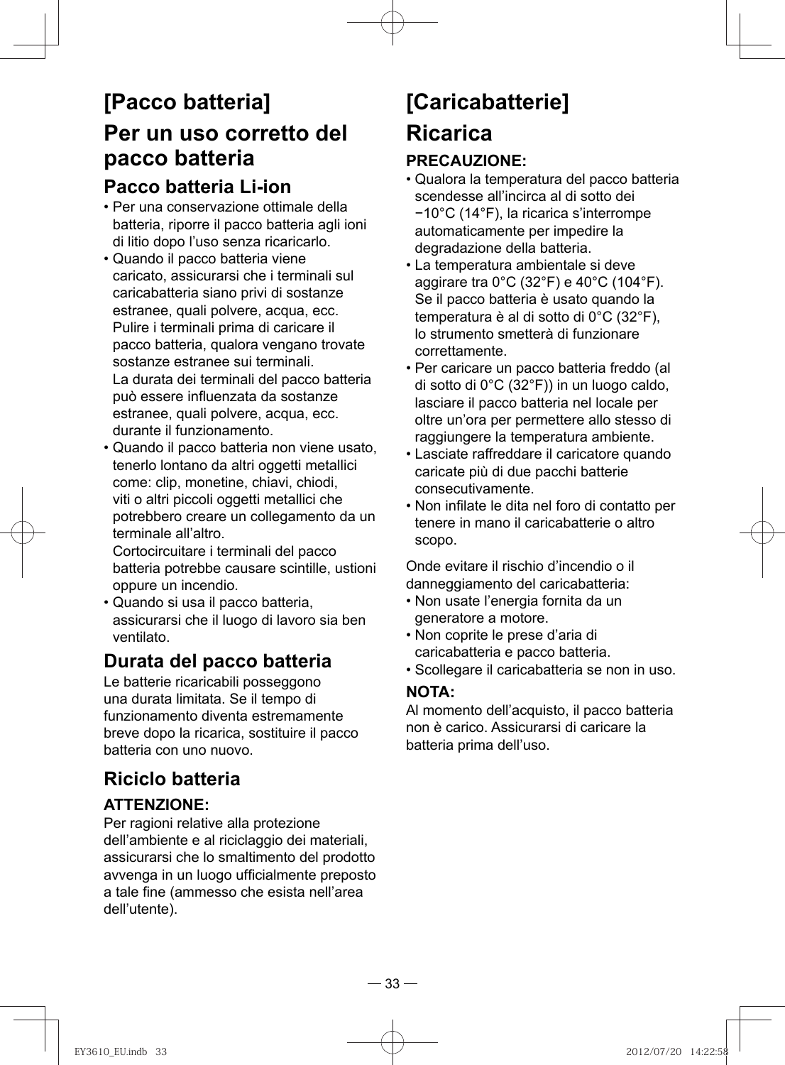## **[Pacco batteria] Per un uso corretto del pacco batteria Pacco batteria Li-ion**

- Per una conservazione ottimale della batteria, riporre il pacco batteria agli ioni di litio dopo l'uso senza ricaricarlo.
- Quando il pacco batteria viene caricato, assicurarsi che i terminali sul caricabatteria siano privi di sostanze estranee, quali polvere, acqua, ecc. Pulire i terminali prima di caricare il pacco batteria, qualora vengano trovate sostanze estranee sui terminali. La durata dei terminali del pacco batteria può essere influenzata da sostanze estranee, quali polvere, acqua, ecc. durante il funzionamento.
- Quando il pacco batteria non viene usato, tenerlo lontano da altri oggetti metallici come: clip, monetine, chiavi, chiodi, viti o altri piccoli oggetti metallici che potrebbero creare un collegamento da un terminale all'altro.

Cortocircuitare i terminali del pacco batteria potrebbe causare scintille, ustioni oppure un incendio.

• Quando si usa il pacco batteria, assicurarsi che il luogo di lavoro sia ben ventilato.

### **Durata del pacco batteria**

Le batterie ricaricabili posseggono una durata limitata. Se il tempo di funzionamento diventa estremamente breve dopo la ricarica, sostituire il pacco batteria con uno nuovo.

## **Riciclo batteria**

### **ATTENZIONE:**

Per ragioni relative alla protezione dell'ambiente e al riciclaggio dei materiali, assicurarsi che lo smaltimento del prodotto avvenga in un luogo ufficialmente preposto a tale fine (ammesso che esista nell'area dell'utente).

# **[Caricabatterie] Ricarica**

### **PRECAUZIONE:**

- Qualora la temperatura del pacco batteria scendesse all'incirca al di sotto dei −10°C (14°F), la ricarica s'interrompe automaticamente per impedire la degradazione della batteria.
- La temperatura ambientale si deve aggirare tra 0°C (32°F) e 40°C (104°F). Se il pacco batteria è usato quando la temperatura è al di sotto di 0°C (32°F), lo strumento smetterà di funzionare correttamente.
- Per caricare un pacco batteria freddo (al di sotto di 0°C (32°F)) in un luogo caldo, lasciare il pacco batteria nel locale per oltre un'ora per permettere allo stesso di raggiungere la temperatura ambiente.
- Lasciate raffreddare il caricatore quando caricate più di due pacchi batterie consecutivamente.
- Non infilate le dita nel foro di contatto per tenere in mano il caricabatterie o altro scopo.

Onde evitare il rischio d'incendio o il danneggiamento del caricabatteria:

- Non usate l'energia fornita da un generatore a motore.
- Non coprite le prese d'aria di caricabatteria e pacco batteria.
- Scollegare il caricabatteria se non in uso.

### **NOTA:**

Al momento dell'acquisto, il pacco batteria non è carico. Assicurarsi di caricare la batteria prima dell'uso.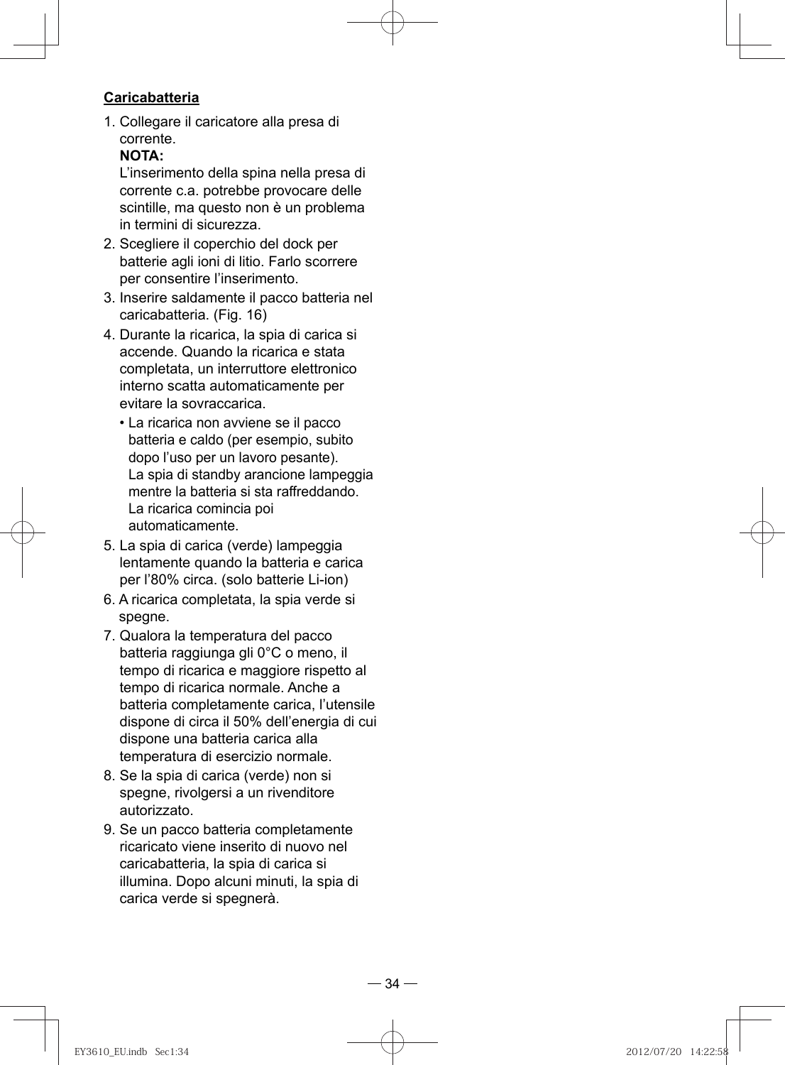#### **Caricabatteria**

1. Collegare il caricatore alla presa di corrente.

### **NOTA:**

L'inserimento della spina nella presa di corrente c.a. potrebbe provocare delle scintille, ma questo non è un problema in termini di sicurezza.

- 2. Scegliere il coperchio del dock per batterie agli ioni di litio. Farlo scorrere per consentire l'inserimento.
- 3. Inserire saldamente il pacco batteria nel caricabatteria. (Fig. 16)
- 4. Durante la ricarica, la spia di carica si accende. Quando la ricarica e stata completata, un interruttore elettronico interno scatta automaticamente per evitare la sovraccarica.
	- La ricarica non avviene se il pacco batteria e caldo (per esempio, subito dopo l'uso per un lavoro pesante). La spia di standby arancione lampeggia mentre la batteria si sta raffreddando. La ricarica comincia poi automaticamente.
- 5. La spia di carica (verde) lampeggia lentamente quando la batteria e carica per l'80% circa. (solo batterie Li-ion)
- 6. A ricarica completata, la spia verde si spegne.
- 7. Qualora la temperatura del pacco batteria raggiunga gli 0°C o meno, il tempo di ricarica e maggiore rispetto al tempo di ricarica normale. Anche a batteria completamente carica, l'utensile dispone di circa il 50% dell'energia di cui dispone una batteria carica alla temperatura di esercizio normale.
- 8. Se la spia di carica (verde) non si spegne, rivolgersi a un rivenditore autorizzato.
- 9. Se un pacco batteria completamente ricaricato viene inserito di nuovo nel caricabatteria, la spia di carica si illumina. Dopo alcuni minuti, la spia di carica verde si spegnerà.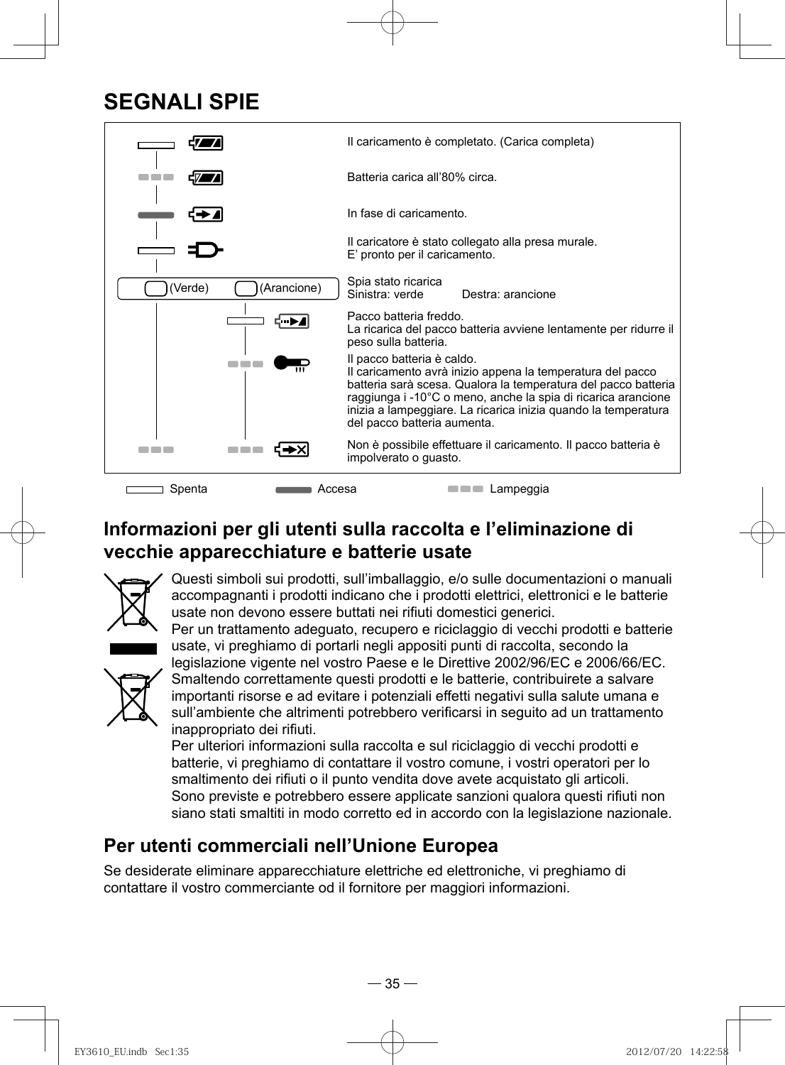## **SEGNALI SPIE**



## **Informazioni per gli utenti sulla raccolta e l'eliminazione di vecchie apparecchiature e batterie usate**



Questi simboli sui prodotti, sull'imballaggio, e/o sulle documentazioni o manuali accompagnanti i prodotti indicano che i prodotti elettrici, elettronici e le batterie usate non devono essere buttati nei rifiuti domestici generici.

Per un trattamento adeguato, recupero e riciclaggio di vecchi prodotti e batterie usate, vi preghiamo di portarli negli appositi punti di raccolta, secondo la



legislazione vigente nel vostro Paese e le Direttive 2002/96/EC e 2006/66/EC. Smaltendo correttamente questi prodotti e le batterie, contribuirete a salvare importanti risorse e ad evitare i potenziali effetti negativi sulla salute umana e sull'ambiente che altrimenti potrebbero verificarsi in seguito ad un trattamento inappropriato dei rifiuti.

Per ulteriori informazioni sulla raccolta e sul riciclaggio di vecchi prodotti e batterie, vi preghiamo di contattare il vostro comune, i vostri operatori per lo smaltimento dei rifiuti o il punto vendita dove avete acquistato gli articoli. Sono previste e potrebbero essere applicate sanzioni qualora questi rifiuti non siano stati smaltiti in modo corretto ed in accordo con la legislazione nazionale.

### **Per utenti commerciali nell'Unione Europea**

Se desiderate eliminare apparecchiature elettriche ed elettroniche, vi preghiamo di contattare il vostro commerciante od il fornitore per maggiori informazioni.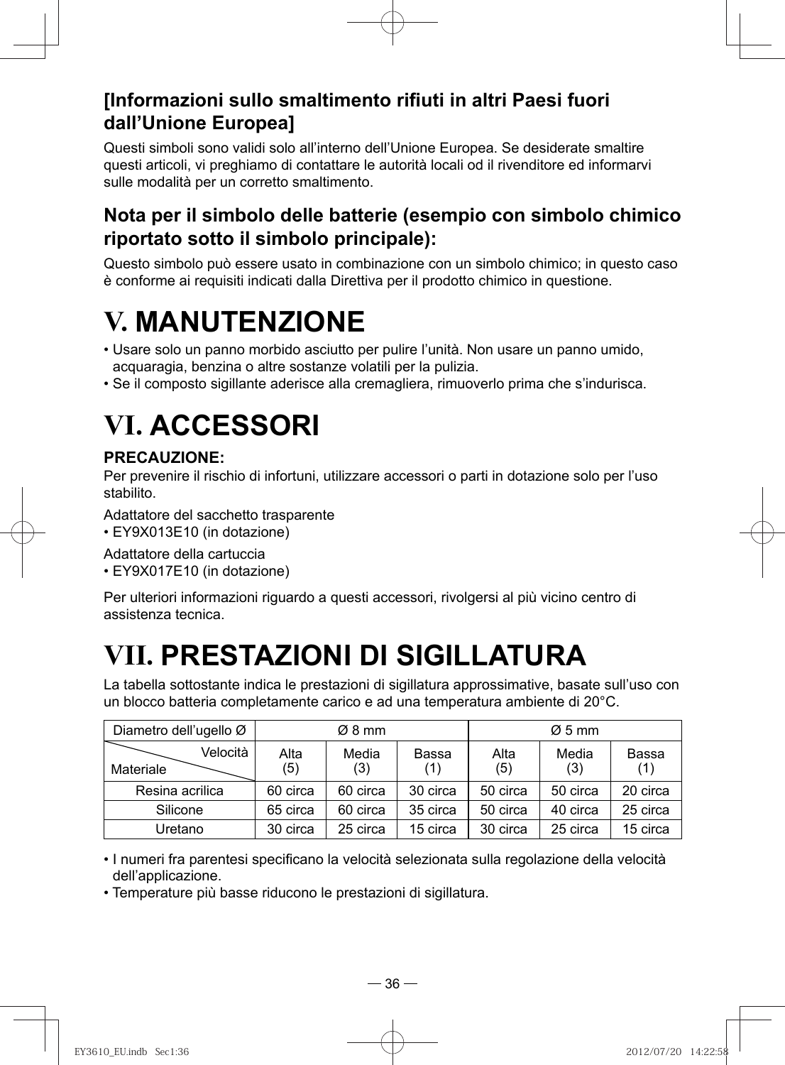## **[Informazioni sullo smaltimento rifiuti in altri Paesi fuori dall'Unione Europea]**

Questi simboli sono validi solo all'interno dell'Unione Europea. Se desiderate smaltire questi articoli, vi preghiamo di contattare le autorità locali od il rivenditore ed informarvi sulle modalità per un corretto smaltimento.

### **Nota per il simbolo delle batterie (esempio con simbolo chimico riportato sotto il simbolo principale):**

Questo simbolo può essere usato in combinazione con un simbolo chimico; in questo caso è conforme ai requisiti indicati dalla Direttiva per il prodotto chimico in questione.

# **V. MANUTENZIONE**

- Usare solo un panno morbido asciutto per pulire l'unità. Non usare un panno umido, acquaragia, benzina o altre sostanze volatili per la pulizia.
- Se il composto sigillante aderisce alla cremagliera, rimuoverlo prima che s'indurisca.

# **VI. ACCESSORI**

### **PRECAUZIONE:**

Per prevenire il rischio di infortuni, utilizzare accessori o parti in dotazione solo per l'uso stabilito.

Adattatore del sacchetto trasparente

• EY9X013E10 (in dotazione)

Adattatore della cartuccia

• EY9X017E10 (in dotazione)

Per ulteriori informazioni riguardo a questi accessori, rivolgersi al più vicino centro di assistenza tecnica.

# **VII. PRESTAZIONI DI SIGILLATURA**

La tabella sottostante indica le prestazioni di sigillatura approssimative, basate sull'uso con un blocco batteria completamente carico e ad una temperatura ambiente di 20°C.

| Diametro dell'ugello Ø |             | $\varnothing$ 8 mm |              |             | $\varnothing$ 5 mm |              |
|------------------------|-------------|--------------------|--------------|-------------|--------------------|--------------|
| Velocità<br>Materiale  | Alta<br>(5) | Media<br>(3)       | Bassa<br>(1) | Alta<br>(5) | Media<br>(3)       | Bassa<br>(1) |
| Resina acrilica        | 60 circa    | 60 circa           | 30 circa     | 50 circa    | 50 circa           | 20 circa     |
| Silicone               | 65 circa    | 60 circa           | 35 circa     | 50 circa    | 40 circa           | 25 circa     |
| Uretano                | 30 circa    | 25 circa           | 15 circa     | 30 circa    | 25 circa           | 15 circa     |

• I numeri fra parentesi specificano la velocità selezionata sulla regolazione della velocità dell'applicazione.

• Temperature più basse riducono le prestazioni di sigillatura.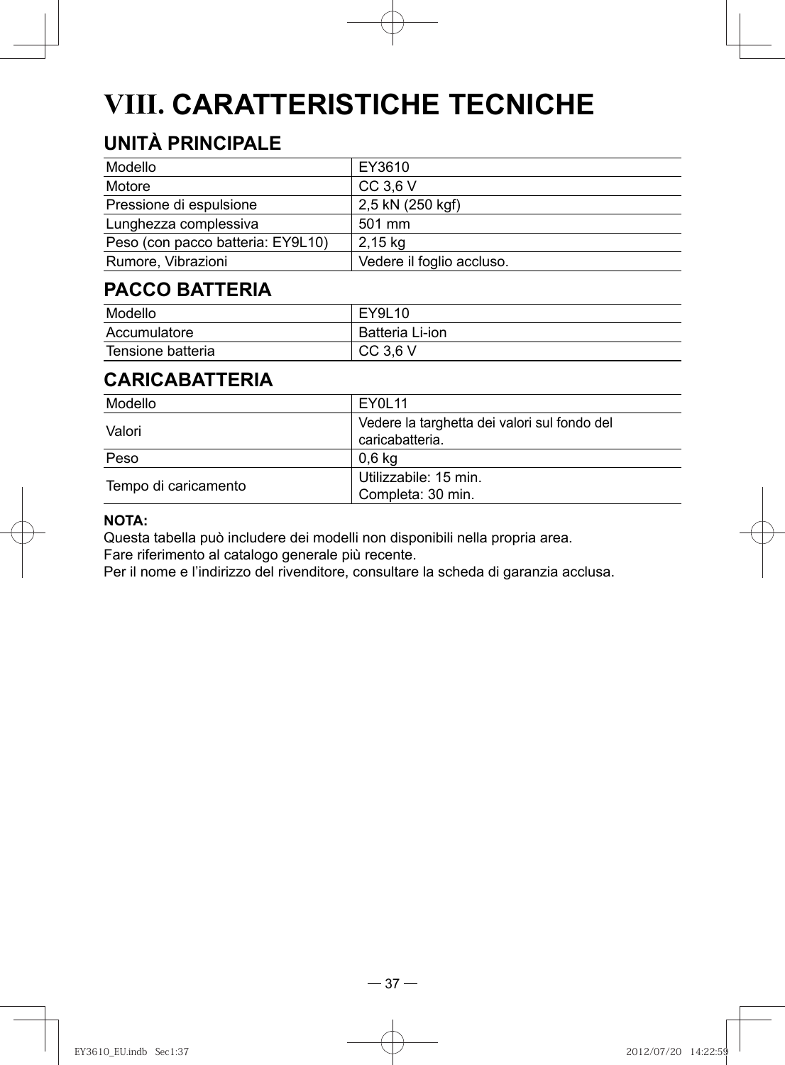# **VIII. CARATTERISTICHE TECNICHE**

## **UNITÀ PRINCIPALE**

| Modello                           | EY3610                    |
|-----------------------------------|---------------------------|
| Motore                            | CC 3.6 V                  |
| Pressione di espulsione           | 2,5 kN (250 kgf)          |
| Lunghezza complessiva             | 501 mm                    |
| Peso (con pacco batteria: EY9L10) | 2,15 kg                   |
| Rumore, Vibrazioni                | Vedere il foglio accluso. |

### **PACCO BATTERIA**

| Modello           | EY9L10          |
|-------------------|-----------------|
| Accumulatore      | Batteria Li-ion |
| Tensione batteria | $CC$ 3.6 V      |

## **CARICABATTERIA**

| Modello              | EY0L11                                                          |
|----------------------|-----------------------------------------------------------------|
| Valori               | Vedere la targhetta dei valori sul fondo del<br>caricabatteria. |
| Peso                 | 0.6 kg                                                          |
| Tempo di caricamento | Utilizzabile: 15 min.<br>Completa: 30 min.                      |

#### **NOTA:**

Questa tabella può includere dei modelli non disponibili nella propria area. Fare riferimento al catalogo generale più recente.

Per il nome e l'indirizzo del rivenditore, consultare la scheda di garanzia acclusa.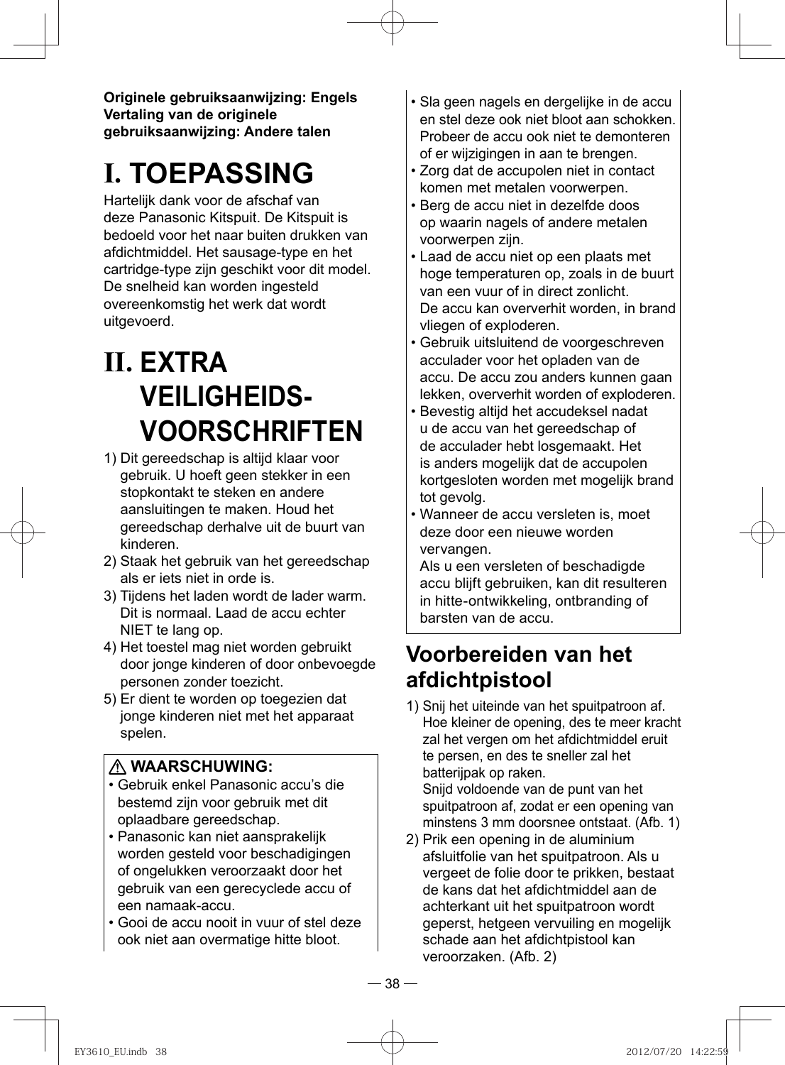**Originele gebruiksaanwijzing: Engels Vertaling van de originele gebruiksaanwijzing: Andere talen**

# **I. TOEPASSING**

Hartelijk dank voor de afschaf van deze Panasonic Kitspuit. De Kitspuit is bedoeld voor het naar buiten drukken van afdichtmiddel. Het sausage-type en het cartridge-type zijn geschikt voor dit model. De snelheid kan worden ingesteld overeenkomstig het werk dat wordt uitgevoerd.

# **II. EXTRA VEILIGHEIDS-VOORSCHRIFTEN**

- 1) Dit gereedschap is altijd klaar voor gebruik. U hoeft geen stekker in een stopkontakt te steken en andere aansluitingen te maken. Houd het gereedschap derhalve uit de buurt van kinderen.
- 2) Staak het gebruik van het gereedschap als er iets niet in orde is.
- 3) Tijdens het laden wordt de lader warm. Dit is normaal. Laad de accu echter NIET te lang op.
- 4) Het toestel mag niet worden gebruikt door jonge kinderen of door onbevoegde personen zonder toezicht.
- 5) Er dient te worden op toegezien dat jonge kinderen niet met het apparaat spelen.

#### **WAARSCHUWING:**

- Gebruik enkel Panasonic accu's die bestemd zijn voor gebruik met dit oplaadbare gereedschap.
- Panasonic kan niet aansprakelijk worden gesteld voor beschadigingen of ongelukken veroorzaakt door het gebruik van een gerecyclede accu of een namaak-accu.
- Gooi de accu nooit in vuur of stel deze ook niet aan overmatige hitte bloot.
- Sla geen nagels en dergelijke in de accu en stel deze ook niet bloot aan schokken. Probeer de accu ook niet te demonteren of er wijzigingen in aan te brengen.
- Zorg dat de accupolen niet in contact komen met metalen voorwerpen.
- Berg de accu niet in dezelfde doos op waarin nagels of andere metalen voorwerpen zijn.
- Laad de accu niet op een plaats met hoge temperaturen op, zoals in de buurt van een vuur of in direct zonlicht. De accu kan oververhit worden, in brand vliegen of exploderen.
- Gebruik uitsluitend de voorgeschreven acculader voor het opladen van de accu. De accu zou anders kunnen gaan lekken, oververhit worden of exploderen.
- Bevestig altijd het accudeksel nadat u de accu van het gereedschap of de acculader hebt losgemaakt. Het is anders mogelijk dat de accupolen kortgesloten worden met mogelijk brand tot gevolg.
- Wanneer de accu versleten is, moet deze door een nieuwe worden vervangen.

Als u een versleten of beschadigde accu blijft gebruiken, kan dit resulteren in hitte-ontwikkeling, ontbranding of barsten van de accu.

## **Voorbereiden van het afdichtpistool**

- 1) Snij het uiteinde van het spuitpatroon af. Hoe kleiner de opening, des te meer kracht zal het vergen om het afdichtmiddel eruit te persen, en des te sneller zal het batterijpak op raken. Snijd voldoende van de punt van het spuitpatroon af, zodat er een opening van minstens 3 mm doorsnee ontstaat. (Afb. 1)
- 2) Prik een opening in de aluminium afsluitfolie van het spuitpatroon. Als u vergeet de folie door te prikken, bestaat de kans dat het afdichtmiddel aan de achterkant uit het spuitpatroon wordt geperst, hetgeen vervuiling en mogelijk schade aan het afdichtpistool kan veroorzaken. (Afb. 2)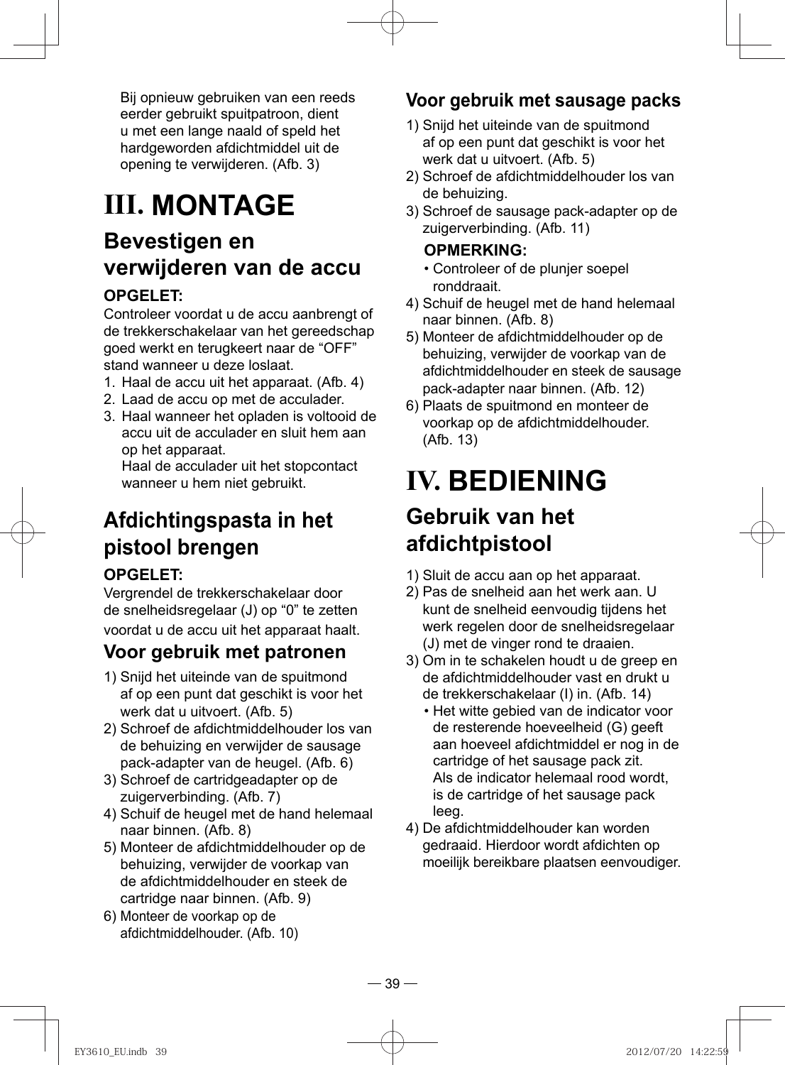Bij opnieuw gebruiken van een reeds eerder gebruikt spuitpatroon, dient u met een lange naald of speld het hardgeworden afdichtmiddel uit de opening te verwijderen. (Afb. 3)

# **III. MONTAGE**

## **Bevestigen en verwijderen van de accu**

### **OPGELET:**

Controleer voordat u de accu aanbrengt of de trekkerschakelaar van het gereedschap goed werkt en terugkeert naar de "OFF" stand wanneer u deze loslaat.

- 1. Haal de accu uit het apparaat. (Afb. 4)
- 2. Laad de accu op met de acculader.
- 3. Haal wanneer het opladen is voltooid de accu uit de acculader en sluit hem aan op het apparaat.

Haal de acculader uit het stopcontact wanneer u hem niet gebruikt.

## **Afdichtingspasta in het pistool brengen OPGELET:**

Vergrendel de trekkerschakelaar door de snelheidsregelaar (J) op "0" te zetten voordat u de accu uit het apparaat haalt.

### **Voor gebruik met patronen**

- 1) Snijd het uiteinde van de spuitmond af op een punt dat geschikt is voor het werk dat u uitvoert. (Afb. 5)
- 2) Schroef de afdichtmiddelhouder los van de behuizing en verwijder de sausage pack-adapter van de heugel. (Afb. 6)
- 3) Schroef de cartridgeadapter op de zuigerverbinding. (Afb. 7)
- 4) Schuif de heugel met de hand helemaal naar binnen. (Afb. 8)
- 5) Monteer de afdichtmiddelhouder op de behuizing, verwijder de voorkap van de afdichtmiddelhouder en steek de cartridge naar binnen. (Afb. 9)
- 6) Monteer de voorkap op de afdichtmiddelhouder. (Afb. 10)

### **Voor gebruik met sausage packs**

- 1) Snijd het uiteinde van de spuitmond af op een punt dat geschikt is voor het werk dat u uitvoert. (Afb. 5)
- 2) Schroef de afdichtmiddelhouder los van de behuizing.
- 3) Schroef de sausage pack-adapter op de zuigerverbinding. (Afb. 11)

#### **OPMERKING:**

- Controleer of de plunjer soepel ronddraait.
- 4) Schuif de heugel met de hand helemaal naar binnen. (Afb. 8)
- 5) Monteer de afdichtmiddelhouder op de behuizing, verwijder de voorkap van de afdichtmiddelhouder en steek de sausage pack-adapter naar binnen. (Afb. 12)
- 6) Plaats de spuitmond en monteer de voorkap op de afdichtmiddelhouder. (Afb. 13)

## **IV. BEDIENING Gebruik van het afdichtpistool**

- 1) Sluit de accu aan op het apparaat.
- 2) Pas de snelheid aan het werk aan. U kunt de snelheid eenvoudig tijdens het werk regelen door de snelheidsregelaar (J) met de vinger rond te draaien.
- 3) Om in te schakelen houdt u de greep en de afdichtmiddelhouder vast en drukt u de trekkerschakelaar (I) in. (Afb. 14)
	- Het witte gebied van de indicator voor de resterende hoeveelheid (G) geeft aan hoeveel afdichtmiddel er nog in de cartridge of het sausage pack zit. Als de indicator helemaal rood wordt, is de cartridge of het sausage pack leeg.
- 4) De afdichtmiddelhouder kan worden gedraaid. Hierdoor wordt afdichten op moeilijk bereikbare plaatsen eenvoudiger.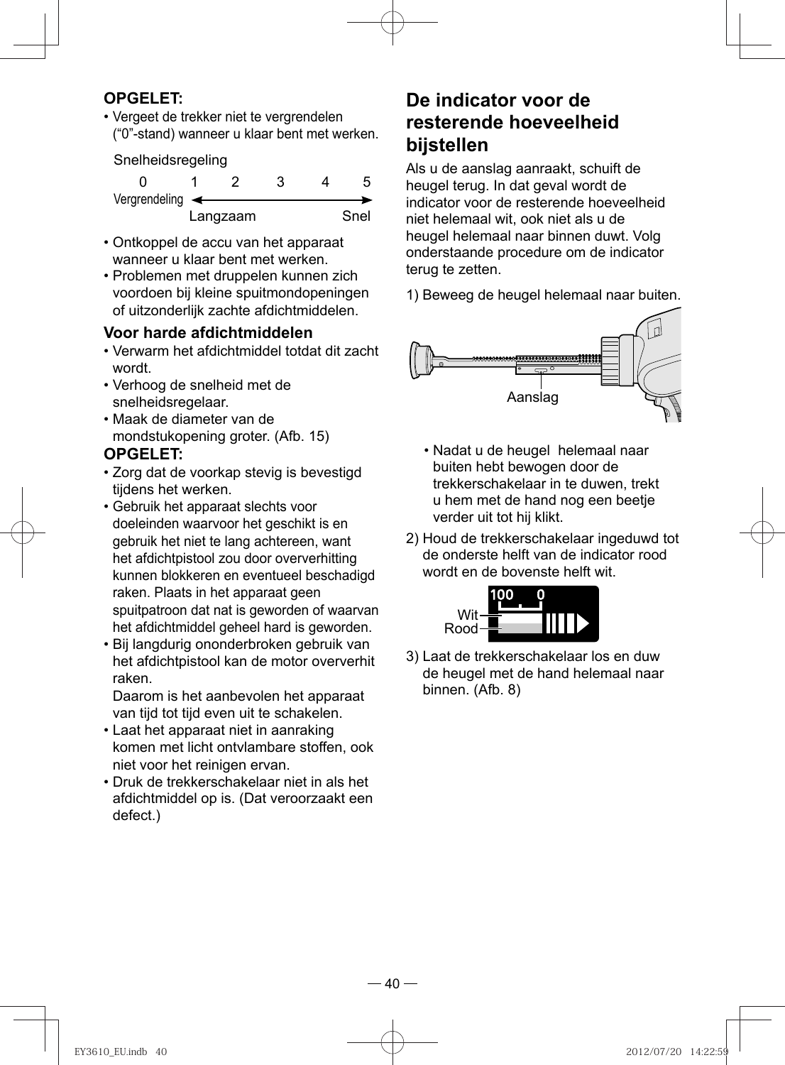#### **OPGELET:**

• Vergeet de trekker niet te vergrendelen ("0"-stand) wanneer u klaar bent met werken.

Snelheidsregeling

| Vergrendeling $\leftarrow$ |          |  |      |
|----------------------------|----------|--|------|
|                            | Langzaam |  | Snel |

- Ontkoppel de accu van het apparaat wanneer u klaar bent met werken.
- Problemen met druppelen kunnen zich voordoen bij kleine spuitmondopeningen of uitzonderlijk zachte afdichtmiddelen.

#### **Voor harde afdichtmiddelen**

- Verwarm het afdichtmiddel totdat dit zacht wordt.
- Verhoog de snelheid met de snelheidsregelaar.
- Maak de diameter van de mondstukopening groter. (Afb. 15)

#### **OPGELET:**

- Zorg dat de voorkap stevig is bevestigd tijdens het werken.
- Gebruik het apparaat slechts voor doeleinden waarvoor het geschikt is en gebruik het niet te lang achtereen, want het afdichtpistool zou door oververhitting kunnen blokkeren en eventueel beschadigd raken. Plaats in het apparaat geen spuitpatroon dat nat is geworden of waarvan het afdichtmiddel geheel hard is geworden.
- Bij langdurig ononderbroken gebruik van het afdichtpistool kan de motor oververhit raken.

Daarom is het aanbevolen het apparaat van tijd tot tijd even uit te schakelen.

- Laat het apparaat niet in aanraking komen met licht ontvlambare stoffen, ook niet voor het reinigen ervan.
- Druk de trekkerschakelaar niet in als het afdichtmiddel op is. (Dat veroorzaakt een defect.)

### **De indicator voor de resterende hoeveelheid bijstellen**

Als u de aanslag aanraakt, schuift de heugel terug. In dat geval wordt de indicator voor de resterende hoeveelheid niet helemaal wit, ook niet als u de heugel helemaal naar binnen duwt. Volg onderstaande procedure om de indicator terug te zetten.

1) Beweeg de heugel helemaal naar buiten.



- Nadat u de heugel helemaal naar buiten hebt bewogen door de trekkerschakelaar in te duwen, trekt u hem met de hand nog een beetje verder uit tot hij klikt.
- 2) Houd de trekkerschakelaar ingeduwd tot de onderste helft van de indicator rood wordt en de bovenste helft wit.



3) Laat de trekkerschakelaar los en duw de heugel met de hand helemaal naar binnen. (Afb. 8)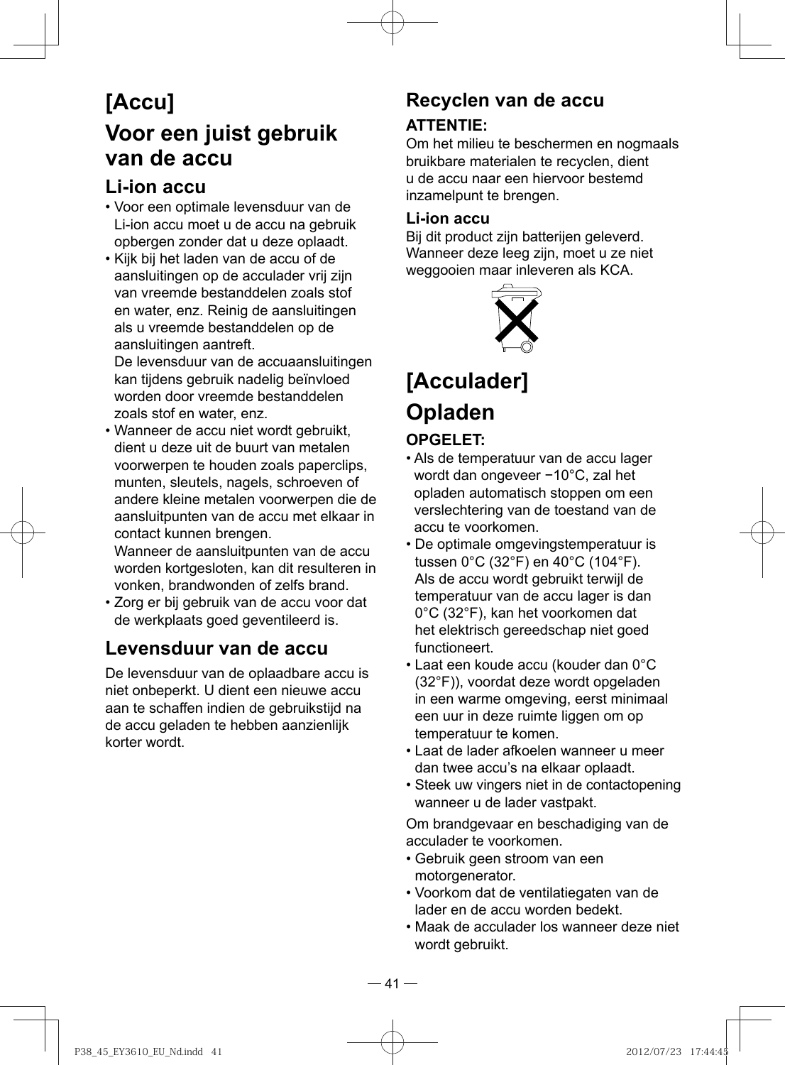## **[Accu] Voor een juist gebruik van de accu**

### **Li-ion accu**

- Voor een optimale levensduur van de Li-ion accu moet u de accu na gebruik opbergen zonder dat u deze oplaadt.
- Kijk bij het laden van de accu of de aansluitingen op de acculader vrij zijn van vreemde bestanddelen zoals stof en water, enz. Reinig de aansluitingen als u vreemde bestanddelen op de aansluitingen aantreft.

De levensduur van de accuaansluitingen kan tijdens gebruik nadelig beïnvloed worden door vreemde bestanddelen zoals stof en water, enz.

• Wanneer de accu niet wordt gebruikt, dient u deze uit de buurt van metalen voorwerpen te houden zoals paperclips, munten, sleutels, nagels, schroeven of andere kleine metalen voorwerpen die de aansluitpunten van de accu met elkaar in contact kunnen brengen.

Wanneer de aansluitpunten van de accu worden kortgesloten, kan dit resulteren in vonken, brandwonden of zelfs brand.

• Zorg er bij gebruik van de accu voor dat de werkplaats goed geventileerd is.

## **Levensduur van de accu**

De levensduur van de oplaadbare accu is niet onbeperkt. U dient een nieuwe accu aan te schaffen indien de gebruikstijd na de accu geladen te hebben aanzienlijk korter wordt.

## **Recyclen van de accu**

#### **ATTENTIE:**

Om het milieu te beschermen en nogmaals bruikbare materialen te recyclen, dient u de accu naar een hiervoor bestemd inzamelpunt te brengen.

#### **Li-ion accu**

Bij dit product zijn batterijen geleverd. Wanneer deze leeg zijn, moet u ze niet weggooien maar inleveren als KCA.



## **[Acculader] Opladen**

#### **OPGELET:**

- Als de temperatuur van de accu lager wordt dan ongeveer −10°C, zal het opladen automatisch stoppen om een verslechtering van de toestand van de accu te voorkomen.
- De optimale omgevingstemperatuur is tussen 0°C (32°F) en 40°C (104°F). Als de accu wordt gebruikt terwijl de temperatuur van de accu lager is dan 0°C (32°F), kan het voorkomen dat het elektrisch gereedschap niet goed functioneert.
- Laat een koude accu (kouder dan 0°C (32°F)), voordat deze wordt opgeladen in een warme omgeving, eerst minimaal een uur in deze ruimte liggen om op temperatuur te komen.
- Laat de lader afkoelen wanneer u meer dan twee accu's na elkaar oplaadt.
- Steek uw vingers niet in de contactopening wanneer u de lader vastpakt.

Om brandgevaar en beschadiging van de acculader te voorkomen.

- Gebruik geen stroom van een motorgenerator.
- Voorkom dat de ventilatiegaten van de lader en de accu worden bedekt.
- Maak de acculader los wanneer deze niet wordt gebruikt.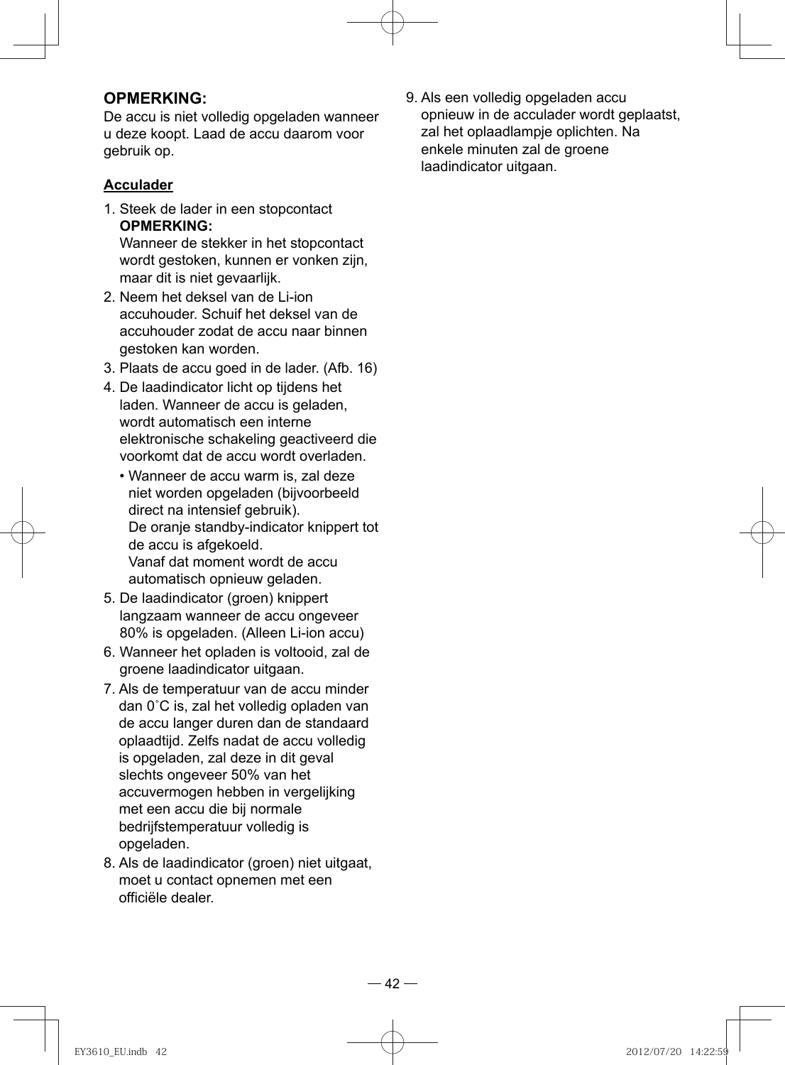#### **OPMERKING:**

De accu is niet volledig opgeladen wanneer u deze koopt. Laad de accu daarom voor gebruik op.

#### **Acculader**

1. Steek de lader in een stopcontact **OPMERKING:** 

Wanneer de stekker in het stopcontact wordt gestoken, kunnen er vonken zijn, maar dit is niet gevaarlijk.

- 2. Neem het deksel van de Li-ion accuhouder. Schuif het deksel van de accuhouder zodat de accu naar binnen gestoken kan worden.
- 3. Plaats de accu goed in de lader. (Afb. 16)
- 4. De laadindicator licht op tijdens het laden. Wanneer de accu is geladen, wordt automatisch een interne elektronische schakeling geactiveerd die voorkomt dat de accu wordt overladen.
	- Wanneer de accu warm is, zal deze niet worden opgeladen (bijvoorbeeld direct na intensief gebruik). De oranje standby-indicator knippert tot de accu is afgekoeld. Vanaf dat moment wordt de accu automatisch opnieuw geladen.
- 5. De laadindicator (groen) knippert langzaam wanneer de accu ongeveer 80% is opgeladen. (Alleen Li-ion accu)
- 6. Wanneer het opladen is voltooid, zal de groene laadindicator uitgaan.
- 7. Als de temperatuur van de accu minder dan 0˚C is, zal het volledig opladen van de accu langer duren dan de standaard oplaadtijd. Zelfs nadat de accu volledig is opgeladen, zal deze in dit geval slechts ongeveer 50% van het accuvermogen hebben in vergelijking met een accu die bij normale bedrijfstemperatuur volledig is opgeladen.
- 8. Als de laadindicator (groen) niet uitgaat, moet u contact opnemen met een officiële dealer.

9. Als een volledig opgeladen accu opnieuw in de acculader wordt geplaatst, zal het oplaadlampje oplichten. Na enkele minuten zal de groene laadindicator uitgaan.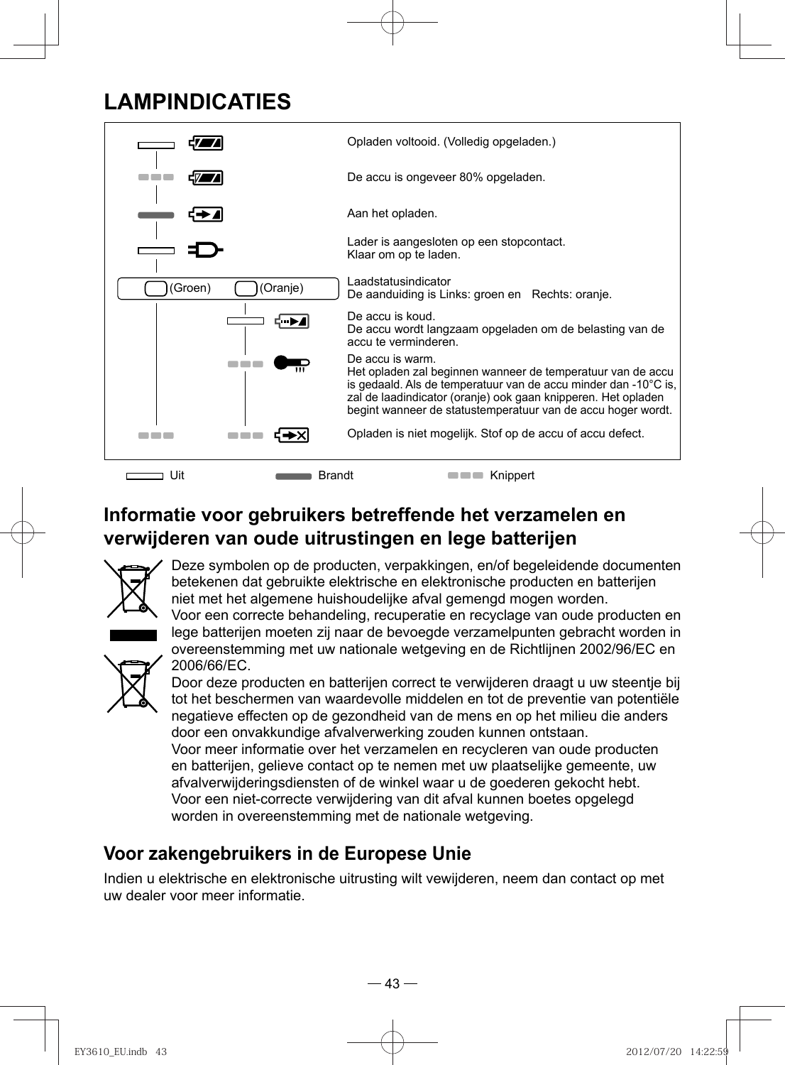## **LAMPINDICATIES**



## **Informatie voor gebruikers betreffende het verzamelen en verwijderen van oude uitrustingen en lege batterijen**



Deze symbolen op de producten, verpakkingen, en/of begeleidende documenten betekenen dat gebruikte elektrische en elektronische producten en batterijen niet met het algemene huishoudelijke afval gemengd mogen worden. Voor een correcte behandeling, recuperatie en recyclage van oude producten en

lege batterijen moeten zij naar de bevoegde verzamelpunten gebracht worden in overeenstemming met uw nationale wetgeving en de Richtlijnen 2002/96/EC en 2006/66/EC.



Door deze producten en batterijen correct te verwijderen draagt u uw steentje bij tot het beschermen van waardevolle middelen en tot de preventie van potentiële negatieve effecten op de gezondheid van de mens en op het milieu die anders door een onvakkundige afvalverwerking zouden kunnen ontstaan. Voor meer informatie over het verzamelen en recycleren van oude producten en batterijen, gelieve contact op te nemen met uw plaatselijke gemeente, uw afvalverwijderingsdiensten of de winkel waar u de goederen gekocht hebt.

Voor een niet-correcte verwijdering van dit afval kunnen boetes opgelegd worden in overeenstemming met de nationale wetgeving.

## **Voor zakengebruikers in de Europese Unie**

Indien u elektrische en elektronische uitrusting wilt vewijderen, neem dan contact op met uw dealer voor meer informatie.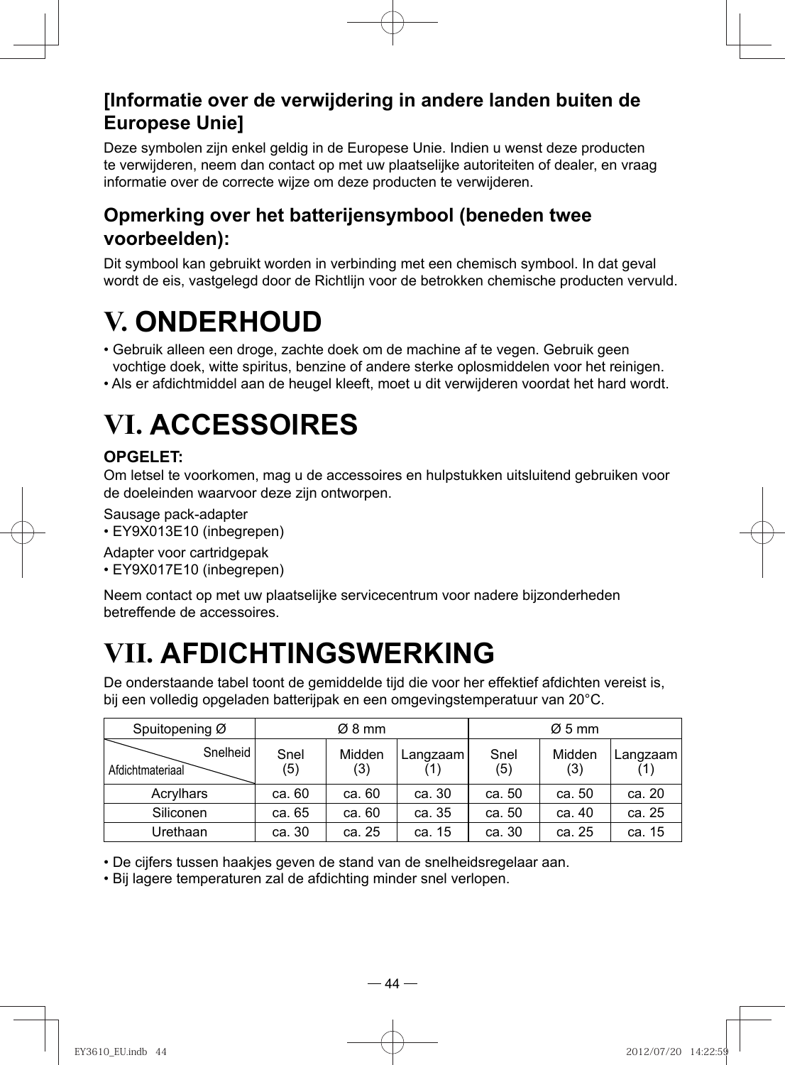## **[Informatie over de verwijdering in andere landen buiten de Europese Unie]**

Deze symbolen zijn enkel geldig in de Europese Unie. Indien u wenst deze producten te verwijderen, neem dan contact op met uw plaatselijke autoriteiten of dealer, en vraag informatie over de correcte wijze om deze producten te verwijderen.

### **Opmerking over het batterijensymbool (beneden twee voorbeelden):**

Dit symbool kan gebruikt worden in verbinding met een chemisch symbool. In dat geval wordt de eis, vastgelegd door de Richtlijn voor de betrokken chemische producten vervuld.

# **V. ONDERHOUD**

- Gebruik alleen een droge, zachte doek om de machine af te vegen. Gebruik geen vochtige doek, witte spiritus, benzine of andere sterke oplosmiddelen voor het reinigen.
- Als er afdichtmiddel aan de heugel kleeft, moet u dit verwijderen voordat het hard wordt.

# **VI. ACCESSOIRES**

#### **OPGELET:**

Om letsel te voorkomen, mag u de accessoires en hulpstukken uitsluitend gebruiken voor de doeleinden waarvoor deze zijn ontworpen.

Sausage pack-adapter

- EY9X013E10 (inbegrepen)
- Adapter voor cartridgepak
- EY9X017E10 (inbegrepen)

Neem contact op met uw plaatselijke servicecentrum voor nadere bijzonderheden betreffende de accessoires.

# **VII. AFDICHTINGSWERKING**

De onderstaande tabel toont de gemiddelde tijd die voor her effektief afdichten vereist is, bij een volledig opgeladen batterijpak en een omgevingstemperatuur van 20°C.

| Spuitopening Ø               |             | Ø8 mm         |          |             | $\varnothing$ 5 mm |          |
|------------------------------|-------------|---------------|----------|-------------|--------------------|----------|
| Snelheid<br>Afdichtmateriaal | Snel<br>(5) | Midden<br>(3) | Langzaam | Snel<br>(5) | Midden<br>(3)      | Langzaam |
| Acrylhars                    | ca. 60      | ca. 60        | ca. 30   | ca. 50      | ca. 50             | ca. 20   |
| Siliconen                    | ca. 65      | ca. 60        | ca. 35   | ca. 50      | ca. 40             | ca. 25   |
| Urethaan                     | ca. 30      | ca. 25        | ca. 15   | ca. 30      | ca. 25             | ca. 15   |

• De cijfers tussen haakjes geven de stand van de snelheidsregelaar aan.

• Bij lagere temperaturen zal de afdichting minder snel verlopen.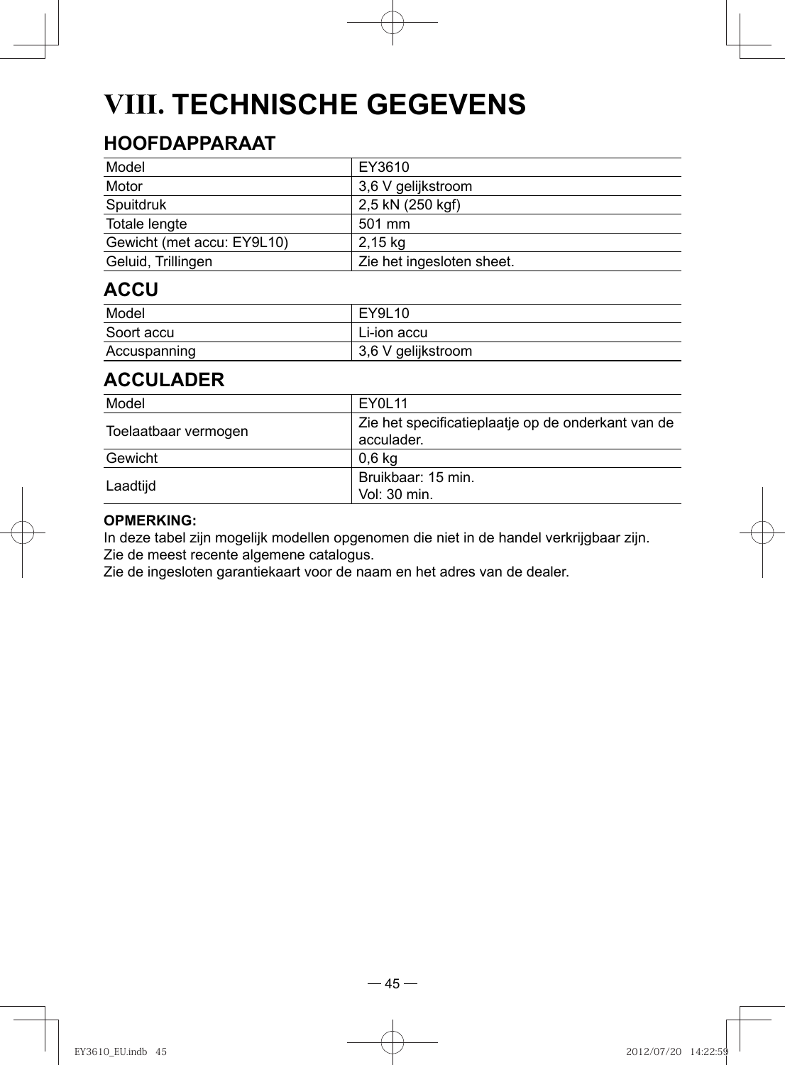# **VIII. TECHNISCHE GEGEVENS**

## **HOOFDAPPARAAT**

| Model                      | EY3610                    |
|----------------------------|---------------------------|
| Motor                      | 3,6 V gelijkstroom        |
| Spuitdruk                  | 2,5 kN (250 kgf)          |
| Totale lengte              | 501 mm                    |
| Gewicht (met accu: EY9L10) | 2,15 kg                   |
| Geluid, Trillingen         | Zie het ingesloten sheet. |

### **ACCU**

| Model        | EY9L10                            |
|--------------|-----------------------------------|
| Soort accu   | Li-ion accu                       |
| Accuspanning | <sup>∣</sup> 3,6 V gelijkstroom i |

### **ACCULADER**

| Model                | EY0L11                                                           |
|----------------------|------------------------------------------------------------------|
| Toelaatbaar vermogen | Zie het specificatieplaatje op de onderkant van de<br>acculader. |
| Gewicht              | 0.6 kg                                                           |
| Laadtijd             | Bruikbaar: 15 min.<br>Vol: 30 min.                               |

#### **OPMERKING:**

In deze tabel zijn mogelijk modellen opgenomen die niet in de handel verkrijgbaar zijn. Zie de meest recente algemene catalogus.

Zie de ingesloten garantiekaart voor de naam en het adres van de dealer.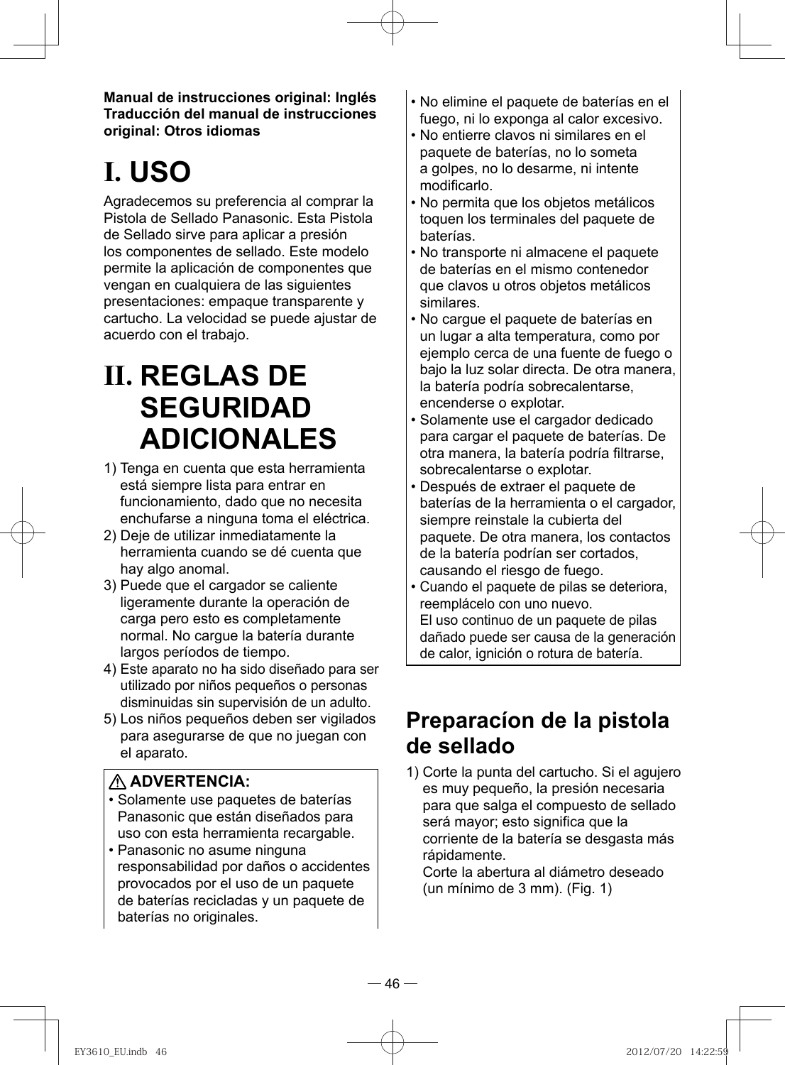**Manual de instrucciones original: Inglés Traducción del manual de instrucciones original: Otros idiomas**

# **I. USO**

Agradecemos su preferencia al comprar la Pistola de Sellado Panasonic. Esta Pistola de Sellado sirve para aplicar a presión los componentes de sellado. Este modelo permite la aplicación de componentes que vengan en cualquiera de las siguientes presentaciones: empaque transparente y cartucho. La velocidad se puede ajustar de acuerdo con el trabajo.

## **II. REGLAS DE SEGURIDAD ADICIONALES**

- 1) Tenga en cuenta que esta herramienta está siempre lista para entrar en funcionamiento, dado que no necesita enchufarse a ninguna toma el eléctrica.
- 2) Deje de utilizar inmediatamente la herramienta cuando se dé cuenta que hay algo anomal.
- 3) Puede que el cargador se caliente ligeramente durante la operación de carga pero esto es completamente normal. No cargue la batería durante largos períodos de tiempo.
- 4) Este aparato no ha sido diseñado para ser utilizado por niños pequeños o personas disminuidas sin supervisión de un adulto.
- 5) Los niños pequeños deben ser vigilados para asegurarse de que no juegan con el aparato.

#### **ADVERTENCIA:**

- Solamente use paquetes de baterías Panasonic que están diseñados para uso con esta herramienta recargable.
- Panasonic no asume ninguna responsabilidad por daños o accidentes provocados por el uso de un paquete de baterías recicladas y un paquete de baterías no originales.
- No elimine el paquete de baterías en el fuego, ni lo exponga al calor excesivo.
- No entierre clavos ni similares en el paquete de baterías, no lo someta a golpes, no lo desarme, ni intente modificarlo.
- No permita que los objetos metálicos toquen los terminales del paquete de baterías.
- No transporte ni almacene el paquete de baterías en el mismo contenedor que clavos u otros objetos metálicos similares.
- No cargue el paquete de baterías en un lugar a alta temperatura, como por ejemplo cerca de una fuente de fuego o bajo la luz solar directa. De otra manera, la batería podría sobrecalentarse, encenderse o explotar.
- Solamente use el cargador dedicado para cargar el paquete de baterías. De otra manera, la batería podría filtrarse, sobrecalentarse o explotar.
- Después de extraer el paquete de baterías de la herramienta o el cargador, siempre reinstale la cubierta del paquete. De otra manera, los contactos de la batería podrían ser cortados, causando el riesgo de fuego.
- Cuando el paquete de pilas se deteriora, reemplácelo con uno nuevo. El uso continuo de un paquete de pilas dañado puede ser causa de la generación de calor, ignición o rotura de batería.

## **Preparacíon de la pistola de sellado**

1) Corte la punta del cartucho. Si el agujero es muy pequeño, la presión necesaria para que salga el compuesto de sellado será mayor; esto significa que la corriente de la batería se desgasta más rápidamente.

Corte la abertura al diámetro deseado (un mínimo de 3 mm). (Fig. 1)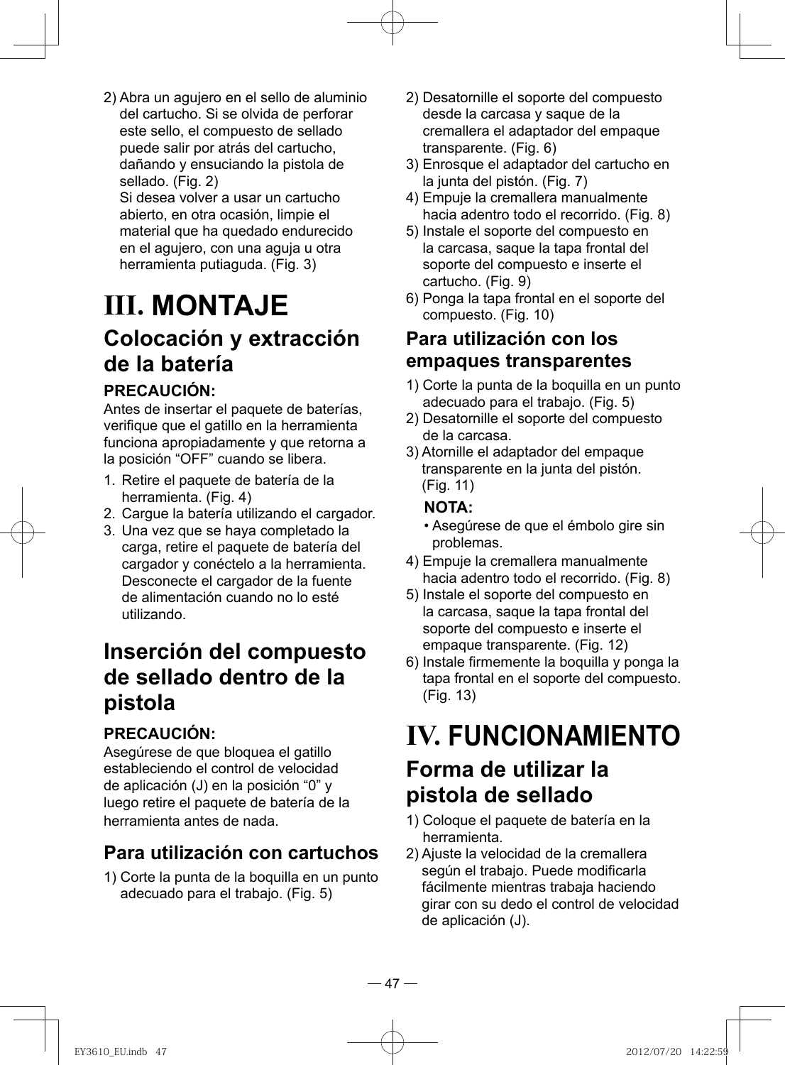2) Abra un agujero en el sello de aluminio del cartucho. Si se olvida de perforar este sello, el compuesto de sellado puede salir por atrás del cartucho, dañando y ensuciando la pistola de sellado. (Fig. 2)

Si desea volver a usar un cartucho abierto, en otra ocasión, limpie el material que ha quedado endurecido en el agujero, con una aguja u otra herramienta putiaguda. (Fig. 3)

## **III. MONTAJE Colocación y extracción de la batería**

#### **PRECAUCIÓN:**

Antes de insertar el paquete de baterías, verifique que el gatillo en la herramienta funciona apropiadamente y que retorna a la posición "OFF" cuando se libera.

- 1. Retire el paquete de batería de la herramienta. (Fig. 4)
- 2. Cargue la batería utilizando el cargador.
- 3. Una vez que se haya completado la carga, retire el paquete de batería del cargador y conéctelo a la herramienta. Desconecte el cargador de la fuente de alimentación cuando no lo esté utilizando.

## **Inserción del compuesto de sellado dentro de la pistola**

### **PRECAUCIÓN:**

Asegúrese de que bloquea el gatillo estableciendo el control de velocidad de aplicación (J) en la posición "0" y luego retire el paquete de batería de la herramienta antes de nada.

## **Para utilización con cartuchos**

1) Corte la punta de la boquilla en un punto adecuado para el trabajo. (Fig. 5)

- 2) Desatornille el soporte del compuesto desde la carcasa y saque de la cremallera el adaptador del empaque transparente. (Fig. 6)
- 3) Enrosque el adaptador del cartucho en la junta del pistón. (Fig. 7)
- 4) Empuje la cremallera manualmente hacia adentro todo el recorrido. (Fig. 8)
- 5) Instale el soporte del compuesto en la carcasa, saque la tapa frontal del soporte del compuesto e inserte el cartucho. (Fig. 9)
- 6) Ponga la tapa frontal en el soporte del compuesto. (Fig. 10)

### **Para utilización con los empaques transparentes**

- 1) Corte la punta de la boquilla en un punto adecuado para el trabajo. (Fig. 5)
- 2) Desatornille el soporte del compuesto de la carcasa.
- 3) Atornille el adaptador del empaque transparente en la junta del pistón. (Fig. 11)

#### **NOTA:**

- Asegúrese de que el émbolo gire sin problemas.
- 4) Empuje la cremallera manualmente hacia adentro todo el recorrido. (Fig. 8)
- 5) Instale el soporte del compuesto en la carcasa, saque la tapa frontal del soporte del compuesto e inserte el empaque transparente. (Fig. 12)
- 6) Instale firmemente la boquilla y ponga la tapa frontal en el soporte del compuesto. (Fig. 13)

# **IV. FUNCIONAMIENTO**

## **Forma de utilizar la pistola de sellado**

- 1) Coloque el paquete de batería en la herramienta.
- 2) Ajuste la velocidad de la cremallera según el trabajo. Puede modificarla fácilmente mientras trabaja haciendo girar con su dedo el control de velocidad de aplicación (J).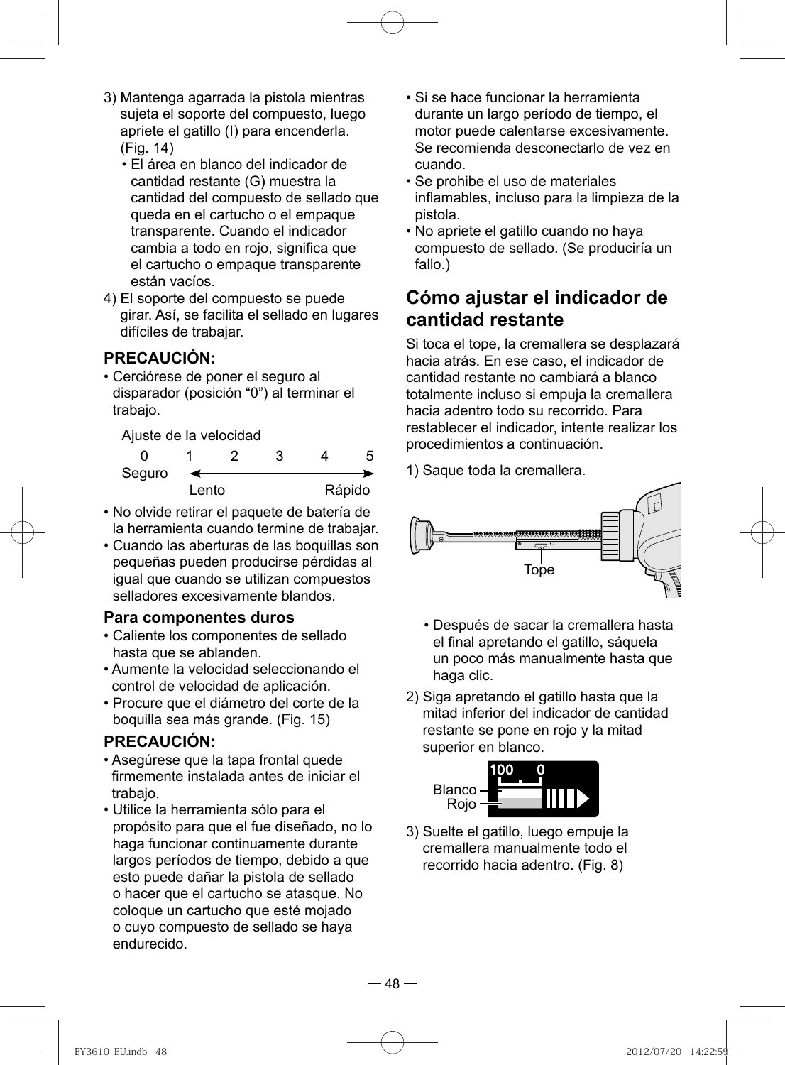- 3) Mantenga agarrada la pistola mientras sujeta el soporte del compuesto, luego apriete el gatillo (I) para encenderla. (Fig. 14)
	- El área en blanco del indicador de cantidad restante (G) muestra la cantidad del compuesto de sellado que queda en el cartucho o el empaque transparente. Cuando el indicador cambia a todo en rojo, significa que el cartucho o empaque transparente están vacíos.
- 4) El soporte del compuesto se puede girar. Así, se facilita el sellado en lugares difíciles de trabajar.

#### **PRECAUCIÓN:**

• Cerciórese de poner el seguro al disparador (posición "0") al terminar el trabajo.

Ajuste de la velocidad

| Seguro |       |  |        |
|--------|-------|--|--------|
|        | Lento |  | Rápido |

- No olvide retirar el paquete de batería de la herramienta cuando termine de trabajar.
- Cuando las aberturas de las boquillas son pequeñas pueden producirse pérdidas al igual que cuando se utilizan compuestos selladores excesivamente blandos.

#### **Para componentes duros**

- Caliente los componentes de sellado hasta que se ablanden.
- Aumente la velocidad seleccionando el control de velocidad de aplicación.
- Procure que el diámetro del corte de la boquilla sea más grande. (Fig. 15)

#### **PRECAUCIÓN:**

- Asegúrese que la tapa frontal quede firmemente instalada antes de iniciar el trabajo.
- Utilice la herramienta sólo para el propósito para que el fue diseñado, no lo haga funcionar continuamente durante largos períodos de tiempo, debido a que esto puede dañar la pistola de sellado o hacer que el cartucho se atasque. No coloque un cartucho que esté mojado o cuyo compuesto de sellado se haya endurecido.
- Si se hace funcionar la herramienta durante un largo período de tiempo, el motor puede calentarse excesivamente. Se recomienda desconectarlo de vez en cuando.
- Se prohibe el uso de materiales inflamables, incluso para la limpieza de la pistola.
- No apriete el gatillo cuando no haya compuesto de sellado. (Se produciría un fallo.)

### **Cómo ajustar el indicador de cantidad restante**

 Si toca el tope, la cremallera se desplazará hacia atrás. En ese caso, el indicador de cantidad restante no cambiará a blanco totalmente incluso si empuja la cremallera hacia adentro todo su recorrido. Para restablecer el indicador, intente realizar los procedimientos a continuación.

1) Saque toda la cremallera.



- Después de sacar la cremallera hasta el final apretando el gatillo, sáquela un poco más manualmente hasta que haga clic.
- 2) Siga apretando el gatillo hasta que la mitad inferior del indicador de cantidad restante se pone en rojo y la mitad superior en blanco.



3) Suelte el gatillo, luego empuje la cremallera manualmente todo el recorrido hacia adentro. (Fig. 8)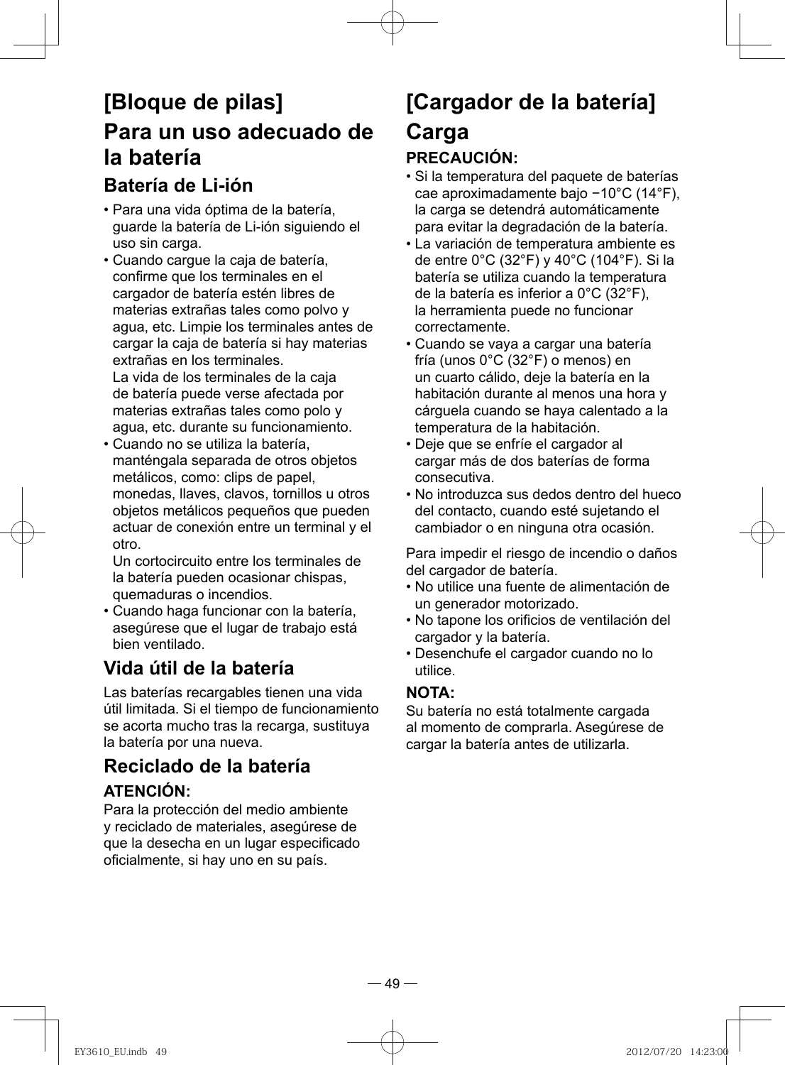## **[Bloque de pilas] Para un uso adecuado de la batería**

### **Batería de Li-ión**

- Para una vida óptima de la batería, guarde la batería de Li-ión siguiendo el uso sin carga.
- Cuando cargue la caja de batería, confirme que los terminales en el cargador de batería estén libres de materias extrañas tales como polvo y agua, etc. Limpie los terminales antes de cargar la caja de batería si hay materias extrañas en los terminales. La vida de los terminales de la caja de batería puede verse afectada por materias extrañas tales como polo y agua, etc. durante su funcionamiento.
- Cuando no se utiliza la batería, manténgala separada de otros objetos metálicos, como: clips de papel, monedas, llaves, clavos, tornillos u otros objetos metálicos pequeños que pueden actuar de conexión entre un terminal y el otro.

Un cortocircuito entre los terminales de la batería pueden ocasionar chispas, quemaduras o incendios.

• Cuando haga funcionar con la batería, asegúrese que el lugar de trabajo está bien ventilado.

## **Vida útil de la batería**

Las baterías recargables tienen una vida útil limitada. Si el tiempo de funcionamiento se acorta mucho tras la recarga, sustituya la batería por una nueva.

## **Reciclado de la batería**

#### **ATENCIÓN:**

Para la protección del medio ambiente y reciclado de materiales, asegúrese de que la desecha en un lugar especificado oficialmente, si hay uno en su país.

## **[Cargador de la batería] Carga**

#### **PRECAUCIÓN:**

- Si la temperatura del paquete de baterías cae aproximadamente bajo −10°C (14°F), la carga se detendrá automáticamente para evitar la degradación de la batería.
- La variación de temperatura ambiente es de entre 0°C (32°F) y 40°C (104°F). Si la batería se utiliza cuando la temperatura de la batería es inferior a 0°C (32°F), la herramienta puede no funcionar correctamente.
- Cuando se vaya a cargar una batería fría (unos 0°C (32°F) o menos) en un cuarto cálido, deje la batería en la habitación durante al menos una hora y cárguela cuando se haya calentado a la temperatura de la habitación.
- Deje que se enfríe el cargador al cargar más de dos baterías de forma consecutiva.
- No introduzca sus dedos dentro del hueco del contacto, cuando esté sujetando el cambiador o en ninguna otra ocasión.

Para impedir el riesgo de incendio o daños del cargador de batería.

- No utilice una fuente de alimentación de un generador motorizado.
- No tapone los orificios de ventilación del cargador y la batería.
- Desenchufe el cargador cuando no lo utilice.

#### **NOTA:**

Su batería no está totalmente cargada al momento de comprarla. Asegúrese de cargar la batería antes de utilizarla.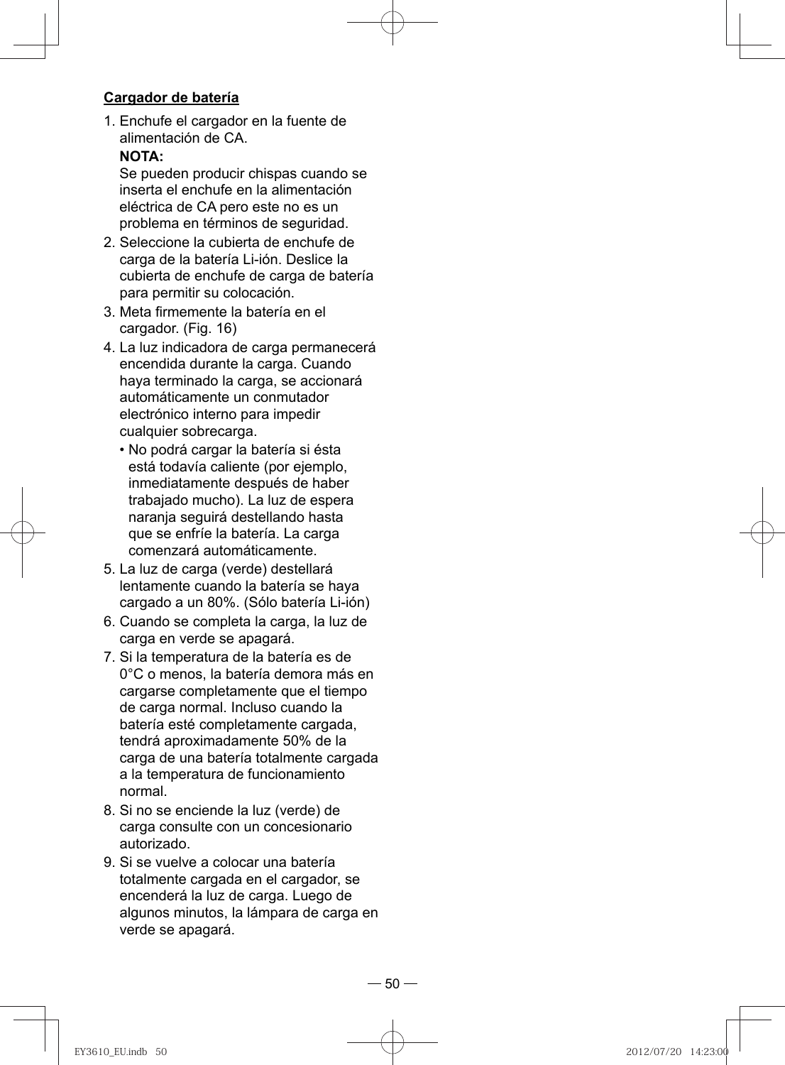#### **Cargador de batería**

1. Enchufe el cargador en la fuente de alimentación de CA. **NOTA:** 

Se pueden producir chispas cuando se inserta el enchufe en la alimentación eléctrica de CA pero este no es un problema en términos de seguridad.

- 2. Seleccione la cubierta de enchufe de carga de la batería Li-ión. Deslice la cubierta de enchufe de carga de batería para permitir su colocación.
- 3. Meta firmemente la batería en el cargador. (Fig. 16)
- 4. La luz indicadora de carga permanecerá encendida durante la carga. Cuando haya terminado la carga, se accionará automáticamente un conmutador electrónico interno para impedir cualquier sobrecarga.
	- No podrá cargar la batería si ésta está todavía caliente (por ejemplo, inmediatamente después de haber trabajado mucho). La luz de espera naranja seguirá destellando hasta que se enfríe la batería. La carga comenzará automáticamente.
- 5. La luz de carga (verde) destellará lentamente cuando la batería se haya cargado a un 80%. (Sólo batería Li-ión)
- 6. Cuando se completa la carga, la luz de carga en verde se apagará.
- 7. Si la temperatura de la batería es de 0°C o menos, la batería demora más en cargarse completamente que el tiempo de carga normal. Incluso cuando la batería esté completamente cargada, tendrá aproximadamente 50% de la carga de una batería totalmente cargada a la temperatura de funcionamiento normal.
- 8. Si no se enciende la luz (verde) de carga consulte con un concesionario autorizado.
- 9. Si se vuelve a colocar una batería totalmente cargada en el cargador, se encenderá la luz de carga. Luego de algunos minutos, la lámpara de carga en verde se apagará.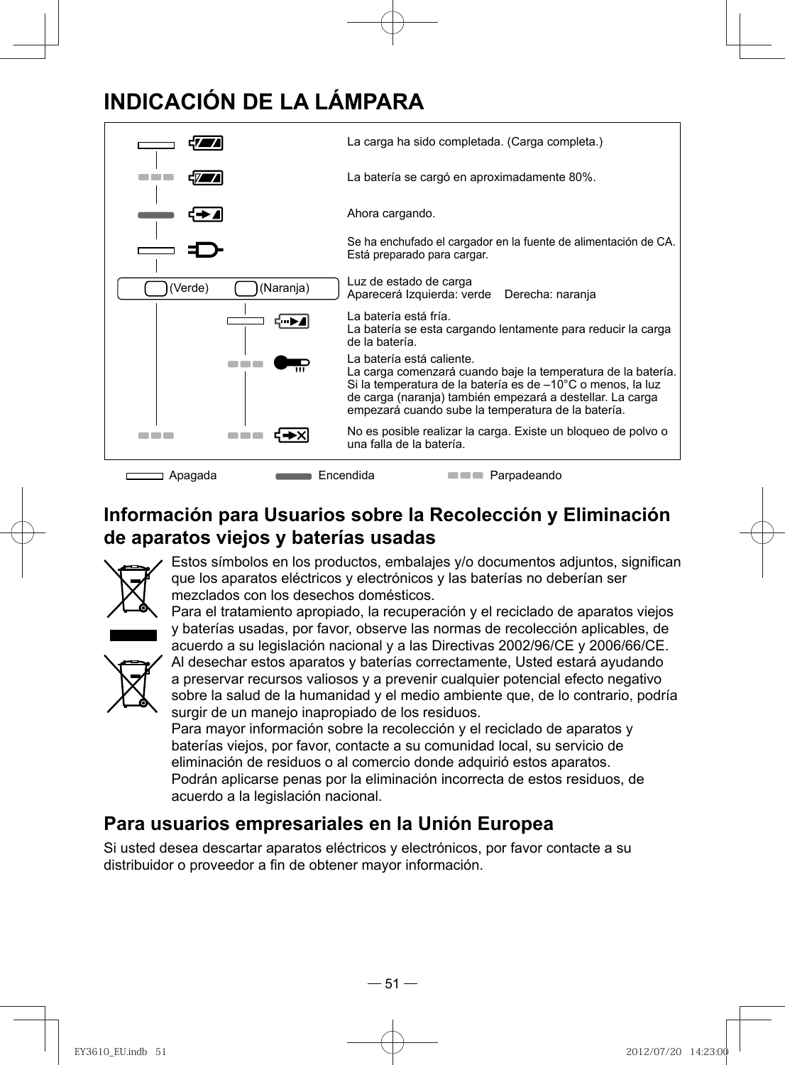## **INDICACIÓN DE LA LÁMPARA**



## **Información para Usuarios sobre la Recolección y Eliminación de aparatos viejos y baterías usadas**



Estos símbolos en los productos, embalajes y/o documentos adjuntos, significan que los aparatos eléctricos y electrónicos y las baterías no deberían ser mezclados con los desechos domésticos.



Para el tratamiento apropiado, la recuperación y el reciclado de aparatos viejos y baterías usadas, por favor, observe las normas de recolección aplicables, de acuerdo a su legislación nacional y a las Directivas 2002/96/CE y 2006/66/CE. Al desechar estos aparatos y baterías correctamente, Usted estará ayudando a preservar recursos valiosos y a prevenir cualquier potencial efecto negativo sobre la salud de la humanidad y el medio ambiente que, de lo contrario, podría surgir de un manejo inapropiado de los residuos.

Para mayor información sobre la recolección y el reciclado de aparatos y baterías viejos, por favor, contacte a su comunidad local, su servicio de eliminación de residuos o al comercio donde adquirió estos aparatos. Podrán aplicarse penas por la eliminación incorrecta de estos residuos, de acuerdo a la legislación nacional.

## **Para usuarios empresariales en la Unión Europea**

Si usted desea descartar aparatos eléctricos y electrónicos, por favor contacte a su distribuidor o proveedor a fin de obtener mayor información.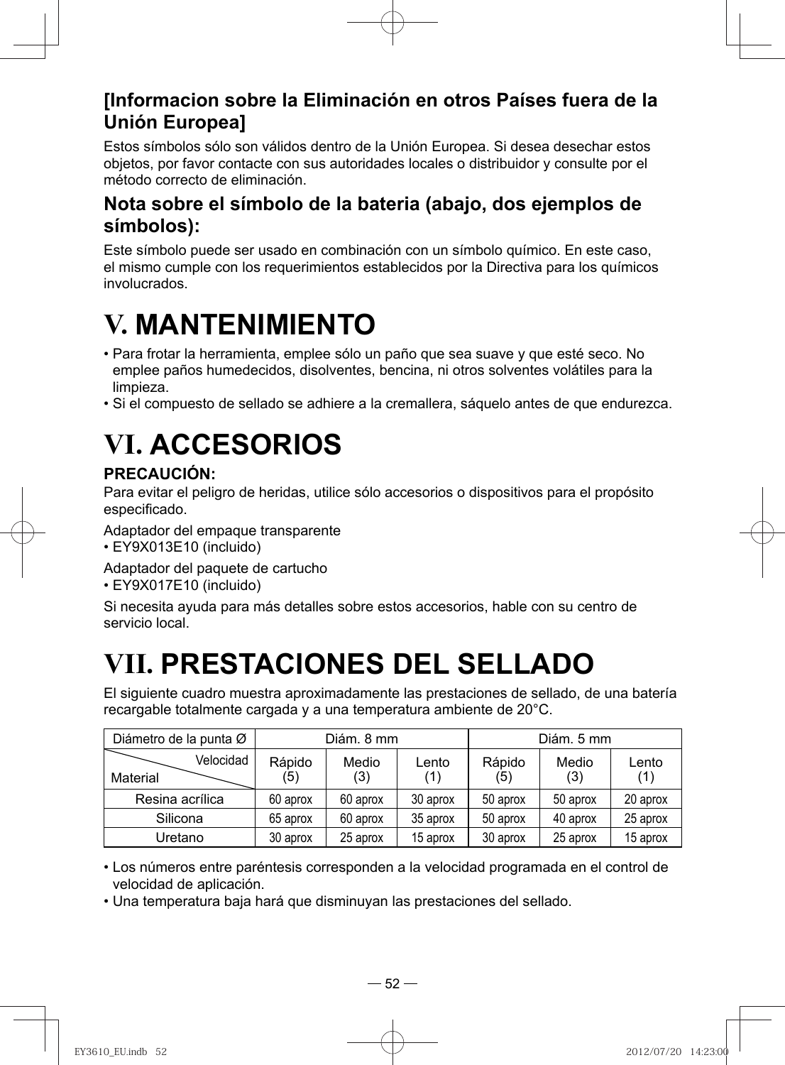## **[Informacion sobre la Eliminación en otros Países fuera de la Unión Europea]**

Estos símbolos sólo son válidos dentro de la Unión Europea. Si desea desechar estos objetos, por favor contacte con sus autoridades locales o distribuidor y consulte por el método correcto de eliminación.

### **Nota sobre el símbolo de la bateria (abajo, dos ejemplos de símbolos):**

Este símbolo puede ser usado en combinación con un símbolo químico. En este caso, el mismo cumple con los requerimientos establecidos por la Directiva para los químicos involucrados.

# **V. MANTENIMIENTO**

- Para frotar la herramienta, emplee sólo un paño que sea suave y que esté seco. No emplee paños humedecidos, disolventes, bencina, ni otros solventes volátiles para la limpieza.
- Si el compuesto de sellado se adhiere a la cremallera, sáquelo antes de que endurezca.

# **VI. ACCESORIOS**

### **PRECAUCIÓN:**

Para evitar el peligro de heridas, utilice sólo accesorios o dispositivos para el propósito especificado.

- Adaptador del empaque transparente
- EY9X013E10 (incluido)
- Adaptador del paquete de cartucho
- EY9X017E10 (incluido)

Si necesita ayuda para más detalles sobre estos accesorios, hable con su centro de servicio local.

# **VII. PRESTACIONES DEL SELLADO**

El siguiente cuadro muestra aproximadamente las prestaciones de sellado, de una batería recargable totalmente cargada y a una temperatura ambiente de 20°C.

| Diámetro de la punta Ø |               | Diám, 8 mm   |              |               | Diám. 5 mm   |              |
|------------------------|---------------|--------------|--------------|---------------|--------------|--------------|
| Velocidad<br>Material  | Rápido<br>(5) | Medio<br>(3) | Lento<br>(1) | Rápido<br>(5) | Medio<br>(3) | Lento<br>(1) |
| Resina acrílica        | 60 aprox      | 60 aprox     | 30 aprox     | 50 aprox      | 50 aprox     | 20 aprox     |
| Silicona               | 65 aprox      | 60 aprox     | 35 aprox     | 50 aprox      | 40 aprox     | 25 aprox     |
| Uretano                | 30 aprox      | 25 aprox     | 15 aprox     | 30 aprox      | 25 aprox     | 15 aprox     |

• Los números entre paréntesis corresponden a la velocidad programada en el control de velocidad de aplicación.

• Una temperatura baja hará que disminuyan las prestaciones del sellado.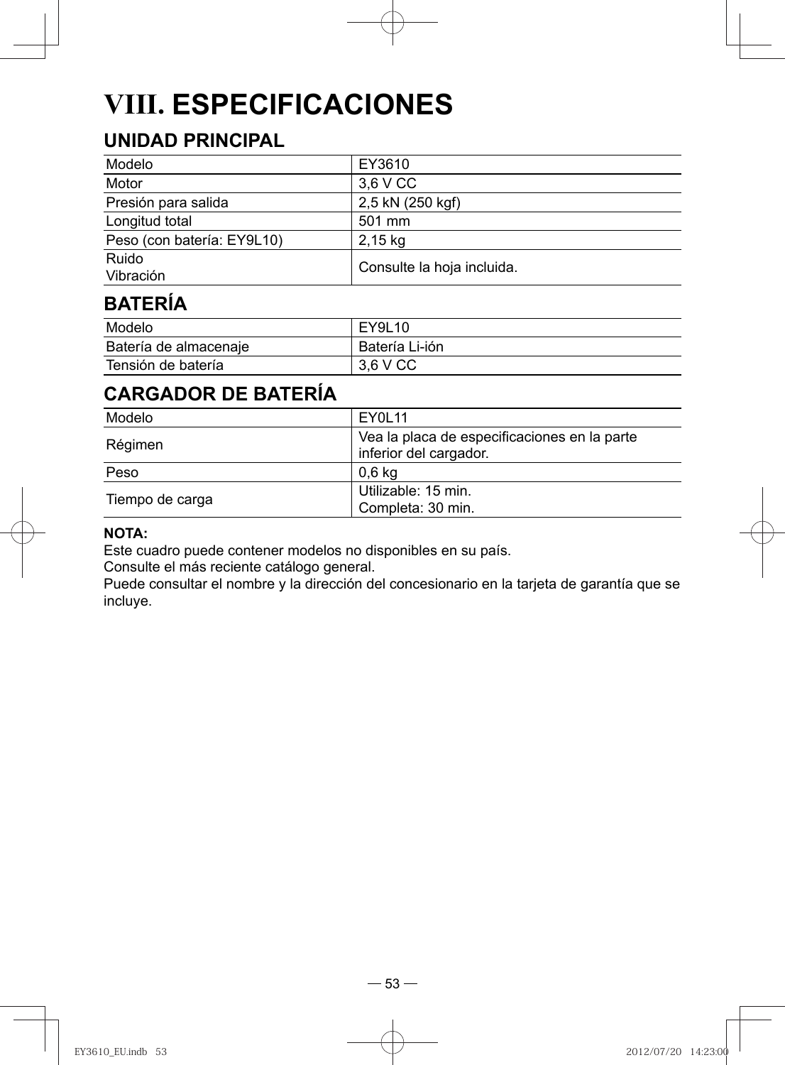# **VIII. ESPECIFICACIONES**

## **UNIDAD PRINCIPAL**

| Modelo                     | EY3610                     |
|----------------------------|----------------------------|
| Motor                      | 3.6 V CC                   |
| Presión para salida        | 2.5 kN (250 kgf)           |
| Longitud total             | 501 mm                     |
| Peso (con batería: EY9L10) | $2,15$ kg                  |
| Ruido<br>Vibración         | Consulte la hoja incluida. |

## **BATERÍA**

| Modelo                | EY9L10         |
|-----------------------|----------------|
| Batería de almacenaje | Batería Li-ión |
| Tensión de batería    | 3.6 V CC       |

## **CARGADOR DE BATERÍA**

| Modelo          | EY0L11                                                                 |
|-----------------|------------------------------------------------------------------------|
| Régimen         | Vea la placa de especificaciones en la parte<br>inferior del cargador. |
| Peso            | 0.6 kg                                                                 |
| Tiempo de carga | Utilizable: 15 min.<br>Completa: 30 min.                               |

#### **NOTA:**

Este cuadro puede contener modelos no disponibles en su país.

Consulte el más reciente catálogo general.

Puede consultar el nombre y la dirección del concesionario en la tarjeta de garantía que se incluye.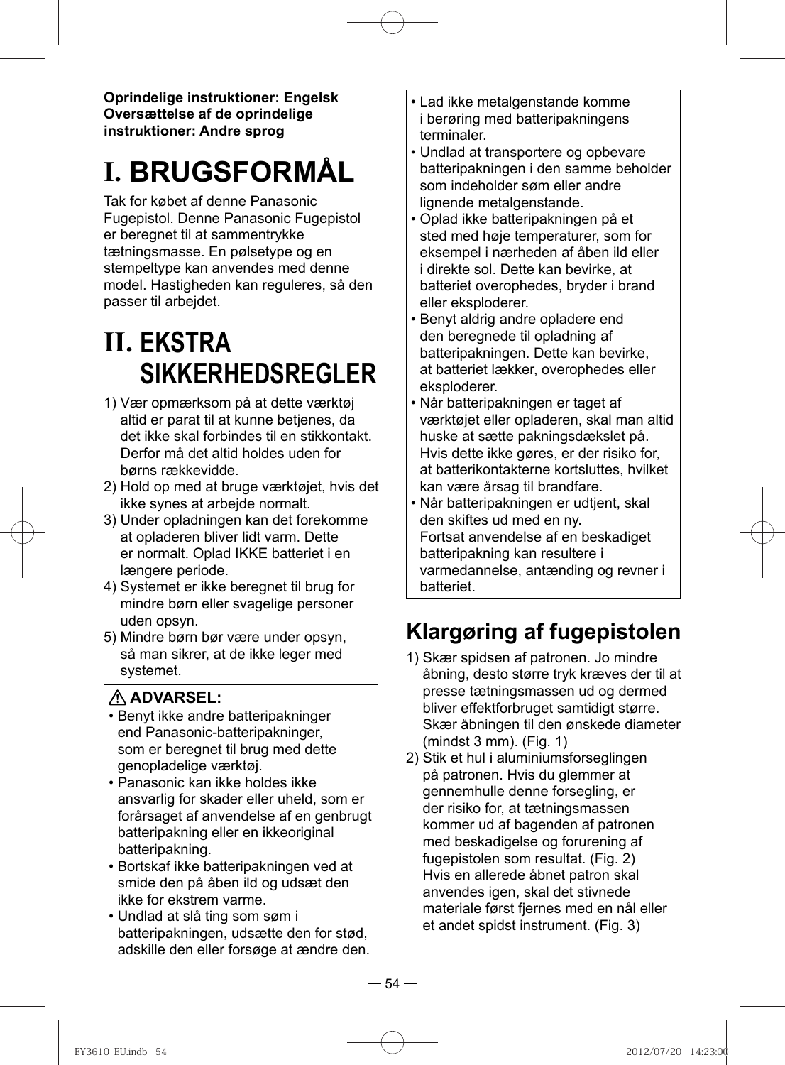**Oprindelige instruktioner: Engelsk Oversættelse af de oprindelige instruktioner: Andre sprog**

# **I. BRUGSFORMÅL**

Tak for købet af denne Panasonic Fugepistol. Denne Panasonic Fugepistol er beregnet til at sammentrykke tætningsmasse. En pølsetype og en stempeltype kan anvendes med denne model. Hastigheden kan reguleres, så den passer til arbejdet.

# **II. EKSTRA SIKKERHEDSREGLER**

- 1) Vær opmærksom på at dette værktøj altid er parat til at kunne betjenes, da det ikke skal forbindes til en stikkontakt. Derfor må det altid holdes uden for børns rækkevidde.
- 2) Hold op med at bruge værktøjet, hvis det ikke synes at arbejde normalt.
- 3) Under opladningen kan det forekomme at opladeren bliver lidt varm. Dette er normalt. Oplad IKKE batteriet i en længere periode.
- 4) Systemet er ikke beregnet til brug for mindre børn eller svagelige personer uden opsyn.
- 5) Mindre børn bør være under opsyn, så man sikrer, at de ikke leger med systemet.

#### **ADVARSEL:**

- Benyt ikke andre batteripakninger end Panasonic-batteripakninger, som er beregnet til brug med dette genopladelige værktøj.
- Panasonic kan ikke holdes ikke ansvarlig for skader eller uheld, som er forårsaget af anvendelse af en genbrugt batteripakning eller en ikkeoriginal batteripakning.
- Bortskaf ikke batteripakningen ved at smide den på åben ild og udsæt den ikke for ekstrem varme.
- Undlad at slå ting som søm i batteripakningen, udsætte den for stød, adskille den eller forsøge at ændre den.
- Lad ikke metalgenstande komme i berøring med batteripakningens terminaler.
- Undlad at transportere og opbevare batteripakningen i den samme beholder som indeholder søm eller andre lignende metalgenstande.
- Oplad ikke batteripakningen på et sted med høje temperaturer, som for eksempel i nærheden af åben ild eller i direkte sol. Dette kan bevirke, at batteriet overophedes, bryder i brand eller eksploderer.
- Benyt aldrig andre opladere end den beregnede til opladning af batteripakningen. Dette kan bevirke, at batteriet lækker, overophedes eller eksploderer.
- Når batteripakningen er taget af værktøjet eller opladeren, skal man altid huske at sætte pakningsdækslet på. Hvis dette ikke gøres, er der risiko for, at batterikontakterne kortsluttes, hvilket kan være årsag til brandfare.
- Når batteripakningen er udtjent, skal den skiftes ud med en ny. Fortsat anvendelse af en beskadiget batteripakning kan resultere i varmedannelse, antænding og revner i batteriet.

## **Klargøring af fugepistolen**

- 1) Skær spidsen af patronen. Jo mindre åbning, desto større tryk kræves der til at presse tætningsmassen ud og dermed bliver effektforbruget samtidigt større. Skær åbningen til den ønskede diameter  $(mindst 3 mm)$ . (Fig. 1)
- 2) Stik et hul i aluminiumsforseglingen på patronen. Hvis du glemmer at gennemhulle denne forsegling, er der risiko for, at tætningsmassen kommer ud af bagenden af patronen med beskadigelse og forurening af fugepistolen som resultat. (Fig. 2) Hvis en allerede åbnet patron skal anvendes igen, skal det stivnede materiale først fjernes med en nål eller et andet spidst instrument. (Fig. 3)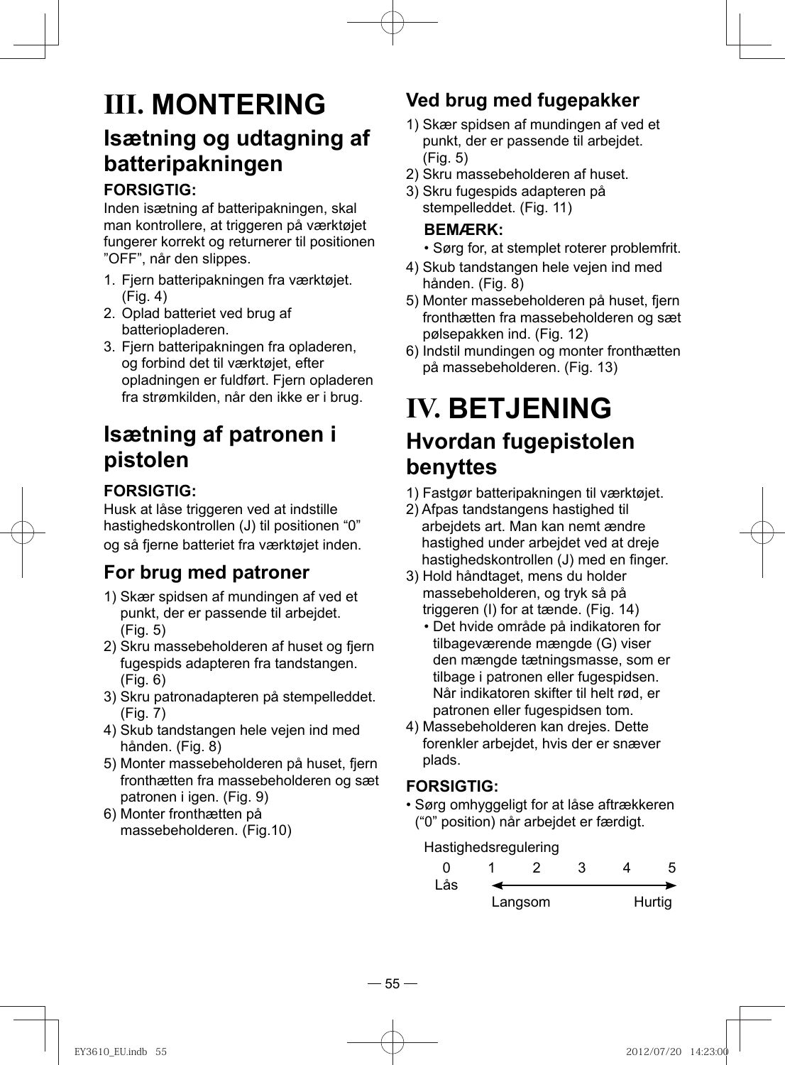## **III. MONTERING Isætning og udtagning af batteripakningen**

#### **FORSIGTIG:**

Inden isætning af batteripakningen, skal man kontrollere, at triggeren på værktøjet fungerer korrekt og returnerer til positionen "OFF", når den slippes.

- 1. Fjern batteripakningen fra værktøjet. (Fig. 4)
- 2. Oplad batteriet ved brug af batteriopladeren.
- 3. Fjern batteripakningen fra opladeren, og forbind det til værktøjet, efter opladningen er fuldført. Fjern opladeren fra strømkilden, når den ikke er i brug.

## **Isætning af patronen i pistolen**

#### **FORSIGTIG:**

Husk at låse triggeren ved at indstille hastighedskontrollen (J) til positionen "0" og så fjerne batteriet fra værktøjet inden.

### **For brug med patroner**

- 1) Skær spidsen af mundingen af ved et punkt, der er passende til arbejdet. (Fig. 5)
- 2) Skru massebeholderen af huset og fjern fugespids adapteren fra tandstangen. (Fig. 6)
- 3) Skru patronadapteren på stempelleddet. (Fig. 7)
- 4) Skub tandstangen hele vejen ind med hånden. (Fig. 8)
- 5) Monter massebeholderen på huset, fjern fronthætten fra massebeholderen og sæt patronen i igen. (Fig. 9)
- 6) Monter fronthætten på massebeholderen. (Fig.10)

## **Ved brug med fugepakker**

- 1) Skær spidsen af mundingen af ved et punkt, der er passende til arbejdet. (Fig. 5)
- 2) Skru massebeholderen af huset.
- 3) Skru fugespids adapteren på stempelleddet. (Fig. 11)

#### **BEMÆRK:**

- Sørg for, at stemplet roterer problemfrit.
- 4) Skub tandstangen hele vejen ind med hånden. (Fig. 8)
- 5) Monter massebeholderen på huset, fjern fronthætten fra massebeholderen og sæt pølsepakken ind. (Fig. 12)
- 6) Indstil mundingen og monter fronthætten på massebeholderen. (Fig. 13)

## **IV. BETJENING Hvordan fugepistolen benyttes**

- 1) Fastgør batteripakningen til værktøjet.
- 2) Afpas tandstangens hastighed til arbejdets art. Man kan nemt ændre hastighed under arbejdet ved at dreje hastighedskontrollen (J) med en finger.
- 3) Hold håndtaget, mens du holder massebeholderen, og tryk så på triggeren (I) for at tænde. (Fig. 14)
	- Det hvide område på indikatoren for tilbageværende mængde (G) viser den mængde tætningsmasse, som er tilbage i patronen eller fugespidsen. Når indikatoren skifter til helt rød, er patronen eller fugespidsen tom.
- 4) Massebeholderen kan drejes. Dette forenkler arbejdet, hvis der er snæver plads.

#### **FORSIGTIG:**

• Sørg omhyggeligt for at låse aftrækkeren ("0" position) når arbejdet er færdigt.

Hastighedsregulering

| Lås | Langsom |  | Hurtig |
|-----|---------|--|--------|
|     |         |  |        |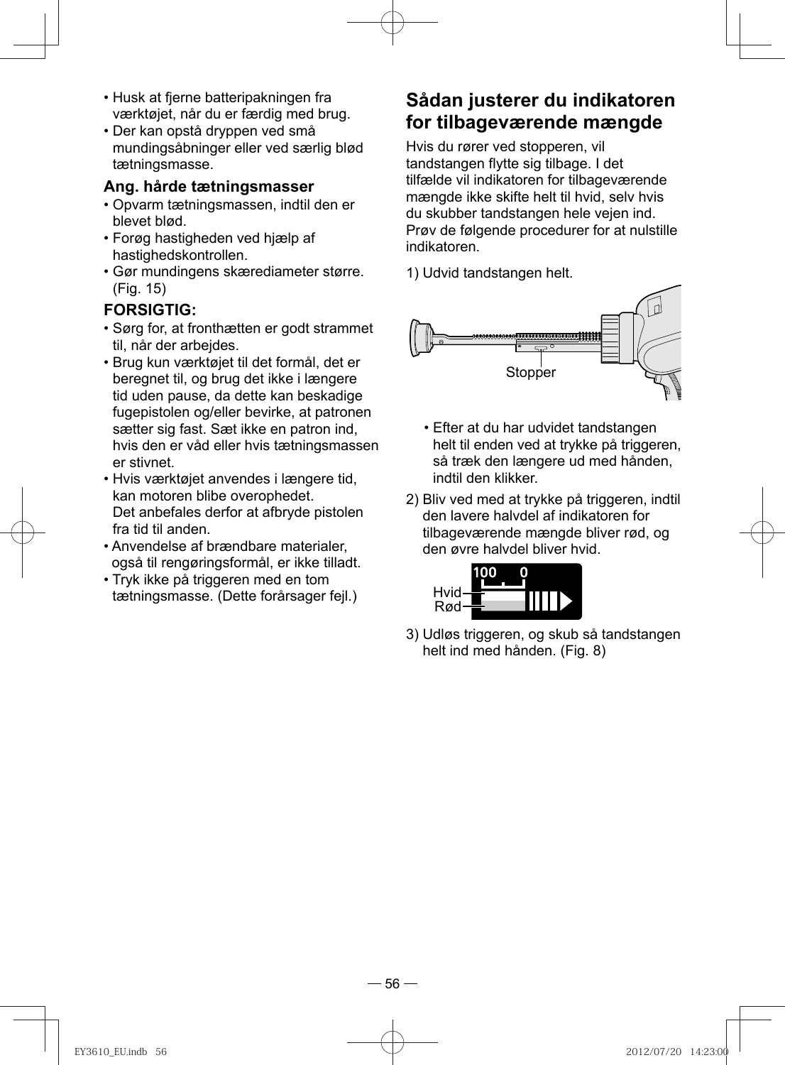- Husk at fjerne batteripakningen fra værktøjet, når du er færdig med brug.
- Der kan opstå dryppen ved små mundingsåbninger eller ved særlig blød tætningsmasse.

#### **Ang. hårde tætningsmasser**

- Opvarm tætningsmassen, indtil den er blevet blød.
- Forøg hastigheden ved hjælp af hastighedskontrollen.
- Gør mundingens skærediameter større. (Fig. 15)

#### **FORSIGTIG:**

- Sørg for, at fronthætten er godt strammet til, når der arbejdes.
- Brug kun værktøjet til det formål, det er beregnet til, og brug det ikke i længere tid uden pause, da dette kan beskadige fugepistolen og/eller bevirke, at patronen sætter sig fast. Sæt ikke en patron ind, hvis den er våd eller hvis tætningsmassen er stivnet.
- Hvis værktøjet anvendes i længere tid, kan motoren blibe overophedet. Det anbefales derfor at afbryde pistolen fra tid til anden.
- Anvendelse af brændbare materialer, også til rengøringsformål, er ikke tilladt.
- Tryk ikke på triggeren med en tom tætningsmasse. (Dette forårsager fejl.)

### **Sådan justerer du indikatoren for tilbageværende mængde**

 Hvis du rører ved stopperen, vil tandstangen flytte sig tilbage. I det tilfælde vil indikatoren for tilbageværende mængde ikke skifte helt til hvid, selv hvis du skubber tandstangen hele vejen ind. Prøv de følgende procedurer for at nulstille indikatoren.

1) Udvid tandstangen helt.



- Efter at du har udvidet tandstangen helt til enden ved at trykke på triggeren, så træk den længere ud med hånden, indtil den klikker.
- 2) Bliv ved med at trykke på triggeren, indtil den lavere halvdel af indikatoren for tilbageværende mængde bliver rød, og den øvre halvdel bliver hvid.



3) Udløs triggeren, og skub så tandstangen helt ind med hånden. (Fig. 8)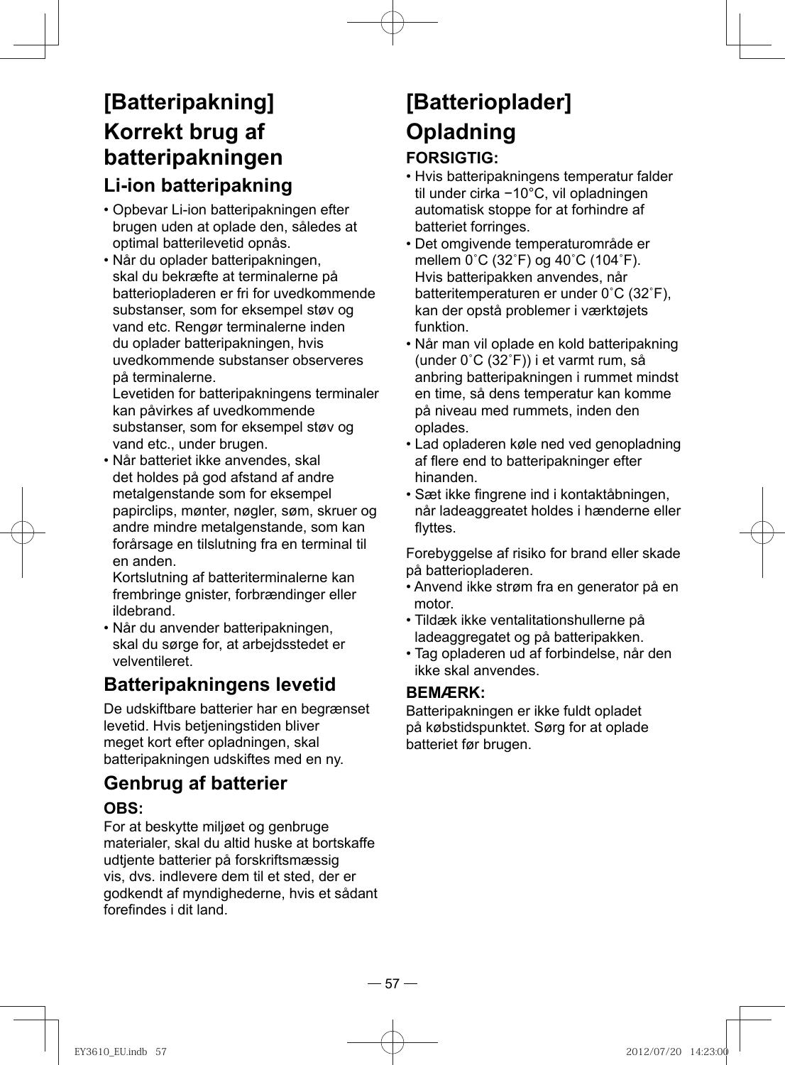## **[Batteripakning] Korrekt brug af batteripakningen Li-ion batteripakning**

- Opbevar Li-ion batteripakningen efter brugen uden at oplade den, således at optimal batterilevetid opnås.
- Når du oplader batteripakningen, skal du bekræfte at terminalerne på batteriopladeren er fri for uvedkommende substanser, som for eksempel støv og vand etc. Rengør terminalerne inden du oplader batteripakningen, hvis uvedkommende substanser observeres på terminalerne.

Levetiden for batteripakningens terminaler kan påvirkes af uvedkommende substanser, som for eksempel støv og vand etc., under brugen.

• Når batteriet ikke anvendes, skal det holdes på god afstand af andre metalgenstande som for eksempel papirclips, mønter, nøgler, søm, skruer og andre mindre metalgenstande, som kan forårsage en tilslutning fra en terminal til en anden.

Kortslutning af batteriterminalerne kan frembringe gnister, forbrændinger eller ildebrand.

• Når du anvender batteripakningen, skal du sørge for, at arbejdsstedet er velventileret.

## **Batteripakningens levetid**

De udskiftbare batterier har en begrænset levetid. Hvis betjeningstiden bliver meget kort efter opladningen, skal batteripakningen udskiftes med en ny.

## **Genbrug af batterier**

#### **OBS:**

For at beskytte miljøet og genbruge materialer, skal du altid huske at bortskaffe udtjente batterier på forskriftsmæssig vis, dvs. indlevere dem til et sted, der er godkendt af myndighederne, hvis et sådant forefindes i dit land

# **[Batterioplader] Opladning**

### **FORSIGTIG:**

- Hvis batteripakningens temperatur falder til under cirka −10°C, vil opladningen automatisk stoppe for at forhindre af batteriet forringes.
- Det omgivende temperaturområde er mellem 0˚C (32˚F) og 40˚C (104˚F). Hvis batteripakken anvendes, når batteritemperaturen er under 0˚C (32˚F), kan der opstå problemer i værktøjets funktion.
- Når man vil oplade en kold batteripakning (under 0˚C (32˚F)) i et varmt rum, så anbring batteripakningen i rummet mindst en time, så dens temperatur kan komme på niveau med rummets, inden den oplades.
- Lad opladeren køle ned ved genopladning af flere end to batteripakninger efter hinanden.
- Sæt ikke fingrene ind i kontaktåbningen, når ladeaggreatet holdes i hænderne eller flyttes.

Forebyggelse af risiko for brand eller skade på batteriopladeren.

- Anvend ikke strøm fra en generator på en motor.
- Tildæk ikke ventalitationshullerne på ladeaggregatet og på batteripakken.
- Tag opladeren ud af forbindelse, når den ikke skal anvendes.

#### **BEMÆRK:**

Batteripakningen er ikke fuldt opladet på købstidspunktet. Sørg for at oplade batteriet før brugen.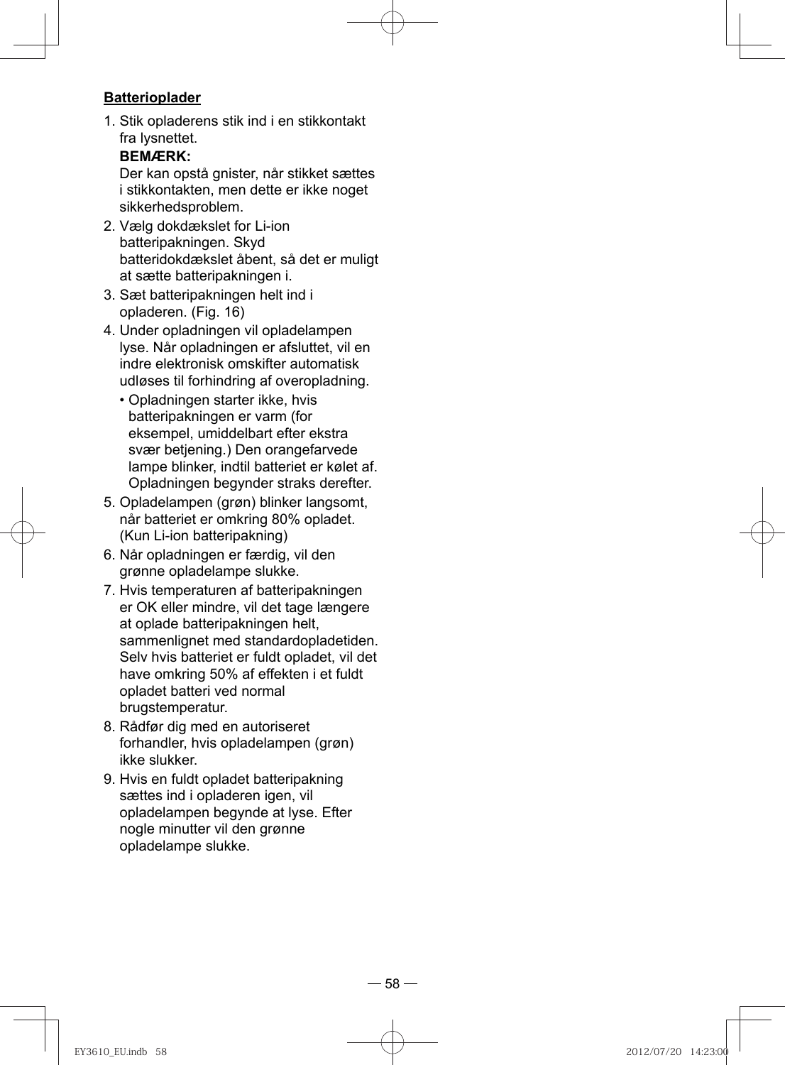#### **Batterioplader**

1. Stik opladerens stik ind i en stikkontakt fra lysnettet.

#### **BEMÆRK:**

Der kan opstå gnister, når stikket sættes i stikkontakten, men dette er ikke noget sikkerhedsproblem.

- 2. Vælg dokdækslet for Li-ion batteripakningen. Skyd batteridokdækslet åbent, så det er muligt at sætte batteripakningen i.
- 3. Sæt batteripakningen helt ind i opladeren. (Fig. 16)
- 4. Under opladningen vil opladelampen lyse. Når opladningen er afsluttet, vil en indre elektronisk omskifter automatisk udløses til forhindring af overopladning.
	- Opladningen starter ikke, hvis batteripakningen er varm (for eksempel, umiddelbart efter ekstra svær betjening.) Den orangefarvede lampe blinker, indtil batteriet er kølet af. Opladningen begynder straks derefter.
- 5. Opladelampen (grøn) blinker langsomt, når batteriet er omkring 80% opladet. (Kun Li-ion batteripakning)
- 6. Når opladningen er færdig, vil den grønne opladelampe slukke.
- 7. Hvis temperaturen af batteripakningen er OK eller mindre, vil det tage længere at oplade batteripakningen helt, sammenlignet med standardopladetiden. Selv hvis batteriet er fuldt opladet, vil det have omkring 50% af effekten i et fuldt opladet batteri ved normal brugstemperatur.
- 8. Rådfør dig med en autoriseret forhandler, hvis opladelampen (grøn) ikke slukker.
- 9. Hvis en fuldt opladet batteripakning sættes ind i opladeren igen, vil opladelampen begynde at lyse. Efter nogle minutter vil den grønne opladelampe slukke.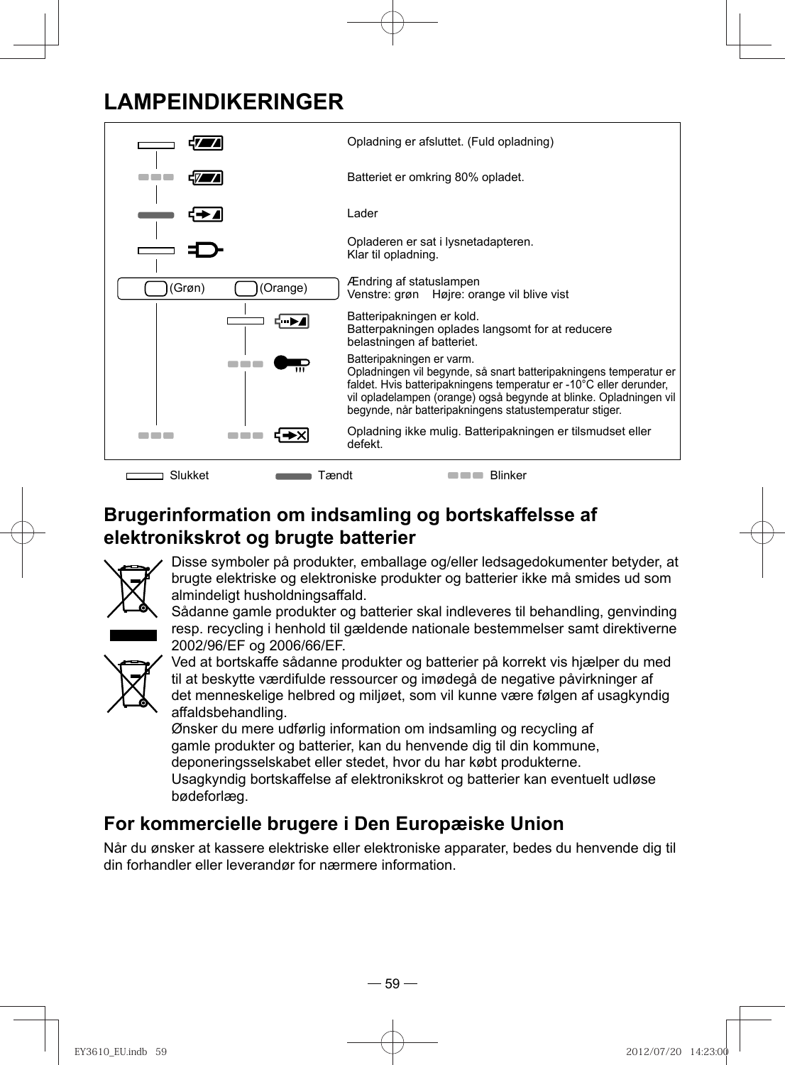## **LAMPEINDIKERINGER**



**Brugerinformation om indsamling og bortskaffelsse af elektronikskrot og brugte batterier**



Disse symboler på produkter, emballage og/eller ledsagedokumenter betyder, at brugte elektriske og elektroniske produkter og batterier ikke må smides ud som almindeligt husholdningsaffald.

Sådanne gamle produkter og batterier skal indleveres til behandling, genvinding resp. recycling i henhold til gældende nationale bestemmelser samt direktiverne 2002/96/EF og 2006/66/EF.



Ved at bortskaffe sådanne produkter og batterier på korrekt vis hjælper du med til at beskytte værdifulde ressourcer og imødegå de negative påvirkninger af det menneskelige helbred og miljøet, som vil kunne være følgen af usagkyndig affaldsbehandling.

Ønsker du mere udførlig information om indsamling og recycling af gamle produkter og batterier, kan du henvende dig til din kommune, deponeringsselskabet eller stedet, hvor du har købt produkterne. Usagkyndig bortskaffelse af elektronikskrot og batterier kan eventuelt udløse bødeforlæg.

## **For kommercielle brugere i Den Europæiske Union**

Når du ønsker at kassere elektriske eller elektroniske apparater, bedes du henvende dig til din forhandler eller leverandør for nærmere information.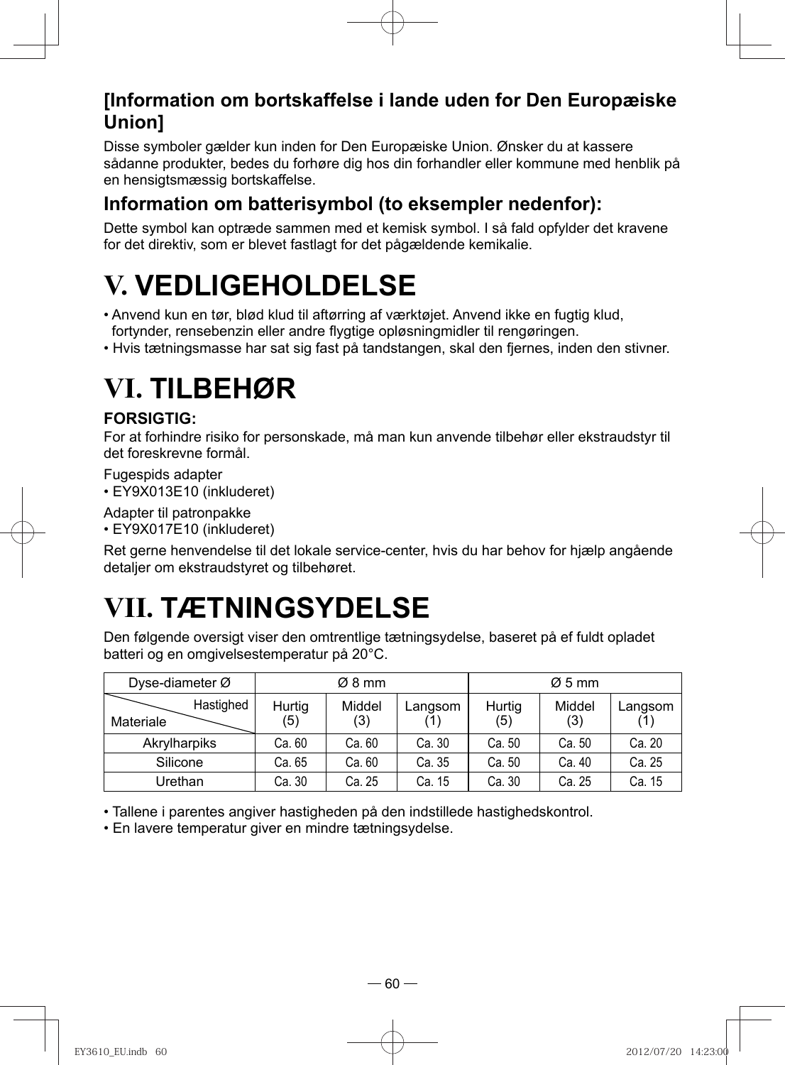### **[Information om bortskaffelse i lande uden for Den Europæiske Union]**

Disse symboler gælder kun inden for Den Europæiske Union. Ønsker du at kassere sådanne produkter, bedes du forhøre dig hos din forhandler eller kommune med henblik på en hensigtsmæssig bortskaffelse.

### **Information om batterisymbol (to eksempler nedenfor):**

Dette symbol kan optræde sammen med et kemisk symbol. I så fald opfylder det kravene for det direktiv, som er blevet fastlagt for det pågældende kemikalie.

# **V. VEDLIGEHOLDELSE**

- Anvend kun en tør, blød klud til aftørring af værktøjet. Anvend ikke en fugtig klud, fortynder, rensebenzin eller andre flygtige opløsningmidler til rengøringen.
- Hvis tætningsmasse har sat sig fast på tandstangen, skal den fjernes, inden den stivner.

# **VI. TILBEHØR**

#### **FORSIGTIG:**

For at forhindre risiko for personskade, må man kun anvende tilbehør eller ekstraudstyr til det foreskrevne formål.

Fugespids adapter

• EY9X013E10 (inkluderet)

Adapter til patronpakke

• EY9X017E10 (inkluderet)

Ret gerne henvendelse til det lokale service-center, hvis du har behov for hjælp angående detaljer om ekstraudstyret og tilbehøret.

# **VII. TÆTNINGSYDELSE**

Den følgende oversigt viser den omtrentlige tætningsydelse, baseret på ef fuldt opladet batteri og en omgivelsestemperatur på 20°C.

| Dyse-diameter $\varnothing$ |               | Ø8 mm         |         |               | $\varnothing$ 5 mm |         |
|-----------------------------|---------------|---------------|---------|---------------|--------------------|---------|
| Hastighed<br>Materiale      | Hurtig<br>(5) | Middel<br>(3) | Langsom | Hurtig<br>(5) | Middel<br>(3)      | Langsom |
| Akrylharpiks                | Ca. 60        | Ca. 60        | Ca. 30  | Ca. 50        | Ca. 50             | Ca. 20  |
| Silicone                    | Ca. 65        | Ca. 60        | Ca. 35  | Ca. 50        | Ca. 40             | Ca. 25  |
| Urethan                     | Ca. 30        | Ca. 25        | Ca. 15  | Ca. 30        | Ca. 25             | Ca. 15  |

• Tallene i parentes angiver hastigheden på den indstillede hastighedskontrol.

• En lavere temperatur giver en mindre tætningsydelse.

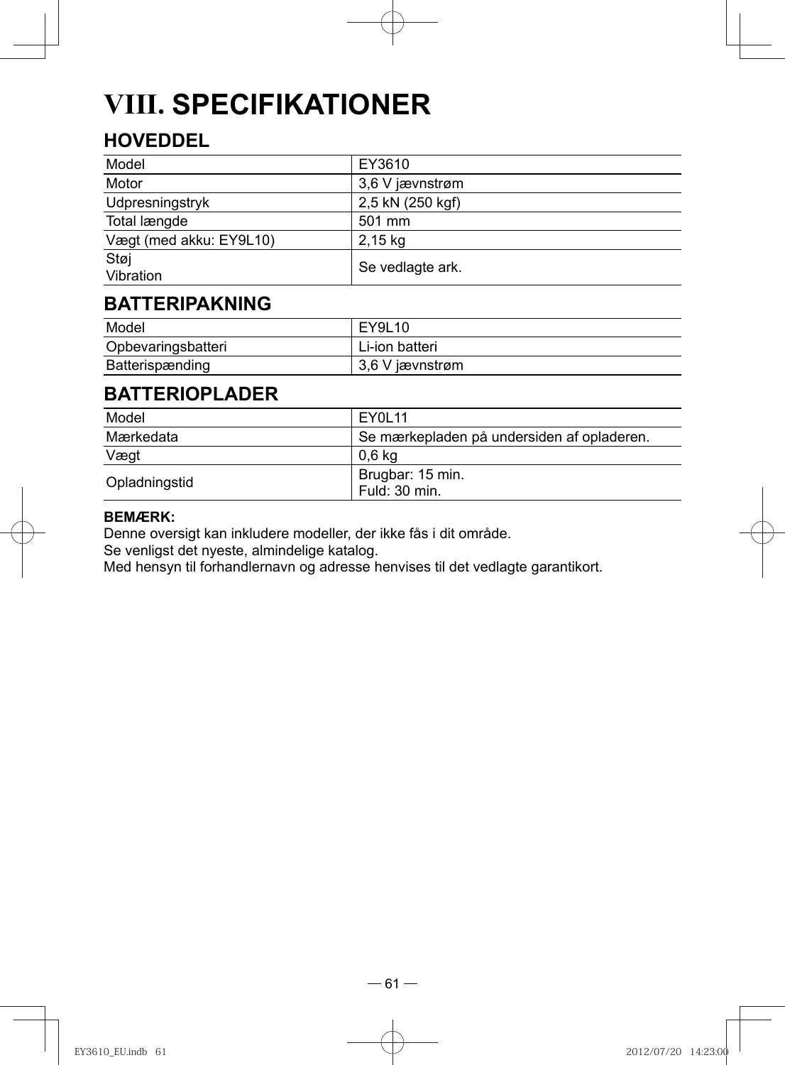# **VIII. SPECIFIKATIONER**

## **HOVEDDEL**

| Model                   | EY3610           |
|-------------------------|------------------|
| Motor                   | 3.6 V jævnstrøm  |
| Udpresningstryk         | 2,5 kN (250 kgf) |
| Total længde            | 501 mm           |
| Vægt (med akku: EY9L10) | 2,15 kg          |
| Støj<br>Vibration       | Se vedlagte ark. |

### **BATTERIPAKNING**

| Model              | EY9L10          |
|--------------------|-----------------|
| Opbevaringsbatteri | Li-ion batteri  |
| Batterispænding    | 3,6 V jævnstrøm |

## **BATTERIOPLADER**

| Model         | FY01 11                                    |
|---------------|--------------------------------------------|
| Mærkedata     | Se mærkepladen på undersiden af opladeren. |
| Vægt          | 0.6 kg                                     |
| Opladningstid | Brugbar: 15 min.<br>Fuld: 30 min.          |

#### **BEMÆRK:**

Denne oversigt kan inkludere modeller, der ikke fås i dit område.

Se venligst det nyeste, almindelige katalog.

Med hensyn til forhandlernavn og adresse henvises til det vedlagte garantikort.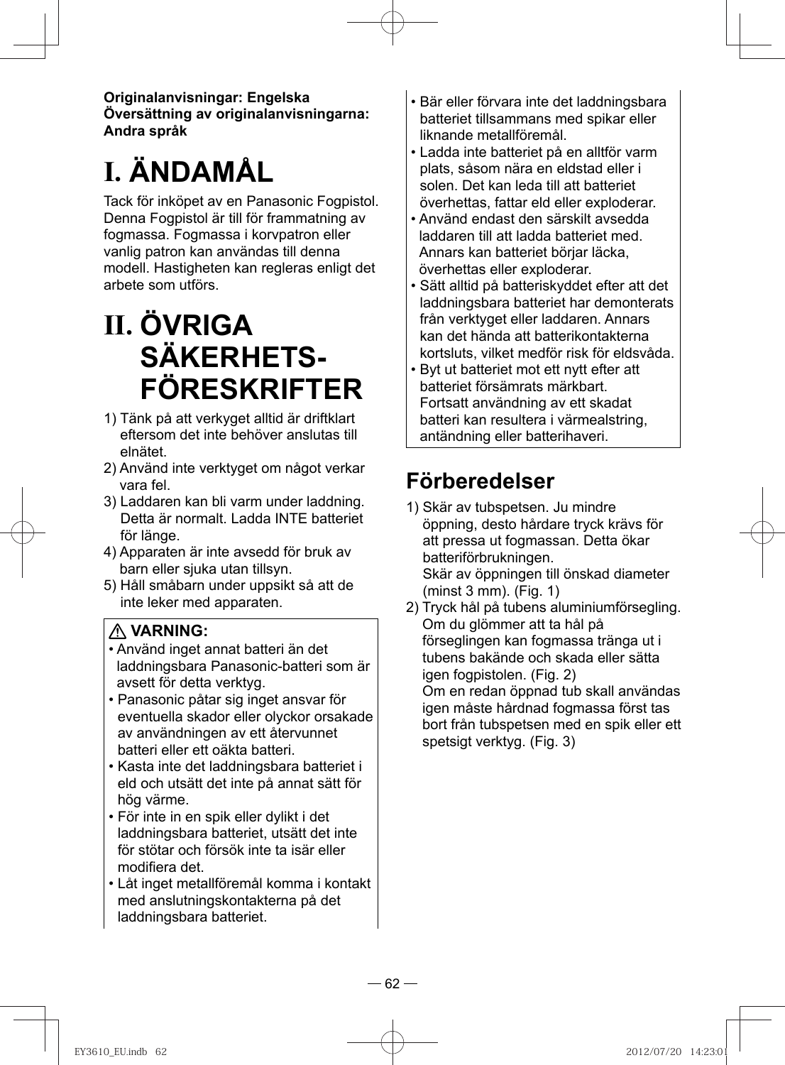**Originalanvisningar: Engelska Översättning av originalanvisningarna: Andra språk**

# **I. ÄNDAMÅL**

Tack för inköpet av en Panasonic Fogpistol. Denna Fogpistol är till för frammatning av fogmassa. Fogmassa i korvpatron eller vanlig patron kan användas till denna modell. Hastigheten kan regleras enligt det arbete som utförs.

# **II. ÖVRIGA SÄKERHETS-FÖRESKRIFTER**

- 1) Tänk på att verkyget alltid är driftklart eftersom det inte behöver anslutas till elnätet.
- 2) Använd inte verktyget om något verkar vara fel.
- 3) Laddaren kan bli varm under laddning. Detta är normalt. Ladda INTE batteriet för länge.
- 4) Apparaten är inte avsedd för bruk av barn eller sjuka utan tillsyn.
- 5) Håll småbarn under uppsikt så att de inte leker med apparaten.

### **VARNING:**

- Använd inget annat batteri än det laddningsbara Panasonic-batteri som är avsett för detta verktyg.
- Panasonic påtar sig inget ansvar för eventuella skador eller olyckor orsakade av användningen av ett återvunnet batteri eller ett oäkta batteri.
- Kasta inte det laddningsbara batteriet i eld och utsätt det inte på annat sätt för hög värme.
- För inte in en spik eller dylikt i det laddningsbara batteriet, utsätt det inte för stötar och försök inte ta isär eller modifiera det
- Låt inget metallföremål komma i kontakt med anslutningskontakterna på det laddningsbara batteriet.
- Bär eller förvara inte det laddningsbara batteriet tillsammans med spikar eller liknande metallföremål.
- Ladda inte batteriet på en alltför varm plats, såsom nära en eldstad eller i solen. Det kan leda till att batteriet överhettas, fattar eld eller exploderar.
- Använd endast den särskilt avsedda laddaren till att ladda batteriet med. Annars kan batteriet börjar läcka, överhettas eller exploderar.
- Sätt alltid på batteriskyddet efter att det laddningsbara batteriet har demonterats från verktyget eller laddaren. Annars kan det hända att batterikontakterna kortsluts, vilket medför risk för eldsvåda.
- Byt ut batteriet mot ett nytt efter att batteriet försämrats märkbart. Fortsatt användning av ett skadat batteri kan resultera i värmealstring, antändning eller batterihaveri.

## **Förberedelser**

- 1) Skär av tubspetsen. Ju mindre öppning, desto hårdare tryck krävs för att pressa ut fogmassan. Detta ökar batteriförbrukningen. Skär av öppningen till önskad diameter (minst 3 mm). (Fig. 1)
- 2) Tryck hål på tubens aluminiumförsegling. Om du glömmer att ta hål på förseglingen kan fogmassa tränga ut i tubens bakände och skada eller sätta igen fogpistolen. (Fig. 2) Om en redan öppnad tub skall användas igen måste hårdnad fogmassa först tas bort från tubspetsen med en spik eller ett spetsigt verktyg. (Fig. 3)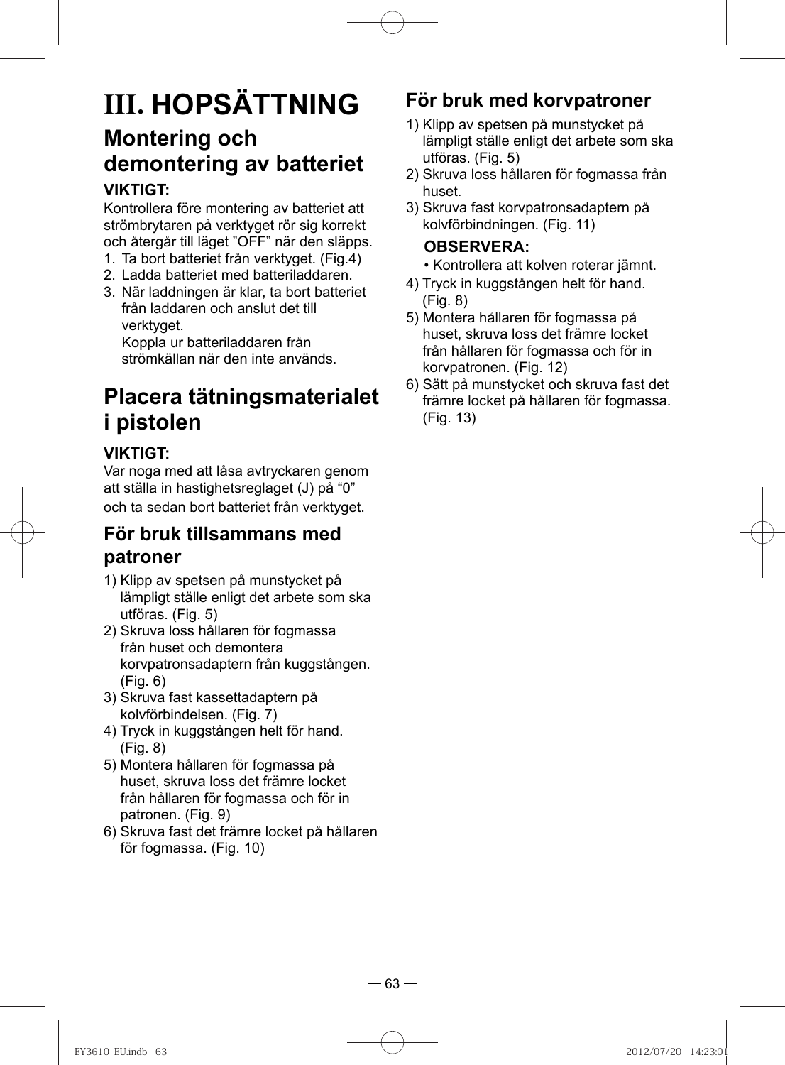# **III. HOPSÄTTNING Montering och demontering av batteriet**

#### **VIKTIGT:**

Kontrollera före montering av batteriet att strömbrytaren på verktyget rör sig korrekt och återgår till läget "OFF" när den släpps.

- 1. Ta bort batteriet från verktyget. (Fig.4)
- 2. Ladda batteriet med batteriladdaren.
- 3. När laddningen är klar, ta bort batteriet från laddaren och anslut det till verktyget.

Koppla ur batteriladdaren från strömkällan när den inte används.

## **Placera tätningsmaterialet i pistolen**

#### **VIKTIGT:**

Var noga med att låsa avtryckaren genom att ställa in hastighetsreglaget (J) på "0" och ta sedan bort batteriet från verktyget.

### **För bruk tillsammans med patroner**

- 1) Klipp av spetsen på munstycket på lämpligt ställe enligt det arbete som ska utföras. (Fig. 5)
- 2) Skruva loss hållaren för fogmassa från huset och demontera korvpatronsadaptern från kuggstången. (Fig. 6)
- 3) Skruva fast kassettadaptern på kolvförbindelsen. (Fig. 7)
- 4) Tryck in kuggstången helt för hand. (Fig. 8)
- 5) Montera hållaren för fogmassa på huset, skruva loss det främre locket från hållaren för fogmassa och för in patronen. (Fig. 9)
- 6) Skruva fast det främre locket på hållaren för fogmassa. (Fig. 10)

## **För bruk med korvpatroner**

- 1) Klipp av spetsen på munstycket på lämpligt ställe enligt det arbete som ska utföras. (Fig. 5)
- 2) Skruva loss hållaren för fogmassa från huset.
- 3) Skruva fast korvpatronsadaptern på kolvförbindningen. (Fig. 11)

#### **OBSERVERA:**

• Kontrollera att kolven roterar jämnt.

- 4) Tryck in kuggstången helt för hand. (Fig. 8)
- 5) Montera hållaren för fogmassa på huset, skruva loss det främre locket från hållaren för fogmassa och för in korvpatronen. (Fig. 12)
- 6) Sätt på munstycket och skruva fast det främre locket på hållaren för fogmassa. (Fig. 13)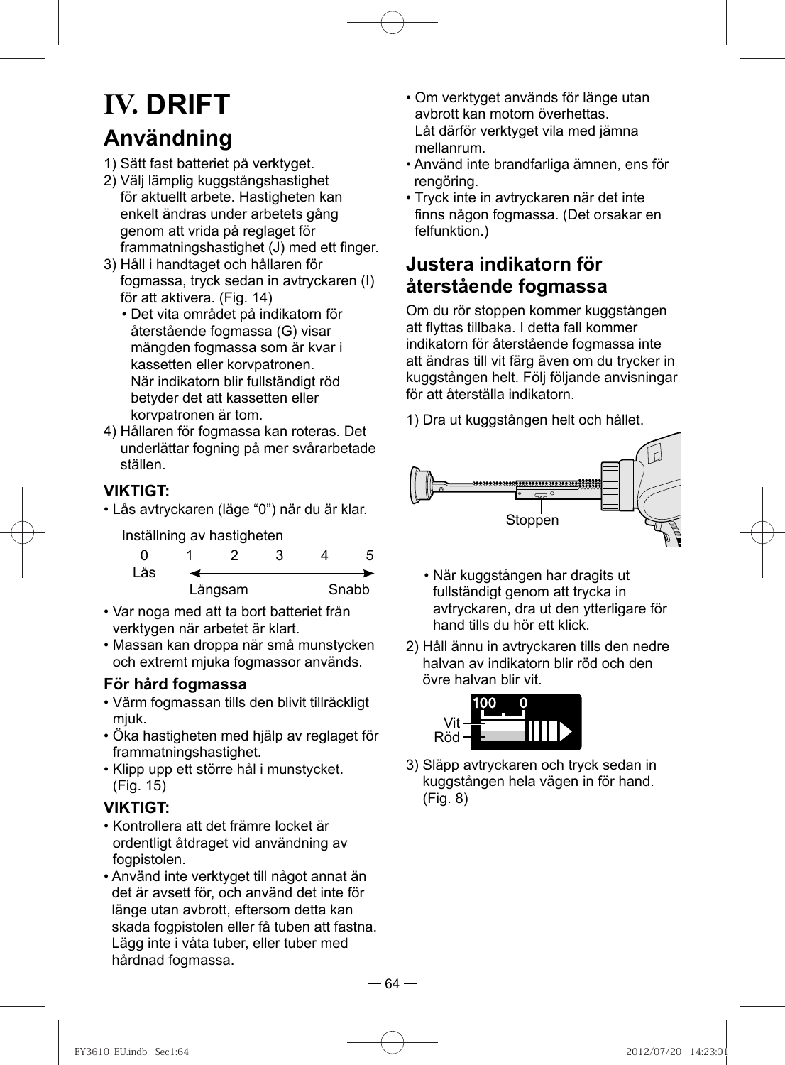# **IV. DRIFT Användning**

- 1) Sätt fast batteriet på verktyget.
- 2) Välj lämplig kuggstångshastighet för aktuellt arbete. Hastigheten kan enkelt ändras under arbetets gång genom att vrida på reglaget för frammatningshastighet (J) med ett finger.
- 3) Håll i handtaget och hållaren för fogmassa, tryck sedan in avtryckaren (I) för att aktivera. (Fig. 14)
	- Det vita området på indikatorn för återstående fogmassa (G) visar mängden fogmassa som är kvar i kassetten eller korvpatronen. När indikatorn blir fullständigt röd betyder det att kassetten eller korvpatronen är tom.
- 4) Hållaren för fogmassa kan roteras. Det underlättar fogning på mer svårarbetade ställen.

#### **VIKTIGT:**

• Lås avtryckaren (läge "0") när du är klar.

Inställning av hastigheten

| Lås |         |  |  |       |
|-----|---------|--|--|-------|
|     | Långsam |  |  | Snabb |

- Var noga med att ta bort batteriet från verktygen när arbetet är klart.
- Massan kan droppa när små munstycken och extremt mjuka fogmassor används.

#### **För hård fogmassa**

- Värm fogmassan tills den blivit tillräckligt miuk.
- Öka hastigheten med hjälp av reglaget för frammatningshastighet.
- Klipp upp ett större hål i munstycket. (Fig. 15)

#### **VIKTIGT:**

- Kontrollera att det främre locket är ordentligt åtdraget vid användning av fogpistolen.
- Använd inte verktyget till något annat än det är avsett för, och använd det inte för länge utan avbrott, eftersom detta kan skada fogpistolen eller få tuben att fastna. Lägg inte i våta tuber, eller tuber med hårdnad fogmassa.
- Om verktyget används för länge utan avbrott kan motorn överhettas. Låt därför verktyget vila med jämna mellanrum.
- Använd inte brandfarliga ämnen, ens för rengöring.
- Tryck inte in avtryckaren när det inte finns någon fogmassa. (Det orsakar en felfunktion.)

### **Justera indikatorn för återstående fogmassa**

 Om du rör stoppen kommer kuggstången att flyttas tillbaka. I detta fall kommer indikatorn för återstående fogmassa inte att ändras till vit färg även om du trycker in kuggstången helt. Följ följande anvisningar för att återställa indikatorn.

1) Dra ut kuggstången helt och hållet.



- När kuggstången har dragits ut fullständigt genom att trycka in avtryckaren, dra ut den ytterligare för hand tills du hör ett klick.
- 2) Håll ännu in avtryckaren tills den nedre halvan av indikatorn blir röd och den övre halvan blir vit.



3) Släpp avtryckaren och tryck sedan in kuggstången hela vägen in för hand. (Fig. 8)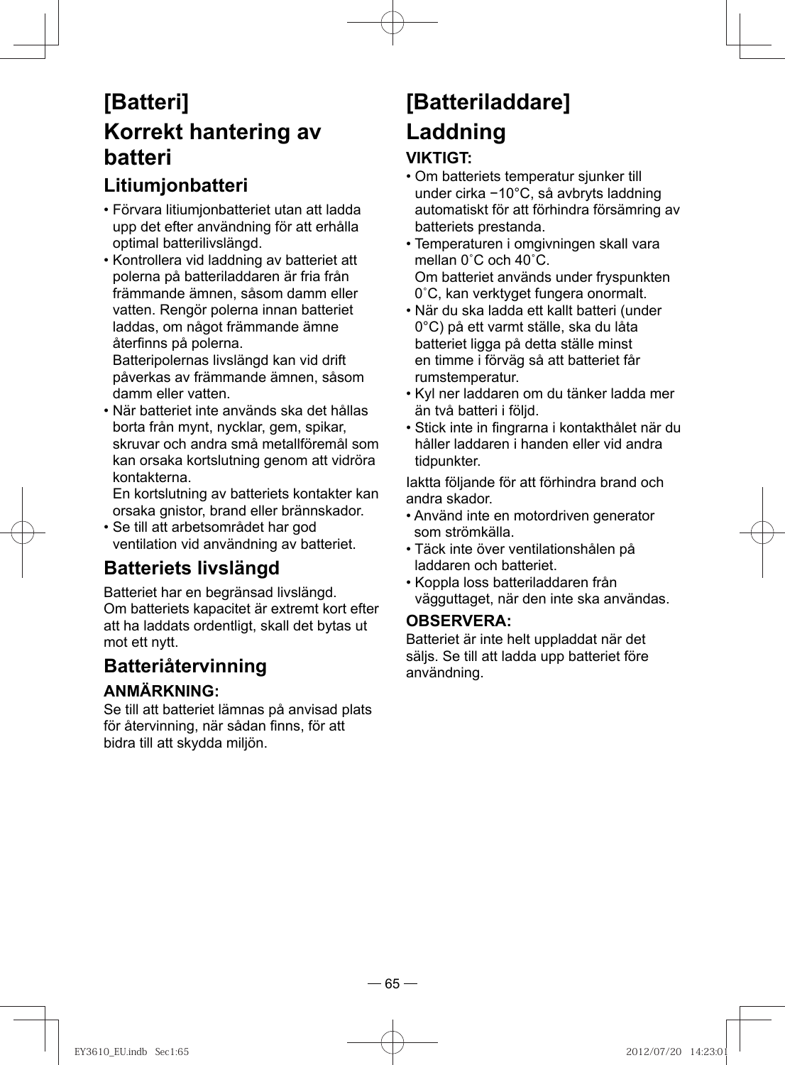## **[Batteri] Korrekt hantering av batteri**

## **Litiumjonbatteri**

- Förvara litiumjonbatteriet utan att ladda upp det efter användning för att erhålla optimal batterilivslängd.
- Kontrollera vid laddning av batteriet att polerna på batteriladdaren är fria från främmande ämnen, såsom damm eller vatten. Rengör polerna innan batteriet laddas, om något främmande ämne återfinns på polerna.

Batteripolernas livslängd kan vid drift påverkas av främmande ämnen, såsom damm eller vatten.

• När batteriet inte används ska det hållas borta från mynt, nycklar, gem, spikar, skruvar och andra små metallföremål som kan orsaka kortslutning genom att vidröra kontakterna.

En kortslutning av batteriets kontakter kan orsaka gnistor, brand eller brännskador.

• Se till att arbetsområdet har god ventilation vid användning av batteriet.

## **Batteriets livslängd**

Batteriet har en begränsad livslängd. Om batteriets kapacitet är extremt kort efter att ha laddats ordentligt, skall det bytas ut mot ett nytt.

### **Batteriåtervinning**

#### **ANMÄRKNING:**

Se till att batteriet lämnas på anvisad plats för återvinning, när sådan finns, för att bidra till att skydda miljön.

# **[Batteriladdare] Laddning**

#### **VIKTIGT:**

- Om batteriets temperatur sjunker till under cirka −10°C, så avbryts laddning automatiskt för att förhindra försämring av batteriets prestanda.
- Temperaturen i omgivningen skall vara mellan 0˚C och 40˚C. Om batteriet används under fryspunkten 0˚C, kan verktyget fungera onormalt.
- När du ska ladda ett kallt batteri (under 0°C) på ett varmt ställe, ska du låta batteriet ligga på detta ställe minst en timme i förväg så att batteriet får rumstemperatur.
- Kyl ner laddaren om du tänker ladda mer än två batteri i följd.
- Stick inte in fingrarna i kontakthålet när du håller laddaren i handen eller vid andra tidpunkter.

Iaktta följande för att förhindra brand och andra skador.

- Använd inte en motordriven generator som strömkälla.
- Täck inte över ventilationshålen på laddaren och batteriet.
- Koppla loss batteriladdaren från vägguttaget, när den inte ska användas.

#### **OBSERVERA:**

Batteriet är inte helt uppladdat när det säljs. Se till att ladda upp batteriet före användning.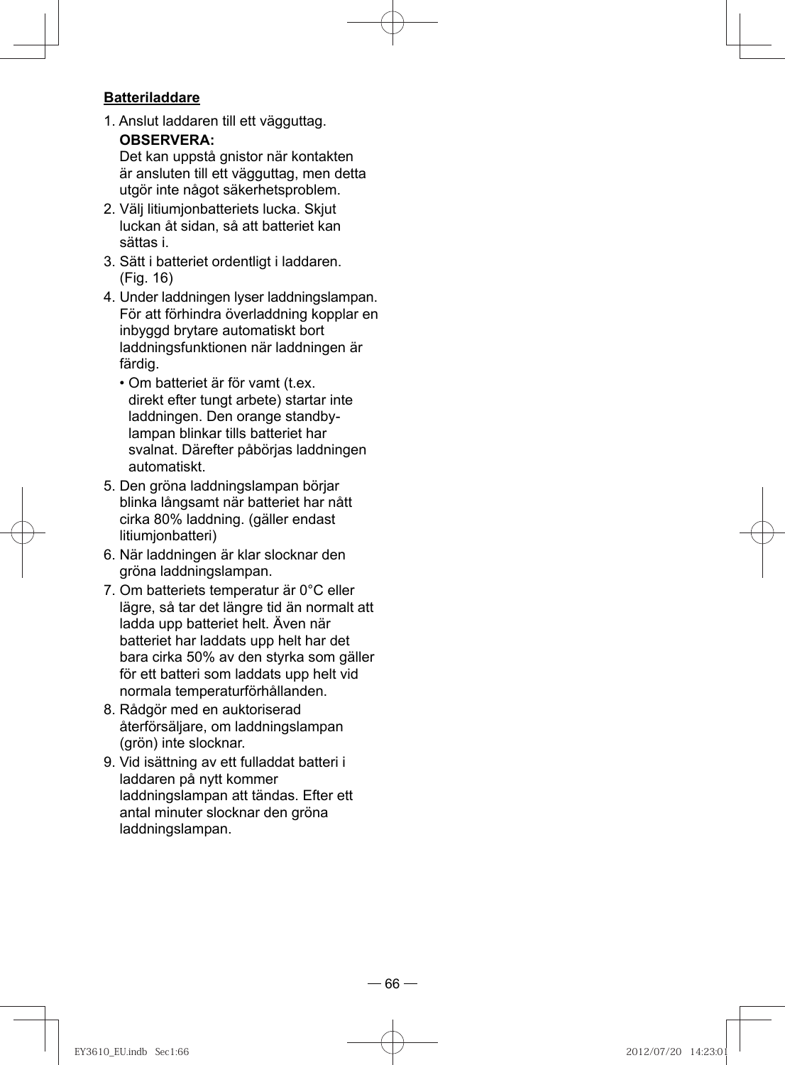#### **Batteriladdare**

1. Anslut laddaren till ett vägguttag. **OBSERVERA:** 

Det kan uppstå gnistor när kontakten är ansluten till ett vägguttag, men detta utgör inte något säkerhetsproblem.

- 2. Välj litiumjonbatteriets lucka. Skjut luckan åt sidan, så att batteriet kan sättas i.
- 3. Sätt i batteriet ordentligt i laddaren. (Fig. 16)
- 4. Under laddningen lyser laddningslampan. För att förhindra överladdning kopplar en inbyggd brytare automatiskt bort laddningsfunktionen när laddningen är färdig.
	- Om batteriet är för vamt (t.ex. direkt efter tungt arbete) startar inte laddningen. Den orange standbylampan blinkar tills batteriet har svalnat. Därefter påbörjas laddningen automatiskt.
- 5. Den gröna laddningslampan börjar blinka långsamt när batteriet har nått cirka 80% laddning. (gäller endast litiumjonbatteri)
- 6. När laddningen är klar slocknar den gröna laddningslampan.
- 7. Om batteriets temperatur är 0°C eller lägre, så tar det längre tid än normalt att ladda upp batteriet helt. Även när batteriet har laddats upp helt har det bara cirka 50% av den styrka som gäller för ett batteri som laddats upp helt vid normala temperaturförhållanden.
- 8. Rådgör med en auktoriserad återförsäljare, om laddningslampan (grön) inte slocknar.
- 9. Vid isättning av ett fulladdat batteri i laddaren på nytt kommer laddningslampan att tändas. Efter ett antal minuter slocknar den gröna laddningslampan.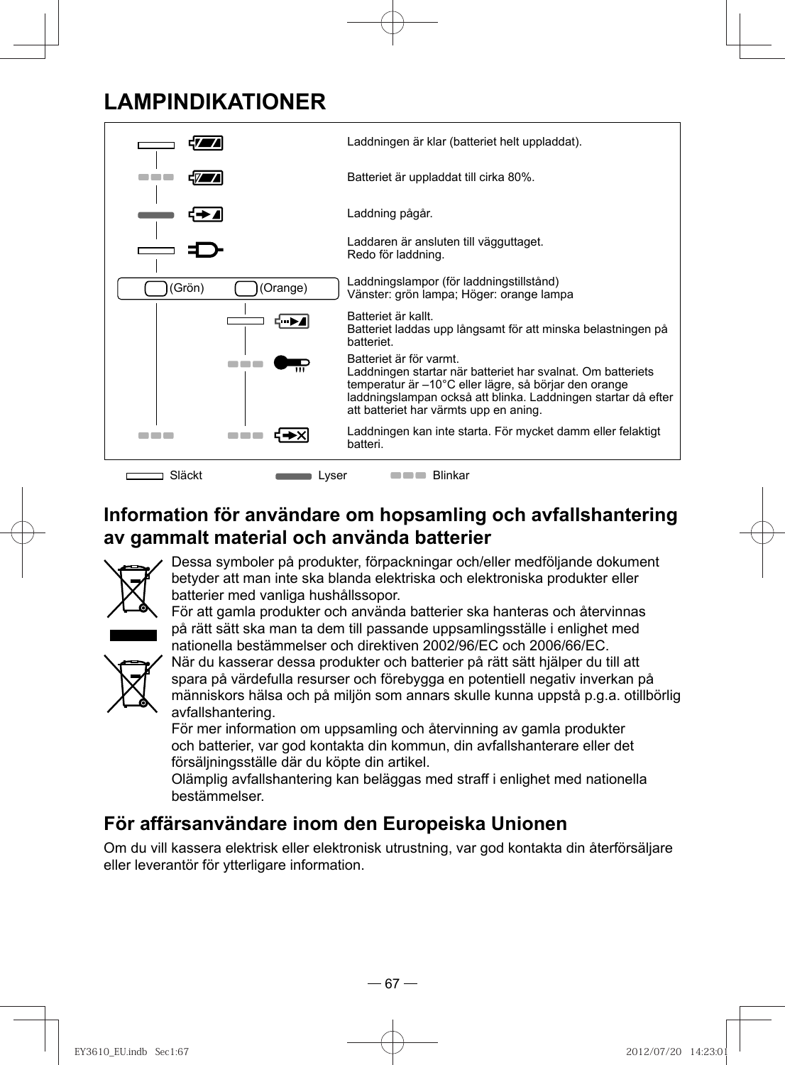## **LAMPINDIKATIONER**



## **Information för användare om hopsamling och avfallshantering av gammalt material och använda batterier**



Dessa symboler på produkter, förpackningar och/eller medföljande dokument betyder att man inte ska blanda elektriska och elektroniska produkter eller batterier med vanliga hushållssopor.

För att gamla produkter och använda batterier ska hanteras och återvinnas på rätt sätt ska man ta dem till passande uppsamlingsställe i enlighet med nationella bestämmelser och direktiven 2002/96/EC och 2006/66/EC.



När du kasserar dessa produkter och batterier på rätt sätt hjälper du till att spara på värdefulla resurser och förebygga en potentiell negativ inverkan på människors hälsa och på miljön som annars skulle kunna uppstå p.g.a. otillbörlig avfallshantering.

För mer information om uppsamling och återvinning av gamla produkter och batterier, var god kontakta din kommun, din avfallshanterare eller det försäljningsställe där du köpte din artikel.

Olämplig avfallshantering kan beläggas med straff i enlighet med nationella bestämmelser.

## **För affärsanvändare inom den Europeiska Unionen**

Om du vill kassera elektrisk eller elektronisk utrustning, var god kontakta din återförsäljare eller leverantör för ytterligare information.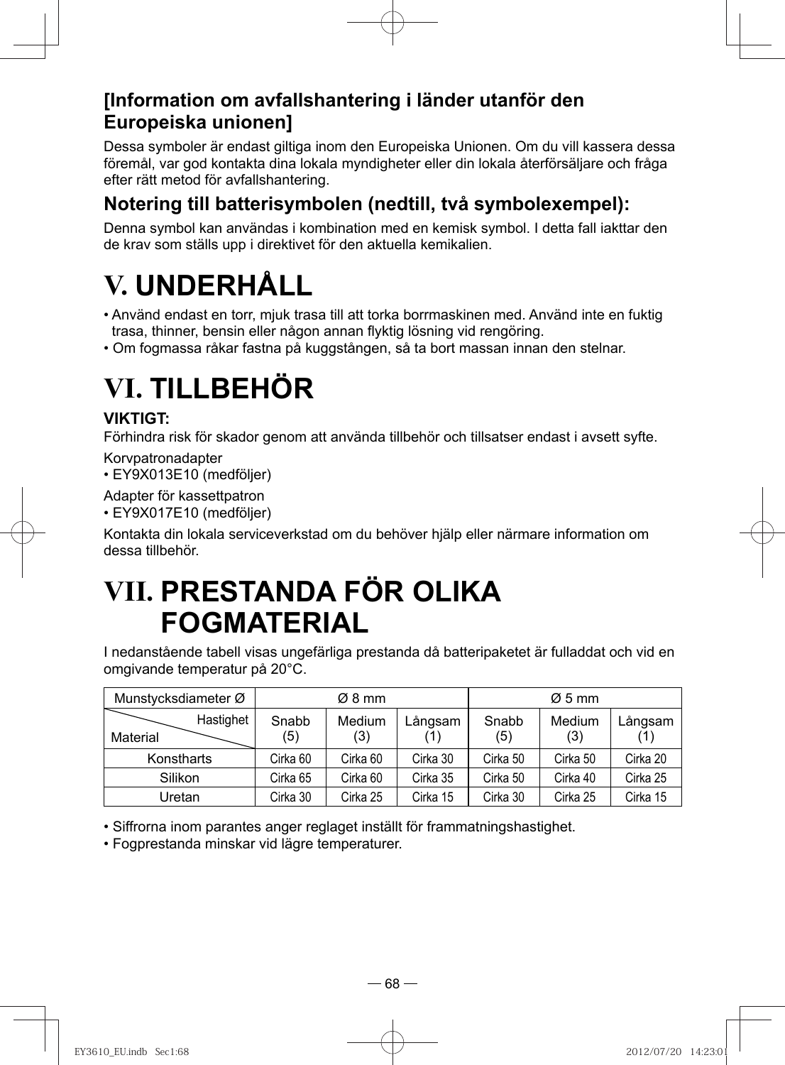### **[Information om avfallshantering i länder utanför den Europeiska unionen]**

Dessa symboler är endast giltiga inom den Europeiska Unionen. Om du vill kassera dessa föremål, var god kontakta dina lokala myndigheter eller din lokala återförsäljare och fråga efter rätt metod för avfallshantering.

## **Notering till batterisymbolen (nedtill, två symbolexempel):**

Denna symbol kan användas i kombination med en kemisk symbol. I detta fall iakttar den de krav som ställs upp i direktivet för den aktuella kemikalien.

# **V. UNDERHÅLL**

- Använd endast en torr, mjuk trasa till att torka borrmaskinen med. Använd inte en fuktig trasa, thinner, bensin eller någon annan flyktig lösning vid rengöring.
- Om fogmassa råkar fastna på kuggstången, så ta bort massan innan den stelnar.

# **VI. TILLBEHÖR**

#### **VIKTIGT:**

Förhindra risk för skador genom att använda tillbehör och tillsatser endast i avsett syfte.

Korvpatronadapter

• EY9X013E10 (medföljer)

Adapter för kassettpatron

• EY9X017E10 (medföljer)

Kontakta din lokala serviceverkstad om du behöver hjälp eller närmare information om dessa tillbehör.

## **VII. PRESTANDA FÖR OLIKA FOGMATERIAL**

I nedanstående tabell visas ungefärliga prestanda då batteripaketet är fulladdat och vid en omgivande temperatur på 20°C.

| Munstycksdiameter Ø   |              | Ø8 mm         |          |              | $\varnothing$ 5 mm |          |
|-----------------------|--------------|---------------|----------|--------------|--------------------|----------|
| Hastighet<br>Material | Snabb<br>(5) | Medium<br>(3) | Långsam  | Snabb<br>(5) | Medium<br>(3)      | Långsam  |
| Konstharts            | Cirka 60     | Cirka 60      | Cirka 30 | Cirka 50     | Cirka 50           | Cirka 20 |
| Silikon               | Cirka 65     | Cirka 60      | Cirka 35 | Cirka 50     | Cirka 40           | Cirka 25 |
| Uretan                | Cirka 30     | Cirka 25      | Cirka 15 | Cirka 30     | Cirka 25           | Cirka 15 |

• Siffrorna inom parantes anger reglaget inställt för frammatningshastighet.

• Fogprestanda minskar vid lägre temperaturer.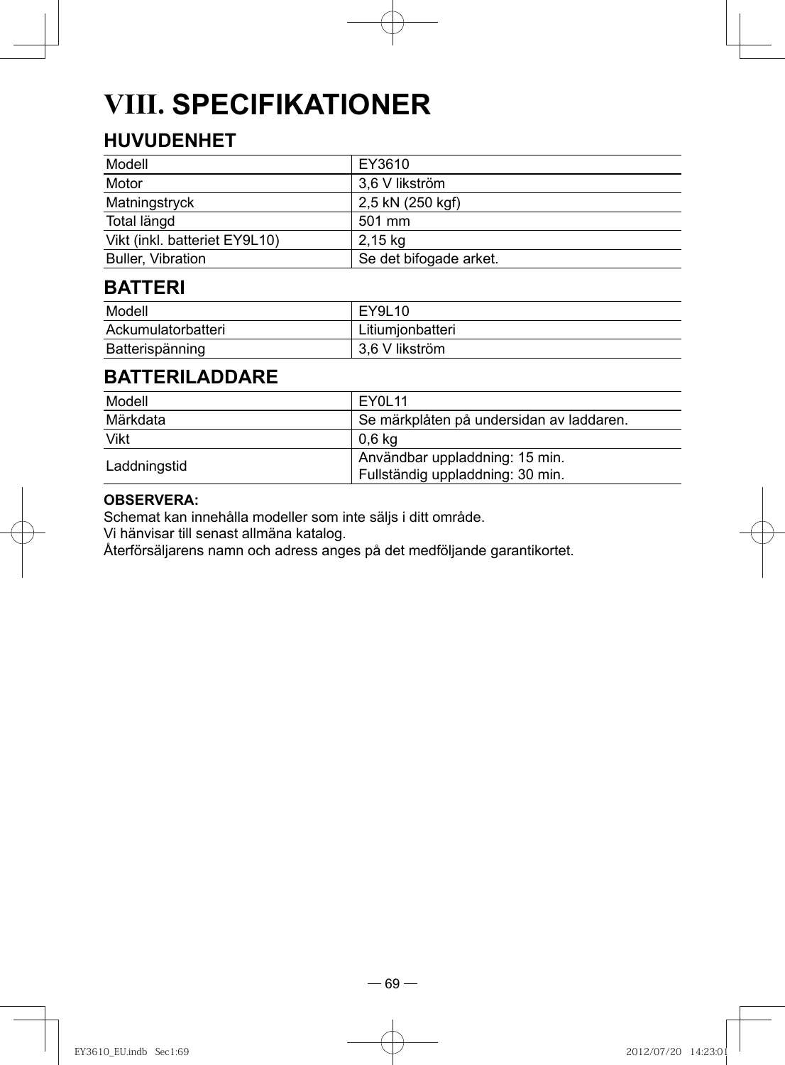# **VIII. SPECIFIKATIONER**

## **HUVUDENHET**

| Modell                        | EY3610                 |
|-------------------------------|------------------------|
| Motor                         | 3,6 V likström         |
| Matningstryck                 | 2,5 kN (250 kgf)       |
| Total längd                   | 501 mm                 |
| Vikt (inkl. batteriet EY9L10) | 2,15 kg                |
| <b>Buller, Vibration</b>      | Se det bifogade arket. |

### **BATTERI**

| Modell             | EY9L10           |
|--------------------|------------------|
| Ackumulatorbatteri | Litiumjonbatteri |
| Batterispänning    | 3.6 V likström   |

### **BATTERILADDARE**

| Modell       | EY0L11                                                             |
|--------------|--------------------------------------------------------------------|
| Märkdata     | Se märkplåten på undersidan av laddaren.                           |
| Vikt         | 0.6 ka                                                             |
| Laddningstid | Användbar uppladdning: 15 min.<br>Fullständig uppladdning: 30 min. |

#### **OBSERVERA:**

Schemat kan innehålla modeller som inte säljs i ditt område.

Vi hänvisar till senast allmäna katalog.

Återförsäljarens namn och adress anges på det medföljande garantikortet.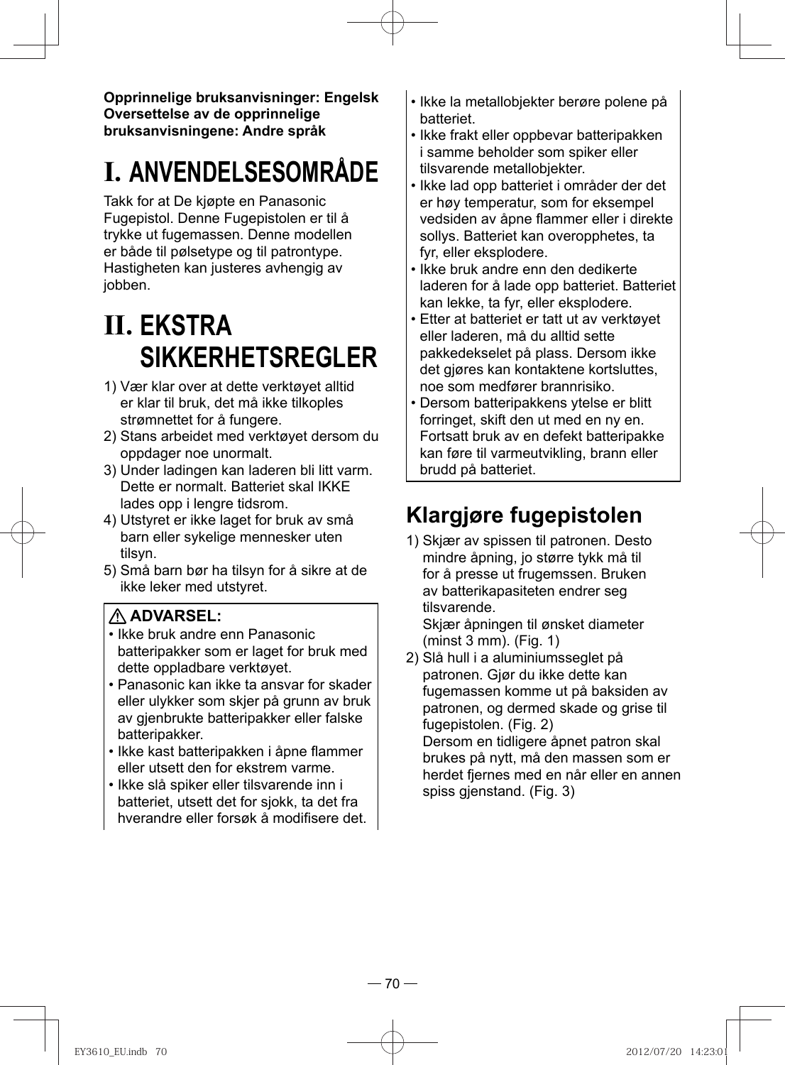**Opprinnelige bruksanvisninger: Engelsk Oversettelse av de opprinnelige bruksanvisningene: Andre språk**

# **I. ANVENDELSESOMRÅDE**

Takk for at De kjøpte en Panasonic Fugepistol. Denne Fugepistolen er til å trykke ut fugemassen. Denne modellen er både til pølsetype og til patrontype. Hastigheten kan justeres avhengig av jobben.

# **II. EKSTRA SIKKERHETSREGLER**

- 1) Vær klar over at dette verktøyet alltid er klar til bruk, det må ikke tilkoples strømnettet for å fungere.
- 2) Stans arbeidet med verktøyet dersom du oppdager noe unormalt.
- 3) Under ladingen kan laderen bli litt varm. Dette er normalt. Batteriet skal IKKE lades opp i lengre tidsrom.
- 4) Utstyret er ikke laget for bruk av små barn eller sykelige mennesker uten tilsyn.
- 5) Små barn bør ha tilsyn for å sikre at de ikke leker med utstyret.

#### **ADVARSEL:**

- Ikke bruk andre enn Panasonic batteripakker som er laget for bruk med dette oppladbare verktøyet.
- Panasonic kan ikke ta ansvar for skader eller ulykker som skjer på grunn av bruk av gjenbrukte batteripakker eller falske batteripakker.
- Ikke kast batteripakken i åpne flammer eller utsett den for ekstrem varme.
- Ikke slå spiker eller tilsvarende inn i batteriet, utsett det for sjokk, ta det fra hverandre eller forsøk å modifisere det.
- Ikke la metallobjekter berøre polene på batteriet.
- Ikke frakt eller oppbevar batteripakken i samme beholder som spiker eller tilsvarende metallobjekter.
- Ikke lad opp batteriet i områder der det er høy temperatur, som for eksempel vedsiden av åpne flammer eller i direkte sollys. Batteriet kan overopphetes, ta fyr, eller eksplodere.
- Ikke bruk andre enn den dedikerte laderen for å lade opp batteriet. Batteriet kan lekke, ta fyr, eller eksplodere.
- Etter at batteriet er tatt ut av verktøyet eller laderen, må du alltid sette pakkedekselet på plass. Dersom ikke det gjøres kan kontaktene kortsluttes, noe som medfører brannrisiko.
- Dersom batteripakkens ytelse er blitt forringet, skift den ut med en ny en. Fortsatt bruk av en defekt batteripakke kan føre til varmeutvikling, brann eller brudd på batteriet.

## **Klargjøre fugepistolen**

1) Skjær av spissen til patronen. Desto mindre åpning, jo større tykk må til for å presse ut frugemssen. Bruken av batterikapasiteten endrer seg tilsvarende.

Skjær åpningen til ønsket diameter (minst 3 mm). (Fig. 1)

2) Slå hull i a aluminiumsseglet på patronen. Gjør du ikke dette kan fugemassen komme ut på baksiden av patronen, og dermed skade og grise til fugepistolen. (Fig. 2)

Dersom en tidligere åpnet patron skal brukes på nytt, må den massen som er herdet fjernes med en når eller en annen spiss gjenstand. (Fig. 3)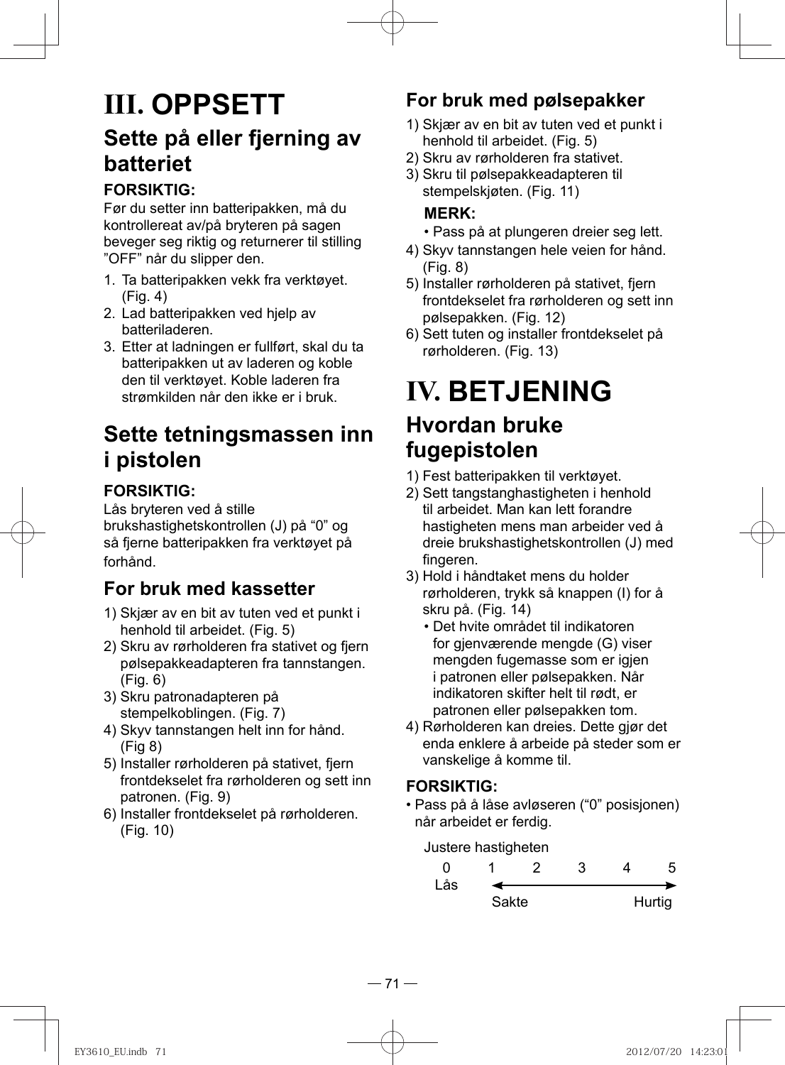## **III. OPPSETT Sette på eller fjerning av batteriet**

#### **FORSIKTIG:**

Før du setter inn batteripakken, må du kontrollereat av/på bryteren på sagen beveger seg riktig og returnerer til stilling "OFF" når du slipper den.

- 1. Ta batteripakken vekk fra verktøyet. (Fig. 4)
- 2. Lad batteripakken ved hjelp av batteriladeren.
- 3. Etter at ladningen er fullført, skal du ta batteripakken ut av laderen og koble den til verktøyet. Koble laderen fra strømkilden når den ikke er i bruk.

## **Sette tetningsmassen inn i pistolen**

#### **FORSIKTIG:**

Lås bryteren ved å stille brukshastighetskontrollen (J) på "0" og så fjerne batteripakken fra verktøyet på forhånd.

## **For bruk med kassetter**

- 1) Skjær av en bit av tuten ved et punkt i henhold til arbeidet. (Fig. 5)
- 2) Skru av rørholderen fra stativet og fjern pølsepakkeadapteren fra tannstangen. (Fig. 6)
- 3) Skru patronadapteren på stempelkoblingen. (Fig. 7)
- 4) Skyv tannstangen helt inn for hånd. (Fig 8)
- 5) Installer rørholderen på stativet, fjern frontdekselet fra rørholderen og sett inn patronen. (Fig. 9)
- 6) Installer frontdekselet på rørholderen. (Fig. 10)

## **For bruk med pølsepakker**

- 1) Skjær av en bit av tuten ved et punkt i henhold til arbeidet. (Fig. 5)
- 2) Skru av rørholderen fra stativet.
- 3) Skru til pølsepakkeadapteren til stempelskjøten. (Fig. 11)

#### **MERK:**

- Pass på at plungeren dreier seg lett.
- 4) Skyv tannstangen hele veien for hånd. (Fig. 8)
- 5) Installer rørholderen på stativet, fjern frontdekselet fra rørholderen og sett inn pølsepakken. (Fig. 12)
- 6) Sett tuten og installer frontdekselet på rørholderen. (Fig. 13)

## **IV. BETJENING Hvordan bruke fugepistolen**

- 1) Fest batteripakken til verktøyet.
- 2) Sett tangstanghastigheten i henhold til arbeidet. Man kan lett forandre hastigheten mens man arbeider ved å dreie brukshastighetskontrollen (J) med fingeren.
- 3) Hold i håndtaket mens du holder rørholderen, trykk så knappen (I) for å skru på. (Fig. 14)
	- Det hvite området til indikatoren for gjenværende mengde (G) viser mengden fugemasse som er igjen i patronen eller pølsepakken. Når indikatoren skifter helt til rødt, er patronen eller pølsepakken tom.
- 4) Rørholderen kan dreies. Dette gjør det enda enklere å arbeide på steder som er vanskelige å komme til.

#### **FORSIKTIG:**

• Pass på å låse avløseren ("0" posisjonen) når arbeidet er ferdig.

Justere hastigheten

|     |       | ว |        |
|-----|-------|---|--------|
| Lås |       |   |        |
|     | Sakte |   | Hurtig |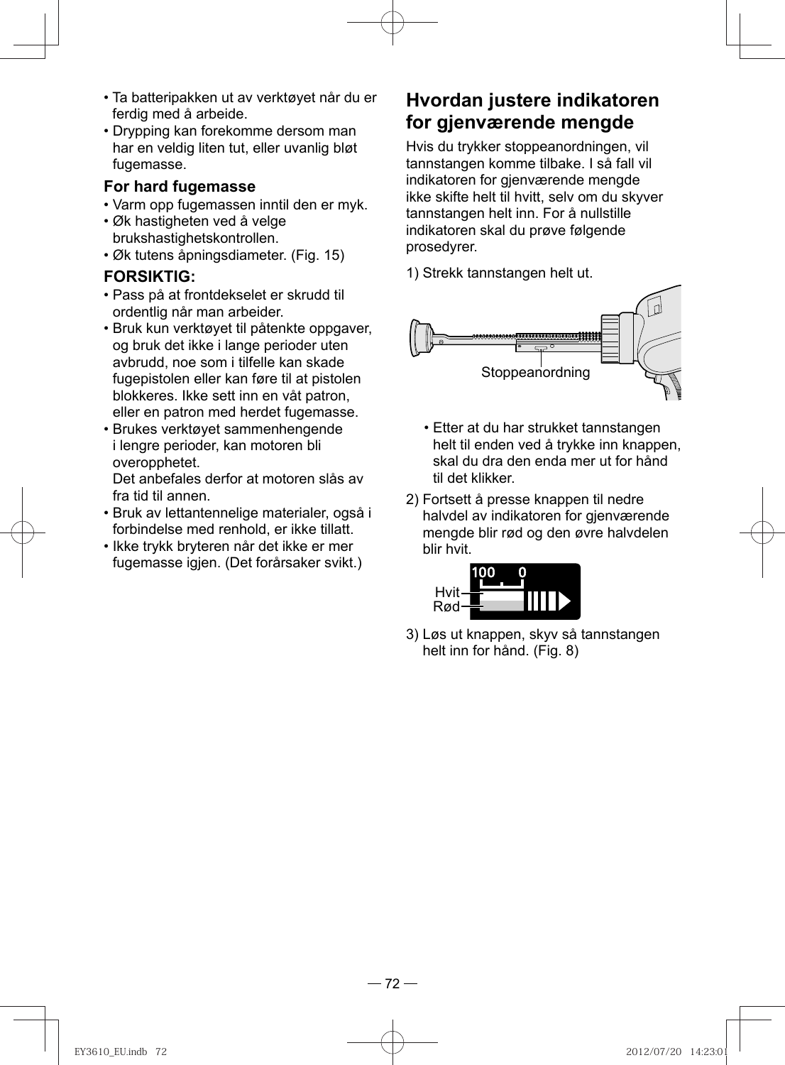- Ta batteripakken ut av verktøyet når du er ferdig med å arbeide.
- Drypping kan forekomme dersom man har en veldig liten tut, eller uvanlig bløt fugemasse.

#### **For hard fugemasse**

- Varm opp fugemassen inntil den er myk.
- Øk hastigheten ved å velge brukshastighetskontrollen.
- Øk tutens åpningsdiameter. (Fig. 15)

#### **FORSIKTIG:**

- Pass på at frontdekselet er skrudd til ordentlig når man arbeider.
- Bruk kun verktøyet til påtenkte oppgaver, og bruk det ikke i lange perioder uten avbrudd, noe som i tilfelle kan skade fugepistolen eller kan føre til at pistolen blokkeres. Ikke sett inn en våt patron, eller en patron med herdet fugemasse.
- Brukes verktøyet sammenhengende i lengre perioder, kan motoren bli overopphetet.

Det anbefales derfor at motoren slås av fra tid til annen.

- Bruk av lettantennelige materialer, også i forbindelse med renhold, er ikke tillatt.
- Ikke trykk bryteren når det ikke er mer fugemasse igjen. (Det forårsaker svikt.)

### **Hvordan justere indikatoren for gjenværende mengde**

 Hvis du trykker stoppeanordningen, vil tannstangen komme tilbake. I så fall vil indikatoren for gjenværende mengde ikke skifte helt til hvitt, selv om du skyver tannstangen helt inn. For å nullstille indikatoren skal du prøve følgende prosedyrer.

1) Strekk tannstangen helt ut.



- Etter at du har strukket tannstangen helt til enden ved å trykke inn knappen, skal du dra den enda mer ut for hånd til det klikker.
- 2) Fortsett å presse knappen til nedre halvdel av indikatoren for gjenværende mengde blir rød og den øvre halvdelen blir hvit.



3) Løs ut knappen, skyv så tannstangen helt inn for hånd. (Fig. 8)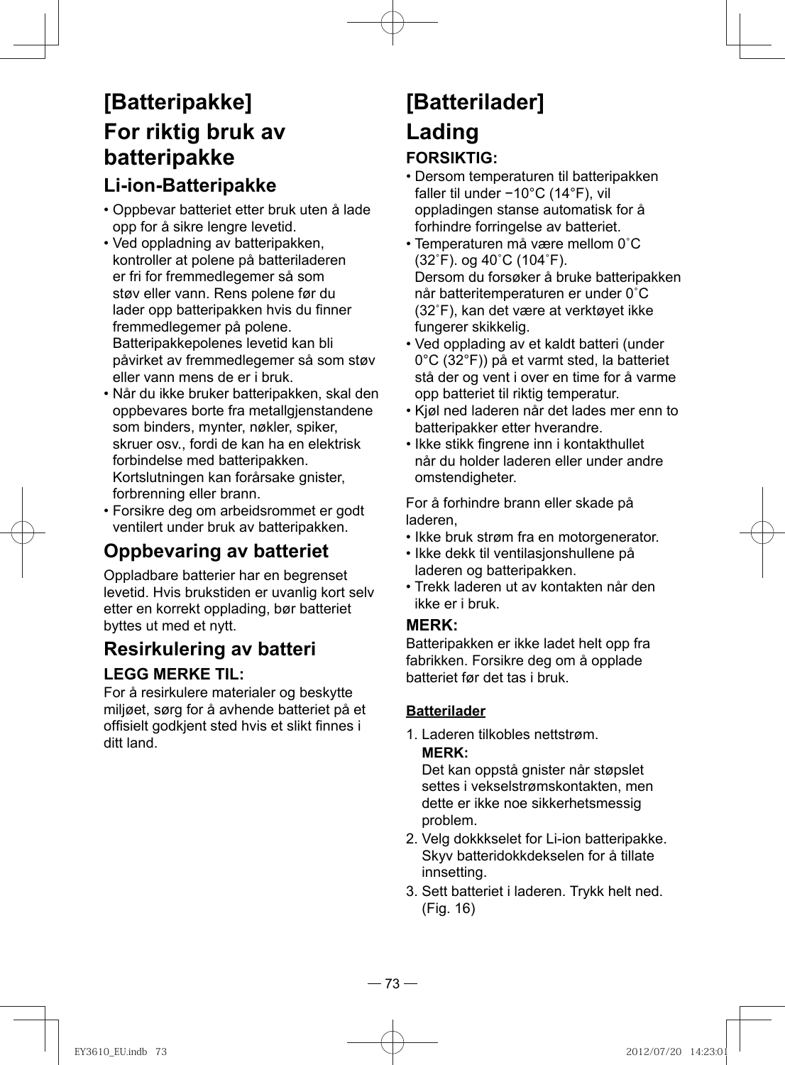# **[Batteripakke] For riktig bruk av batteripakke**

## **Li-ion-Batteripakke**

- Oppbevar batteriet etter bruk uten å lade opp for å sikre lengre levetid.
- Ved oppladning av batteripakken, kontroller at polene på batteriladeren er fri for fremmedlegemer så som støv eller vann. Rens polene før du lader opp batteripakken hvis du finner fremmedlegemer på polene. Batteripakkepolenes levetid kan bli påvirket av fremmedlegemer så som støv eller vann mens de er i bruk.
- Når du ikke bruker batteripakken, skal den oppbevares borte fra metallgjenstandene som binders, mynter, nøkler, spiker, skruer osv., fordi de kan ha en elektrisk forbindelse med batteripakken. Kortslutningen kan forårsake gnister, forbrenning eller brann.
- Forsikre deg om arbeidsrommet er godt ventilert under bruk av batteripakken.

## **Oppbevaring av batteriet**

Oppladbare batterier har en begrenset levetid. Hvis brukstiden er uvanlig kort selv etter en korrekt opplading, bør batteriet byttes ut med et nytt.

### **Resirkulering av batteri**

#### **LEGG MERKE TIL:**

For å resirkulere materialer og beskytte miljøet, sørg for å avhende batteriet på et offisielt godkjent sted hvis et slikt finnes i ditt land.

# **[Batterilader] Lading**

#### **FORSIKTIG:**

- Dersom temperaturen til batteripakken faller til under −10°C (14°F), vil oppladingen stanse automatisk for å forhindre forringelse av batteriet.
- Temperaturen må være mellom 0˚C (32˚F). og 40˚C (104˚F). Dersom du forsøker å bruke batteripakken når batteritemperaturen er under 0˚C (32˚F), kan det være at verktøyet ikke fungerer skikkelig.
- Ved opplading av et kaldt batteri (under 0°C (32°F)) på et varmt sted, la batteriet stå der og vent i over en time for å varme opp batteriet til riktig temperatur.
- Kjøl ned laderen når det lades mer enn to batteripakker etter hverandre.
- Ikke stikk fingrene inn i kontakthullet når du holder laderen eller under andre omstendigheter.

For å forhindre brann eller skade på laderen,

- Ikke bruk strøm fra en motorgenerator.
- Ikke dekk til ventilasjonshullene på laderen og batteripakken.
- Trekk laderen ut av kontakten når den ikke er i bruk.

#### **MERK:**

Batteripakken er ikke ladet helt opp fra fabrikken. Forsikre deg om å opplade batteriet før det tas i bruk.

#### **Batterilader**

1. Laderen tilkobles nettstrøm.

#### **MERK:**

Det kan oppstå gnister når støpslet settes i vekselstrømskontakten, men dette er ikke noe sikkerhetsmessig problem.

- 2. Velg dokkkselet for Li-ion batteripakke. Skyv batteridokkdekselen for å tillate innsetting.
- 3. Sett batteriet i laderen. Trykk helt ned. (Fig. 16)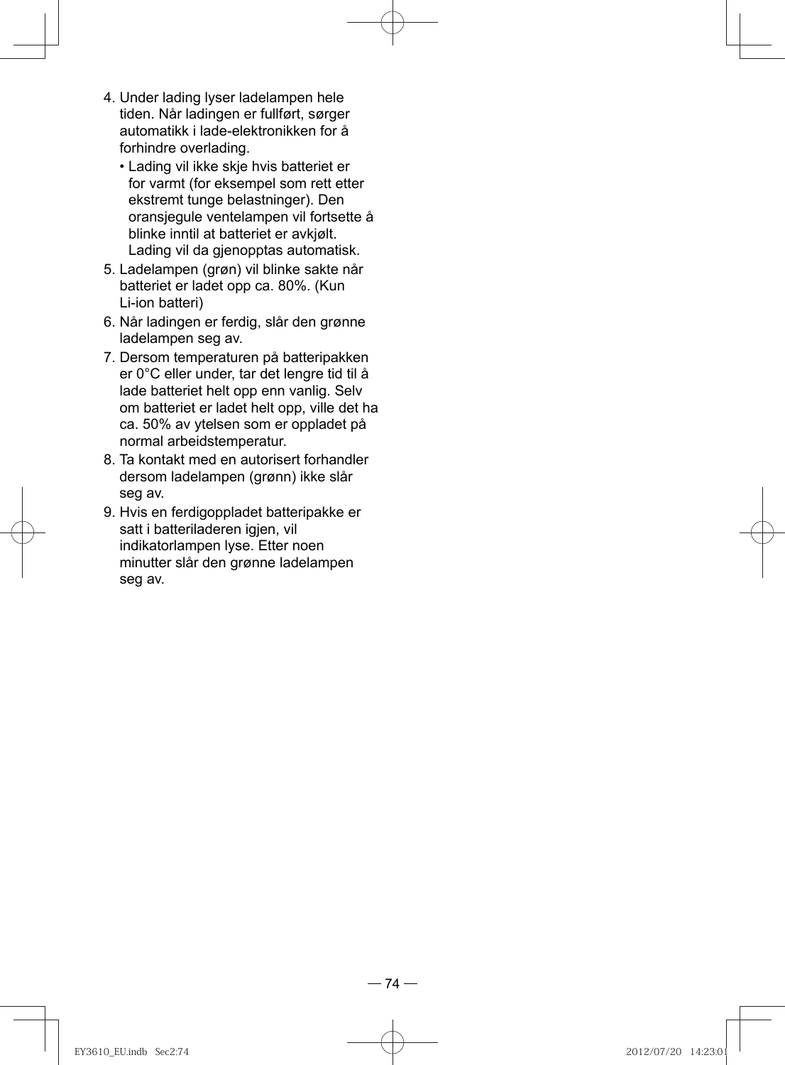- 4. Under lading lyser ladelampen hele tiden. Når ladingen er fullført, sørger automatikk i lade-elektronikken for å forhindre overlading.
	- Lading vil ikke skje hvis batteriet er for varmt (for eksempel som rett etter ekstremt tunge belastninger). Den oransjegule ventelampen vil fortsette å blinke inntil at batteriet er avkjølt. Lading vil da gjenopptas automatisk.
- 5. Ladelampen (grøn) vil blinke sakte når batteriet er ladet opp ca. 80%. (Kun Li-ion batteri)
- 6. Når ladingen er ferdig, slår den grønne ladelampen seg av.
- 7. Dersom temperaturen på batteripakken er 0°C eller under, tar det lengre tid til å lade batteriet helt opp enn vanlig. Selv om batteriet er ladet helt opp, ville det ha ca. 50% av ytelsen som er oppladet på normal arbeidstemperatur.
- 8. Ta kontakt med en autorisert forhandler dersom ladelampen (grønn) ikke slår seg av.
- 9. Hvis en ferdigoppladet batteripakke er satt i batteriladeren igjen, vil indikatorlampen lyse. Etter noen minutter slår den grønne ladelampen seg av.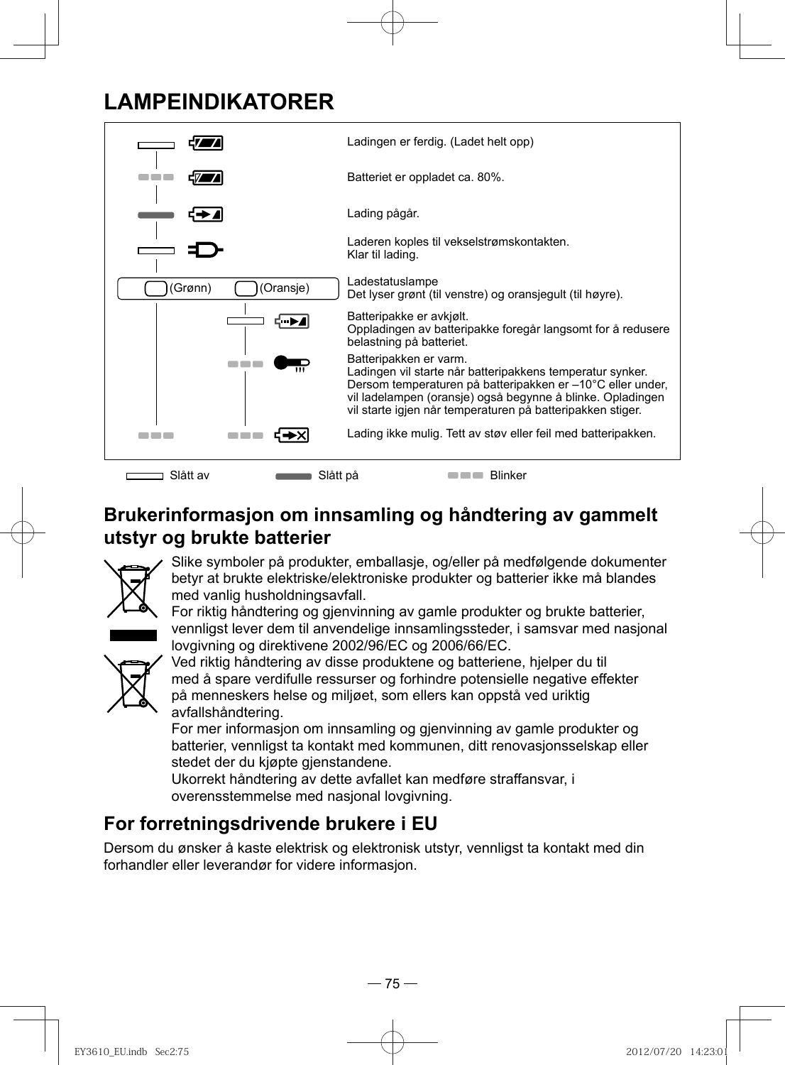## **LAMPEINDIKATORER**



### **Brukerinformasjon om innsamling og håndtering av gammelt utstyr og brukte batterier**



Slike symboler på produkter, emballasje, og/eller på medfølgende dokumenter betyr at brukte elektriske/elektroniske produkter og batterier ikke må blandes med vanlig husholdningsavfall.

For riktig håndtering og gjenvinning av gamle produkter og brukte batterier, vennligst lever dem til anvendelige innsamlingssteder, i samsvar med nasjonal lovgivning og direktivene 2002/96/EC og 2006/66/EC.



Ved riktig håndtering av disse produktene og batteriene, hjelper du til med å spare verdifulle ressurser og forhindre potensielle negative effekter på menneskers helse og miljøet, som ellers kan oppstå ved uriktig avfallshåndtering.

For mer informasjon om innsamling og gjenvinning av gamle produkter og batterier, vennligst ta kontakt med kommunen, ditt renovasjonsselskap eller stedet der du kjøpte gjenstandene.

Ukorrekt håndtering av dette avfallet kan medføre straffansvar, i overensstemmelse med nasjonal lovgivning.

## **For forretningsdrivende brukere i EU**

Dersom du ønsker å kaste elektrisk og elektronisk utstyr, vennligst ta kontakt med din forhandler eller leverandør for videre informasjon.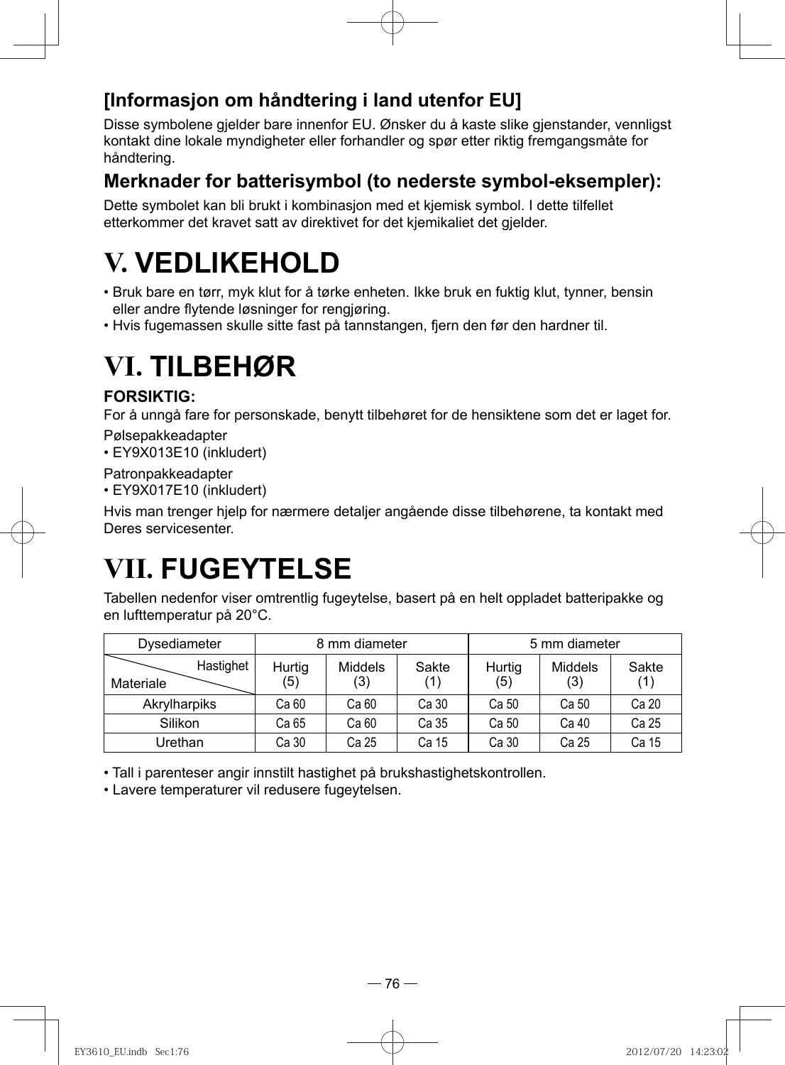### **[Informasjon om håndtering i land utenfor EU]**

Disse symbolene gjelder bare innenfor EU. Ønsker du å kaste slike gjenstander, vennligst kontakt dine lokale myndigheter eller forhandler og spør etter riktig fremgangsmåte for håndtering.

#### **Merknader for batterisymbol (to nederste symbol-eksempler):**

Dette symbolet kan bli brukt i kombinasjon med et kjemisk symbol. I dette tilfellet etterkommer det kravet satt av direktivet for det kjemikaliet det gjelder.

# **V. VEDLIKEHOLD**

- Bruk bare en tørr, myk klut for å tørke enheten. Ikke bruk en fuktig klut, tynner, bensin eller andre flytende løsninger for rengjøring.
- Hvis fugemassen skulle sitte fast på tannstangen, fjern den før den hardner til.

# **VI. TILBEHØR**

#### **FORSIKTIG:**

For å unngå fare for personskade, benytt tilbehøret for de hensiktene som det er laget for.

Pølsepakkeadapter

• EY9X013E10 (inkludert)

Patronpakkeadapter

• EY9X017E10 (inkludert)

Hvis man trenger hjelp for nærmere detaljer angående disse tilbehørene, ta kontakt med Deres servicesenter.

# **VII. FUGEYTELSE**

Tabellen nedenfor viser omtrentlig fugeytelse, basert på en helt oppladet batteripakke og en lufttemperatur på 20°C.

| Dysediameter           | 8 mm diameter |                       | 5 mm diameter |               |                       |              |
|------------------------|---------------|-----------------------|---------------|---------------|-----------------------|--------------|
| Hastighet<br>Materiale | Hurtig<br>(5) | <b>Middels</b><br>(3) | Sakte         | Hurtig<br>(5) | <b>Middels</b><br>(3) | Sakte<br>(1) |
| Akrylharpiks           | Ca 60         | Ca 60                 | Ca 30         | Ca 50         | Ca 50                 | Ca 20        |
| Silikon                | Ca 65         | Ca 60                 | Ca 35         | Ca 50         | Ca 40                 | Ca 25        |
| Urethan                | Ca 30         | Ca 25                 | Ca 15         | Ca 30         | Ca 25                 | Ca 15        |

• Tall i parenteser angir innstilt hastighet på brukshastighetskontrollen.

• Lavere temperaturer vil redusere fugeytelsen.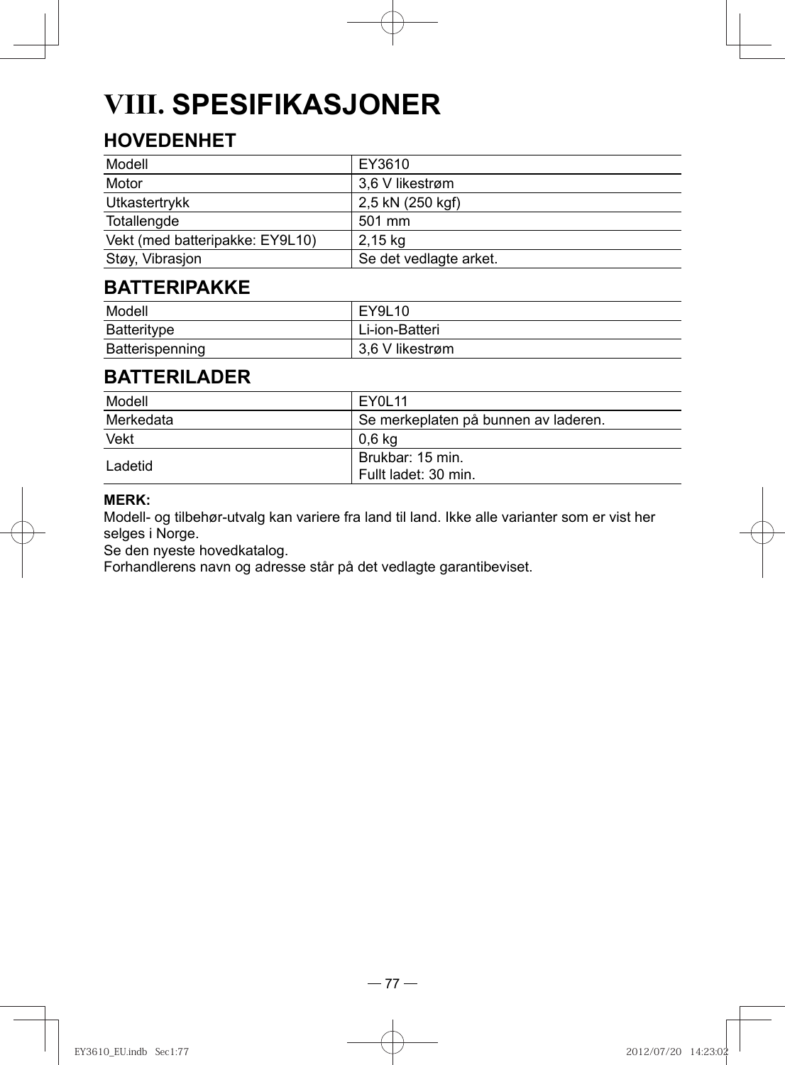# **VIII. SPESIFIKASJONER**

## **HOVEDENHET**

| Modell                          | EY3610                 |
|---------------------------------|------------------------|
| Motor                           | 3,6 V likestrøm        |
| Utkastertrykk                   | 2,5 kN (250 kgf)       |
| Totallengde                     | 501 mm                 |
| Vekt (med batteripakke: EY9L10) | 2,15 kg                |
| Støy, Vibrasjon                 | Se det vedlagte arket. |

### **BATTERIPAKKE**

| Modell          | EY9L10          |
|-----------------|-----------------|
| Batteritype     | Li-ion-Batteri  |
| Batterispenning | 3.6 V likestrøm |

### **BATTERILADER**

| Modell    | EY0L11                                   |
|-----------|------------------------------------------|
| Merkedata | Se merkeplaten på bunnen av laderen.     |
| Vekt      | 0.6 ka                                   |
| I adetid  | Brukbar: 15 min.<br>Fullt ladet: 30 min. |

#### **MERK:**

Modell- og tilbehør-utvalg kan variere fra land til land. Ikke alle varianter som er vist her selges i Norge.

Se den nyeste hovedkatalog.

Forhandlerens navn og adresse står på det vedlagte garantibeviset.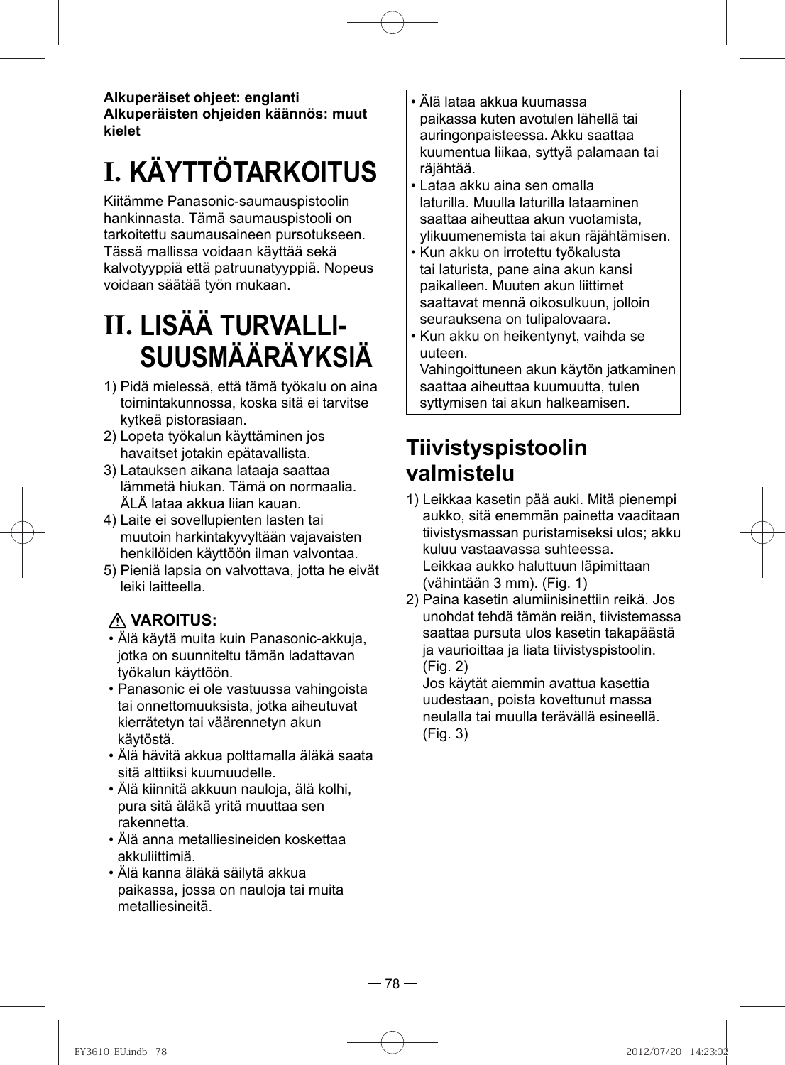**Alkuperäiset ohjeet: englanti Alkuperäisten ohjeiden käännös: muut kielet**

# **I. KÄYTTÖTARKOITUS**

Kiitämme Panasonic-saumauspistoolin hankinnasta. Tämä saumauspistooli on tarkoitettu saumausaineen pursotukseen. Tässä mallissa voidaan käyttää sekä kalvotyyppiä että patruunatyyppiä. Nopeus voidaan säätää työn mukaan.

# **II. LISÄÄ TURVALLI-SUUSMÄÄRÄYKSIÄ**

- 1) Pidä mielessä, että tämä työkalu on aina toimintakunnossa, koska sitä ei tarvitse kytkeä pistorasiaan.
- 2) Lopeta työkalun käyttäminen jos havaitset jotakin epätavallista.
- 3) Latauksen aikana lataaja saattaa lämmetä hiukan. Tämä on normaalia. ÄLÄ lataa akkua liian kauan.
- 4) Laite ei sovellupienten lasten tai muutoin harkintakyvyltään vajavaisten henkilöiden käyttöön ilman valvontaa.
- 5) Pieniä lapsia on valvottava, jotta he eivät leiki laitteella.

### **VAROITUS:**

- Älä käytä muita kuin Panasonic-akkuja, jotka on suunniteltu tämän ladattavan työkalun käyttöön.
- Panasonic ei ole vastuussa vahingoista tai onnettomuuksista, jotka aiheutuvat kierrätetyn tai väärennetyn akun käytöstä.
- Älä hävitä akkua polttamalla äläkä saata sitä alttiiksi kuumuudelle.
- Älä kiinnitä akkuun nauloja, älä kolhi, pura sitä äläkä yritä muuttaa sen rakennetta.
- Älä anna metalliesineiden koskettaa akkuliittimiä.
- Älä kanna äläkä säilytä akkua paikassa, jossa on nauloja tai muita metalliesineitä.
- Älä lataa akkua kuumassa paikassa kuten avotulen lähellä tai auringonpaisteessa. Akku saattaa kuumentua liikaa, syttyä palamaan tai räjähtää.
- Lataa akku aina sen omalla laturilla. Muulla laturilla lataaminen saattaa aiheuttaa akun vuotamista, ylikuumenemista tai akun räjähtämisen.
- Kun akku on irrotettu työkalusta tai laturista, pane aina akun kansi paikalleen. Muuten akun liittimet saattavat mennä oikosulkuun, jolloin seurauksena on tulipalovaara.
- Kun akku on heikentynyt, vaihda se uuteen.

Vahingoittuneen akun käytön jatkaminen saattaa aiheuttaa kuumuutta, tulen syttymisen tai akun halkeamisen.

## **Tiivistyspistoolin valmistelu**

- 1) Leikkaa kasetin pää auki. Mitä pienempi aukko, sitä enemmän painetta vaaditaan tiivistysmassan puristamiseksi ulos; akku kuluu vastaavassa suhteessa. Leikkaa aukko haluttuun läpimittaan (vähintään 3 mm). (Fig. 1)
- 2) Paina kasetin alumiinisinettiin reikä. Jos unohdat tehdä tämän reiän, tiivistemassa saattaa pursuta ulos kasetin takapäästä ja vaurioittaa ja liata tiivistyspistoolin. (Fig. 2)

Jos käytät aiemmin avattua kasettia uudestaan, poista kovettunut massa neulalla tai muulla terävällä esineellä. (Fig. 3)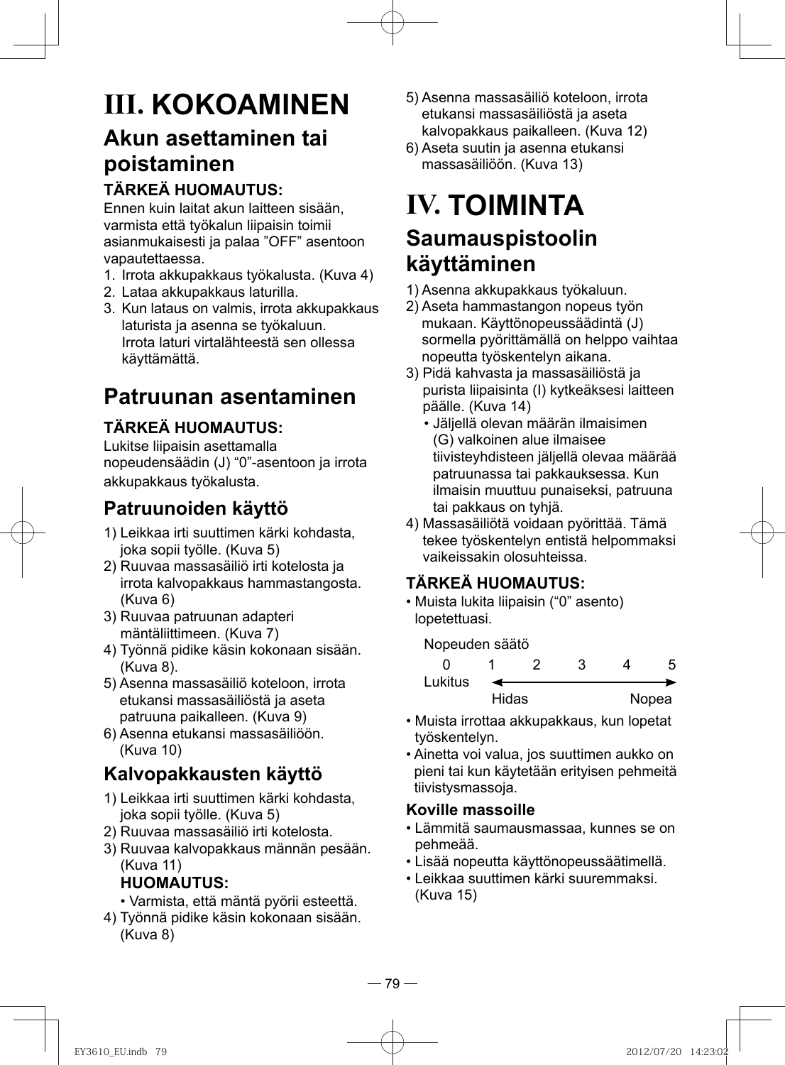# **III. KOKOAMINEN**

# **Akun asettaminen tai poistaminen**

### **TÄRKEÄ HUOMAUTUS:**

Ennen kuin laitat akun laitteen sisään, varmista että työkalun liipaisin toimii asianmukaisesti ja palaa "OFF" asentoon vapautettaessa.

- 1. Irrota akkupakkaus työkalusta. (Kuva 4)
- 2. Lataa akkupakkaus laturilla.
- 3. Kun lataus on valmis, irrota akkupakkaus laturista ja asenna se työkaluun. Irrota laturi virtalähteestä sen ollessa käyttämättä.

# **Patruunan asentaminen**

## **TÄRKEÄ HUOMAUTUS:**

Lukitse liipaisin asettamalla nopeudensäädin (J) "0"-asentoon ja irrota akkupakkaus työkalusta.

# **Patruunoiden käyttö**

- 1) Leikkaa irti suuttimen kärki kohdasta, joka sopii työlle. (Kuva 5)
- 2) Ruuvaa massasäiliö irti kotelosta ja irrota kalvopakkaus hammastangosta. (Kuva 6)
- 3) Ruuvaa patruunan adapteri mäntäliittimeen. (Kuva 7)
- 4) Työnnä pidike käsin kokonaan sisään. (Kuva 8).
- 5) Asenna massasäiliö koteloon, irrota etukansi massasäiliöstä ja aseta patruuna paikalleen. (Kuva 9)
- 6) Asenna etukansi massasäiliöön. (Kuva 10)

## **Kalvopakkausten käyttö**

- 1) Leikkaa irti suuttimen kärki kohdasta, joka sopii työlle. (Kuva 5)
- 2) Ruuvaa massasäiliö irti kotelosta.
- 3) Ruuvaa kalvopakkaus männän pesään. (Kuva 11)

#### **HUOMAUTUS:**

- Varmista, että mäntä pyörii esteettä.
- 4) Työnnä pidike käsin kokonaan sisään. (Kuva 8)
- 5) Asenna massasäiliö koteloon, irrota etukansi massasäiliöstä ja aseta kalvopakkaus paikalleen. (Kuva 12)
- 6) Aseta suutin ja asenna etukansi massasäiliöön. (Kuva 13)

# **IV. TOIMINTA Saumauspistoolin käyttäminen**

- 1) Asenna akkupakkaus työkaluun.
- 2) Aseta hammastangon nopeus työn mukaan. Käyttönopeussäädintä (J) sormella pyörittämällä on helppo vaihtaa nopeutta työskentelyn aikana.
- 3) Pidä kahvasta ja massasäiliöstä ja purista liipaisinta (I) kytkeäksesi laitteen päälle. (Kuva 14)
	- Jäljellä olevan määrän ilmaisimen (G) valkoinen alue ilmaisee tiivisteyhdisteen jäljellä olevaa määrää patruunassa tai pakkauksessa. Kun ilmaisin muuttuu punaiseksi, patruuna tai pakkaus on tyhjä.
- 4) Massasäiliötä voidaan pyörittää. Tämä tekee työskentelyn entistä helpommaksi vaikeissakin olosuhteissa.

### **TÄRKEÄ HUOMAUTUS:**

• Muista lukita liipaisin ("0" asento) lopetettuasi.

Nopeuden säätö

|         |       | З | 4 |       |
|---------|-------|---|---|-------|
| Lukitus |       |   |   |       |
|         | Hidas |   |   | Nopea |

- Muista irrottaa akkupakkaus, kun lopetat työskentelyn.
- Ainetta voi valua, jos suuttimen aukko on pieni tai kun käytetään erityisen pehmeitä tiivistysmassoja.

### **Koville massoille**

- Lämmitä saumausmassaa, kunnes se on pehmeää.
- Lisää nopeutta käyttönopeussäätimellä.
- Leikkaa suuttimen kärki suuremmaksi. (Kuva 15)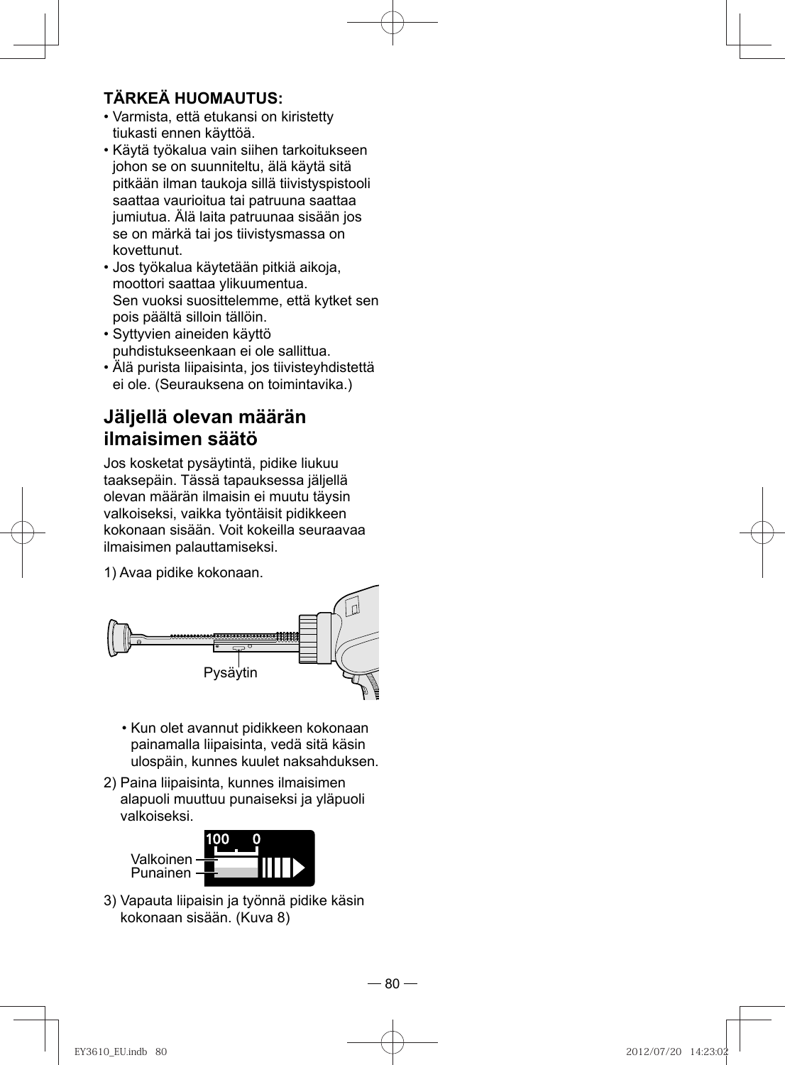#### **TÄRKEÄ HUOMAUTUS:**

- Varmista, että etukansi on kiristetty tiukasti ennen käyttöä.
- Käytä työkalua vain siihen tarkoitukseen johon se on suunniteltu, älä käytä sitä pitkään ilman taukoja sillä tiivistyspistooli saattaa vaurioitua tai patruuna saattaa jumiutua. Älä laita patruunaa sisään jos se on märkä tai jos tiivistysmassa on kovettunut.
- Jos työkalua käytetään pitkiä aikoja, moottori saattaa ylikuumentua. Sen vuoksi suosittelemme, että kytket sen pois päältä silloin tällöin.
- Syttyvien aineiden käyttö puhdistukseenkaan ei ole sallittua.
- Älä purista liipaisinta, jos tiivisteyhdistettä ei ole. (Seurauksena on toimintavika.)

#### **Jäljellä olevan määrän ilmaisimen säätö**

Jos kosketat pysäytintä, pidike liukuu taaksepäin. Tässä tapauksessa jäljellä olevan määrän ilmaisin ei muutu täysin valkoiseksi, vaikka työntäisit pidikkeen kokonaan sisään. Voit kokeilla seuraavaa ilmaisimen palauttamiseksi.

1) Avaa pidike kokonaan.



- Kun olet avannut pidikkeen kokonaan painamalla liipaisinta, vedä sitä käsin ulospäin, kunnes kuulet naksahduksen.
- 2) Paina liipaisinta, kunnes ilmaisimen alapuoli muuttuu punaiseksi ja yläpuoli valkoiseksi.



3) Vapauta liipaisin ja työnnä pidike käsin kokonaan sisään. (Kuva 8)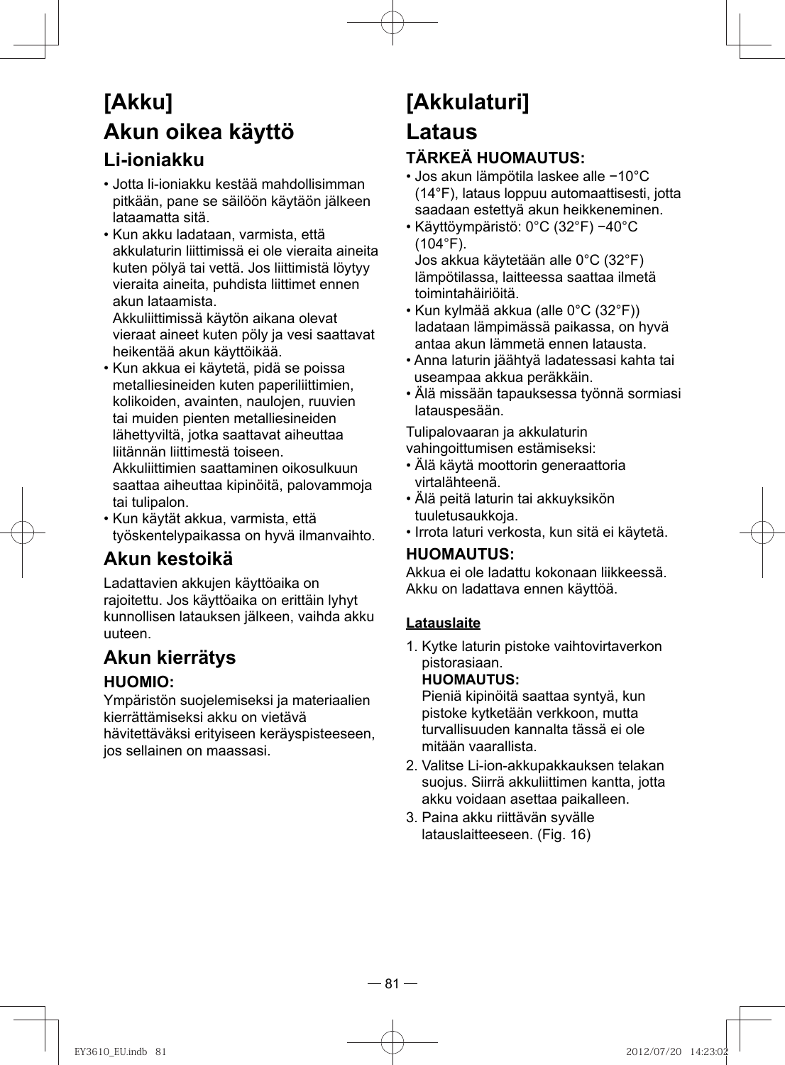# **[Akku] Akun oikea käyttö Li-ioniakku**

- Jotta li-ioniakku kestää mahdollisimman pitkään, pane se säilöön käytäön jälkeen lataamatta sitä.
- Kun akku ladataan, varmista, että akkulaturin liittimissä ei ole vieraita aineita kuten pölyä tai vettä. Jos liittimistä löytyy vieraita aineita, puhdista liittimet ennen akun lataamista.

Akkuliittimissä käytön aikana olevat vieraat aineet kuten pöly ja vesi saattavat heikentää akun käyttöikää.

- Kun akkua ei käytetä, pidä se poissa metalliesineiden kuten paperiliittimien, kolikoiden, avainten, naulojen, ruuvien tai muiden pienten metalliesineiden lähettyviltä, jotka saattavat aiheuttaa liitännän liittimestä toiseen. Akkuliittimien saattaminen oikosulkuun saattaa aiheuttaa kipinöitä, palovammoja tai tulipalon.
- Kun käytät akkua, varmista, että työskentelypaikassa on hyvä ilmanvaihto.

## **Akun kestoikä**

Ladattavien akkujen käyttöaika on rajoitettu. Jos käyttöaika on erittäin lyhyt kunnollisen latauksen jälkeen, vaihda akku uuteen.

### **Akun kierrätys**

#### **HUOMIO:**

Ympäristön suojelemiseksi ja materiaalien kierrättämiseksi akku on vietävä hävitettäväksi erityiseen keräyspisteeseen, jos sellainen on maassasi.

# **[Akkulaturi]**

# **Lataus**

### **TÄRKEÄ HUOMAUTUS:**

- Jos akun lämpötila laskee alle −10°C (14°F), lataus loppuu automaattisesti, jotta saadaan estettyä akun heikkeneminen.
- Käyttöympäristö: 0°C (32°F) −40°C (104°F). Jos akkua käytetään alle 0°C (32°F) lämpötilassa, laitteessa saattaa ilmetä
- toimintahäiriöitä. • Kun kylmää akkua (alle 0°C (32°F)) ladataan lämpimässä paikassa, on hyvä antaa akun lämmetä ennen latausta.
- Anna laturin jäähtyä ladatessasi kahta tai useampaa akkua peräkkäin.
- Älä missään tapauksessa työnnä sormiasi latauspesään.

Tulipalovaaran ja akkulaturin

vahingoittumisen estämiseksi:

- Älä käytä moottorin generaattoria virtalähteenä.
- Älä peitä laturin tai akkuyksikön tuuletusaukkoja.
- Irrota laturi verkosta, kun sitä ei käytetä.

#### **HUOMAUTUS:**

Akkua ei ole ladattu kokonaan liikkeessä. Akku on ladattava ennen käyttöä.

#### **Latauslaite**

1. Kytke laturin pistoke vaihtovirtaverkon pistorasiaan.

#### **HUOMAUTUS:**

Pieniä kipinöitä saattaa syntyä, kun pistoke kytketään verkkoon, mutta turvallisuuden kannalta tässä ei ole mitään vaarallista.

- 2. Valitse Li-ion-akkupakkauksen telakan suojus. Siirrä akkuliittimen kantta, jotta akku voidaan asettaa paikalleen.
- 3. Paina akku riittävän syvälle latauslaitteeseen. (Fig. 16)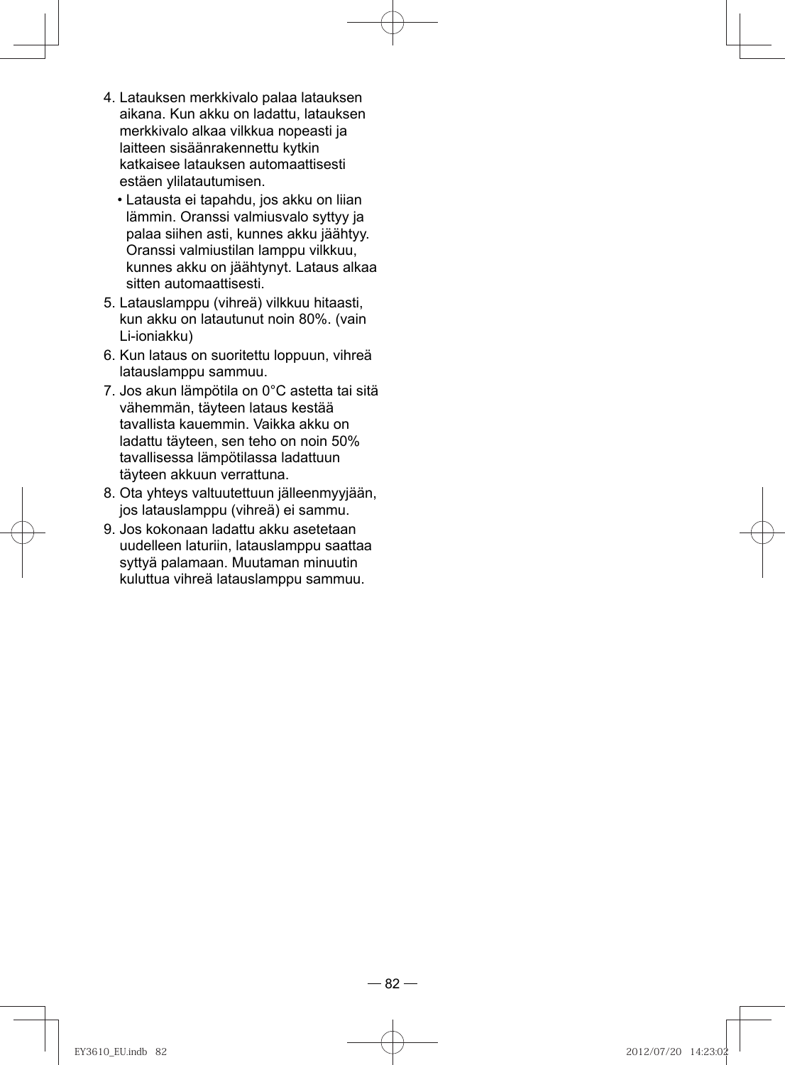- 4. Latauksen merkkivalo palaa latauksen aikana. Kun akku on ladattu, latauksen merkkivalo alkaa vilkkua nopeasti ja laitteen sisäänrakennettu kytkin katkaisee latauksen automaattisesti estäen ylilatautumisen.
	- Latausta ei tapahdu, jos akku on liian lämmin. Oranssi valmiusvalo syttyy ja palaa siihen asti, kunnes akku jäähtyy. Oranssi valmiustilan lamppu vilkkuu, kunnes akku on jäähtynyt. Lataus alkaa sitten automaattisesti.
- 5. Latauslamppu (vihreä) vilkkuu hitaasti, kun akku on latautunut noin 80%. (vain Li-ioniakku)
- 6. Kun lataus on suoritettu loppuun, vihreä latauslamppu sammuu.
- 7. Jos akun lämpötila on 0°C astetta tai sitä vähemmän, täyteen lataus kestää tavallista kauemmin. Vaikka akku on ladattu täyteen, sen teho on noin 50% tavallisessa lämpötilassa ladattuun täyteen akkuun verrattuna.
- 8. Ota yhteys valtuutettuun jälleenmyyjään, jos latauslamppu (vihreä) ei sammu.
- 9. Jos kokonaan ladattu akku asetetaan uudelleen laturiin, latauslamppu saattaa syttyä palamaan. Muutaman minuutin kuluttua vihreä latauslamppu sammuu.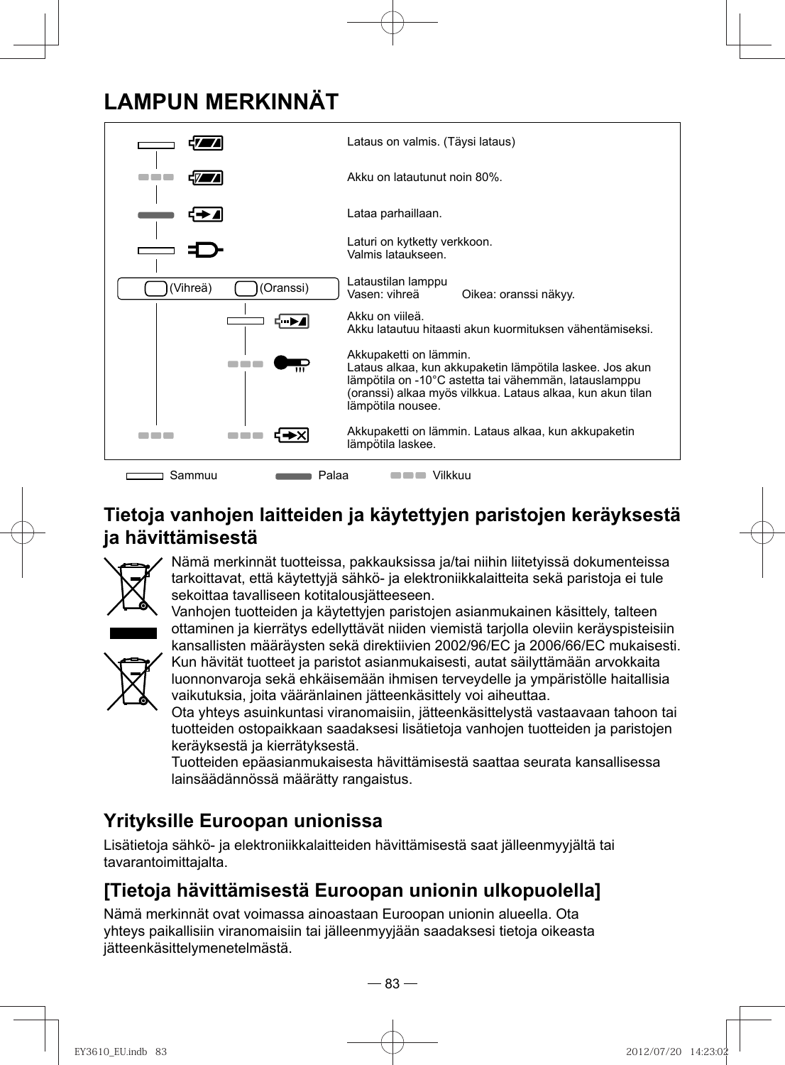# **LAMPUN MERKINNÄT**



## **Tietoja vanhojen laitteiden ja käytettyjen paristojen keräyksestä ja hävittämisestä**



Nämä merkinnät tuotteissa, pakkauksissa ja/tai niihin liitetyissä dokumenteissa tarkoittavat, että käytettyjä sähkö- ja elektroniikkalaitteita sekä paristoja ei tule sekoittaa tavalliseen kotitalousjätteeseen.

Vanhojen tuotteiden ja käytettyjen paristojen asianmukainen käsittely, talteen ottaminen ja kierrätys edellyttävät niiden viemistä tarjolla oleviin keräyspisteisiin kansallisten määräysten sekä direktiivien 2002/96/EC ja 2006/66/EC mukaisesti.



Kun hävität tuotteet ja paristot asianmukaisesti, autat säilyttämään arvokkaita luonnonvaroja sekä ehkäisemään ihmisen terveydelle ja ympäristölle haitallisia vaikutuksia, joita vääränlainen jätteenkäsittely voi aiheuttaa.

Ota yhteys asuinkuntasi viranomaisiin, jätteenkäsittelystä vastaavaan tahoon tai tuotteiden ostopaikkaan saadaksesi lisätietoja vanhojen tuotteiden ja paristojen keräyksestä ja kierrätyksestä.

Tuotteiden epäasianmukaisesta hävittämisestä saattaa seurata kansallisessa lainsäädännössä määrätty rangaistus.

## **Yrityksille Euroopan unionissa**

Lisätietoja sähkö- ja elektroniikkalaitteiden hävittämisestä saat jälleenmyyjältä tai tavarantoimittajalta.

## **[Tietoja hävittämisestä Euroopan unionin ulkopuolella]**

Nämä merkinnät ovat voimassa ainoastaan Euroopan unionin alueella. Ota yhteys paikallisiin viranomaisiin tai jälleenmyyjään saadaksesi tietoja oikeasta jätteenkäsittelymenetelmästä.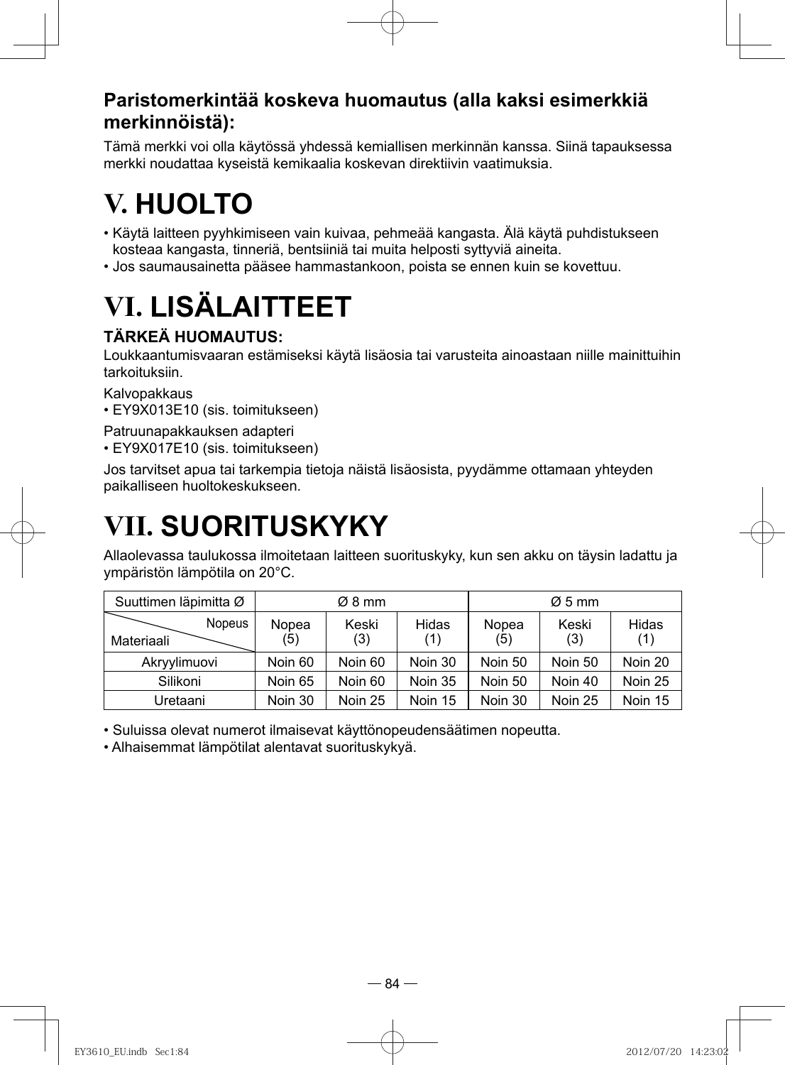#### **Paristomerkintää koskeva huomautus (alla kaksi esimerkkiä merkinnöistä):**

Tämä merkki voi olla käytössä yhdessä kemiallisen merkinnän kanssa. Siinä tapauksessa merkki noudattaa kyseistä kemikaalia koskevan direktiivin vaatimuksia.

# **V. HUOLTO**

- Käytä laitteen pyyhkimiseen vain kuivaa, pehmeää kangasta. Älä käytä puhdistukseen kosteaa kangasta, tinneriä, bentsiiniä tai muita helposti syttyviä aineita.
- Jos saumausainetta pääsee hammastankoon, poista se ennen kuin se kovettuu.

# **VI. LISÄLAITTEET**

#### **TÄRKEÄ HUOMAUTUS:**

Loukkaantumisvaaran estämiseksi käytä lisäosia tai varusteita ainoastaan niille mainittuihin tarkoituksiin.

Kalvopakkaus

• EY9X013E10 (sis. toimitukseen)

Patruunapakkauksen adapteri

• EY9X017E10 (sis. toimitukseen)

Jos tarvitset apua tai tarkempia tietoja näistä lisäosista, pyydämme ottamaan yhteyden paikalliseen huoltokeskukseen.

# **VII. SUORITUSKYKY**

Allaolevassa taulukossa ilmoitetaan laitteen suorituskyky, kun sen akku on täysin ladattu ja ympäristön lämpötila on 20°C.

| Suuttimen läpimitta Ø       |              | $\varnothing$ 8 mm |              |              | $\varnothing$ 5 mm |              |
|-----------------------------|--------------|--------------------|--------------|--------------|--------------------|--------------|
| <b>Nopeus</b><br>Materiaali | Nopea<br>(5) | Keski<br>(3)       | Hidas<br>(1) | Nopea<br>(5) | Keski<br>(3)       | Hidas<br>(1) |
| Akryylimuovi                | Noin 60      | Noin 60            | Noin 30      | Noin 50      | Noin 50            | Noin 20      |
| Silikoni                    | Noin 65      | Noin 60            | Noin 35      | Noin 50      | Noin 40            | Noin 25      |
| Uretaani                    | Noin 30      | Noin 25            | Noin 15      | Noin 30      | Noin 25            | Noin 15      |

• Suluissa olevat numerot ilmaisevat käyttönopeudensäätimen nopeutta.

• Alhaisemmat lämpötilat alentavat suorituskykyä.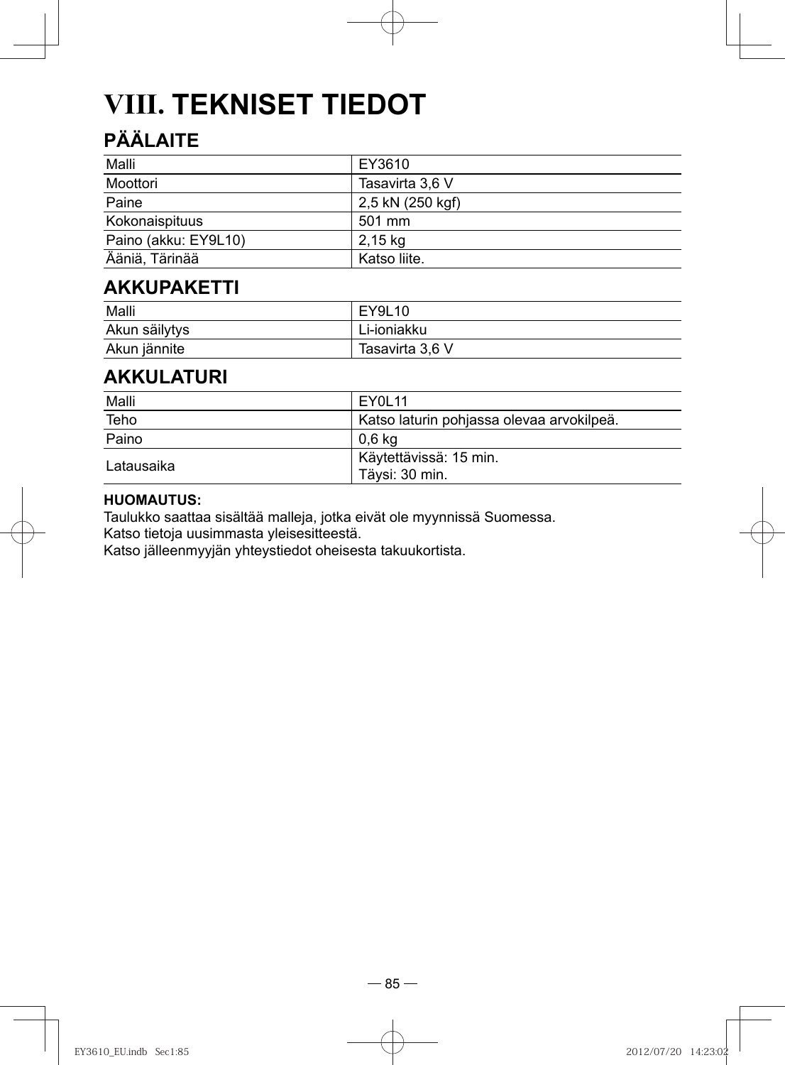# **VIII. TEKNISET TIEDOT**

## **PÄÄLAITE**

| Malli                | EY3610           |
|----------------------|------------------|
| Moottori             | Tasavirta 3,6 V  |
| Paine                | 2,5 kN (250 kgf) |
| Kokonaispituus       | 501 mm           |
| Paino (akku: EY9L10) | 2.15 ka          |
| Ääniä, Tärinää       | Katso liite.     |

### **AKKUPAKETTI**

| Malli         | EY9L10          |
|---------------|-----------------|
| Akun säilytys | Li-ioniakku     |
| Akun jännite  | Tasavirta 3,6 V |

#### **AKKULATURI**

| Malli      | FY01 11                                   |
|------------|-------------------------------------------|
| Teho       | Katso laturin pohjassa olevaa arvokilpeä. |
| Paino      | 0.6 ka                                    |
| Latausaika | Käytettävissä: 15 min.<br>Täysi: 30 min.  |

#### **HUOMAUTUS:**

Taulukko saattaa sisältää malleja, jotka eivät ole myynnissä Suomessa.

Katso tietoja uusimmasta yleisesitteestä.

Katso jälleenmyyjän yhteystiedot oheisesta takuukortista.